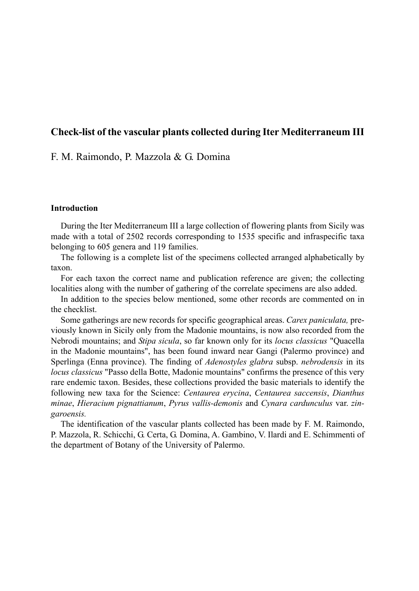# **Check-list of the vascular plants collected during Iter Mediterraneum III**

# F. M. Raimondo, P. Mazzola & G. Domina

## **Introduction**

During the Iter Mediterraneum III a large collection of flowering plants from Sicily was made with a total of 2502 records corresponding to 1535 specific and infraspecific taxa belonging to 605 genera and 119 families.

The following is a complete list of the specimens collected arranged alphabetically by taxon.

For each taxon the correct name and publication reference are given; the collecting localities along with the number of gathering of the correlate specimens are also added.

In addition to the species below mentioned, some other records are commented on in the checklist.

Some gatherings are new records for specific geographical areas. *Carex paniculata,* previously known in Sicily only from the Madonie mountains, is now also recorded from the Nebrodi mountains; and *Stipa sicula*, so far known only for its *locus classicus* "Quacella in the Madonie mountains", has been found inward near Gangi (Palermo province) and Sperlinga (Enna province). The finding of *Adenostyles glabra* subsp. *nebrodensis* in its *locus classicus* "Passo della Botte, Madonie mountains" confirms the presence of this very rare endemic taxon. Besides, these collections provided the basic materials to identify the following new taxa for the Science: *Centaurea erycina*, *Centaurea saccensis*, *Dianthus minae*, *Hieracium pignattianum*, *Pyrus vallis-demonis* and *Cynara cardunculus* var. *zingaroensis.*

The identification of the vascular plants collected has been made by F. M. Raimondo, P. Mazzola, R. Schicchi, G. Certa, G. Domina, A. Gambino, V. Ilardi and E. Schimmenti of the department of Botany of the University of Palermo.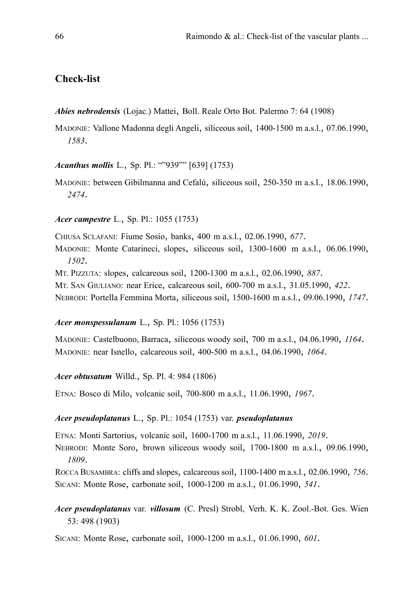# **Check-list**

*Abies nebrodensis* (Lojac.) Mattei, Boll. Reale Orto Bot. Palermo 7: 64 (1908)

MADONIE: Vallone Madonna degli Angeli, siliceous soil, 1400-1500 m a.s.l., 07.06.1990, *1583*.

*Acanthus mollis* L., Sp. Pl.: ""939"" [639] (1753)

MADONIE: between Gibilmanna and Cefalù, siliceous soil, 250-350 m a.s.l., 18.06.1990, *2474*.

*Acer campestre* L., Sp. Pl.: 1055 (1753)

CHIUSA SCLAFANI: Fiume Sosio, banks, 400 m a.s.l., 02.06.1990, *677*.

MADONIE: Monte Catarineci, slopes, siliceous soil, 1300-1600 m a.s.l., 06.06.1990, *1502*.

MT. PIZZUTA: slopes, calcareous soil, 1200-1300 m a.s.l., 02.06.1990, *887*.

MT. SAN GIULIANO: near Erice, calcareous soil, 600-700 m a.s.l., 31.05.1990, *422*.

NEBRODI: Portella Femmina Morta, siliceous soil, 1500-1600 m a.s.l., 09.06.1990, *1747*.

## *Acer monspessulanum* L., Sp. Pl.: 1056 (1753)

MADONIE: Castelbuono, Barraca, siliceous woody soil, 700 m a.s.l., 04.06.1990, *1164*. MADONIE: near Isnello, calcareous soil, 400-500 m a.s.l., 04.06.1990, *1064*.

*Acer obtusatum* Willd., Sp. Pl. 4: 984 (1806)

ETNA: Bosco di Milo, volcanic soil, 700-800 m a.s.l., 11.06.1990, *1967*.

#### *Acer pseudoplatanus* L., Sp. Pl.: 1054 (1753) var. *pseudoplatanus*

ETNA: Monti Sartorius, volcanic soil, 1600-1700 m a.s.l., 11.06.1990, *2019*.

NEBRODI: Monte Soro, brown siliceous woody soil, 1700-1800 m a.s.l., 09.06.1990, *1809*.

ROCCA BUSAMBRA: cliffs and slopes, calcareous soil, 1100-1400 m a.s.l., 02.06.1990, *756*. SICANI: Monte Rose, carbonate soil, 1000-1200 m a.s.l., 01.06.1990, *541*.

*Acer pseudoplatanus* var. *villosum* (C. Presl) Strobl, Verh. K. K. Zool.-Bot. Ges. Wien 53: 498 (1903)

SICANI: Monte Rose, carbonate soil, 1000-1200 m a.s.l., 01.06.1990, *601*.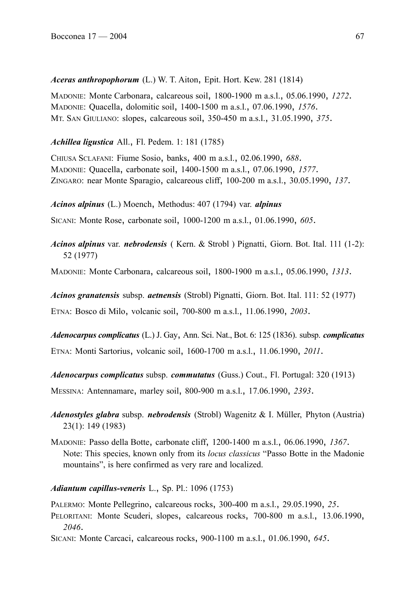# *Aceras anthropophorum* (L.) W. T. Aiton, Epit. Hort. Kew. 281 (1814)

MADONIE: Monte Carbonara, calcareous soil, 1800-1900 m a.s.l., 05.06.1990, *1272*. MADONIE: Quacella, dolomitic soil, 1400-1500 m a.s.l., 07.06.1990, *1576*. MT. SAN GIULIANO: slopes, calcareous soil, 350-450 m a.s.l., 31.05.1990, *375*.

# *Achillea ligustica* All., Fl. Pedem. 1: 181 (1785)

CHIUSA SCLAFANI: Fiume Sosio, banks, 400 m a.s.l., 02.06.1990, *688*. MADONIE: Quacella, carbonate soil, 1400-1500 m a.s.l., 07.06.1990, *1577*. ZINGARO: near Monte Sparagio, calcareous cliff, 100-200 m a.s.l., 30.05.1990, *137*.

*Acinos alpinus* (L.) Moench, Methodus: 407 (1794) var. *alpinus*

SICANI: Monte Rose, carbonate soil, 1000-1200 m a.s.l., 01.06.1990, *605*.

*Acinos alpinus* var. *nebrodensis* ( Kern. & Strobl ) Pignatti, Giorn. Bot. Ital. 111 (1-2): 52 (1977)

MADONIE: Monte Carbonara, calcareous soil, 1800-1900 m a.s.l., 05.06.1990, *1313*.

*Acinos granatensis* subsp. *aetnensis* (Strobl) Pignatti, Giorn. Bot. Ital. 111: 52 (1977)

ETNA: Bosco di Milo, volcanic soil, 700-800 m a.s.l., 11.06.1990, *2003*.

*Adenocarpus complicatus* (L.) J. Gay, Ann. Sci. Nat., Bot. 6: 125 (1836). subsp. *complicatus* ETNA: Monti Sartorius, volcanic soil, 1600-1700 m a.s.l., 11.06.1990, *2011*.

*Adenocarpus complicatus* subsp. *commutatus* (Guss.) Cout., Fl. Portugal: 320 (1913)

MESSINA: Antennamare, marley soil, 800-900 m a.s.l., 17.06.1990, *2393*.

*Adenostyles glabra* subsp. *nebrodensis* (Strobl) Wagenitz & I. Müller, Phyton (Austria) 23(1): 149 (1983)

MADONIE: Passo della Botte, carbonate cliff, 1200-1400 m a.s.l., 06.06.1990, *1367*. Note: This species, known only from its *locus classicus* "Passo Botte in the Madonie mountains", is here confirmed as very rare and localized.

*Adiantum capillus-veneris* L., Sp. Pl.: 1096 (1753)

PALERMO: Monte Pellegrino, calcareous rocks, 300-400 m a.s.l., 29.05.1990, *25*.

PELORITANI: Monte Scuderi, slopes, calcareous rocks, 700-800 m a.s.l., 13.06.1990, *2046*.

SICANI: Monte Carcaci, calcareous rocks, 900-1100 m a.s.l., 01.06.1990, *645*.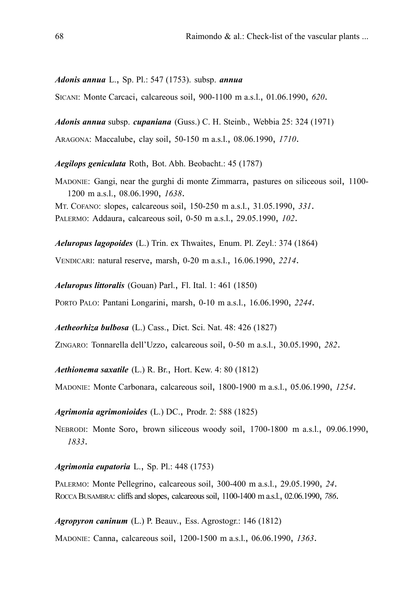### *Adonis annua* L., Sp. Pl.: 547 (1753). subsp. *annua*

SICANI: Monte Carcaci, calcareous soil, 900-1100 m a.s.l., 01.06.1990, *620*.

*Adonis annua* subsp. *cupaniana* (Guss.) C. H. Steinb., Webbia 25: 324 (1971)

ARAGONA: Maccalube, clay soil, 50-150 m a.s.l., 08.06.1990, *1710*.

*Aegilops geniculata* Roth, Bot. Abh. Beobacht.: 45 (1787)

MADONIE: Gangi, near the gurghi di monte Zimmarra, pastures on siliceous soil, 1100- 1200 m a.s.l., 08.06.1990, *1638*. MT. COFANO: slopes, calcareous soil, 150-250 m a.s.l., 31.05.1990, *331*. PALERMO: Addaura, calcareous soil, 0-50 m a.s.l., 29.05.1990, *102*.

*Aeluropus lagopoides* (L.) Trin. ex Thwaites, Enum. Pl. Zeyl.: 374 (1864) VENDICARI: natural reserve, marsh, 0-20 m a.s.l., 16.06.1990, *2214*.

*Aeluropus littoralis* (Gouan) Parl., Fl. Ital. 1: 461 (1850)

PORTO PALO: Pantani Longarini, marsh, 0-10 m a.s.l., 16.06.1990, *2244*.

*Aetheorhiza bulbosa* (L.) Cass., Dict. Sci. Nat. 48: 426 (1827)

ZINGARO: Tonnarella dell'Uzzo, calcareous soil, 0-50 m a.s.l., 30.05.1990, *282*.

*Aethionema saxatile* (L.) R. Br., Hort. Kew. 4: 80 (1812)

MADONIE: Monte Carbonara, calcareous soil, 1800-1900 m a.s.l., 05.06.1990, *1254*.

## *Agrimonia agrimonioides* (L.) DC., Prodr. 2: 588 (1825)

NEBRODI: Monte Soro, brown siliceous woody soil, 1700-1800 m a.s.l., 09.06.1990, *1833*.

## *Agrimonia eupatoria* L., Sp. Pl.: 448 (1753)

PALERMO: Monte Pellegrino, calcareous soil, 300-400 m a.s.l., 29.05.1990, *24*. ROCCA BUSAMBRA: cliffs and slopes, calcareous soil, 1100-1400 m a.s.l., 02.06.1990, *786*.

#### *Agropyron caninum* (L.) P. Beauv., Ess. Agrostogr.: 146 (1812)

MADONIE: Canna, calcareous soil, 1200-1500 m a.s.l., 06.06.1990, *1363*.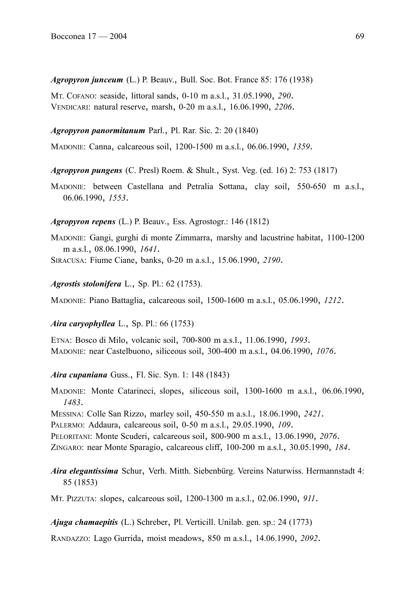*Agropyron junceum* (L.) P. Beauv., Bull. Soc. Bot. France 85: 176 (1938)

MT. COFANO: seaside, littoral sands, 0-10 m a.s.l., 31.05.1990, *290*. VENDICARI: natural reserve, marsh, 0-20 m a.s.l., 16.06.1990, *2206*.

## *Agropyron panormitanum* Parl., Pl. Rar. Sic. 2: 20 (1840)

MADONIE: Canna, calcareous soil, 1200-1500 m a.s.l., 06.06.1990, *1359*.

*Agropyron pungens* (C. Presl) Roem. & Shult., Syst. Veg. (ed. 16) 2: 753 (1817)

MADONIE: between Castellana and Petralia Sottana, clay soil, 550-650 m a.s.l., 06.06.1990, *1553*.

## *Agropyron repens* (L.) P. Beauv., Ess. Agrostogr.: 146 (1812)

MADONIE: Gangi, gurghi di monte Zimmarra, marshy and lacustrine habitat, 1100-1200 m a.s.l., 08.06.1990, *1641*. SIRACUSA: Fiume Ciane, banks, 0-20 m a.s.l., 15.06.1990, *2190*.

*Agrostis stolonifera* L., Sp. Pl.: 62 (1753).

MADONIE: Piano Battaglia, calcareous soil, 1500-1600 m a.s.l., 05.06.1990, *1212*.

## *Aira caryophyllea* L., Sp. Pl.: 66 (1753)

ETNA: Bosco di Milo, volcanic soil, 700-800 m a.s.l., 11.06.1990, *1993*. MADONIE: near Castelbuono, siliceous soil, 300-400 m a.s.l., 04.06.1990, *1076*.

*Aira cupaniana* Guss., Fl. Sic. Syn. 1: 148 (1843)

MADONIE: Monte Catarineci, slopes, siliceous soil, 1300-1600 m a.s.l., 06.06.1990, *1483*.

MESSINA: Colle San Rizzo, marley soil, 450-550 m a.s.l., 18.06.1990, *2421*.

PALERMO: Addaura, calcareous soil, 0-50 m a.s.l., 29.05.1990, *109*.

PELORITANI: Monte Scuderi, calcareous soil, 800-900 m a.s.l., 13.06.1990, *2076*.

ZINGARO: near Monte Sparagio, calcareous cliff, 100-200 m a.s.l., 30.05.1990, *184*.

*Aira elegantissima* Schur, Verh. Mitth. Siebenbürg. Vereins Naturwiss. Hermannstadt 4: 85 (1853)

MT. PIZZUTA: slopes, calcareous soil, 1200-1300 m a.s.l., 02.06.1990, *911*.

*Ajuga chamaepitis* (L.) Schreber, Pl. Verticill. Unilab. gen. sp.: 24 (1773)

RANDAZZO: Lago Gurrida, moist meadows, 850 m a.s.l., 14.06.1990, *2092*.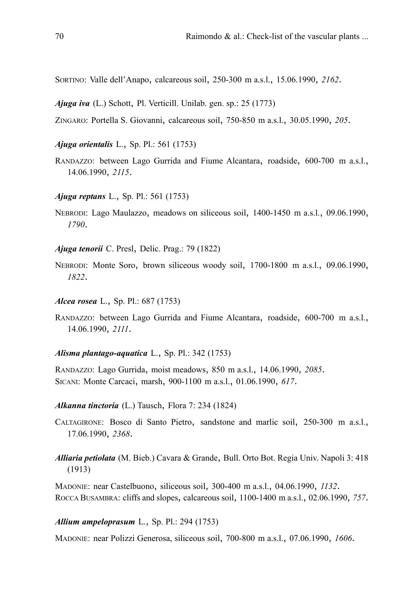SORTINO: Valle dell'Anapo, calcareous soil, 250-300 m a.s.l., 15.06.1990, *2162*.

*Ajuga iva* (L.) Schott, Pl. Verticill. Unilab. gen. sp.: 25 (1773)

ZINGARO: Portella S. Giovanni, calcareous soil, 750-850 m a.s.l., 30.05.1990, *205*.

- *Ajuga orientalis* L., Sp. Pl.: 561 (1753)
- RANDAZZO: between Lago Gurrida and Fiume Alcantara, roadside, 600-700 m a.s.l., 14.06.1990, *2115*.
- *Ajuga reptans* L., Sp. Pl.: 561 (1753)
- NEBRODI: Lago Maulazzo, meadows on siliceous soil, 1400-1450 m a.s.l., 09.06.1990, *1790*.

*Ajuga tenorii* C. Presl, Delic. Prag.: 79 (1822)

NEBRODI: Monte Soro, brown siliceous woody soil, 1700-1800 m a.s.l., 09.06.1990, *1822*.

*Alcea rosea* L., Sp. Pl.: 687 (1753)

RANDAZZO: between Lago Gurrida and Fiume Alcantara, roadside, 600-700 m a.s.l., 14.06.1990, *2111*.

*Alisma plantago-aquatica* L., Sp. Pl.: 342 (1753)

RANDAZZO: Lago Gurrida, moist meadows, 850 m a.s.l., 14.06.1990, *2085*. SICANI: Monte Carcaci, marsh, 900-1100 m a.s.l., 01.06.1990, *617*.

#### *Alkanna tinctoria* (L.) Tausch, Flora 7: 234 (1824)

CALTAGIRONE: Bosco di Santo Pietro, sandstone and marlic soil, 250-300 m a.s.l., 17.06.1990, *2368*.

*Alliaria petiolata* (M. Bieb.) Cavara & Grande, Bull. Orto Bot. Regia Univ. Napoli 3: 418 (1913)

MADONIE: near Castelbuono, siliceous soil, 300-400 m a.s.l., 04.06.1990, *1132*. ROCCA BUSAMBRA: cliffs and slopes, calcareous soil, 1100-1400 m a.s.l., 02.06.1990, *757*.

## *Allium ampeloprasum* L., Sp. Pl.: 294 (1753)

MADONIE: near Polizzi Generosa, siliceous soil, 700-800 m a.s.l., 07.06.1990, *1606*.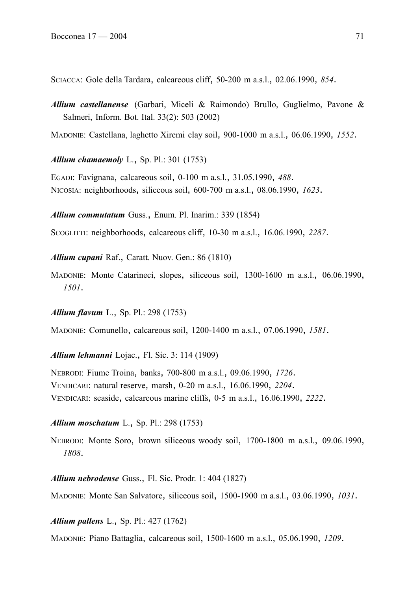SCIACCA: Gole della Tardara, calcareous cliff, 50-200 m a.s.l., 02.06.1990, *854*.

*Allium castellanense* (Garbari, Miceli & Raimondo) Brullo, Guglielmo, Pavone & Salmeri, Inform. Bot. Ital. 33(2): 503 (2002)

MADONIE: Castellana, laghetto Xiremi clay soil, 900-1000 m a.s.l., 06.06.1990, *1552*.

*Allium chamaemoly* L., Sp. Pl.: 301 (1753)

EGADI: Favignana, calcareous soil, 0-100 m a.s.l., 31.05.1990, *488*. NICOSIA: neighborhoods, siliceous soil, 600-700 m a.s.l., 08.06.1990, *1623*.

*Allium commutatum* Guss., Enum. Pl. Inarim.: 339 (1854)

SCOGLITTI: neighborhoods, calcareous cliff, 10-30 m a.s.l., 16.06.1990, *2287*.

*Allium cupani* Raf., Caratt. Nuov. Gen.: 86 (1810)

MADONIE: Monte Catarineci, slopes, siliceous soil, 1300-1600 m a.s.l., 06.06.1990, *1501*.

*Allium flavum* L., Sp. Pl.: 298 (1753)

MADONIE: Comunello, calcareous soil, 1200-1400 m a.s.l., 07.06.1990, *1581*.

*Allium lehmanni* Lojac., Fl. Sic. 3: 114 (1909)

NEBRODI: Fiume Troina, banks, 700-800 m a.s.l., 09.06.1990, *1726*. VENDICARI: natural reserve, marsh, 0-20 m a.s.l., 16.06.1990, *2204*. VENDICARI: seaside, calcareous marine cliffs, 0-5 m a.s.l., 16.06.1990, *2222*.

## *Allium moschatum* L., Sp. Pl.: 298 (1753)

NEBRODI: Monte Soro, brown siliceous woody soil, 1700-1800 m a.s.l., 09.06.1990, *1808*.

*Allium nebrodense* Guss., Fl. Sic. Prodr. 1: 404 (1827)

MADONIE: Monte San Salvatore, siliceous soil, 1500-1900 m a.s.l., 03.06.1990, *1031*.

*Allium pallens* L., Sp. Pl.: 427 (1762)

MADONIE: Piano Battaglia, calcareous soil, 1500-1600 m a.s.l., 05.06.1990, *1209*.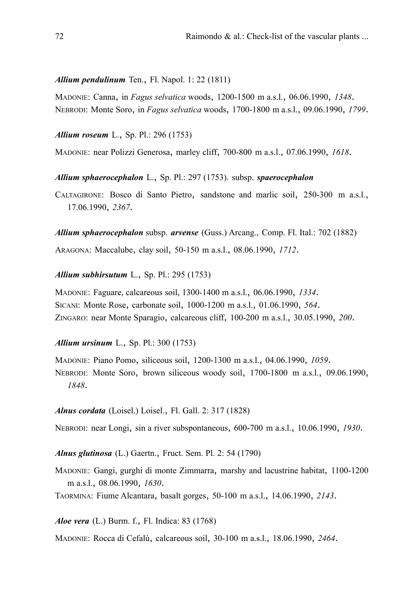### *Allium pendulinum* Ten., Fl. Napol. 1: 22 (1811)

MADONIE: Canna, in *Fagus selvatica* woods, 1200-1500 m a.s.l., 06.06.1990, *1348*. NEBRODI: Monte Soro, in *Fagus selvatica* woods, 1700-1800 m a.s.l., 09.06.1990, *1799*.

*Allium roseum* L., Sp. Pl.: 296 (1753)

MADONIE: near Polizzi Generosa, marley cliff, 700-800 m a.s.l., 07.06.1990, *1618*.

*Allium sphaerocephalon* L., Sp. Pl.: 297 (1753). subsp. *spaerocephalon*

CALTAGIRONE: Bosco di Santo Pietro, sandstone and marlic soil, 250-300 m a.s.l., 17.06.1990, *2367*.

*Allium sphaerocephalon* subsp. *arvense* (Guss.) Arcang., Comp. Fl. Ital.: 702 (1882)

ARAGONA: Maccalube, clay soil, 50-150 m a.s.l., 08.06.1990, *1712*.

## *Allium subhirsutum* L., Sp. Pl.: 295 (1753)

MADONIE: Faguare, calcareous soil, 1300-1400 m a.s.l., 06.06.1990, *1334*. SICANI: Monte Rose, carbonate soil, 1000-1200 m a.s.l., 01.06.1990, *564*. ZINGARO: near Monte Sparagio, calcareous cliff, 100-200 m a.s.l., 30.05.1990, *200*.

## *Allium ursinum* L., Sp. Pl.: 300 (1753)

MADONIE: Piano Pomo, siliceous soil, 1200-1300 m a.s.l., 04.06.1990, *1059*. NEBRODI: Monte Soro, brown siliceous woody soil, 1700-1800 m a.s.l., 09.06.1990, *1848*.

*Alnus cordata* (Loisel.) Loisel., Fl. Gall. 2: 317 (1828)

NEBRODI: near Longi, sin a river subspontaneous, 600-700 m a.s.l., 10.06.1990, *1930*.

*Alnus glutinosa* (L.) Gaertn., Fruct. Sem. Pl. 2: 54 (1790)

MADONIE: Gangi, gurghi di monte Zimmarra, marshy and lacustrine habitat, 1100-1200 m a.s.l., 08.06.1990, *1630*.

TAORMINA: Fiume Alcantara, basalt gorges, 50-100 m a.s.l., 14.06.1990, *2143*.

*Aloe vera* (L.) Burm. f., Fl. Indica: 83 (1768)

MADONIE: Rocca di Cefalù, calcareous soil, 30-100 m a.s.l., 18.06.1990, *2464*.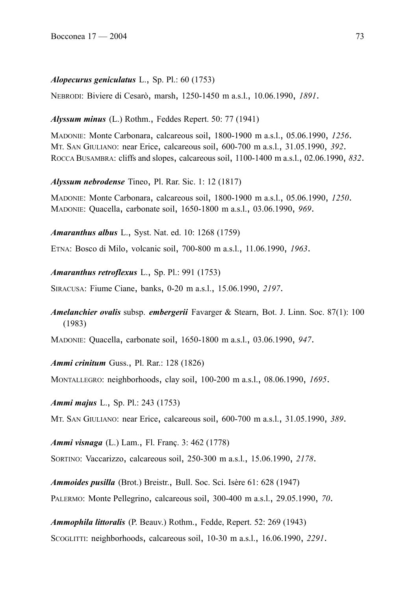#### *Alopecurus geniculatus* L., Sp. Pl.: 60 (1753)

NEBRODI: Biviere di Cesarò, marsh, 1250-1450 m a.s.l., 10.06.1990, *1891*.

### *Alyssum minus* (L.) Rothm., Feddes Repert. 50: 77 (1941)

MADONIE: Monte Carbonara, calcareous soil, 1800-1900 m a.s.l., 05.06.1990, *1256*. MT. SAN GIULIANO: near Erice, calcareous soil, 600-700 m a.s.l., 31.05.1990, *392*. ROCCA BUSAMBRA: cliffs and slopes, calcareous soil, 1100-1400 m a.s.l., 02.06.1990, *832*.

*Alyssum nebrodense* Tineo, Pl. Rar. Sic. 1: 12 (1817)

MADONIE: Monte Carbonara, calcareous soil, 1800-1900 m a.s.l., 05.06.1990, *1250*. MADONIE: Quacella, carbonate soil, 1650-1800 m a.s.l., 03.06.1990, *969*.

*Amaranthus albus* L., Syst. Nat. ed. 10: 1268 (1759)

ETNA: Bosco di Milo, volcanic soil, 700-800 m a.s.l., 11.06.1990, *1963*.

*Amaranthus retroflexus* L., Sp. Pl.: 991 (1753)

SIRACUSA: Fiume Ciane, banks, 0-20 m a.s.l., 15.06.1990, *2197*.

# *Amelanchier ovalis* subsp. *embergerii* Favarger & Stearn, Bot. J. Linn. Soc. 87(1): 100 (1983)

MADONIE: Quacella, carbonate soil, 1650-1800 m a.s.l., 03.06.1990, *947*.

*Ammi crinitum* Guss., Pl. Rar.: 128 (1826)

MONTALLEGRO: neighborhoods, clay soil, 100-200 m a.s.l., 08.06.1990, *1695*.

*Ammi majus* L., Sp. Pl.: 243 (1753)

MT. SAN GIULIANO: near Erice, calcareous soil, 600-700 m a.s.l., 31.05.1990, *389*.

*Ammi visnaga* (L.) Lam., Fl. Franç. 3: 462 (1778)

SORTINO: Vaccarizzo, calcareous soil, 250-300 m a.s.l., 15.06.1990, *2178*.

*Ammoides pusilla* (Brot.) Breistr., Bull. Soc. Sci. Isère 61: 628 (1947) PALERMO: Monte Pellegrino, calcareous soil, 300-400 m a.s.l., 29.05.1990, *70*.

*Ammophila littoralis* (P. Beauv.) Rothm., Fedde, Repert. 52: 269 (1943) SCOGLITTI: neighborhoods, calcareous soil, 10-30 m a.s.l., 16.06.1990, *2291*.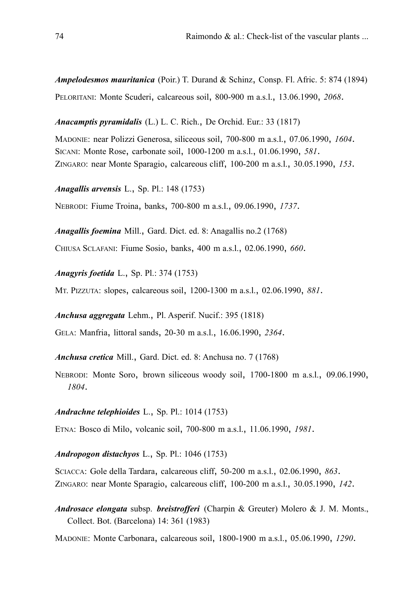*Ampelodesmos mauritanica* (Poir.) T. Durand & Schinz, Consp. Fl. Afric. 5: 874 (1894) PELORITANI: Monte Scuderi, calcareous soil, 800-900 m a.s.l., 13.06.1990, *2068*.

*Anacamptis pyramidalis* (L.) L. C. Rich., De Orchid. Eur.: 33 (1817)

MADONIE: near Polizzi Generosa, siliceous soil, 700-800 m a.s.l., 07.06.1990, *1604*. SICANI: Monte Rose, carbonate soil, 1000-1200 m a.s.l., 01.06.1990, *581*. ZINGARO: near Monte Sparagio, calcareous cliff, 100-200 m a.s.l., 30.05.1990, *153*.

*Anagallis arvensis* L., Sp. Pl.: 148 (1753)

NEBRODI: Fiume Troina, banks, 700-800 m a.s.l., 09.06.1990, *1737*.

*Anagallis foemina* Mill., Gard. Dict. ed. 8: Anagallis no.2 (1768) CHIUSA SCLAFANI: Fiume Sosio, banks, 400 m a.s.l., 02.06.1990, *660*.

*Anagyris foetida* L., Sp. Pl.: 374 (1753)

MT. PIZZUTA: slopes, calcareous soil, 1200-1300 m a.s.l., 02.06.1990, *881*.

*Anchusa aggregata* Lehm., Pl. Asperif. Nucif.: 395 (1818)

GELA: Manfria, littoral sands, 20-30 m a.s.l., 16.06.1990, *2364*.

*Anchusa cretica* Mill., Gard. Dict. ed. 8: Anchusa no. 7 (1768)

NEBRODI: Monte Soro, brown siliceous woody soil, 1700-1800 m a.s.l., 09.06.1990, *1804*.

*Andrachne telephioides* L., Sp. Pl.: 1014 (1753)

ETNA: Bosco di Milo, volcanic soil, 700-800 m a.s.l., 11.06.1990, *1981*.

### *Andropogon distachyos* L., Sp. Pl.: 1046 (1753)

SCIACCA: Gole della Tardara, calcareous cliff, 50-200 m a.s.l., 02.06.1990, *863*. ZINGARO: near Monte Sparagio, calcareous cliff, 100-200 m a.s.l., 30.05.1990, *142*.

*Androsace elongata* subsp. *breistrofferi* (Charpin & Greuter) Molero & J. M. Monts., Collect. Bot. (Barcelona) 14: 361 (1983)

MADONIE: Monte Carbonara, calcareous soil, 1800-1900 m a.s.l., 05.06.1990, *1290*.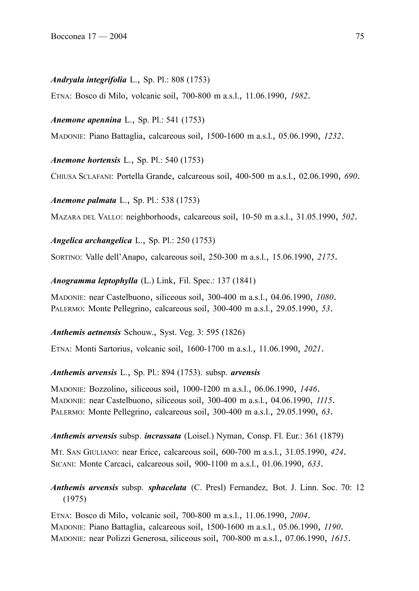#### *Andryala integrifolia* L., Sp. Pl.: 808 (1753)

ETNA: Bosco di Milo, volcanic soil, 700-800 m a.s.l., 11.06.1990, *1982*.

*Anemone apennina* L., Sp. Pl.: 541 (1753)

MADONIE: Piano Battaglia, calcareous soil, 1500-1600 m a.s.l., 05.06.1990, *1232*.

*Anemone hortensis* L., Sp. Pl.: 540 (1753)

CHIUSA SCLAFANI: Portella Grande, calcareous soil, 400-500 m a.s.l., 02.06.1990, *690*.

*Anemone palmata* L., Sp. Pl.: 538 (1753)

MAZARA DEL VALLO: neighborhoods, calcareous soil, 10-50 m a.s.l., 31.05.1990, *502*.

*Angelica archangelica* L., Sp. Pl.: 250 (1753)

SORTINO: Valle dell'Anapo, calcareous soil, 250-300 m a.s.l., 15.06.1990, *2175*.

*Anogramma leptophylla* (L.) Link, Fil. Spec.: 137 (1841)

MADONIE: near Castelbuono, siliceous soil, 300-400 m a.s.l., 04.06.1990, *1080*. PALERMO: Monte Pellegrino, calcareous soil, 300-400 m a.s.l., 29.05.1990, *53*.

*Anthemis aetnensis* Schouw., Syst. Veg. 3: 595 (1826)

ETNA: Monti Sartorius, volcanic soil, 1600-1700 m a.s.l., 11.06.1990, *2021*.

*Anthemis arvensis* L., Sp. Pl.: 894 (1753). subsp. *arvensis*

MADONIE: Bozzolino, siliceous soil, 1000-1200 m a.s.l., 06.06.1990, *1446*. MADONIE: near Castelbuono, siliceous soil, 300-400 m a.s.l., 04.06.1990, *1115*. PALERMO: Monte Pellegrino, calcareous soil, 300-400 m a.s.l., 29.05.1990, *63*.

*Anthemis arvensis* subsp. *incrassata* (Loisel.) Nyman, Consp. Fl. Eur.: 361 (1879)

MT. SAN GIULIANO: near Erice, calcareous soil, 600-700 m a.s.l., 31.05.1990, *424*. SICANI: Monte Carcaci, calcareous soil, 900-1100 m a.s.l., 01.06.1990, *633*.

*Anthemis arvensis* subsp. *sphacelata* (C. Presl) Fernandez, Bot. J. Linn. Soc. 70: 12 (1975)

ETNA: Bosco di Milo, volcanic soil, 700-800 m a.s.l., 11.06.1990, *2004*. MADONIE: Piano Battaglia, calcareous soil, 1500-1600 m a.s.l., 05.06.1990, *1190*. MADONIE: near Polizzi Generosa, siliceous soil, 700-800 m a.s.l., 07.06.1990, *1615*.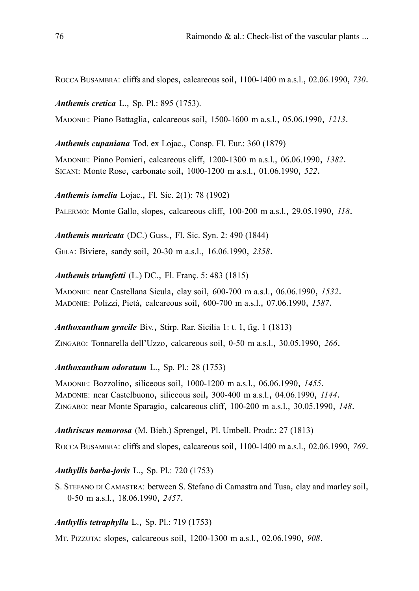ROCCA BUSAMBRA: cliffs and slopes, calcareous soil, 1100-1400 m a.s.l., 02.06.1990, *730*.

*Anthemis cretica* L., Sp. Pl.: 895 (1753).

MADONIE: Piano Battaglia, calcareous soil, 1500-1600 m a.s.l., 05.06.1990, *1213*.

*Anthemis cupaniana* Tod. ex Lojac., Consp. Fl. Eur.: 360 (1879)

MADONIE: Piano Pomieri, calcareous cliff, 1200-1300 m a.s.l., 06.06.1990, *1382*. SICANI: Monte Rose, carbonate soil, 1000-1200 m a.s.l., 01.06.1990, *522*.

*Anthemis ismelia* Lojac., Fl. Sic. 2(1): 78 (1902)

PALERMO: Monte Gallo, slopes, calcareous cliff, 100-200 m a.s.l., 29.05.1990, *118*.

*Anthemis muricata* (DC.) Guss., Fl. Sic. Syn. 2: 490 (1844)

GELA: Biviere, sandy soil, 20-30 m a.s.l., 16.06.1990, *2358*.

*Anthemis triumfetti* (L.) DC., Fl. Franç. 5: 483 (1815)

MADONIE: near Castellana Sicula, clay soil, 600-700 m a.s.l., 06.06.1990, *1532*. MADONIE: Polizzi, Pietà, calcareous soil, 600-700 m a.s.l., 07.06.1990, *1587*.

*Anthoxanthum gracile* Biv., Stirp. Rar. Sicilia 1: t. 1, fig. 1 (1813)

ZINGARO: Tonnarella dell'Uzzo, calcareous soil, 0-50 m a.s.l., 30.05.1990, *266*.

### *Anthoxanthum odoratum* L., Sp. Pl.: 28 (1753)

MADONIE: Bozzolino, siliceous soil, 1000-1200 m a.s.l., 06.06.1990, *1455*. MADONIE: near Castelbuono, siliceous soil, 300-400 m a.s.l., 04.06.1990, *1144*. ZINGARO: near Monte Sparagio, calcareous cliff, 100-200 m a.s.l., 30.05.1990, *148*.

*Anthriscus nemorosa* (M. Bieb.) Sprengel, Pl. Umbell. Prodr.: 27 (1813)

ROCCA BUSAMBRA: cliffs and slopes, calcareous soil, 1100-1400 m a.s.l., 02.06.1990, *769*.

*Anthyllis barba-jovis* L., Sp. Pl.: 720 (1753)

S. STEFANO DI CAMASTRA: between S. Stefano di Camastra and Tusa, clay and marley soil, 0-50 m a.s.l., 18.06.1990, *2457*.

## *Anthyllis tetraphylla* L., Sp. Pl.: 719 (1753)

MT. PIZZUTA: slopes, calcareous soil, 1200-1300 m a.s.l., 02.06.1990, *908*.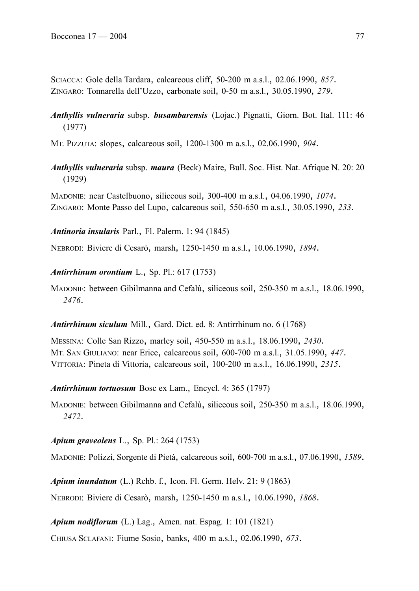SCIACCA: Gole della Tardara, calcareous cliff, 50-200 m a.s.l., 02.06.1990, *857*. ZINGARO: Tonnarella dell'Uzzo, carbonate soil, 0-50 m a.s.l., 30.05.1990, *279*.

# *Anthyllis vulneraria* subsp. *busambarensis* (Lojac.) Pignatti, Giorn. Bot. Ital. 111: 46 (1977)

MT. PIZZUTA: slopes, calcareous soil, 1200-1300 m a.s.l., 02.06.1990, *904*.

*Anthyllis vulneraria* subsp. *maura* (Beck) Maire, Bull. Soc. Hist. Nat. Afrique N. 20: 20 (1929)

MADONIE: near Castelbuono, siliceous soil, 300-400 m a.s.l., 04.06.1990, *1074*. ZINGARO: Monte Passo del Lupo, calcareous soil, 550-650 m a.s.l., 30.05.1990, *233*.

*Antinoria insularis* Parl., Fl. Palerm. 1: 94 (1845)

NEBRODI: Biviere di Cesarò, marsh, 1250-1450 m a.s.l., 10.06.1990, *1894*.

*Antirrhinum orontium* L., Sp. Pl.: 617 (1753)

MADONIE: between Gibilmanna and Cefalù, siliceous soil, 250-350 m a.s.l., 18.06.1990, *2476*.

*Antirrhinum siculum* Mill., Gard. Dict. ed. 8: Antirrhinum no. 6 (1768)

MESSINA: Colle San Rizzo, marley soil, 450-550 m a.s.l., 18.06.1990, *2430*. MT. SAN GIULIANO: near Erice, calcareous soil, 600-700 m a.s.l., 31.05.1990, *447*. VITTORIA: Pineta di Vittoria, calcareous soil, 100-200 m a.s.l., 16.06.1990, *2315*.

*Antirrhinum tortuosum* Bosc ex Lam., Encycl. 4: 365 (1797)

MADONIE: between Gibilmanna and Cefalù, siliceous soil, 250-350 m a.s.l., 18.06.1990, *2472*.

*Apium graveolens* L., Sp. Pl.: 264 (1753)

MADONIE: Polizzi, Sorgente di Pietà, calcareous soil, 600-700 m a.s.l., 07.06.1990, *1589*.

*Apium inundatum* (L.) Rchb. f., Icon. Fl. Germ. Helv. 21: 9 (1863)

NEBRODI: Biviere di Cesarò, marsh, 1250-1450 m a.s.l., 10.06.1990, *1868*.

*Apium nodiflorum* (L.) Lag., Amen. nat. Espag. 1: 101 (1821)

CHIUSA SCLAFANI: Fiume Sosio, banks, 400 m a.s.l., 02.06.1990, *673*.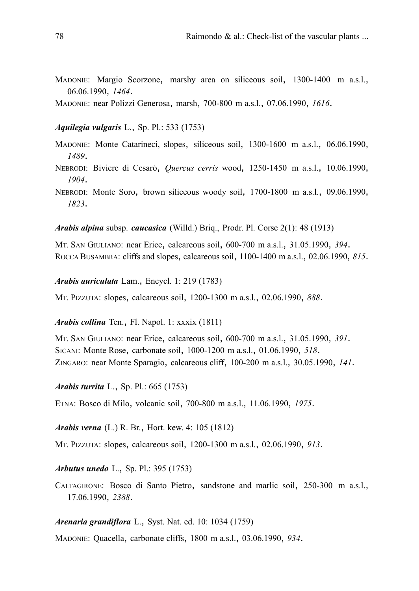MADONIE: Margio Scorzone, marshy area on siliceous soil, 1300-1400 m a.s.l., 06.06.1990, *1464*.

MADONIE: near Polizzi Generosa, marsh, 700-800 m a.s.l., 07.06.1990, *1616*.

#### *Aquilegia vulgaris* L., Sp. Pl.: 533 (1753)

- MADONIE: Monte Catarineci, slopes, siliceous soil, 1300-1600 m a.s.l., 06.06.1990, *1489*.
- NEBRODI: Biviere di Cesarò, *Quercus cerris* wood, 1250-1450 m a.s.l., 10.06.1990, *1904*.
- NEBRODI: Monte Soro, brown siliceous woody soil, 1700-1800 m a.s.l., 09.06.1990, *1823*.

*Arabis alpina* subsp. *caucasica* (Willd.) Briq., Prodr. Pl. Corse 2(1): 48 (1913)

MT. SAN GIULIANO: near Erice, calcareous soil, 600-700 m a.s.l., 31.05.1990, *394*. ROCCA BUSAMBRA: cliffs and slopes, calcareous soil, 1100-1400 m a.s.l., 02.06.1990, *815*.

*Arabis auriculata* Lam., Encycl. 1: 219 (1783)

MT. PIZZUTA: slopes, calcareous soil, 1200-1300 m a.s.l., 02.06.1990, *888*.

*Arabis collina* Ten., Fl. Napol. 1: xxxix (1811)

MT. SAN GIULIANO: near Erice, calcareous soil, 600-700 m a.s.l., 31.05.1990, *391*. SICANI: Monte Rose, carbonate soil, 1000-1200 m a.s.l., 01.06.1990, *518*. ZINGARO: near Monte Sparagio, calcareous cliff, 100-200 m a.s.l., 30.05.1990, *141*.

*Arabis turrita* L., Sp. Pl.: 665 (1753)

ETNA: Bosco di Milo, volcanic soil, 700-800 m a.s.l., 11.06.1990, *1975*.

*Arabis verna* (L.) R. Br., Hort. kew. 4: 105 (1812)

MT. PIZZUTA: slopes, calcareous soil, 1200-1300 m a.s.l., 02.06.1990, *913*.

*Arbutus unedo* L., Sp. Pl.: 395 (1753)

CALTAGIRONE: Bosco di Santo Pietro, sandstone and marlic soil, 250-300 m a.s.l., 17.06.1990, *2388*.

## *Arenaria grandiflora* L., Syst. Nat. ed. 10: 1034 (1759)

MADONIE: Quacella, carbonate cliffs, 1800 m a.s.l., 03.06.1990, *934*.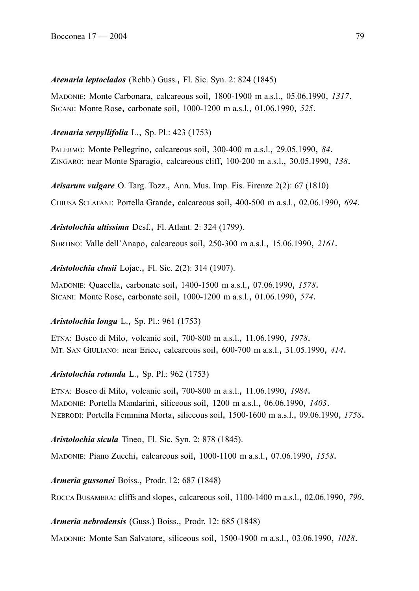*Arenaria leptoclados* (Rchb.) Guss., Fl. Sic. Syn. 2: 824 (1845)

MADONIE: Monte Carbonara, calcareous soil, 1800-1900 m a.s.l., 05.06.1990, *1317*. SICANI: Monte Rose, carbonate soil, 1000-1200 m a.s.l., 01.06.1990, *525*.

# *Arenaria serpyllifolia* L., Sp. Pl.: 423 (1753)

PALERMO: Monte Pellegrino, calcareous soil, 300-400 m a.s.l., 29.05.1990, *84*. ZINGARO: near Monte Sparagio, calcareous cliff, 100-200 m a.s.l., 30.05.1990, *138*.

*Arisarum vulgare* O. Targ. Tozz., Ann. Mus. Imp. Fis. Firenze 2(2): 67 (1810)

CHIUSA SCLAFANI: Portella Grande, calcareous soil, 400-500 m a.s.l., 02.06.1990, *694*.

## *Aristolochia altissima* Desf., Fl. Atlant. 2: 324 (1799).

SORTINO: Valle dell'Anapo, calcareous soil, 250-300 m a.s.l., 15.06.1990, *2161*.

*Aristolochia clusii* Lojac., Fl. Sic. 2(2): 314 (1907).

MADONIE: Quacella, carbonate soil, 1400-1500 m a.s.l., 07.06.1990, *1578*. SICANI: Monte Rose, carbonate soil, 1000-1200 m a.s.l., 01.06.1990, *574*.

# *Aristolochia longa* L., Sp. Pl.: 961 (1753)

ETNA: Bosco di Milo, volcanic soil, 700-800 m a.s.l., 11.06.1990, *1978*. MT. SAN GIULIANO: near Erice, calcareous soil, 600-700 m a.s.l., 31.05.1990, *414*.

# *Aristolochia rotunda* L., Sp. Pl.: 962 (1753)

ETNA: Bosco di Milo, volcanic soil, 700-800 m a.s.l., 11.06.1990, *1984*. MADONIE: Portella Mandarini, siliceous soil, 1200 m a.s.l., 06.06.1990, *1403*. NEBRODI: Portella Femmina Morta, siliceous soil, 1500-1600 m a.s.l., 09.06.1990, *1758*.

*Aristolochia sicula* Tineo, Fl. Sic. Syn. 2: 878 (1845).

MADONIE: Piano Zucchi, calcareous soil, 1000-1100 m a.s.l., 07.06.1990, *1558*.

*Armeria gussonei* Boiss., Prodr. 12: 687 (1848)

ROCCA BUSAMBRA: cliffs and slopes, calcareous soil, 1100-1400 m a.s.l., 02.06.1990, *790*.

# *Armeria nebrodensis* (Guss.) Boiss., Prodr. 12: 685 (1848)

MADONIE: Monte San Salvatore, siliceous soil, 1500-1900 m a.s.l., 03.06.1990, *1028*.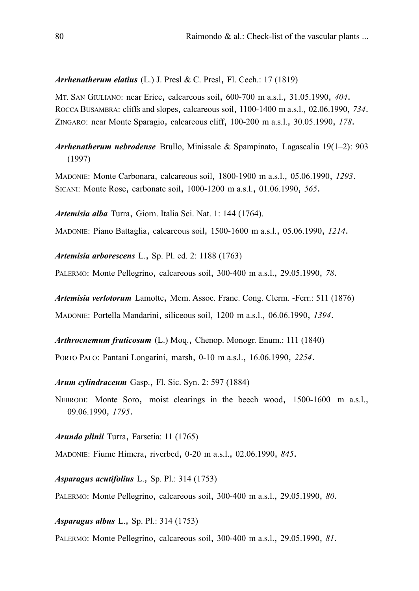## *Arrhenatherum elatius* (L.) J. Presl & C. Presl, Fl. Cech.: 17 (1819)

MT. SAN GIULIANO: near Erice, calcareous soil, 600-700 m a.s.l., 31.05.1990, *404*. ROCCA BUSAMBRA: cliffs and slopes, calcareous soil, 1100-1400 m a.s.l., 02.06.1990, *734*. ZINGARO: near Monte Sparagio, calcareous cliff, 100-200 m a.s.l., 30.05.1990, *178*.

*Arrhenatherum nebrodense* Brullo, Minissale & Spampinato, Lagascalia 19(1–2): 903 (1997)

MADONIE: Monte Carbonara, calcareous soil, 1800-1900 m a.s.l., 05.06.1990, *1293*. SICANI: Monte Rose, carbonate soil, 1000-1200 m a.s.l., 01.06.1990, *565*.

*Artemisia alba* Turra, Giorn. Italia Sci. Nat. 1: 144 (1764).

MADONIE: Piano Battaglia, calcareous soil, 1500-1600 m a.s.l., 05.06.1990, *1214*.

*Artemisia arborescens* L., Sp. Pl. ed. 2: 1188 (1763)

PALERMO: Monte Pellegrino, calcareous soil, 300-400 m a.s.l., 29.05.1990, *78*.

*Artemisia verlotorum* Lamotte, Mem. Assoc. Franc. Cong. Clerm. -Ferr.: 511 (1876) MADONIE: Portella Mandarini, siliceous soil, 1200 m a.s.l., 06.06.1990, *1394*.

*Arthrocnemum fruticosum* (L.) Moq., Chenop. Monogr. Enum.: 111 (1840)

PORTO PALO: Pantani Longarini, marsh, 0-10 m a.s.l., 16.06.1990, *2254*.

*Arum cylindraceum* Gasp., Fl. Sic. Syn. 2: 597 (1884)

NEBRODI: Monte Soro, moist clearings in the beech wood, 1500-1600 m a.s.l., 09.06.1990, *1795*.

*Arundo plinii* Turra, Farsetia: 11 (1765)

MADONIE: Fiume Himera, riverbed, 0-20 m a.s.l., 02.06.1990, *845*.

*Asparagus acutifolius* L., Sp. Pl.: 314 (1753)

PALERMO: Monte Pellegrino, calcareous soil, 300-400 m a.s.l., 29.05.1990, *80*.

*Asparagus albus* L., Sp. Pl.: 314 (1753)

PALERMO: Monte Pellegrino, calcareous soil, 300-400 m a.s.l., 29.05.1990, *81*.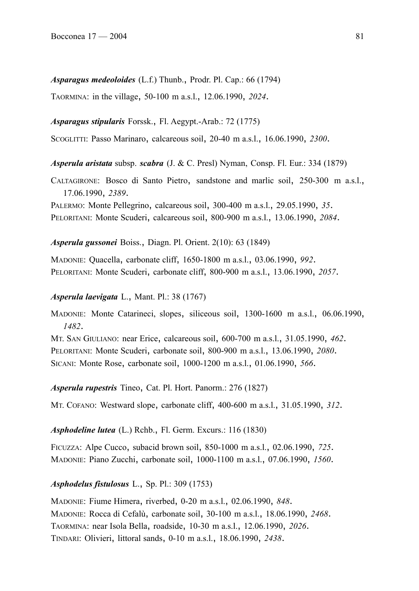## *Asparagus medeoloides* (L.f.) Thunb., Prodr. Pl. Cap.: 66 (1794)

TAORMINA: in the village, 50-100 m a.s.l., 12.06.1990, *2024*.

## *Asparagus stipularis* Forssk., Fl. Aegypt.-Arab.: 72 (1775)

SCOGLITTI: Passo Marinaro, calcareous soil, 20-40 m a.s.l., 16.06.1990, *2300*.

*Asperula aristata* subsp. *scabra* (J. & C. Presl) Nyman, Consp. Fl. Eur.: 334 (1879)

CALTAGIRONE: Bosco di Santo Pietro, sandstone and marlic soil, 250-300 m a.s.l., 17.06.1990, *2389*.

PALERMO: Monte Pellegrino, calcareous soil, 300-400 m a.s.l., 29.05.1990, *35*. PELORITANI: Monte Scuderi, calcareous soil, 800-900 m a.s.l., 13.06.1990, *2084*.

### *Asperula gussonei* Boiss., Diagn. Pl. Orient. 2(10): 63 (1849)

MADONIE: Quacella, carbonate cliff, 1650-1800 m a.s.l., 03.06.1990, *992*. PELORITANI: Monte Scuderi, carbonate cliff, 800-900 m a.s.l., 13.06.1990, *2057*.

### *Asperula laevigata* L., Mant. Pl.: 38 (1767)

MADONIE: Monte Catarineci, slopes, siliceous soil, 1300-1600 m a.s.l., 06.06.1990, *1482*.

MT. SAN GIULIANO: near Erice, calcareous soil, 600-700 m a.s.l., 31.05.1990, *462*. PELORITANI: Monte Scuderi, carbonate soil, 800-900 m a.s.l., 13.06.1990, *2080*. SICANI: Monte Rose, carbonate soil, 1000-1200 m a.s.l., 01.06.1990, *566*.

*Asperula rupestris* Tineo, Cat. Pl. Hort. Panorm.: 276 (1827)

MT. COFANO: Westward slope, carbonate cliff, 400-600 m a.s.l., 31.05.1990, *312*.

*Asphodeline lutea* (L.) Rchb., Fl. Germ. Excurs.: 116 (1830)

FICUZZA: Alpe Cucco, subacid brown soil, 850-1000 m a.s.l., 02.06.1990, *725*. MADONIE: Piano Zucchi, carbonate soil, 1000-1100 m a.s.l., 07.06.1990, *1560*.

## *Asphodelus fistulosus* L., Sp. Pl.: 309 (1753)

MADONIE: Fiume Himera, riverbed, 0-20 m a.s.l., 02.06.1990, *848*. MADONIE: Rocca di Cefalù, carbonate soil, 30-100 m a.s.l., 18.06.1990, *2468*. TAORMINA: near Isola Bella, roadside, 10-30 m a.s.l., 12.06.1990, *2026*. TINDARI: Olivieri, littoral sands, 0-10 m a.s.l., 18.06.1990, *2438*.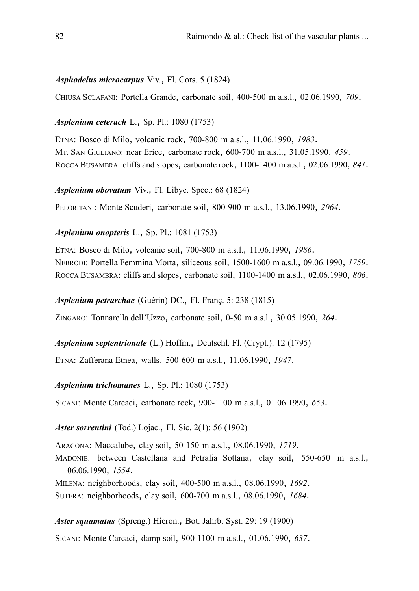# *Asphodelus microcarpus* Viv., Fl. Cors. 5 (1824)

CHIUSA SCLAFANI: Portella Grande, carbonate soil, 400-500 m a.s.l., 02.06.1990, *709*.

## *Asplenium ceterach* L., Sp. Pl.: 1080 (1753)

ETNA: Bosco di Milo, volcanic rock, 700-800 m a.s.l., 11.06.1990, *1983*. MT. SAN GIULIANO: near Erice, carbonate rock, 600-700 m a.s.l., 31.05.1990, *459*. ROCCA BUSAMBRA: cliffs and slopes, carbonate rock, 1100-1400 m a.s.l., 02.06.1990, *841*.

*Asplenium obovatum* Viv., Fl. Libyc. Spec.: 68 (1824)

PELORITANI: Monte Scuderi, carbonate soil, 800-900 m a.s.l., 13.06.1990, *2064*.

## *Asplenium onopteris* L., Sp. Pl.: 1081 (1753)

ETNA: Bosco di Milo, volcanic soil, 700-800 m a.s.l., 11.06.1990, *1986*. NEBRODI: Portella Femmina Morta, siliceous soil, 1500-1600 m a.s.l., 09.06.1990, *1759*. ROCCA BUSAMBRA: cliffs and slopes, carbonate soil, 1100-1400 m a.s.l., 02.06.1990, *806*.

## *Asplenium petrarchae* (Guérin) DC., Fl. Franç. 5: 238 (1815)

ZINGARO: Tonnarella dell'Uzzo, carbonate soil, 0-50 m a.s.l., 30.05.1990, *264*.

*Asplenium septentrionale* (L.) Hoffm., Deutschl. Fl. (Crypt.): 12 (1795)

ETNA: Zafferana Etnea, walls, 500-600 m a.s.l., 11.06.1990, *1947*.

*Asplenium trichomanes* L., Sp. Pl.: 1080 (1753)

SICANI: Monte Carcaci, carbonate rock, 900-1100 m a.s.l., 01.06.1990, *653*.

## *Aster sorrentini* (Tod.) Lojac., Fl. Sic. 2(1): 56 (1902)

ARAGONA: Maccalube, clay soil, 50-150 m a.s.l., 08.06.1990, *1719*.

MADONIE: between Castellana and Petralia Sottana, clay soil, 550-650 m a.s.l., 06.06.1990, *1554*.

MILENA: neighborhoods, clay soil, 400-500 m a.s.l., 08.06.1990, *1692*.

SUTERA: neighborhoods, clay soil, 600-700 m a.s.l., 08.06.1990, *1684*.

*Aster squamatus* (Spreng.) Hieron., Bot. Jahrb. Syst. 29: 19 (1900)

SICANI: Monte Carcaci, damp soil, 900-1100 m a.s.l., 01.06.1990, *637*.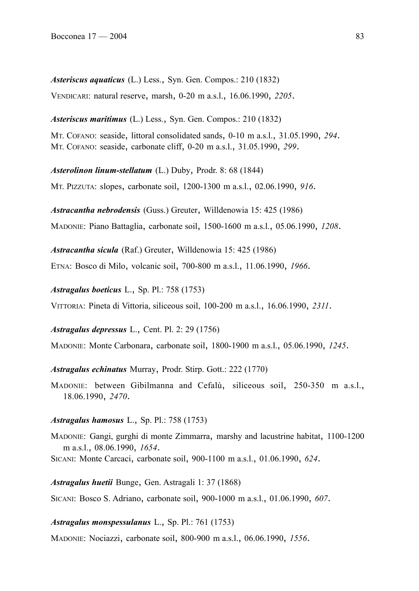*Asteriscus aquaticus* (L.) Less., Syn. Gen. Compos.: 210 (1832) VENDICARI: natural reserve, marsh, 0-20 m a.s.l., 16.06.1990, *2205*.

*Asteriscus maritimus* (L.) Less., Syn. Gen. Compos.: 210 (1832) MT. COFANO: seaside, littoral consolidated sands, 0-10 m a.s.l., 31.05.1990, *294*. MT. COFANO: seaside, carbonate cliff, 0-20 m a.s.l., 31.05.1990, *299*.

*Asterolinon linum-stellatum* (L.) Duby, Prodr. 8: 68 (1844) MT. PIZZUTA: slopes, carbonate soil, 1200-1300 m a.s.l., 02.06.1990, *916*.

*Astracantha nebrodensis* (Guss.) Greuter, Willdenowia 15: 425 (1986) MADONIE: Piano Battaglia, carbonate soil, 1500-1600 m a.s.l., 05.06.1990, *1208*.

*Astracantha sicula* (Raf.) Greuter, Willdenowia 15: 425 (1986)

ETNA: Bosco di Milo, volcanic soil, 700-800 m a.s.l., 11.06.1990, *1966*.

*Astragalus boeticus* L., Sp. Pl.: 758 (1753)

VITTORIA: Pineta di Vittoria, siliceous soil, 100-200 m a.s.l., 16.06.1990, *2311*.

*Astragalus depressus* L., Cent. Pl. 2: 29 (1756)

MADONIE: Monte Carbonara, carbonate soil, 1800-1900 m a.s.l., 05.06.1990, *1245*.

*Astragalus echinatus* Murray, Prodr. Stirp. Gott.: 222 (1770)

MADONIE: between Gibilmanna and Cefalù, siliceous soil, 250-350 m a.s.l., 18.06.1990, *2470*.

## *Astragalus hamosus* L., Sp. Pl.: 758 (1753)

MADONIE: Gangi, gurghi di monte Zimmarra, marshy and lacustrine habitat, 1100-1200 m a.s.l., 08.06.1990, *1654*.

SICANI: Monte Carcaci, carbonate soil, 900-1100 m a.s.l., 01.06.1990, *624*.

*Astragalus huetii* Bunge, Gen. Astragali 1: 37 (1868)

SICANI: Bosco S. Adriano, carbonate soil, 900-1000 m a.s.l., 01.06.1990, *607*.

*Astragalus monspessulanus* L., Sp. Pl.: 761 (1753)

MADONIE: Nociazzi, carbonate soil, 800-900 m a.s.l., 06.06.1990, *1556*.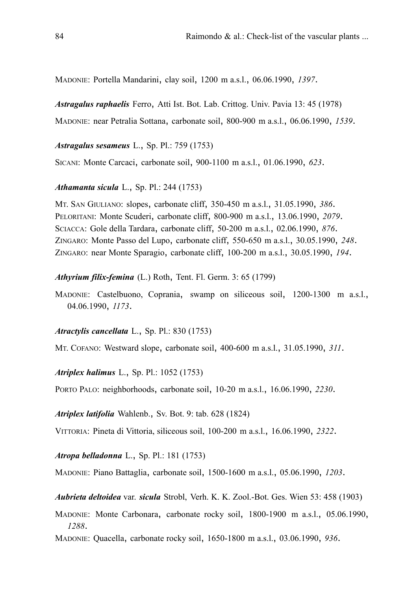MADONIE: Portella Mandarini, clay soil, 1200 m a.s.l., 06.06.1990, *1397*.

*Astragalus raphaelis* Ferro, Atti Ist. Bot. Lab. Crittog. Univ. Pavia 13: 45 (1978)

MADONIE: near Petralia Sottana, carbonate soil, 800-900 m a.s.l., 06.06.1990, *1539*.

*Astragalus sesameus* L., Sp. Pl.: 759 (1753)

SICANI: Monte Carcaci, carbonate soil, 900-1100 m a.s.l., 01.06.1990, *623*.

*Athamanta sicula* L., Sp. Pl.: 244 (1753)

MT. SAN GIULIANO: slopes, carbonate cliff, 350-450 m a.s.l., 31.05.1990, *386*. PELORITANI: Monte Scuderi, carbonate cliff, 800-900 m a.s.l., 13.06.1990, *2079*. SCIACCA: Gole della Tardara, carbonate cliff, 50-200 m a.s.l., 02.06.1990, *876*. ZINGARO: Monte Passo del Lupo, carbonate cliff, 550-650 m a.s.l., 30.05.1990, *248*. ZINGARO: near Monte Sparagio, carbonate cliff, 100-200 m a.s.l., 30.05.1990, *194*.

*Athyrium filix-femina* (L.) Roth, Tent. Fl. Germ. 3: 65 (1799)

MADONIE: Castelbuono, Coprania, swamp on siliceous soil, 1200-1300 m a.s.l., 04.06.1990, *1173*.

*Atractylis cancellata* L., Sp. Pl.: 830 (1753)

MT. COFANO: Westward slope, carbonate soil, 400-600 m a.s.l., 31.05.1990, *311*.

*Atriplex halimus* L., Sp. Pl.: 1052 (1753)

PORTO PALO: neighborhoods, carbonate soil, 10-20 m a.s.l., 16.06.1990, *2230*.

*Atriplex latifolia* Wahlenb., Sv. Bot. 9: tab. 628 (1824)

VITTORIA: Pineta di Vittoria, siliceous soil, 100-200 m a.s.l., 16.06.1990, *2322*.

*Atropa belladonna* L., Sp. Pl.: 181 (1753)

MADONIE: Piano Battaglia, carbonate soil, 1500-1600 m a.s.l., 05.06.1990, *1203*.

*Aubrieta deltoidea* var. *sicula* Strobl, Verh. K. K. Zool.-Bot. Ges. Wien 53: 458 (1903)

MADONIE: Monte Carbonara, carbonate rocky soil, 1800-1900 m a.s.l., 05.06.1990, *1288*.

MADONIE: Quacella, carbonate rocky soil, 1650-1800 m a.s.l., 03.06.1990, *936*.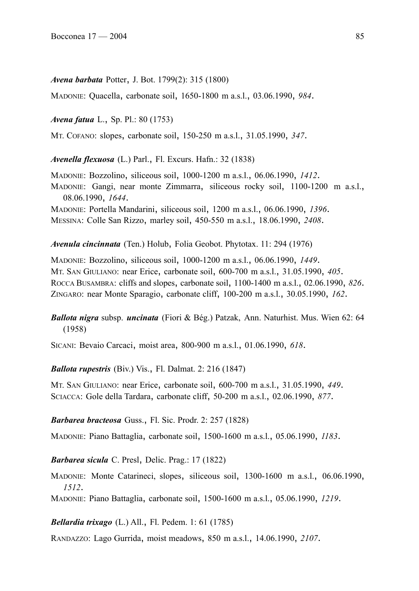#### *Avena barbata* Potter, J. Bot. 1799(2): 315 (1800)

MADONIE: Quacella, carbonate soil, 1650-1800 m a.s.l., 03.06.1990, *984*.

*Avena fatua* L., Sp. Pl.: 80 (1753)

MT. COFANO: slopes, carbonate soil, 150-250 m a.s.l., 31.05.1990, *347*.

*Avenella flexuosa* (L.) Parl., Fl. Excurs. Hafn.: 32 (1838)

MADONIE: Bozzolino, siliceous soil, 1000-1200 m a.s.l., 06.06.1990, *1412*. MADONIE: Gangi, near monte Zimmarra, siliceous rocky soil, 1100-1200 m a.s.l., 08.06.1990, *1644*. MADONIE: Portella Mandarini, siliceous soil, 1200 m a.s.l., 06.06.1990, *1396*. MESSINA: Colle San Rizzo, marley soil, 450-550 m a.s.l., 18.06.1990, *2408*.

*Avenula cincinnata* (Ten.) Holub, Folia Geobot. Phytotax. 11: 294 (1976)

MADONIE: Bozzolino, siliceous soil, 1000-1200 m a.s.l., 06.06.1990, *1449*. MT. SAN GIULIANO: near Erice, carbonate soil, 600-700 m a.s.l., 31.05.1990, *405*. ROCCA BUSAMBRA: cliffs and slopes, carbonate soil, 1100-1400 m a.s.l., 02.06.1990, *826*. ZINGARO: near Monte Sparagio, carbonate cliff, 100-200 m a.s.l., 30.05.1990, *162*.

*Ballota nigra* subsp. *uncinata* (Fiori & Bég.) Patzak, Ann. Naturhist. Mus. Wien 62: 64 (1958)

SICANI: Bevaio Carcaci, moist area, 800-900 m a.s.l., 01.06.1990, *618*.

*Ballota rupestris* (Biv.) Vis., Fl. Dalmat. 2: 216 (1847)

MT. SAN GIULIANO: near Erice, carbonate soil, 600-700 m a.s.l., 31.05.1990, *449*. SCIACCA: Gole della Tardara, carbonate cliff, 50-200 m a.s.l., 02.06.1990, *877*.

#### *Barbarea bracteosa* Guss., Fl. Sic. Prodr. 2: 257 (1828)

MADONIE: Piano Battaglia, carbonate soil, 1500-1600 m a.s.l., 05.06.1990, *1183*.

*Barbarea sicula* C. Presl, Delic. Prag.: 17 (1822)

MADONIE: Monte Catarineci, slopes, siliceous soil, 1300-1600 m a.s.l., 06.06.1990, *1512*.

MADONIE: Piano Battaglia, carbonate soil, 1500-1600 m a.s.l., 05.06.1990, *1219*.

### *Bellardia trixago* (L.) All., Fl. Pedem. 1: 61 (1785)

RANDAZZO: Lago Gurrida, moist meadows, 850 m a.s.l., 14.06.1990, *2107*.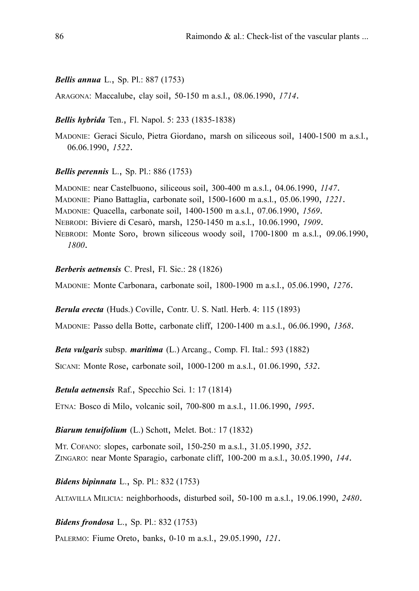#### *Bellis annua* L., Sp. Pl.: 887 (1753)

ARAGONA: Maccalube, clay soil, 50-150 m a.s.l., 08.06.1990, *1714*.

*Bellis hybrida* Ten., Fl. Napol. 5: 233 (1835-1838)

MADONIE: Geraci Siculo, Pietra Giordano, marsh on siliceous soil, 1400-1500 m a.s.l., 06.06.1990, *1522*.

*Bellis perennis* L., Sp. Pl.: 886 (1753)

MADONIE: near Castelbuono, siliceous soil, 300-400 m a.s.l., 04.06.1990, *1147*. MADONIE: Piano Battaglia, carbonate soil, 1500-1600 m a.s.l., 05.06.1990, *1221*. MADONIE: Quacella, carbonate soil, 1400-1500 m a.s.l., 07.06.1990, *1569*. NEBRODI: Biviere di Cesarò, marsh, 1250-1450 m a.s.l., 10.06.1990, *1909*. NEBRODI: Monte Soro, brown siliceous woody soil, 1700-1800 m a.s.l., 09.06.1990, *1800*.

#### *Berberis aetnensis* C. Presl, Fl. Sic.: 28 (1826)

MADONIE: Monte Carbonara, carbonate soil, 1800-1900 m a.s.l., 05.06.1990, *1276*.

*Berula erecta* (Huds.) Coville, Contr. U. S. Natl. Herb. 4: 115 (1893)

MADONIE: Passo della Botte, carbonate cliff, 1200-1400 m a.s.l., 06.06.1990, *1368*.

*Beta vulgaris* subsp. *maritima* (L.) Arcang., Comp. Fl. Ital.: 593 (1882)

SICANI: Monte Rose, carbonate soil, 1000-1200 m a.s.l., 01.06.1990, *532*.

*Betula aetnensis* Raf., Specchio Sci. 1: 17 (1814)

ETNA: Bosco di Milo, volcanic soil, 700-800 m a.s.l., 11.06.1990, *1995*.

*Biarum tenuifolium* (L.) Schott, Melet. Bot.: 17 (1832)

MT. COFANO: slopes, carbonate soil, 150-250 m a.s.l., 31.05.1990, *352*. ZINGARO: near Monte Sparagio, carbonate cliff, 100-200 m a.s.l., 30.05.1990, *144*.

*Bidens bipinnata* L., Sp. Pl.: 832 (1753)

ALTAVILLA MILICIA: neighborhoods, disturbed soil, 50-100 m a.s.l., 19.06.1990, *2480*.

*Bidens frondosa* L., Sp. Pl.: 832 (1753)

PALERMO: Fiume Oreto, banks, 0-10 m a.s.l., 29.05.1990, *121*.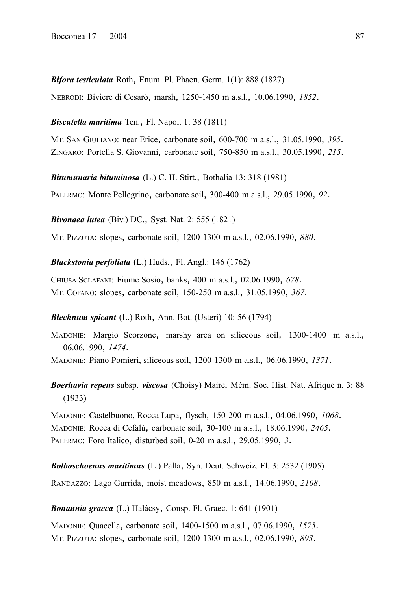*Bifora testiculata* Roth, Enum. Pl. Phaen. Germ. 1(1): 888 (1827)

NEBRODI: Biviere di Cesarò, marsh, 1250-1450 m a.s.l., 10.06.1990, *1852*.

*Biscutella maritima* Ten., Fl. Napol. 1: 38 (1811)

MT. SAN GIULIANO: near Erice, carbonate soil, 600-700 m a.s.l., 31.05.1990, *395*. ZINGARO: Portella S. Giovanni, carbonate soil, 750-850 m a.s.l., 30.05.1990, *215*.

*Bitumunaria bituminosa* (L.) C. H. Stirt., Bothalia 13: 318 (1981)

PALERMO: Monte Pellegrino, carbonate soil, 300-400 m a.s.l., 29.05.1990, *92*.

*Bivonaea lutea* (Biv.) DC., Syst. Nat. 2: 555 (1821)

MT. PIZZUTA: slopes, carbonate soil, 1200-1300 m a.s.l., 02.06.1990, *880*.

*Blackstonia perfoliata* (L.) Huds., Fl. Angl.: 146 (1762)

CHIUSA SCLAFANI: Fiume Sosio, banks, 400 m a.s.l., 02.06.1990, *678*. MT. COFANO: slopes, carbonate soil, 150-250 m a.s.l., 31.05.1990, *367*.

*Blechnum spicant* (L.) Roth, Ann. Bot. (Usteri) 10: 56 (1794)

MADONIE: Margio Scorzone, marshy area on siliceous soil, 1300-1400 m a.s.l., 06.06.1990, *1474*.

MADONIE: Piano Pomieri, siliceous soil, 1200-1300 m a.s.l., 06.06.1990, *1371*.

*Boerhavia repens* subsp. *viscosa* (Choisy) Maire, Mém. Soc. Hist. Nat. Afrique n. 3: 88 (1933)

MADONIE: Castelbuono, Rocca Lupa, flysch, 150-200 m a.s.l., 04.06.1990, *1068*. MADONIE: Rocca di Cefalù, carbonate soil, 30-100 m a.s.l., 18.06.1990, *2465*. PALERMO: Foro Italico, disturbed soil, 0-20 m a.s.l., 29.05.1990, *3*.

*Bolboschoenus maritimus* (L.) Palla, Syn. Deut. Schweiz. Fl. 3: 2532 (1905)

RANDAZZO: Lago Gurrida, moist meadows, 850 m a.s.l., 14.06.1990, *2108*.

*Bonannia graeca* (L.) Halácsy, Consp. Fl. Graec. 1: 641 (1901)

MADONIE: Quacella, carbonate soil, 1400-1500 m a.s.l., 07.06.1990, *1575*. MT. PIZZUTA: slopes, carbonate soil, 1200-1300 m a.s.l., 02.06.1990, *893*.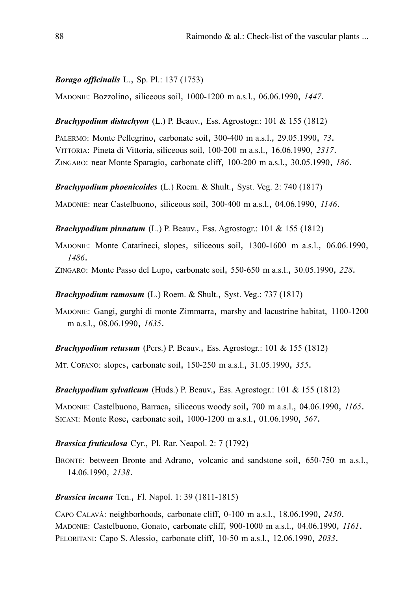#### *Borago officinalis* L., Sp. Pl.: 137 (1753)

MADONIE: Bozzolino, siliceous soil, 1000-1200 m a.s.l., 06.06.1990, *1447*.

*Brachypodium distachyon* (L.) P. Beauv., Ess. Agrostogr.: 101 & 155 (1812)

PALERMO: Monte Pellegrino, carbonate soil, 300-400 m a.s.l., 29.05.1990, *73*. VITTORIA: Pineta di Vittoria, siliceous soil, 100-200 m a.s.l., 16.06.1990, *2317*. ZINGARO: near Monte Sparagio, carbonate cliff, 100-200 m a.s.l., 30.05.1990, *186*.

*Brachypodium phoenicoides* (L.) Roem. & Shult., Syst. Veg. 2: 740 (1817)

MADONIE: near Castelbuono, siliceous soil, 300-400 m a.s.l., 04.06.1990, *1146*.

*Brachypodium pinnatum* (L.) P. Beauv., Ess. Agrostogr.: 101 & 155 (1812)

MADONIE: Monte Catarineci, slopes, siliceous soil, 1300-1600 m a.s.l., 06.06.1990, *1486*.

ZINGARO: Monte Passo del Lupo, carbonate soil, 550-650 m a.s.l., 30.05.1990, *228*.

*Brachypodium ramosum* (L.) Roem. & Shult., Syst. Veg.: 737 (1817)

MADONIE: Gangi, gurghi di monte Zimmarra, marshy and lacustrine habitat, 1100-1200 m a.s.l., 08.06.1990, *1635*.

*Brachypodium retusum* (Pers.) P. Beauv., Ess. Agrostogr.: 101 & 155 (1812)

MT. COFANO: slopes, carbonate soil, 150-250 m a.s.l., 31.05.1990, *355*.

*Brachypodium sylvaticum* (Huds.) P. Beauv., Ess. Agrostogr.: 101 & 155 (1812)

MADONIE: Castelbuono, Barraca, siliceous woody soil, 700 m a.s.l., 04.06.1990, *1165*. SICANI: Monte Rose, carbonate soil, 1000-1200 m a.s.l., 01.06.1990, *567*.

## *Brassica fruticulosa* Cyr., Pl. Rar. Neapol. 2: 7 (1792)

BRONTE: between Bronte and Adrano, volcanic and sandstone soil, 650-750 m a.s.l., 14.06.1990, *2138*.

*Brassica incana* Ten., Fl. Napol. 1: 39 (1811-1815)

CAPO CALAVÀ: neighborhoods, carbonate cliff, 0-100 m a.s.l., 18.06.1990, *2450*. MADONIE: Castelbuono, Gonato, carbonate cliff, 900-1000 m a.s.l., 04.06.1990, *1161*. PELORITANI: Capo S. Alessio, carbonate cliff, 10-50 m a.s.l., 12.06.1990, *2033*.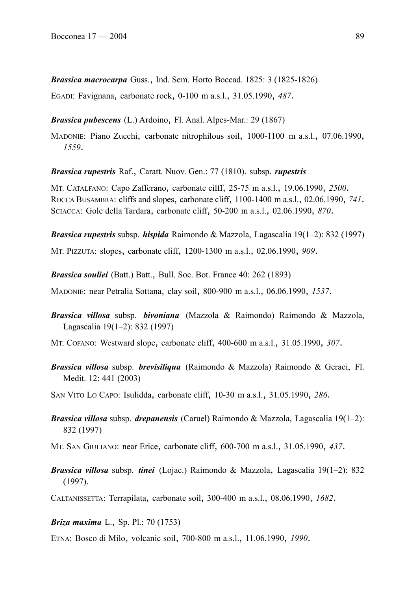*Brassica macrocarpa* Guss., Ind. Sem. Horto Boccad. 1825: 3 (1825-1826)

EGADI: Favignana, carbonate rock, 0-100 m a.s.l., 31.05.1990, *487*.

*Brassica pubescens* (L.) Ardoino, Fl. Anal. Alpes-Mar.: 29 (1867)

MADONIE: Piano Zucchi, carbonate nitrophilous soil, 1000-1100 m a.s.l., 07.06.1990, *1559*.

*Brassica rupestris* Raf., Caratt. Nuov. Gen.: 77 (1810). subsp. *rupestris*

MT. CATALFANO: Capo Zafferano, carbonate cilff, 25-75 m a.s.l., 19.06.1990, *2500*. ROCCA BUSAMBRA: cliffs and slopes, carbonate cliff, 1100-1400 m a.s.l., 02.06.1990, *741*. SCIACCA: Gole della Tardara, carbonate cliff, 50-200 m a.s.l., 02.06.1990, *870*.

*Brassica rupestris* subsp. *hispida* Raimondo & Mazzola, Lagascalia 19(1–2): 832 (1997) MT. PIZZUTA: slopes, carbonate cliff, 1200-1300 m a.s.l., 02.06.1990, *909*.

*Brassica souliei* (Batt.) Batt., Bull. Soc. Bot. France 40: 262 (1893)

MADONIE: near Petralia Sottana, clay soil, 800-900 m a.s.l., 06.06.1990, *1537*.

*Brassica villosa* subsp. *bivoniana* (Mazzola & Raimondo) Raimondo & Mazzola, Lagascalia 19(1–2): 832 (1997)

MT. COFANO: Westward slope, carbonate cliff, 400-600 m a.s.l., 31.05.1990, *307*.

*Brassica villosa* subsp. *brevisiliqua* (Raimondo & Mazzola) Raimondo & Geraci, Fl. Medit. 12: 441 (2003)

SAN VITO LO CAPO: Isulidda, carbonate cliff, 10-30 m a.s.l., 31.05.1990, *286*.

*Brassica villosa* subsp. *drepanensis* (Caruel) Raimondo & Mazzola, Lagascalia 19(1–2): 832 (1997)

MT. SAN GIULIANO: near Erice, carbonate cliff, 600-700 m a.s.l., 31.05.1990, *437*.

*Brassica villosa* subsp. *tinei* (Lojac.) Raimondo & Mazzola, Lagascalia 19(1–2): 832 (1997).

CALTANISSETTA: Terrapilata, carbonate soil, 300-400 m a.s.l., 08.06.1990, *1682*.

*Briza maxima* L., Sp. Pl.: 70 (1753)

ETNA: Bosco di Milo, volcanic soil, 700-800 m a.s.l., 11.06.1990, *1990*.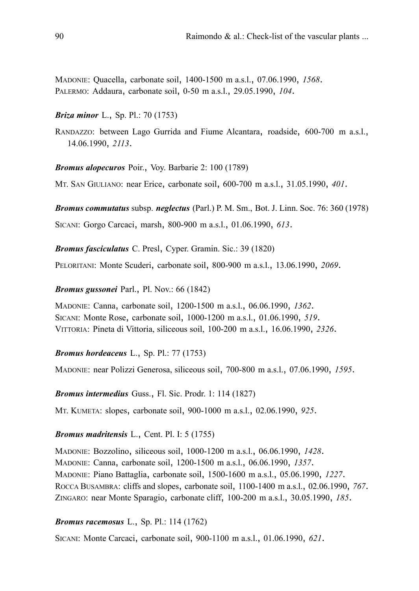MADONIE: Quacella, carbonate soil, 1400-1500 m a.s.l., 07.06.1990, *1568*. PALERMO: Addaura, carbonate soil, 0-50 m a.s.l., 29.05.1990, *104*.

## *Briza minor* L., Sp. Pl.: 70 (1753)

RANDAZZO: between Lago Gurrida and Fiume Alcantara, roadside, 600-700 m a.s.l., 14.06.1990, *2113*.

*Bromus alopecuros* Poir., Voy. Barbarie 2: 100 (1789)

MT. SAN GIULIANO: near Erice, carbonate soil, 600-700 m a.s.l., 31.05.1990, *401*.

*Bromus commutatus* subsp. *neglectus* (Parl.) P. M. Sm., Bot. J. Linn. Soc. 76: 360 (1978) SICANI: Gorgo Carcaci, marsh, 800-900 m a.s.l., 01.06.1990, *613*.

*Bromus fasciculatus* C. Presl, Cyper. Gramin. Sic.: 39 (1820)

PELORITANI: Monte Scuderi, carbonate soil, 800-900 m a.s.l., 13.06.1990, *2069*.

*Bromus gussonei* Parl., Pl. Nov.: 66 (1842)

MADONIE: Canna, carbonate soil, 1200-1500 m a.s.l., 06.06.1990, *1362*. SICANI: Monte Rose, carbonate soil, 1000-1200 m a.s.l., 01.06.1990, *519*. VITTORIA: Pineta di Vittoria, siliceous soil, 100-200 m a.s.l., 16.06.1990, *2326*.

### *Bromus hordeaceus* L., Sp. Pl.: 77 (1753)

MADONIE: near Polizzi Generosa, siliceous soil, 700-800 m a.s.l., 07.06.1990, *1595*.

*Bromus intermedius* Guss., Fl. Sic. Prodr. 1: 114 (1827)

MT. KUMETA: slopes, carbonate soil, 900-1000 m a.s.l., 02.06.1990, *925*.

## *Bromus madritensis* L., Cent. Pl. I: 5 (1755)

MADONIE: Bozzolino, siliceous soil, 1000-1200 m a.s.l., 06.06.1990, *1428*. MADONIE: Canna, carbonate soil, 1200-1500 m a.s.l., 06.06.1990, *1357*. MADONIE: Piano Battaglia, carbonate soil, 1500-1600 m a.s.l., 05.06.1990, *1227*. ROCCA BUSAMBRA: cliffs and slopes, carbonate soil, 1100-1400 m a.s.l., 02.06.1990, *767*. ZINGARO: near Monte Sparagio, carbonate cliff, 100-200 m a.s.l., 30.05.1990, *185*.

## *Bromus racemosus* L., Sp. Pl.: 114 (1762)

SICANI: Monte Carcaci, carbonate soil, 900-1100 m a.s.l., 01.06.1990, *621*.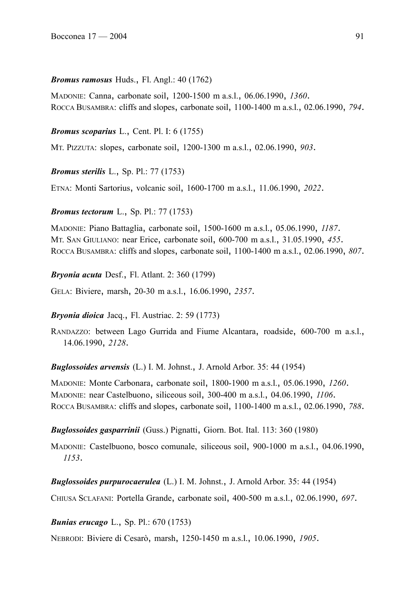## *Bromus ramosus* Huds., Fl. Angl.: 40 (1762)

MADONIE: Canna, carbonate soil, 1200-1500 m a.s.l., 06.06.1990, *1360*. ROCCA BUSAMBRA: cliffs and slopes, carbonate soil, 1100-1400 m a.s.l., 02.06.1990, *794*.

# *Bromus scoparius* L., Cent. Pl. I: 6 (1755)

MT. PIZZUTA: slopes, carbonate soil, 1200-1300 m a.s.l., 02.06.1990, *903*.

*Bromus sterilis* L., Sp. Pl.: 77 (1753)

ETNA: Monti Sartorius, volcanic soil, 1600-1700 m a.s.l., 11.06.1990, *2022*.

*Bromus tectorum* L., Sp. Pl.: 77 (1753)

MADONIE: Piano Battaglia, carbonate soil, 1500-1600 m a.s.l., 05.06.1990, *1187*. MT. SAN GIULIANO: near Erice, carbonate soil, 600-700 m a.s.l., 31.05.1990, *455*. ROCCA BUSAMBRA: cliffs and slopes, carbonate soil, 1100-1400 m a.s.l., 02.06.1990, *807*.

*Bryonia acuta* Desf., Fl. Atlant. 2: 360 (1799)

GELA: Biviere, marsh, 20-30 m a.s.l., 16.06.1990, *2357*.

## *Bryonia dioica* Jacq., Fl. Austriac. 2: 59 (1773)

RANDAZZO: between Lago Gurrida and Fiume Alcantara, roadside, 600-700 m a.s.l., 14.06.1990, *2128*.

*Buglossoides arvensis* (L.) I. M. Johnst., J. Arnold Arbor. 35: 44 (1954)

MADONIE: Monte Carbonara, carbonate soil, 1800-1900 m a.s.l., 05.06.1990, *1260*. MADONIE: near Castelbuono, siliceous soil, 300-400 m a.s.l., 04.06.1990, *1106*. ROCCA BUSAMBRA: cliffs and slopes, carbonate soil, 1100-1400 m a.s.l., 02.06.1990, *788*.

*Buglossoides gasparrinii* (Guss.) Pignatti, Giorn. Bot. Ital. 113: 360 (1980)

MADONIE: Castelbuono, bosco comunale, siliceous soil, 900-1000 m a.s.l., 04.06.1990, *1153*.

*Buglossoides purpurocaerulea* (L.) I. M. Johnst., J. Arnold Arbor. 35: 44 (1954)

CHIUSA SCLAFANI: Portella Grande, carbonate soil, 400-500 m a.s.l., 02.06.1990, *697*.

*Bunias erucago* L., Sp. Pl.: 670 (1753)

NEBRODI: Biviere di Cesarò, marsh, 1250-1450 m a.s.l., 10.06.1990, *1905*.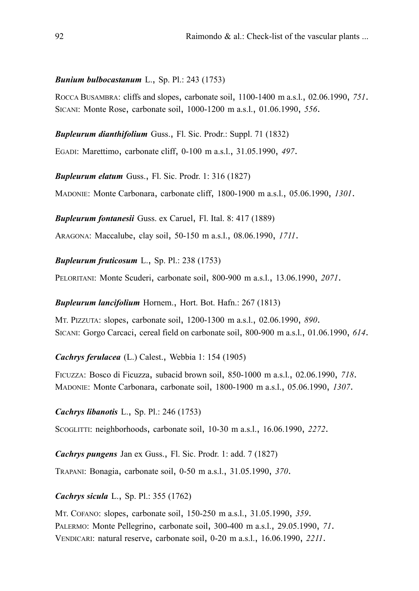### *Bunium bulbocastanum* L., Sp. Pl.: 243 (1753)

ROCCA BUSAMBRA: cliffs and slopes, carbonate soil, 1100-1400 m a.s.l., 02.06.1990, *751*. SICANI: Monte Rose, carbonate soil, 1000-1200 m a.s.l., 01.06.1990, *556*.

*Bupleurum dianthifolium* Guss., Fl. Sic. Prodr.: Suppl. 71 (1832)

EGADI: Marettimo, carbonate cliff, 0-100 m a.s.l., 31.05.1990, *497*.

*Bupleurum elatum* Guss., Fl. Sic. Prodr. 1: 316 (1827)

MADONIE: Monte Carbonara, carbonate cliff, 1800-1900 m a.s.l., 05.06.1990, *1301*.

*Bupleurum fontanesii* Guss. ex Caruel, Fl. Ital. 8: 417 (1889)

ARAGONA: Maccalube, clay soil, 50-150 m a.s.l., 08.06.1990, *1711*.

*Bupleurum fruticosum* L., Sp. Pl.: 238 (1753)

PELORITANI: Monte Scuderi, carbonate soil, 800-900 m a.s.l., 13.06.1990, *2071*.

*Bupleurum lancifolium* Hornem., Hort. Bot. Hafn.: 267 (1813)

MT. PIZZUTA: slopes, carbonate soil, 1200-1300 m a.s.l., 02.06.1990, *890*. SICANI: Gorgo Carcaci, cereal field on carbonate soil, 800-900 m a.s.l., 01.06.1990, *614*.

*Cachrys ferulacea* (L.) Calest., Webbia 1: 154 (1905)

FICUZZA: Bosco di Ficuzza, subacid brown soil, 850-1000 m a.s.l., 02.06.1990, *718*. MADONIE: Monte Carbonara, carbonate soil, 1800-1900 m a.s.l., 05.06.1990, *1307*.

*Cachrys libanotis* L., Sp. Pl.: 246 (1753)

SCOGLITTI: neighborhoods, carbonate soil, 10-30 m a.s.l., 16.06.1990, *2272*.

*Cachrys pungens* Jan ex Guss., Fl. Sic. Prodr. 1: add. 7 (1827)

TRAPANI: Bonagia, carbonate soil, 0-50 m a.s.l., 31.05.1990, *370*.

*Cachrys sicula* L., Sp. Pl.: 355 (1762)

MT. COFANO: slopes, carbonate soil, 150-250 m a.s.l., 31.05.1990, *359*. PALERMO: Monte Pellegrino, carbonate soil, 300-400 m a.s.l., 29.05.1990, *71*. VENDICARI: natural reserve, carbonate soil, 0-20 m a.s.l., 16.06.1990, *2211*.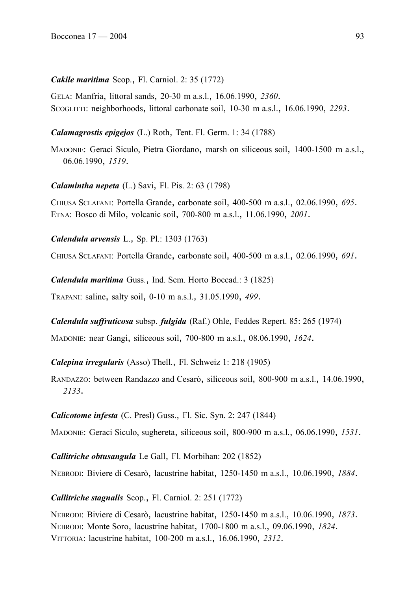## *Cakile maritima* Scop., Fl. Carniol. 2: 35 (1772)

GELA: Manfria, littoral sands, 20-30 m a.s.l., 16.06.1990, *2360*. SCOGLITTI: neighborhoods, littoral carbonate soil, 10-30 m a.s.l., 16.06.1990, *2293*.

## *Calamagrostis epigejos* (L.) Roth, Tent. Fl. Germ. 1: 34 (1788)

MADONIE: Geraci Siculo, Pietra Giordano, marsh on siliceous soil, 1400-1500 m a.s.l., 06.06.1990, *1519*.

## *Calamintha nepeta* (L.) Savi, Fl. Pis. 2: 63 (1798)

CHIUSA SCLAFANI: Portella Grande, carbonate soil, 400-500 m a.s.l., 02.06.1990, *695*. ETNA: Bosco di Milo, volcanic soil, 700-800 m a.s.l., 11.06.1990, *2001*.

*Calendula arvensis* L., Sp. Pl.: 1303 (1763)

CHIUSA SCLAFANI: Portella Grande, carbonate soil, 400-500 m a.s.l., 02.06.1990, *691*.

*Calendula maritima* Guss., Ind. Sem. Horto Boccad.: 3 (1825) TRAPANI: saline, salty soil, 0-10 m a.s.l., 31.05.1990, *499*.

## *Calendula suffruticosa* subsp. *fulgida* (Raf.) Ohle, Feddes Repert. 85: 265 (1974)

MADONIE: near Gangi, siliceous soil, 700-800 m a.s.l., 08.06.1990, *1624*.

## *Calepina irregularis* (Asso) Thell., Fl. Schweiz 1: 218 (1905)

RANDAZZO: between Randazzo and Cesarò, siliceous soil, 800-900 m a.s.l., 14.06.1990, *2133*.

## *Calicotome infesta* (C. Presl) Guss., Fl. Sic. Syn. 2: 247 (1844)

MADONIE: Geraci Siculo, sughereta, siliceous soil, 800-900 m a.s.l., 06.06.1990, *1531*.

*Callitriche obtusangula* Le Gall, Fl. Morbihan: 202 (1852)

NEBRODI: Biviere di Cesarò, lacustrine habitat, 1250-1450 m a.s.l., 10.06.1990, *1884*.

# *Callitriche stagnalis* Scop., Fl. Carniol. 2: 251 (1772)

NEBRODI: Biviere di Cesarò, lacustrine habitat, 1250-1450 m a.s.l., 10.06.1990, *1873*. NEBRODI: Monte Soro, lacustrine habitat, 1700-1800 m a.s.l., 09.06.1990, *1824*. VITTORIA: lacustrine habitat, 100-200 m a.s.l., 16.06.1990, *2312*.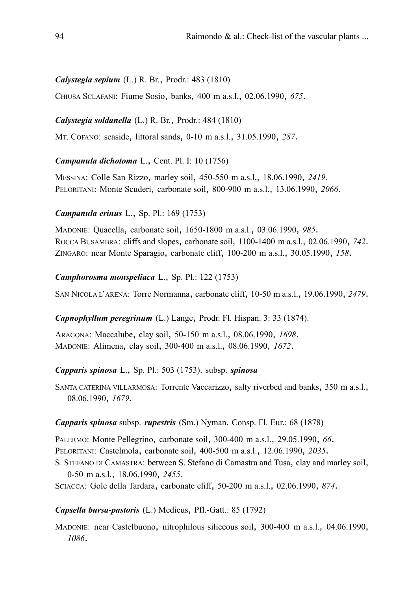# *Calystegia sepium* (L.) R. Br., Prodr.: 483 (1810)

CHIUSA SCLAFANI: Fiume Sosio, banks, 400 m a.s.l., 02.06.1990, *675*.

## *Calystegia soldanella* (L.) R. Br., Prodr.: 484 (1810)

MT. COFANO: seaside, littoral sands, 0-10 m a.s.l., 31.05.1990, *287*.

## *Campanula dichotoma* L., Cent. Pl. I: 10 (1756)

MESSINA: Colle San Rizzo, marley soil, 450-550 m a.s.l., 18.06.1990, *2419*. PELORITANI: Monte Scuderi, carbonate soil, 800-900 m a.s.l., 13.06.1990, *2066*.

## *Campanula erinus* L., Sp. Pl.: 169 (1753)

MADONIE: Quacella, carbonate soil, 1650-1800 m a.s.l., 03.06.1990, *985*. ROCCA BUSAMBRA: cliffs and slopes, carbonate soil, 1100-1400 m a.s.l., 02.06.1990, *742*. ZINGARO: near Monte Sparagio, carbonate cliff, 100-200 m a.s.l., 30.05.1990, *158*.

## *Camphorosma monspeliaca* L., Sp. Pl.: 122 (1753)

SAN NICOLA L'ARENA: Torre Normanna, carbonate cliff, 10-50 m a.s.l., 19.06.1990, *2479*.

## *Capnophyllum peregrinum* (L.) Lange, Prodr. Fl. Hispan. 3: 33 (1874).

ARAGONA: Maccalube, clay soil, 50-150 m a.s.l., 08.06.1990, *1698*. MADONIE: Alimena, clay soil, 300-400 m a.s.l., 08.06.1990, *1672*.

# *Capparis spinosa* L., Sp. Pl.: 503 (1753). subsp. *spinosa*

SANTA CATERINA VILLARMOSA: Torrente Vaccarizzo, salty riverbed and banks, 350 m a.s.l., 08.06.1990, *1679*.

## *Capparis spinosa* subsp. *rupestris* (Sm.) Nyman, Consp. Fl. Eur.: 68 (1878)

PALERMO: Monte Pellegrino, carbonate soil, 300-400 m a.s.l., 29.05.1990, *66*. PELORITANI: Castelmola, carbonate soil, 400-500 m a.s.l., 12.06.1990, *2035*.

S. STEFANO DI CAMASTRA: between S. Stefano di Camastra and Tusa, clay and marley soil, 0-50 m a.s.l., 18.06.1990, *2455*.

SCIACCA: Gole della Tardara, carbonate cliff, 50-200 m a.s.l., 02.06.1990, *874*.

## *Capsella bursa-pastoris* (L.) Medicus, Pfl.-Gatt.: 85 (1792)

MADONIE: near Castelbuono, nitrophilous siliceous soil, 300-400 m a.s.l., 04.06.1990, *1086*.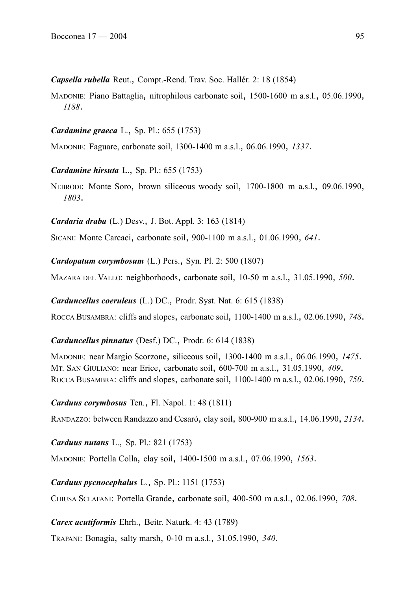*Capsella rubella* Reut., Compt.-Rend. Trav. Soc. Hallér. 2: 18 (1854)

MADONIE: Piano Battaglia, nitrophilous carbonate soil, 1500-1600 m a.s.l., 05.06.1990, *1188*.

*Cardamine graeca* L., Sp. Pl.: 655 (1753)

MADONIE: Faguare, carbonate soil, 1300-1400 m a.s.l., 06.06.1990, *1337*.

*Cardamine hirsuta* L., Sp. Pl.: 655 (1753)

NEBRODI: Monte Soro, brown siliceous woody soil, 1700-1800 m a.s.l., 09.06.1990, *1803*.

*Cardaria draba* (L.) Desv., J. Bot. Appl. 3: 163 (1814)

SICANI: Monte Carcaci, carbonate soil, 900-1100 m a.s.l., 01.06.1990, *641*.

*Cardopatum corymbosum* (L.) Pers., Syn. Pl. 2: 500 (1807)

MAZARA DEL VALLO: neighborhoods, carbonate soil, 10-50 m a.s.l., 31.05.1990, *500*.

*Carduncellus coeruleus* (L.) DC., Prodr. Syst. Nat. 6: 615 (1838)

ROCCA BUSAMBRA: cliffs and slopes, carbonate soil, 1100-1400 m a.s.l., 02.06.1990, *748*.

*Carduncellus pinnatus* (Desf.) DC., Prodr. 6: 614 (1838)

MADONIE: near Margio Scorzone, siliceous soil, 1300-1400 m a.s.l., 06.06.1990, *1475*. MT. SAN GIULIANO: near Erice, carbonate soil, 600-700 m a.s.l., 31.05.1990, *409*. ROCCA BUSAMBRA: cliffs and slopes, carbonate soil, 1100-1400 m a.s.l., 02.06.1990, *750*.

*Carduus corymbosus* Ten., Fl. Napol. 1: 48 (1811)

RANDAZZO: between Randazzo and Cesarò, clay soil, 800-900 m a.s.l., 14.06.1990, *2134*.

*Carduus nutans* L., Sp. Pl.: 821 (1753)

MADONIE: Portella Colla, clay soil, 1400-1500 m a.s.l., 07.06.1990, *1563*.

*Carduus pycnocephalus* L., Sp. Pl.: 1151 (1753)

CHIUSA SCLAFANI: Portella Grande, carbonate soil, 400-500 m a.s.l., 02.06.1990, *708*.

*Carex acutiformis* Ehrh., Beitr. Naturk. 4: 43 (1789)

TRAPANI: Bonagia, salty marsh, 0-10 m a.s.l., 31.05.1990, *340*.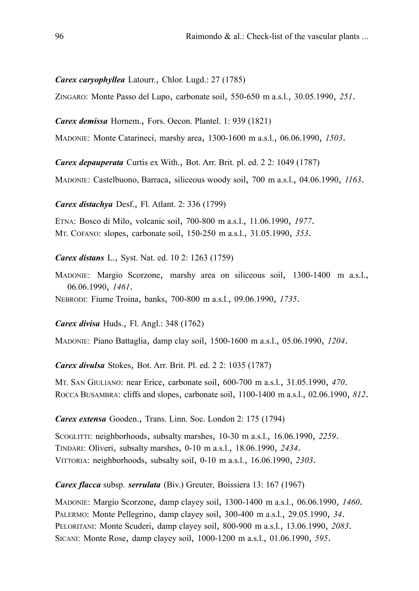*Carex caryophyllea* Latourr., Chlor. Lugd.: 27 (1785)

ZINGARO: Monte Passo del Lupo, carbonate soil, 550-650 m a.s.l., 30.05.1990, *251*.

*Carex demissa* Hornem., Fors. Oecon. Plantel. 1: 939 (1821)

MADONIE: Monte Catarineci, marshy area, 1300-1600 m a.s.l., 06.06.1990, *1503*.

*Carex depauperata* Curtis ex With., Bot. Arr. Brit. pl. ed. 2 2: 1049 (1787)

MADONIE: Castelbuono, Barraca, siliceous woody soil, 700 m a.s.l., 04.06.1990, *1163*.

*Carex distachya* Desf., Fl. Atlant. 2: 336 (1799)

ETNA: Bosco di Milo, volcanic soil, 700-800 m a.s.l., 11.06.1990, *1977*. MT. COFANO: slopes, carbonate soil, 150-250 m a.s.l., 31.05.1990, *353*.

*Carex distans* L., Syst. Nat. ed. 10 2: 1263 (1759)

MADONIE: Margio Scorzone, marshy area on siliceous soil, 1300-1400 m a.s.l., 06.06.1990, *1461*.

NEBRODI: Fiume Troina, banks, 700-800 m a.s.l., 09.06.1990, *1735*.

*Carex divisa* Huds., Fl. Angl.: 348 (1762)

MADONIE: Piano Battaglia, damp clay soil, 1500-1600 m a.s.l., 05.06.1990, *1204*.

*Carex divulsa* Stokes, Bot. Arr. Brit. Pl. ed. 2 2: 1035 (1787)

MT. SAN GIULIANO: near Erice, carbonate soil, 600-700 m a.s.l., 31.05.1990, *470*. ROCCA BUSAMBRA: cliffs and slopes, carbonate soil, 1100-1400 m a.s.l., 02.06.1990, *812*.

*Carex extensa* Gooden., Trans. Linn. Soc. London 2: 175 (1794)

SCOGLITTI: neighborhoods, subsalty marshes, 10-30 m a.s.l., 16.06.1990, *2259*. TINDARI: Oliveri, subsalty marshes, 0-10 m a.s.l., 18.06.1990, *2434*. VITTORIA: neighborhoods, subsalty soil, 0-10 m a.s.l., 16.06.1990, *2303*.

*Carex flacca* subsp. *serrulata* (Biv.) Greuter, Boissiera 13: 167 (1967)

MADONIE: Margio Scorzone, damp clayey soil, 1300-1400 m a.s.l., 06.06.1990, *1460*. PALERMO: Monte Pellegrino, damp clayey soil, 300-400 m a.s.l., 29.05.1990, *34*. PELORITANI: Monte Scuderi, damp clayey soil, 800-900 m a.s.l., 13.06.1990, *2083*. SICANI: Monte Rose, damp clayey soil, 1000-1200 m a.s.l., 01.06.1990, *595*.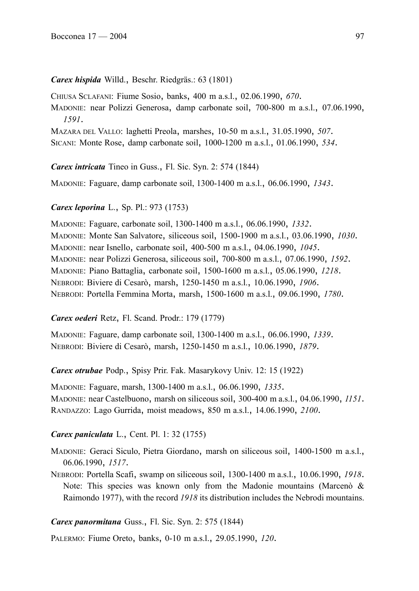# *Carex hispida* Willd., Beschr. Riedgräs.: 63 (1801)

CHIUSA SCLAFANI: Fiume Sosio, banks, 400 m a.s.l., 02.06.1990, *670*.

MADONIE: near Polizzi Generosa, damp carbonate soil, 700-800 m a.s.l., 07.06.1990, *1591*.

MAZARA DEL VALLO: laghetti Preola, marshes, 10-50 m a.s.l., 31.05.1990, *507*.

SICANI: Monte Rose, damp carbonate soil, 1000-1200 m a.s.l., 01.06.1990, *534*.

*Carex intricata* Tineo in Guss., Fl. Sic. Syn. 2: 574 (1844)

MADONIE: Faguare, damp carbonate soil, 1300-1400 m a.s.l., 06.06.1990, *1343*.

# *Carex leporina* L., Sp. Pl.: 973 (1753)

MADONIE: Faguare, carbonate soil, 1300-1400 m a.s.l., 06.06.1990, *1332*. MADONIE: Monte San Salvatore, siliceous soil, 1500-1900 m a.s.l., 03.06.1990, *1030*. MADONIE: near Isnello, carbonate soil, 400-500 m a.s.l., 04.06.1990, *1045*. MADONIE: near Polizzi Generosa, siliceous soil, 700-800 m a.s.l., 07.06.1990, *1592*. MADONIE: Piano Battaglia, carbonate soil, 1500-1600 m a.s.l., 05.06.1990, *1218*. NEBRODI: Biviere di Cesarò, marsh, 1250-1450 m a.s.l., 10.06.1990, *1906*. NEBRODI: Portella Femmina Morta, marsh, 1500-1600 m a.s.l., 09.06.1990, *1780*.

# *Carex oederi* Retz, Fl. Scand. Prodr.: 179 (1779)

MADONIE: Faguare, damp carbonate soil, 1300-1400 m a.s.l., 06.06.1990, *1339*. NEBRODI: Biviere di Cesarò, marsh, 1250-1450 m a.s.l., 10.06.1990, *1879*.

*Carex otrubae* Podp., Spisy Prir. Fak. Masarykovy Univ. 12: 15 (1922)

MADONIE: Faguare, marsh, 1300-1400 m a.s.l., 06.06.1990, *1335*. MADONIE: near Castelbuono, marsh on siliceous soil, 300-400 m a.s.l., 04.06.1990, *1151*. RANDAZZO: Lago Gurrida, moist meadows, 850 m a.s.l., 14.06.1990, *2100*.

# *Carex paniculata* L., Cent. Pl. 1: 32 (1755)

MADONIE: Geraci Siculo, Pietra Giordano, marsh on siliceous soil, 1400-1500 m a.s.l., 06.06.1990, *1517*.

NEBRODI: Portella Scafi, swamp on siliceous soil, 1300-1400 m a.s.l., 10.06.1990, *1918*. Note: This species was known only from the Madonie mountains (Marcenò & Raimondo 1977), with the record *1918* its distribution includes the Nebrodi mountains.

# *Carex panormitana* Guss., Fl. Sic. Syn. 2: 575 (1844)

PALERMO: Fiume Oreto, banks, 0-10 m a.s.l., 29.05.1990, *120*.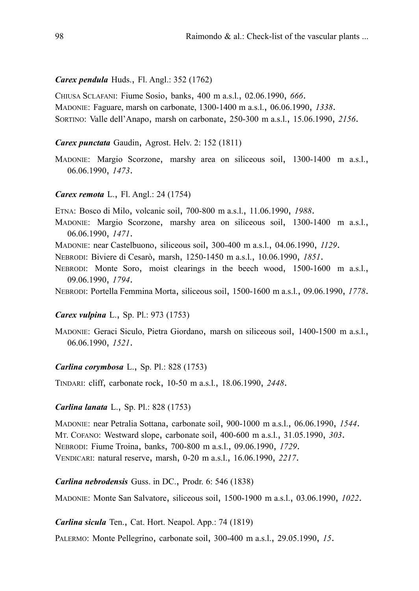### *Carex pendula* Huds., Fl. Angl.: 352 (1762)

CHIUSA SCLAFANI: Fiume Sosio, banks, 400 m a.s.l., 02.06.1990, *666*. MADONIE: Faguare, marsh on carbonate, 1300-1400 m a.s.l., 06.06.1990, *1338*. SORTINO: Valle dell'Anapo, marsh on carbonate, 250-300 m a.s.l., 15.06.1990, *2156*.

## *Carex punctata* Gaudin, Agrost. Helv. 2: 152 (1811)

MADONIE: Margio Scorzone, marshy area on siliceous soil, 1300-1400 m a.s.l., 06.06.1990, *1473*.

#### *Carex remota* L., Fl. Angl.: 24 (1754)

ETNA: Bosco di Milo, volcanic soil, 700-800 m a.s.l., 11.06.1990, *1988*.

- MADONIE: Margio Scorzone, marshy area on siliceous soil, 1300-1400 m a.s.l., 06.06.1990, *1471*.
- MADONIE: near Castelbuono, siliceous soil, 300-400 m a.s.l., 04.06.1990, *1129*.
- NEBRODI: Biviere di Cesarò, marsh, 1250-1450 m a.s.l., 10.06.1990, *1851*.
- NEBRODI: Monte Soro, moist clearings in the beech wood, 1500-1600 m a.s.l., 09.06.1990, *1794*.
- NEBRODI: Portella Femmina Morta, siliceous soil, 1500-1600 m a.s.l., 09.06.1990, *1778*.

### *Carex vulpina* L., Sp. Pl.: 973 (1753)

MADONIE: Geraci Siculo, Pietra Giordano, marsh on siliceous soil, 1400-1500 m a.s.l., 06.06.1990, *1521*.

## *Carlina corymbosa* L., Sp. Pl.: 828 (1753)

TINDARI: cliff, carbonate rock, 10-50 m a.s.l., 18.06.1990, *2448*.

## *Carlina lanata* L., Sp. Pl.: 828 (1753)

MADONIE: near Petralia Sottana, carbonate soil, 900-1000 m a.s.l., 06.06.1990, *1544*. MT. COFANO: Westward slope, carbonate soil, 400-600 m a.s.l., 31.05.1990, *303*. NEBRODI: Fiume Troina, banks, 700-800 m a.s.l., 09.06.1990, *1729*. VENDICARI: natural reserve, marsh, 0-20 m a.s.l., 16.06.1990, *2217*.

*Carlina nebrodensis* Guss. in DC., Prodr. 6: 546 (1838)

MADONIE: Monte San Salvatore, siliceous soil, 1500-1900 m a.s.l., 03.06.1990, *1022*.

*Carlina sicula* Ten., Cat. Hort. Neapol. App.: 74 (1819)

PALERMO: Monte Pellegrino, carbonate soil, 300-400 m a.s.l., 29.05.1990, *15*.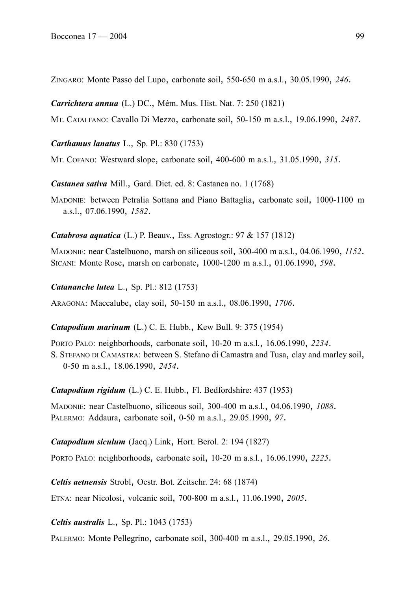ZINGARO: Monte Passo del Lupo, carbonate soil, 550-650 m a.s.l., 30.05.1990, *246*.

*Carrichtera annua* (L.) DC., Mém. Mus. Hist. Nat. 7: 250 (1821)

MT. CATALFANO: Cavallo Di Mezzo, carbonate soil, 50-150 m a.s.l., 19.06.1990, *2487*.

*Carthamus lanatus* L., Sp. Pl.: 830 (1753)

MT. COFANO: Westward slope, carbonate soil, 400-600 m a.s.l., 31.05.1990, *315*.

*Castanea sativa* Mill., Gard. Dict. ed. 8: Castanea no. 1 (1768)

MADONIE: between Petralia Sottana and Piano Battaglia, carbonate soil, 1000-1100 m a.s.l., 07.06.1990, *1582*.

*Catabrosa aquatica* (L.) P. Beauv., Ess. Agrostogr.: 97 & 157 (1812)

MADONIE: near Castelbuono, marsh on siliceous soil, 300-400 m a.s.l., 04.06.1990, *1152*. SICANI: Monte Rose, marsh on carbonate, 1000-1200 m a.s.l., 01.06.1990, *598*.

*Catananche lutea* L., Sp. Pl.: 812 (1753)

ARAGONA: Maccalube, clay soil, 50-150 m a.s.l., 08.06.1990, *1706*.

*Catapodium marinum* (L.) C. E. Hubb., Kew Bull. 9: 375 (1954)

PORTO PALO: neighborhoods, carbonate soil, 10-20 m a.s.l., 16.06.1990, *2234*. S. STEFANO DI CAMASTRA: between S. Stefano di Camastra and Tusa, clay and marley soil, 0-50 m a.s.l., 18.06.1990, *2454*.

*Catapodium rigidum* (L.) C. E. Hubb., Fl. Bedfordshire: 437 (1953)

MADONIE: near Castelbuono, siliceous soil, 300-400 m a.s.l., 04.06.1990, *1088*. PALERMO: Addaura, carbonate soil, 0-50 m a.s.l., 29.05.1990, *97*.

*Catapodium siculum* (Jacq.) Link, Hort. Berol. 2: 194 (1827)

PORTO PALO: neighborhoods, carbonate soil, 10-20 m a.s.l., 16.06.1990, *2225*.

*Celtis aetnensis* Strobl, Oestr. Bot. Zeitschr. 24: 68 (1874)

ETNA: near Nicolosi, volcanic soil, 700-800 m a.s.l., 11.06.1990, *2005*.

*Celtis australis* L., Sp. Pl.: 1043 (1753)

PALERMO: Monte Pellegrino, carbonate soil, 300-400 m a.s.l., 29.05.1990, *26*.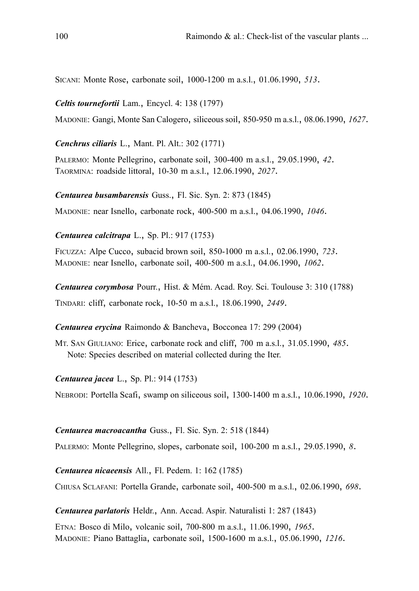SICANI: Monte Rose, carbonate soil, 1000-1200 m a.s.l., 01.06.1990, *513*.

*Celtis tournefortii* Lam., Encycl. 4: 138 (1797)

MADONIE: Gangi, Monte San Calogero, siliceous soil, 850-950 m a.s.l., 08.06.1990, *1627*.

*Cenchrus ciliaris* L., Mant. Pl. Alt.: 302 (1771)

PALERMO: Monte Pellegrino, carbonate soil, 300-400 m a.s.l., 29.05.1990, *42*. TAORMINA: roadside littoral, 10-30 m a.s.l., 12.06.1990, *2027*.

*Centaurea busambarensis* Guss., Fl. Sic. Syn. 2: 873 (1845)

MADONIE: near Isnello, carbonate rock, 400-500 m a.s.l., 04.06.1990, *1046*.

*Centaurea calcitrapa* L., Sp. Pl.: 917 (1753)

FICUZZA: Alpe Cucco, subacid brown soil, 850-1000 m a.s.l., 02.06.1990, *723*. MADONIE: near Isnello, carbonate soil, 400-500 m a.s.l., 04.06.1990, *1062*.

*Centaurea corymbosa* Pourr., Hist. & Mém. Acad. Roy. Sci. Toulouse 3: 310 (1788) TINDARI: cliff, carbonate rock, 10-50 m a.s.l., 18.06.1990, *2449*.

*Centaurea erycina* Raimondo & Bancheva, Bocconea 17: 299 (2004)

MT. SAN GIULIANO: Erice, carbonate rock and cliff, 700 m a.s.l., 31.05.1990, *485*. Note: Species described on material collected during the Iter.

*Centaurea jacea* L., Sp. Pl.: 914 (1753)

NEBRODI: Portella Scafi, swamp on siliceous soil, 1300-1400 m a.s.l., 10.06.1990, *1920*.

*Centaurea macroacantha* Guss., Fl. Sic. Syn. 2: 518 (1844)

PALERMO: Monte Pellegrino, slopes, carbonate soil, 100-200 m a.s.l., 29.05.1990, *8*.

*Centaurea nicaeensis* All., Fl. Pedem. 1: 162 (1785)

CHIUSA SCLAFANI: Portella Grande, carbonate soil, 400-500 m a.s.l., 02.06.1990, *698*.

*Centaurea parlatoris* Heldr., Ann. Accad. Aspir. Naturalisti 1: 287 (1843)

ETNA: Bosco di Milo, volcanic soil, 700-800 m a.s.l., 11.06.1990, *1965*. MADONIE: Piano Battaglia, carbonate soil, 1500-1600 m a.s.l., 05.06.1990, *1216*.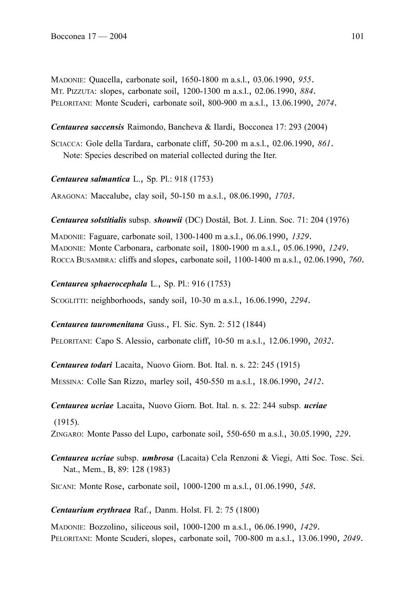MADONIE: Quacella, carbonate soil, 1650-1800 m a.s.l., 03.06.1990, *955*. MT. PIZZUTA: slopes, carbonate soil, 1200-1300 m a.s.l., 02.06.1990, *884*. PELORITANI: Monte Scuderi, carbonate soil, 800-900 m a.s.l., 13.06.1990, *2074*.

*Centaurea saccensis* Raimondo, Bancheva & Ilardi, Bocconea 17: 293 (2004)

SCIACCA: Gole della Tardara, carbonate cliff, 50-200 m a.s.l., 02.06.1990, *861*. Note: Species described on material collected during the Iter.

*Centaurea salmantica* L., Sp. Pl.: 918 (1753)

ARAGONA: Maccalube, clay soil, 50-150 m a.s.l., 08.06.1990, *1703*.

*Centaurea solstitialis* subsp. *shouwii* (DC) Dostál, Bot. J. Linn. Soc. 71: 204 (1976)

MADONIE: Faguare, carbonate soil, 1300-1400 m a.s.l., 06.06.1990, *1329*. MADONIE: Monte Carbonara, carbonate soil, 1800-1900 m a.s.l., 05.06.1990, *1249*. ROCCA BUSAMBRA: cliffs and slopes, carbonate soil, 1100-1400 m a.s.l., 02.06.1990, *760*.

*Centaurea sphaerocephala* L., Sp. Pl.: 916 (1753)

SCOGLITTI: neighborhoods, sandy soil, 10-30 m a.s.l., 16.06.1990, *2294*.

*Centaurea tauromenitana* Guss., Fl. Sic. Syn. 2: 512 (1844)

PELORITANI: Capo S. Alessio, carbonate cliff, 10-50 m a.s.l., 12.06.1990, *2032*.

*Centaurea todari* Lacaita, Nuovo Giorn. Bot. Ital. n. s. 22: 245 (1915)

MESSINA: Colle San Rizzo, marley soil, 450-550 m a.s.l., 18.06.1990, *2412*.

*Centaurea ucriae* Lacaita, Nuovo Giorn. Bot. Ital. n. s. 22: 244 subsp. *ucriae*

(1915).

ZINGARO: Monte Passo del Lupo, carbonate soil, 550-650 m a.s.l., 30.05.1990, *229*.

*Centaurea ucriae* subsp. *umbrosa* (Lacaita) Cela Renzoni & Viegi, Atti Soc. Tosc. Sci. Nat., Mem., B, 89: 128 (1983)

SICANI: Monte Rose, carbonate soil, 1000-1200 m a.s.l., 01.06.1990, *548*.

*Centaurium erythraea* Raf., Danm. Holst. Fl. 2: 75 (1800)

MADONIE: Bozzolino, siliceous soil, 1000-1200 m a.s.l., 06.06.1990, *1429*. PELORITANI: Monte Scuderi, slopes, carbonate soil, 700-800 m a.s.l., 13.06.1990, *2049*.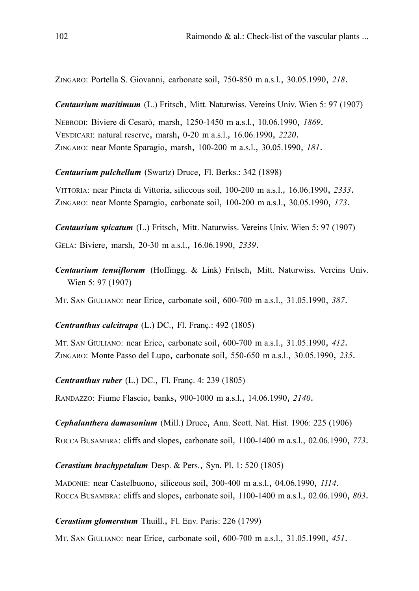ZINGARO: Portella S. Giovanni, carbonate soil, 750-850 m a.s.l., 30.05.1990, *218*.

*Centaurium maritimum* (L.) Fritsch, Mitt. Naturwiss. Vereins Univ. Wien 5: 97 (1907) NEBRODI: Biviere di Cesarò, marsh, 1250-1450 m a.s.l., 10.06.1990, *1869*. VENDICARI: natural reserve, marsh, 0-20 m a.s.l., 16.06.1990, *2220*. ZINGARO: near Monte Sparagio, marsh, 100-200 m a.s.l., 30.05.1990, *181*.

*Centaurium pulchellum* (Swartz) Druce, Fl. Berks.: 342 (1898)

VITTORIA: near Pineta di Vittoria, siliceous soil, 100-200 m a.s.l., 16.06.1990, *2333*. ZINGARO: near Monte Sparagio, carbonate soil, 100-200 m a.s.l., 30.05.1990, *173*.

*Centaurium spicatum* (L.) Fritsch, Mitt. Naturwiss. Vereins Univ. Wien 5: 97 (1907) GELA: Biviere, marsh, 20-30 m a.s.l., 16.06.1990, *2339*.

*Centaurium tenuiflorum* (Hoffmgg. & Link) Fritsch, Mitt. Naturwiss. Vereins Univ. Wien 5: 97 (1907)

MT. SAN GIULIANO: near Erice, carbonate soil, 600-700 m a.s.l., 31.05.1990, *387*.

*Centranthus calcitrapa* (L.) DC., Fl. Franç.: 492 (1805)

MT. SAN GIULIANO: near Erice, carbonate soil, 600-700 m a.s.l., 31.05.1990, *412*. ZINGARO: Monte Passo del Lupo, carbonate soil, 550-650 m a.s.l., 30.05.1990, *235*.

*Centranthus ruber* (L.) DC., Fl. Franç. 4: 239 (1805)

RANDAZZO: Fiume Flascio, banks, 900-1000 m a.s.l., 14.06.1990, *2140*.

*Cephalanthera damasonium* (Mill.) Druce, Ann. Scott. Nat. Hist. 1906: 225 (1906)

ROCCA BUSAMBRA: cliffs and slopes, carbonate soil, 1100-1400 m a.s.l., 02.06.1990, *773*.

*Cerastium brachypetalum* Desp. & Pers., Syn. Pl. 1: 520 (1805)

MADONIE: near Castelbuono, siliceous soil, 300-400 m a.s.l., 04.06.1990, *1114*. ROCCA BUSAMBRA: cliffs and slopes, carbonate soil, 1100-1400 m a.s.l., 02.06.1990, *803*.

*Cerastium glomeratum* Thuill., Fl. Env. Paris: 226 (1799)

MT. SAN GIULIANO: near Erice, carbonate soil, 600-700 m a.s.l., 31.05.1990, *451*.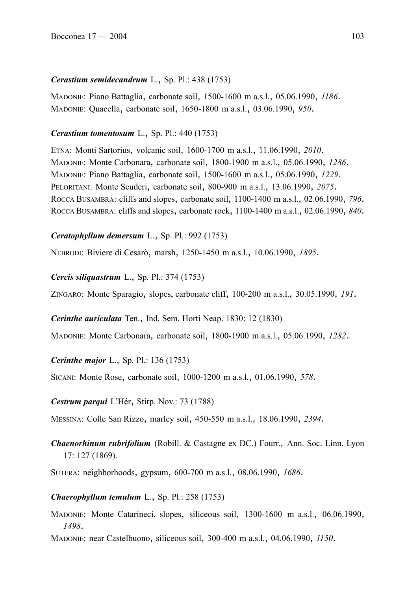## *Cerastium semidecandrum* L., Sp. Pl.: 438 (1753)

MADONIE: Piano Battaglia, carbonate soil, 1500-1600 m a.s.l., 05.06.1990, *1186*. MADONIE: Quacella, carbonate soil, 1650-1800 m a.s.l., 03.06.1990, *950*.

### *Cerastium tomentosum* L., Sp. Pl.: 440 (1753)

ETNA: Monti Sartorius, volcanic soil, 1600-1700 m a.s.l., 11.06.1990, *2010*. MADONIE: Monte Carbonara, carbonate soil, 1800-1900 m a.s.l., 05.06.1990, *1286*. MADONIE: Piano Battaglia, carbonate soil, 1500-1600 m a.s.l., 05.06.1990, *1229*. PELORITANI: Monte Scuderi, carbonate soil, 800-900 m a.s.l., 13.06.1990, *2075*. ROCCA BUSAMBRA: cliffs and slopes, carbonate soil, 1100-1400 m a.s.l., 02.06.1990, *796*. ROCCA BUSAMBRA: cliffs and slopes, carbonate rock, 1100-1400 m a.s.l., 02.06.1990, *840*.

### *Ceratophyllum demersum* L., Sp. Pl.: 992 (1753)

NEBRODI: Biviere di Cesarò, marsh, 1250-1450 m a.s.l., 10.06.1990, *1895*.

### *Cercis siliquastrum* L., Sp. Pl.: 374 (1753)

ZINGARO: Monte Sparagio, slopes, carbonate cliff, 100-200 m a.s.l., 30.05.1990, *191*.

### *Cerinthe auriculata* Ten., Ind. Sem. Horti Neap. 1830: 12 (1830)

MADONIE: Monte Carbonara, carbonate soil, 1800-1900 m a.s.l., 05.06.1990, *1282*.

# *Cerinthe major* L., Sp. Pl.: 136 (1753)

SICANI: Monte Rose, carbonate soil, 1000-1200 m a.s.l., 01.06.1990, *578*.

### *Cestrum parqui* L'Hér, Stirp. Nov.: 73 (1788)

MESSINA: Colle San Rizzo, marley soil, 450-550 m a.s.l., 18.06.1990, *2394*.

# *Chaenorhinum rubrifolium* (Robill. & Castagne ex DC.) Fourr., Ann. Soc. Linn. Lyon 17: 127 (1869).

SUTERA: neighborhoods, gypsum, 600-700 m a.s.l., 08.06.1990, *1686*.

# *Chaerophyllum temulum* L., Sp. Pl.: 258 (1753)

MADONIE: Monte Catarineci, slopes, siliceous soil, 1300-1600 m a.s.l., 06.06.1990, *1498*.

MADONIE: near Castelbuono, siliceous soil, 300-400 m a.s.l., 04.06.1990, *1150*.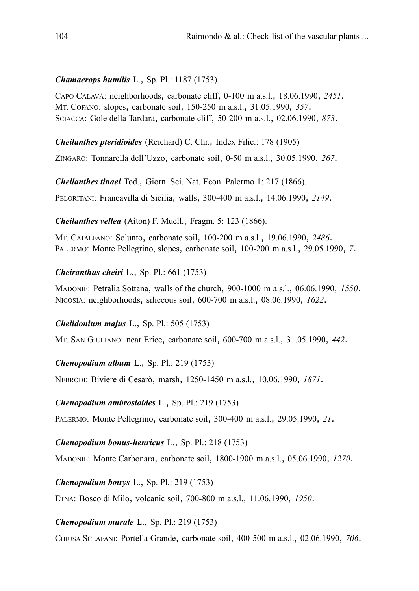### *Chamaerops humilis* L., Sp. Pl.: 1187 (1753)

CAPO CALAVÀ: neighborhoods, carbonate cliff, 0-100 m a.s.l., 18.06.1990, *2451*. MT. COFANO: slopes, carbonate soil, 150-250 m a.s.l., 31.05.1990, *357*. SCIACCA: Gole della Tardara, carbonate cliff, 50-200 m a.s.l., 02.06.1990, *873*.

*Cheilanthes pteridioides* (Reichard) C. Chr., Index Filic.: 178 (1905)

ZINGARO: Tonnarella dell'Uzzo, carbonate soil, 0-50 m a.s.l., 30.05.1990, *267*.

*Cheilanthes tinaei* Tod., Giorn. Sci. Nat. Econ. Palermo 1: 217 (1866). PELORITANI: Francavilla di Sicilia, walls, 300-400 m a.s.l., 14.06.1990, *2149*.

*Cheilanthes vellea* (Aiton) F. Muell., Fragm. 5: 123 (1866).

MT. CATALFANO: Solunto, carbonate soil, 100-200 m a.s.l., 19.06.1990, *2486*. PALERMO: Monte Pellegrino, slopes, carbonate soil, 100-200 m a.s.l., 29.05.1990, *7*.

### *Cheiranthus cheiri* L., Sp. Pl.: 661 (1753)

MADONIE: Petralia Sottana, walls of the church, 900-1000 m a.s.l., 06.06.1990, *1550*. NICOSIA: neighborhoods, siliceous soil, 600-700 m a.s.l., 08.06.1990, *1622*.

### *Chelidonium majus* L., Sp. Pl.: 505 (1753)

MT. SAN GIULIANO: near Erice, carbonate soil, 600-700 m a.s.l., 31.05.1990, *442*.

### *Chenopodium album* L., Sp. Pl.: 219 (1753)

NEBRODI: Biviere di Cesarò, marsh, 1250-1450 m a.s.l., 10.06.1990, *1871*.

### *Chenopodium ambrosioides* L., Sp. Pl.: 219 (1753)

PALERMO: Monte Pellegrino, carbonate soil, 300-400 m a.s.l., 29.05.1990, *21*.

### *Chenopodium bonus-henricus* L., Sp. Pl.: 218 (1753)

MADONIE: Monte Carbonara, carbonate soil, 1800-1900 m a.s.l., 05.06.1990, *1270*.

*Chenopodium botrys* L., Sp. Pl.: 219 (1753)

ETNA: Bosco di Milo, volcanic soil, 700-800 m a.s.l., 11.06.1990, *1950*.

### *Chenopodium murale* L., Sp. Pl.: 219 (1753)

CHIUSA SCLAFANI: Portella Grande, carbonate soil, 400-500 m a.s.l., 02.06.1990, *706*.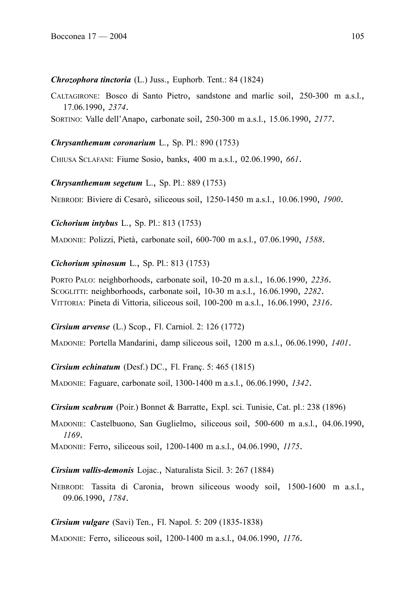### *Chrozophora tinctoria* (L.) Juss., Euphorb. Tent.: 84 (1824)

CALTAGIRONE: Bosco di Santo Pietro, sandstone and marlic soil, 250-300 m a.s.l., 17.06.1990, *2374*.

SORTINO: Valle dell'Anapo, carbonate soil, 250-300 m a.s.l., 15.06.1990, *2177*.

# *Chrysanthemum coronarium* L., Sp. Pl.: 890 (1753)

CHIUSA SCLAFANI: Fiume Sosio, banks, 400 m a.s.l., 02.06.1990, *661*.

*Chrysanthemum segetum* L., Sp. Pl.: 889 (1753)

NEBRODI: Biviere di Cesarò, siliceous soil, 1250-1450 m a.s.l., 10.06.1990, *1900*.

# *Cichorium intybus* L., Sp. Pl.: 813 (1753)

MADONIE: Polizzi, Pietà, carbonate soil, 600-700 m a.s.l., 07.06.1990, *1588*.

# *Cichorium spinosum* L., Sp. Pl.: 813 (1753)

PORTO PALO: neighborhoods, carbonate soil, 10-20 m a.s.l., 16.06.1990, *2236*. SCOGLITTI: neighborhoods, carbonate soil, 10-30 m a.s.l., 16.06.1990, *2282*. VITTORIA: Pineta di Vittoria, siliceous soil, 100-200 m a.s.l., 16.06.1990, *2316*.

*Cirsium arvense* (L.) Scop., Fl. Carniol. 2: 126 (1772)

MADONIE: Portella Mandarini, damp siliceous soil, 1200 m a.s.l., 06.06.1990, *1401*.

*Cirsium echinatum* (Desf.) DC., Fl. Franç. 5: 465 (1815)

MADONIE: Faguare, carbonate soil, 1300-1400 m a.s.l., 06.06.1990, *1342*.

*Cirsium scabrum* (Poir.) Bonnet & Barratte, Expl. sci. Tunisie, Cat. pl.: 238 (1896)

MADONIE: Castelbuono, San Guglielmo, siliceous soil, 500-600 m a.s.l., 04.06.1990, *1169*.

MADONIE: Ferro, siliceous soil, 1200-1400 m a.s.l., 04.06.1990, *1175*.

*Cirsium vallis-demonis* Lojac., Naturalista Sicil. 3: 267 (1884)

NEBRODI: Tassita di Caronia, brown siliceous woody soil, 1500-1600 m a.s.l., 09.06.1990, *1784*.

# *Cirsium vulgare* (Savi) Ten., Fl. Napol. 5: 209 (1835-1838)

MADONIE: Ferro, siliceous soil, 1200-1400 m a.s.l., 04.06.1990, *1176*.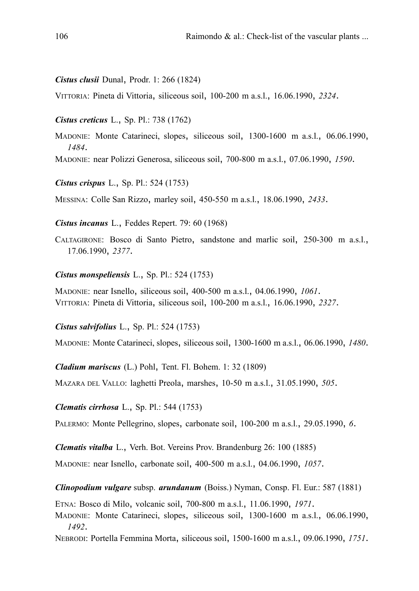#### *Cistus clusii* Dunal, Prodr. 1: 266 (1824)

VITTORIA: Pineta di Vittoria, siliceous soil, 100-200 m a.s.l., 16.06.1990, *2324*.

#### *Cistus creticus* L., Sp. Pl.: 738 (1762)

MADONIE: Monte Catarineci, slopes, siliceous soil, 1300-1600 m a.s.l., 06.06.1990, *1484*.

MADONIE: near Polizzi Generosa, siliceous soil, 700-800 m a.s.l., 07.06.1990, *1590*.

*Cistus crispus* L., Sp. Pl.: 524 (1753)

MESSINA: Colle San Rizzo, marley soil, 450-550 m a.s.l., 18.06.1990, *2433*.

*Cistus incanus* L., Feddes Repert. 79: 60 (1968)

CALTAGIRONE: Bosco di Santo Pietro, sandstone and marlic soil, 250-300 m a.s.l., 17.06.1990, *2377*.

#### *Cistus monspeliensis* L., Sp. Pl.: 524 (1753)

MADONIE: near Isnello, siliceous soil, 400-500 m a.s.l., 04.06.1990, *1061*. VITTORIA: Pineta di Vittoria, siliceous soil, 100-200 m a.s.l., 16.06.1990, *2327*.

*Cistus salvifolius* L., Sp. Pl.: 524 (1753)

MADONIE: Monte Catarineci, slopes, siliceous soil, 1300-1600 m a.s.l., 06.06.1990, *1480*.

*Cladium mariscus* (L.) Pohl, Tent. Fl. Bohem. 1: 32 (1809)

MAZARA DEL VALLO: laghetti Preola, marshes, 10-50 m a.s.l., 31.05.1990, *505*.

#### *Clematis cirrhosa* L., Sp. Pl.: 544 (1753)

PALERMO: Monte Pellegrino, slopes, carbonate soil, 100-200 m a.s.l., 29.05.1990, *6*.

*Clematis vitalba* L., Verh. Bot. Vereins Prov. Brandenburg 26: 100 (1885)

MADONIE: near Isnello, carbonate soil, 400-500 m a.s.l., 04.06.1990, *1057*.

*Clinopodium vulgare* subsp. *arundanum* (Boiss.) Nyman, Consp. Fl. Eur.: 587 (1881)

ETNA: Bosco di Milo, volcanic soil, 700-800 m a.s.l., 11.06.1990, *1971*.

MADONIE: Monte Catarineci, slopes, siliceous soil, 1300-1600 m a.s.l., 06.06.1990, *1492*.

NEBRODI: Portella Femmina Morta, siliceous soil, 1500-1600 m a.s.l., 09.06.1990, *1751*.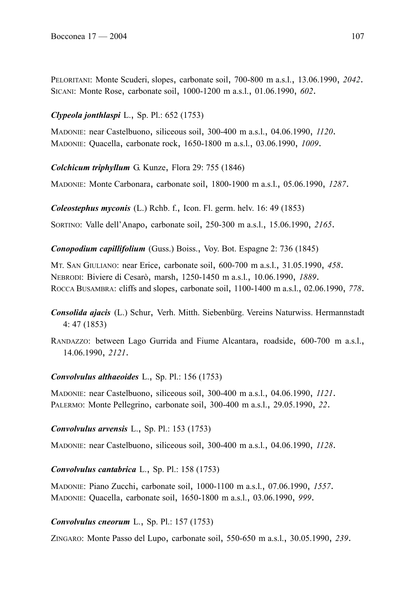PELORITANI: Monte Scuderi, slopes, carbonate soil, 700-800 m a.s.l., 13.06.1990, *2042*. SICANI: Monte Rose, carbonate soil, 1000-1200 m a.s.l., 01.06.1990, *602*.

## *Clypeola jonthlaspi* L., Sp. Pl.: 652 (1753)

MADONIE: near Castelbuono, siliceous soil, 300-400 m a.s.l., 04.06.1990, *1120*. MADONIE: Quacella, carbonate rock, 1650-1800 m a.s.l., 03.06.1990, *1009*.

*Colchicum triphyllum* G. Kunze, Flora 29: 755 (1846)

MADONIE: Monte Carbonara, carbonate soil, 1800-1900 m a.s.l., 05.06.1990, *1287*.

*Coleostephus myconis* (L.) Rchb. f., Icon. Fl. germ. helv. 16: 49 (1853)

SORTINO: Valle dell'Anapo, carbonate soil, 250-300 m a.s.l., 15.06.1990, *2165*.

*Conopodium capillifolium* (Guss.) Boiss., Voy. Bot. Espagne 2: 736 (1845)

MT. SAN GIULIANO: near Erice, carbonate soil, 600-700 m a.s.l., 31.05.1990, *458*. NEBRODI: Biviere di Cesarò, marsh, 1250-1450 m a.s.l., 10.06.1990, *1889*. ROCCA BUSAMBRA: cliffs and slopes, carbonate soil, 1100-1400 m a.s.l., 02.06.1990, *778*.

*Consolida ajacis* (L.) Schur, Verh. Mitth. Siebenbürg. Vereins Naturwiss. Hermannstadt 4: 47 (1853)

RANDAZZO: between Lago Gurrida and Fiume Alcantara, roadside, 600-700 m a.s.l., 14.06.1990, *2121*.

# *Convolvulus althaeoides* L., Sp. Pl.: 156 (1753)

MADONIE: near Castelbuono, siliceous soil, 300-400 m a.s.l., 04.06.1990, *1121*. PALERMO: Monte Pellegrino, carbonate soil, 300-400 m a.s.l., 29.05.1990, *22*.

### *Convolvulus arvensis* L., Sp. Pl.: 153 (1753)

MADONIE: near Castelbuono, siliceous soil, 300-400 m a.s.l., 04.06.1990, *1128*.

# *Convolvulus cantabrica* L., Sp. Pl.: 158 (1753)

MADONIE: Piano Zucchi, carbonate soil, 1000-1100 m a.s.l., 07.06.1990, *1557*. MADONIE: Quacella, carbonate soil, 1650-1800 m a.s.l., 03.06.1990, *999*.

# *Convolvulus cneorum* L., Sp. Pl.: 157 (1753)

ZINGARO: Monte Passo del Lupo, carbonate soil, 550-650 m a.s.l., 30.05.1990, *239*.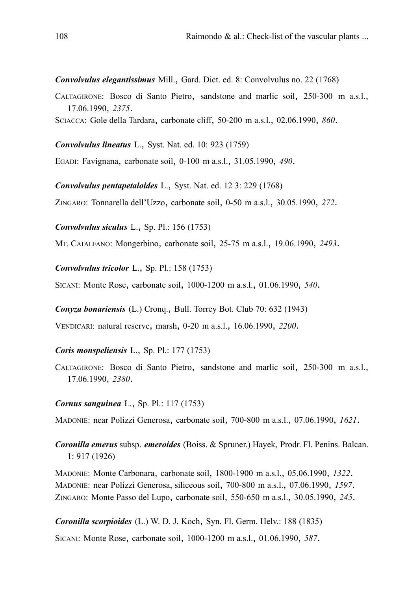*Convolvulus elegantissimus* Mill., Gard. Dict. ed. 8: Convolvulus no. 22 (1768)

- CALTAGIRONE: Bosco di Santo Pietro, sandstone and marlic soil, 250-300 m a.s.l., 17.06.1990, *2375*.
- SCIACCA: Gole della Tardara, carbonate cliff, 50-200 m a.s.l., 02.06.1990, *860*.

*Convolvulus lineatus* L., Syst. Nat. ed. 10: 923 (1759)

EGADI: Favignana, carbonate soil, 0-100 m a.s.l., 31.05.1990, *490*.

*Convolvulus pentapetaloides* L., Syst. Nat. ed. 12 3: 229 (1768)

ZINGARO: Tonnarella dell'Uzzo, carbonate soil, 0-50 m a.s.l., 30.05.1990, *272*.

*Convolvulus siculus* L., Sp. Pl.: 156 (1753)

MT. CATALFANO: Mongerbino, carbonate soil, 25-75 m a.s.l., 19.06.1990, *2493*.

*Convolvulus tricolor* L., Sp. Pl.: 158 (1753)

SICANI: Monte Rose, carbonate soil, 1000-1200 m a.s.l., 01.06.1990, *540*.

*Conyza bonariensis* (L.) Cronq., Bull. Torrey Bot. Club 70: 632 (1943)

VENDICARI: natural reserve, marsh, 0-20 m a.s.l., 16.06.1990, *2200*.

#### *Coris monspeliensis* L., Sp. Pl.: 177 (1753)

CALTAGIRONE: Bosco di Santo Pietro, sandstone and marlic soil, 250-300 m a.s.l., 17.06.1990, *2380*.

#### *Cornus sanguinea* L., Sp. Pl.: 117 (1753)

MADONIE: near Polizzi Generosa, carbonate soil, 700-800 m a.s.l., 07.06.1990, *1621*.

*Coronilla emerus* subsp. *emeroides* (Boiss. & Spruner.) Hayek, Prodr. Fl. Penins. Balcan. 1: 917 (1926)

MADONIE: Monte Carbonara, carbonate soil, 1800-1900 m a.s.l., 05.06.1990, *1322*. MADONIE: near Polizzi Generosa, siliceous soil, 700-800 m a.s.l., 07.06.1990, *1597*. ZINGARO: Monte Passo del Lupo, carbonate soil, 550-650 m a.s.l., 30.05.1990, *245*.

*Coronilla scorpioides* (L.) W. D. J. Koch, Syn. Fl. Germ. Helv.: 188 (1835)

SICANI: Monte Rose, carbonate soil, 1000-1200 m a.s.l., 01.06.1990, *587*.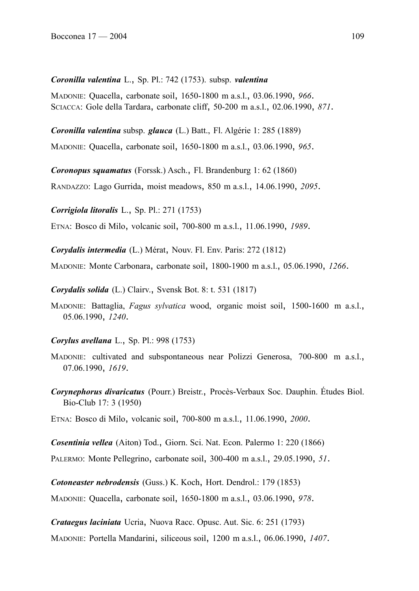### *Coronilla valentina* L., Sp. Pl.: 742 (1753). subsp. *valentina*

MADONIE: Quacella, carbonate soil, 1650-1800 m a.s.l., 03.06.1990, *966*. SCIACCA: Gole della Tardara, carbonate cliff, 50-200 m a.s.l., 02.06.1990, *871*.

*Coronilla valentina* subsp. *glauca* (L.) Batt., Fl. Algérie 1: 285 (1889)

MADONIE: Quacella, carbonate soil, 1650-1800 m a.s.l., 03.06.1990, *965*.

*Coronopus squamatus* (Forssk.) Asch., Fl. Brandenburg 1: 62 (1860)

RANDAZZO: Lago Gurrida, moist meadows, 850 m a.s.l., 14.06.1990, *2095*.

*Corrigiola litoralis* L., Sp. Pl.: 271 (1753)

ETNA: Bosco di Milo, volcanic soil, 700-800 m a.s.l., 11.06.1990, *1989*.

*Corydalis intermedia* (L.) Mérat, Nouv. Fl. Env. Paris: 272 (1812)

MADONIE: Monte Carbonara, carbonate soil, 1800-1900 m a.s.l., 05.06.1990, *1266*.

*Corydalis solida* (L.) Clairv., Svensk Bot. 8: t. 531 (1817)

MADONIE: Battaglia, *Fagus sylvatica* wood, organic moist soil, 1500-1600 m a.s.l., 05.06.1990, *1240*.

*Corylus avellana* L., Sp. Pl.: 998 (1753)

- MADONIE: cultivated and subspontaneous near Polizzi Generosa, 700-800 m a.s.l., 07.06.1990, *1619*.
- *Corynephorus divaricatus* (Pourr.) Breistr., Procès-Verbaux Soc. Dauphin. Études Biol. Bio-Club 17: 3 (1950)

ETNA: Bosco di Milo, volcanic soil, 700-800 m a.s.l., 11.06.1990, *2000*.

*Cosentinia vellea* (Aiton) Tod., Giorn. Sci. Nat. Econ. Palermo 1: 220 (1866)

PALERMO: Monte Pellegrino, carbonate soil, 300-400 m a.s.l., 29.05.1990, *51*.

*Cotoneaster nebrodensis* (Guss.) K. Koch, Hort. Dendrol.: 179 (1853)

MADONIE: Quacella, carbonate soil, 1650-1800 m a.s.l., 03.06.1990, *978*.

*Crataegus laciniata* Ucria, Nuova Racc. Opusc. Aut. Sic. 6: 251 (1793)

MADONIE: Portella Mandarini, siliceous soil, 1200 m a.s.l., 06.06.1990, *1407*.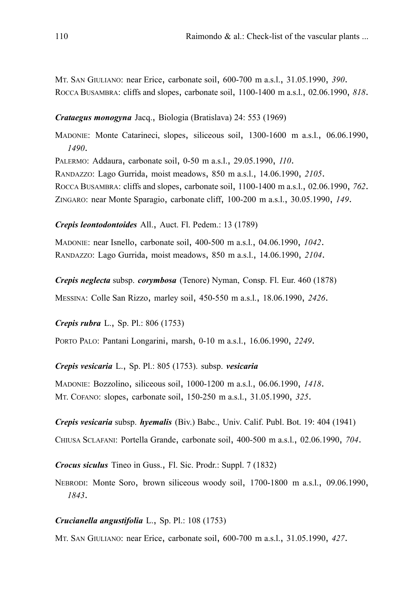MT. SAN GIULIANO: near Erice, carbonate soil, 600-700 m a.s.l., 31.05.1990, *390*. ROCCA BUSAMBRA: cliffs and slopes, carbonate soil, 1100-1400 m a.s.l., 02.06.1990, *818*.

### *Crataegus monogyna* Jacq., Biologia (Bratislava) 24: 553 (1969)

MADONIE: Monte Catarineci, slopes, siliceous soil, 1300-1600 m a.s.l., 06.06.1990, *1490*. PALERMO: Addaura, carbonate soil, 0-50 m a.s.l., 29.05.1990, *110*. RANDAZZO: Lago Gurrida, moist meadows, 850 m a.s.l., 14.06.1990, *2105*. ROCCA BUSAMBRA: cliffs and slopes, carbonate soil, 1100-1400 m a.s.l., 02.06.1990, *762*. ZINGARO: near Monte Sparagio, carbonate cliff, 100-200 m a.s.l., 30.05.1990, *149*.

### *Crepis leontodontoides* All., Auct. Fl. Pedem.: 13 (1789)

MADONIE: near Isnello, carbonate soil, 400-500 m a.s.l., 04.06.1990, *1042*. RANDAZZO: Lago Gurrida, moist meadows, 850 m a.s.l., 14.06.1990, *2104*.

*Crepis neglecta* subsp. *corymbosa* (Tenore) Nyman, Consp. Fl. Eur. 460 (1878) MESSINA: Colle San Rizzo, marley soil, 450-550 m a.s.l., 18.06.1990, *2426*.

*Crepis rubra* L., Sp. Pl.: 806 (1753)

PORTO PALO: Pantani Longarini, marsh, 0-10 m a.s.l., 16.06.1990, *2249*.

*Crepis vesicaria* L., Sp. Pl.: 805 (1753). subsp. *vesicaria*

MADONIE: Bozzolino, siliceous soil, 1000-1200 m a.s.l., 06.06.1990, *1418*. MT. COFANO: slopes, carbonate soil, 150-250 m a.s.l., 31.05.1990, *325*.

*Crepis vesicaria* subsp. *hyemalis* (Biv.) Babc., Univ. Calif. Publ. Bot. 19: 404 (1941)

CHIUSA SCLAFANI: Portella Grande, carbonate soil, 400-500 m a.s.l., 02.06.1990, *704*.

*Crocus siculus* Tineo in Guss., Fl. Sic. Prodr.: Suppl. 7 (1832)

NEBRODI: Monte Soro, brown siliceous woody soil, 1700-1800 m a.s.l., 09.06.1990, *1843*.

# *Crucianella angustifolia* L., Sp. Pl.: 108 (1753)

MT. SAN GIULIANO: near Erice, carbonate soil, 600-700 m a.s.l., 31.05.1990, *427*.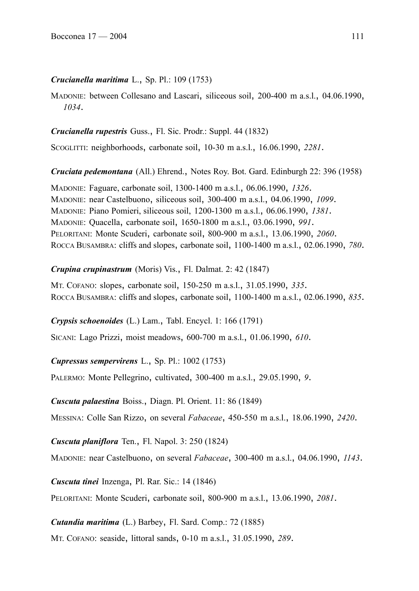# *Crucianella maritima* L., Sp. Pl.: 109 (1753)

MADONIE: between Collesano and Lascari, siliceous soil, 200-400 m a.s.l., 04.06.1990, *1034*.

# *Crucianella rupestris* Guss., Fl. Sic. Prodr.: Suppl. 44 (1832)

SCOGLITTI: neighborhoods, carbonate soil, 10-30 m a.s.l., 16.06.1990, *2281*.

*Cruciata pedemontana* (All.) Ehrend., Notes Roy. Bot. Gard. Edinburgh 22: 396 (1958)

MADONIE: Faguare, carbonate soil, 1300-1400 m a.s.l., 06.06.1990, *1326*. MADONIE: near Castelbuono, siliceous soil, 300-400 m a.s.l., 04.06.1990, *1099*. MADONIE: Piano Pomieri, siliceous soil, 1200-1300 m a.s.l., 06.06.1990, *1381*. MADONIE: Quacella, carbonate soil, 1650-1800 m a.s.l., 03.06.1990, *991*. PELORITANI: Monte Scuderi, carbonate soil, 800-900 m a.s.l., 13.06.1990, *2060*. ROCCA BUSAMBRA: cliffs and slopes, carbonate soil, 1100-1400 m a.s.l., 02.06.1990, *780*.

*Crupina crupinastrum* (Moris) Vis., Fl. Dalmat. 2: 42 (1847)

MT. COFANO: slopes, carbonate soil, 150-250 m a.s.l., 31.05.1990, *335*. ROCCA BUSAMBRA: cliffs and slopes, carbonate soil, 1100-1400 m a.s.l., 02.06.1990, *835*.

# *Crypsis schoenoides* (L.) Lam., Tabl. Encycl. 1: 166 (1791)

SICANI: Lago Prizzi, moist meadows, 600-700 m a.s.l., 01.06.1990, *610*.

# *Cupressus sempervirens* L., Sp. Pl.: 1002 (1753)

PALERMO: Monte Pellegrino, cultivated, 300-400 m a.s.l., 29.05.1990, *9*.

*Cuscuta palaestina* Boiss., Diagn. Pl. Orient. 11: 86 (1849)

MESSINA: Colle San Rizzo, on several *Fabaceae*, 450-550 m a.s.l., 18.06.1990, *2420*.

# *Cuscuta planiflora* Ten., Fl. Napol. 3: 250 (1824)

MADONIE: near Castelbuono, on several *Fabaceae*, 300-400 m a.s.l., 04.06.1990, *1143*.

*Cuscuta tinei* Inzenga, Pl. Rar. Sic.: 14 (1846)

PELORITANI: Monte Scuderi, carbonate soil, 800-900 m a.s.l., 13.06.1990, *2081*.

# *Cutandia maritima* (L.) Barbey, Fl. Sard. Comp.: 72 (1885)

MT. COFANO: seaside, littoral sands, 0-10 m a.s.l., 31.05.1990, *289*.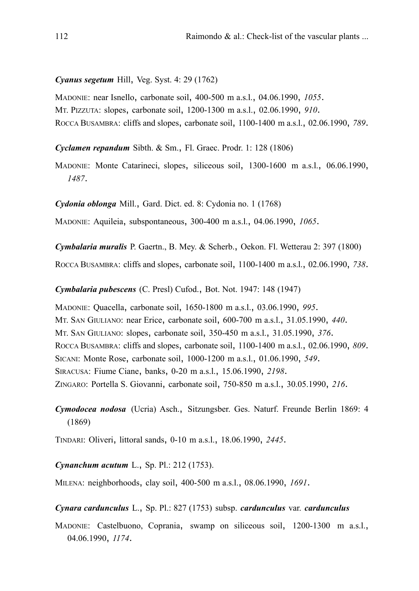#### *Cyanus segetum* Hill, Veg. Syst. 4: 29 (1762)

MADONIE: near Isnello, carbonate soil, 400-500 m a.s.l., 04.06.1990, *1055*. MT. PIZZUTA: slopes, carbonate soil, 1200-1300 m a.s.l., 02.06.1990, *910*. ROCCA BUSAMBRA: cliffs and slopes, carbonate soil, 1100-1400 m a.s.l., 02.06.1990, *789*.

*Cyclamen repandum* Sibth. & Sm., Fl. Graec. Prodr. 1: 128 (1806)

MADONIE: Monte Catarineci, slopes, siliceous soil, 1300-1600 m a.s.l., 06.06.1990, *1487*.

*Cydonia oblonga* Mill., Gard. Dict. ed. 8: Cydonia no. 1 (1768)

MADONIE: Aquileia, subspontaneous, 300-400 m a.s.l., 04.06.1990, *1065*.

*Cymbalaria muralis* P. Gaertn., B. Mey. & Scherb., Oekon. Fl. Wetterau 2: 397 (1800)

ROCCA BUSAMBRA: cliffs and slopes, carbonate soil, 1100-1400 m a.s.l., 02.06.1990, *738*.

*Cymbalaria pubescens* (C. Presl) Cufod., Bot. Not. 1947: 148 (1947)

MADONIE: Quacella, carbonate soil, 1650-1800 m a.s.l., 03.06.1990, *995*. MT. SAN GIULIANO: near Erice, carbonate soil, 600-700 m a.s.l., 31.05.1990, *440*. MT. SAN GIULIANO: slopes, carbonate soil, 350-450 m a.s.l., 31.05.1990, *376*. ROCCA BUSAMBRA: cliffs and slopes, carbonate soil, 1100-1400 m a.s.l., 02.06.1990, *809*. SICANI: Monte Rose, carbonate soil, 1000-1200 m a.s.l., 01.06.1990, *549*. SIRACUSA: Fiume Ciane, banks, 0-20 m a.s.l., 15.06.1990, *2198*. ZINGARO: Portella S. Giovanni, carbonate soil, 750-850 m a.s.l., 30.05.1990, *216*.

*Cymodocea nodosa* (Ucria) Asch., Sitzungsber. Ges. Naturf. Freunde Berlin 1869: 4 (1869)

TINDARI: Oliveri, littoral sands, 0-10 m a.s.l., 18.06.1990, *2445*.

#### *Cynanchum acutum* L., Sp. Pl.: 212 (1753).

MILENA: neighborhoods, clay soil, 400-500 m a.s.l., 08.06.1990, *1691*.

### *Cynara cardunculus* L., Sp. Pl.: 827 (1753) subsp. *cardunculus* var. *cardunculus*

MADONIE: Castelbuono, Coprania, swamp on siliceous soil, 1200-1300 m a.s.l., 04.06.1990, *1174*.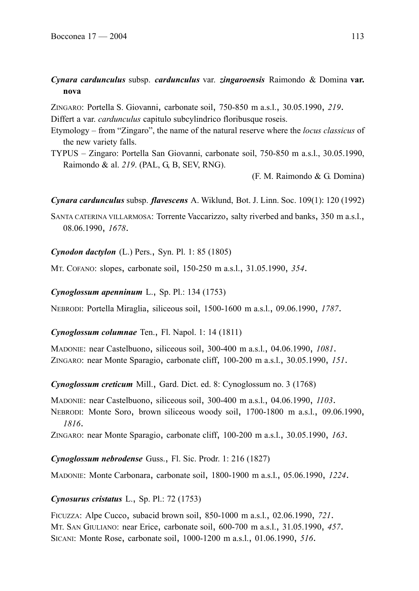# *Cynara cardunculus* subsp. *cardunculus* var. *zingaroensis* Raimondo & Domina **var. nova**

ZINGARO: Portella S. Giovanni, carbonate soil, 750-850 m a.s.l., 30.05.1990, *219*.

Differt a var. *cardunculus* capitulo subcylindrico floribusque roseis.

- Etymology from "Zingaro", the name of the natural reserve where the *locus classicus* of the new variety falls.
- TYPUS Zingaro: Portella San Giovanni, carbonate soil, 750-850 m a.s.l., 30.05.1990, Raimondo & al. *219*. (PAL, G, B, SEV, RNG).

(F. M. Raimondo & G. Domina)

*Cynara cardunculus* subsp. *flavescens* A. Wiklund, Bot. J. Linn. Soc. 109(1): 120 (1992)

SANTA CATERINA VILLARMOSA: Torrente Vaccarizzo, salty riverbed and banks, 350 m a.s.l., 08.06.1990, *1678*.

# *Cynodon dactylon* (L.) Pers., Syn. Pl. 1: 85 (1805)

MT. COFANO: slopes, carbonate soil, 150-250 m a.s.l., 31.05.1990, *354*.

*Cynoglossum apenninum* L., Sp. Pl.: 134 (1753)

NEBRODI: Portella Miraglia, siliceous soil, 1500-1600 m a.s.l., 09.06.1990, *1787*.

*Cynoglossum columnae* Ten., Fl. Napol. 1: 14 (1811)

MADONIE: near Castelbuono, siliceous soil, 300-400 m a.s.l., 04.06.1990, *1081*. ZINGARO: near Monte Sparagio, carbonate cliff, 100-200 m a.s.l., 30.05.1990, *151*.

*Cynoglossum creticum* Mill., Gard. Dict. ed. 8: Cynoglossum no. 3 (1768)

MADONIE: near Castelbuono, siliceous soil, 300-400 m a.s.l., 04.06.1990, *1103*.

NEBRODI: Monte Soro, brown siliceous woody soil, 1700-1800 m a.s.l., 09.06.1990, *1816*.

ZINGARO: near Monte Sparagio, carbonate cliff, 100-200 m a.s.l., 30.05.1990, *163*.

*Cynoglossum nebrodense* Guss., Fl. Sic. Prodr. 1: 216 (1827)

MADONIE: Monte Carbonara, carbonate soil, 1800-1900 m a.s.l., 05.06.1990, *1224*.

# *Cynosurus cristatus* L., Sp. Pl.: 72 (1753)

FICUZZA: Alpe Cucco, subacid brown soil, 850-1000 m a.s.l., 02.06.1990, *721*. MT. SAN GIULIANO: near Erice, carbonate soil, 600-700 m a.s.l., 31.05.1990, *457*. SICANI: Monte Rose, carbonate soil, 1000-1200 m a.s.l., 01.06.1990, *516*.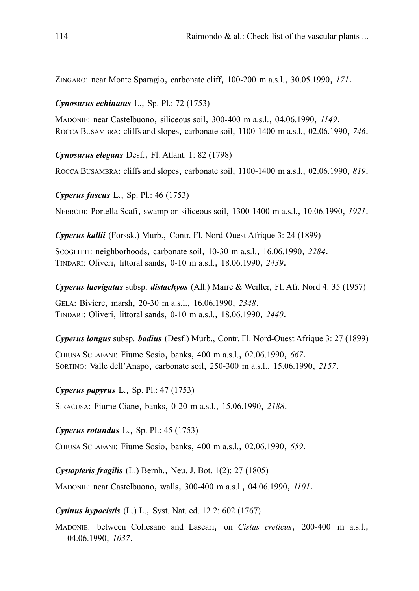ZINGARO: near Monte Sparagio, carbonate cliff, 100-200 m a.s.l., 30.05.1990, *171*.

### *Cynosurus echinatus* L., Sp. Pl.: 72 (1753)

MADONIE: near Castelbuono, siliceous soil, 300-400 m a.s.l., 04.06.1990, *1149*. ROCCA BUSAMBRA: cliffs and slopes, carbonate soil, 1100-1400 m a.s.l., 02.06.1990, *746*.

*Cynosurus elegans* Desf., Fl. Atlant. 1: 82 (1798)

ROCCA BUSAMBRA: cliffs and slopes, carbonate soil, 1100-1400 m a.s.l., 02.06.1990, *819*.

*Cyperus fuscus* L., Sp. Pl.: 46 (1753)

NEBRODI: Portella Scafi, swamp on siliceous soil, 1300-1400 m a.s.l., 10.06.1990, *1921*.

*Cyperus kallii* (Forssk.) Murb., Contr. Fl. Nord-Ouest Afrique 3: 24 (1899)

SCOGLITTI: neighborhoods, carbonate soil, 10-30 m a.s.l., 16.06.1990, *2284*. TINDARI: Oliveri, littoral sands, 0-10 m a.s.l., 18.06.1990, *2439*.

*Cyperus laevigatus* subsp. *distachyos* (All.) Maire & Weiller, Fl. Afr. Nord 4: 35 (1957)

GELA: Biviere, marsh, 20-30 m a.s.l., 16.06.1990, *2348*. TINDARI: Oliveri, littoral sands, 0-10 m a.s.l., 18.06.1990, *2440*.

*Cyperus longus* subsp. *badius* (Desf.) Murb., Contr. Fl. Nord-Ouest Afrique 3: 27 (1899)

CHIUSA SCLAFANI: Fiume Sosio, banks, 400 m a.s.l., 02.06.1990, *667*. SORTINO: Valle dell'Anapo, carbonate soil, 250-300 m a.s.l., 15.06.1990, *2157*.

*Cyperus papyrus* L., Sp. Pl.: 47 (1753)

SIRACUSA: Fiume Ciane, banks, 0-20 m a.s.l., 15.06.1990, *2188*.

*Cyperus rotundus* L., Sp. Pl.: 45 (1753)

CHIUSA SCLAFANI: Fiume Sosio, banks, 400 m a.s.l., 02.06.1990, *659*.

*Cystopteris fragilis* (L.) Bernh., Neu. J. Bot. 1(2): 27 (1805)

MADONIE: near Castelbuono, walls, 300-400 m a.s.l., 04.06.1990, *1101*.

*Cytinus hypocistis* (L.) L., Syst. Nat. ed. 12 2: 602 (1767)

MADONIE: between Collesano and Lascari, on *Cistus creticus*, 200-400 m a.s.l., 04.06.1990, *1037*.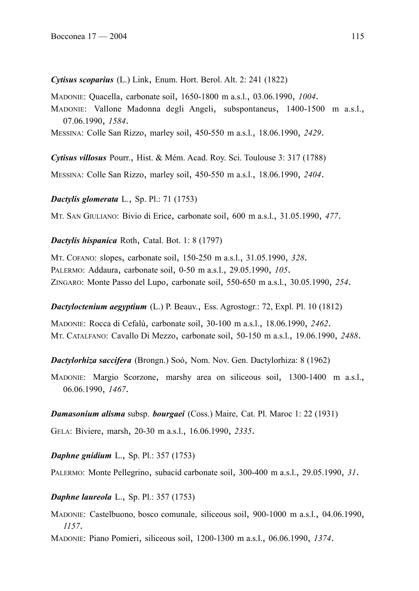*Cytisus scoparius* (L.) Link, Enum. Hort. Berol. Alt. 2: 241 (1822)

MADONIE: Quacella, carbonate soil, 1650-1800 m a.s.l., 03.06.1990, *1004*.

MADONIE: Vallone Madonna degli Angeli, subspontaneus, 1400-1500 m a.s.l., 07.06.1990, *1584*.

MESSINA: Colle San Rizzo, marley soil, 450-550 m a.s.l., 18.06.1990, *2429*.

*Cytisus villosus* Pourr., Hist. & Mém. Acad. Roy. Sci. Toulouse 3: 317 (1788)

MESSINA: Colle San Rizzo, marley soil, 450-550 m a.s.l., 18.06.1990, *2404*.

*Dactylis glomerata* L., Sp. Pl.: 71 (1753)

MT. SAN GIULIANO: Bivio di Erice, carbonate soil, 600 m a.s.l., 31.05.1990, *477*.

# *Dactylis hispanica* Roth, Catal. Bot. 1: 8 (1797)

MT. COFANO: slopes, carbonate soil, 150-250 m a.s.l., 31.05.1990, *328*. PALERMO: Addaura, carbonate soil, 0-50 m a.s.l., 29.05.1990, *105*. ZINGARO: Monte Passo del Lupo, carbonate soil, 550-650 m a.s.l., 30.05.1990, *254*.

*Dactyloctenium aegyptium* (L.) P. Beauv., Ess. Agrostogr.: 72, Expl. Pl. 10 (1812)

MADONIE: Rocca di Cefalù, carbonate soil, 30-100 m a.s.l., 18.06.1990, *2462*. MT. CATALFANO: Cavallo Di Mezzo, carbonate soil, 50-150 m a.s.l., 19.06.1990, *2488*.

*Dactylorhiza saccifera* (Brongn.) Soó, Nom. Nov. Gen. Dactylorhiza: 8 (1962)

MADONIE: Margio Scorzone, marshy area on siliceous soil, 1300-1400 m a.s.l., 06.06.1990, *1467*.

# *Damasonium alisma* subsp. *bourgaei* (Coss.) Maire, Cat. Pl. Maroc 1: 22 (1931)

GELA: Biviere, marsh, 20-30 m a.s.l., 16.06.1990, *2335*.

*Daphne gnidium* L., Sp. Pl.: 357 (1753)

PALERMO: Monte Pellegrino, subacid carbonate soil, 300-400 m a.s.l., 29.05.1990, *31*.

# *Daphne laureola* L., Sp. Pl.: 357 (1753)

MADONIE: Castelbuono, bosco comunale, siliceous soil, 900-1000 m a.s.l., 04.06.1990, *1157*.

MADONIE: Piano Pomieri, siliceous soil, 1200-1300 m a.s.l., 06.06.1990, *1374*.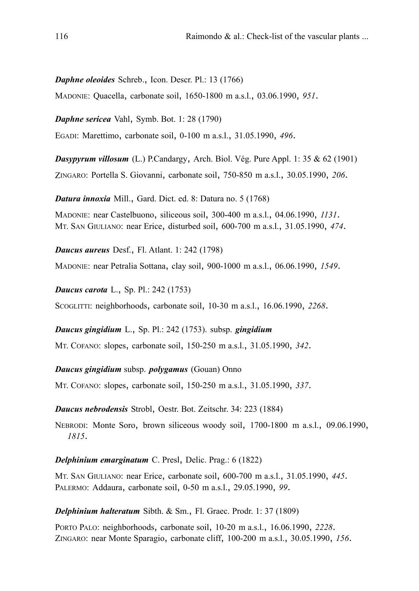*Daphne oleoides* Schreb., Icon. Descr. Pl.: 13 (1766)

MADONIE: Quacella, carbonate soil, 1650-1800 m a.s.l., 03.06.1990, *951*.

*Daphne sericea* Vahl, Symb. Bot. 1: 28 (1790) EGADI: Marettimo, carbonate soil, 0-100 m a.s.l., 31.05.1990, *496*.

*Dasypyrum villosum* (L.) P.Candargy, Arch. Biol. Vég. Pure Appl. 1: 35 & 62 (1901) ZINGARO: Portella S. Giovanni, carbonate soil, 750-850 m a.s.l., 30.05.1990, *206*.

*Datura innoxia* Mill., Gard. Dict. ed. 8: Datura no. 5 (1768)

MADONIE: near Castelbuono, siliceous soil, 300-400 m a.s.l., 04.06.1990, *1131*. MT. SAN GIULIANO: near Erice, disturbed soil, 600-700 m a.s.l., 31.05.1990, *474*.

*Daucus aureus* Desf., Fl. Atlant. 1: 242 (1798)

MADONIE: near Petralia Sottana, clay soil, 900-1000 m a.s.l., 06.06.1990, *1549*.

*Daucus carota* L., Sp. Pl.: 242 (1753)

SCOGLITTI: neighborhoods, carbonate soil, 10-30 m a.s.l., 16.06.1990, *2268*.

*Daucus gingidium* L., Sp. Pl.: 242 (1753). subsp. *gingidium* MT. COFANO: slopes, carbonate soil, 150-250 m a.s.l., 31.05.1990, *342*.

*Daucus gingidium* subsp. *polygamus* (Gouan) Onno

MT. COFANO: slopes, carbonate soil, 150-250 m a.s.l., 31.05.1990, *337*.

*Daucus nebrodensis* Strobl, Oestr. Bot. Zeitschr. 34: 223 (1884)

NEBRODI: Monte Soro, brown siliceous woody soil, 1700-1800 m a.s.l., 09.06.1990, *1815*.

*Delphinium emarginatum* C. Presl, Delic. Prag.: 6 (1822)

MT. SAN GIULIANO: near Erice, carbonate soil, 600-700 m a.s.l., 31.05.1990, *445*. PALERMO: Addaura, carbonate soil, 0-50 m a.s.l., 29.05.1990, *99*.

*Delphinium halteratum* Sibth. & Sm., Fl. Graec. Prodr. 1: 37 (1809)

PORTO PALO: neighborhoods, carbonate soil, 10-20 m a.s.l., 16.06.1990, *2228*. ZINGARO: near Monte Sparagio, carbonate cliff, 100-200 m a.s.l., 30.05.1990, *156*.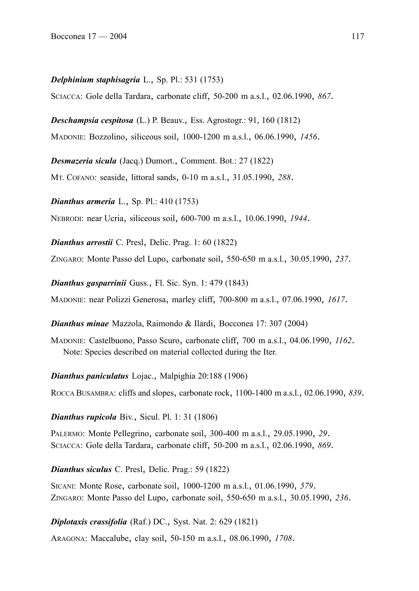#### *Delphinium staphisagria* L., Sp. Pl.: 531 (1753)

SCIACCA: Gole della Tardara, carbonate cliff, 50-200 m a.s.l., 02.06.1990, *867*.

*Deschampsia cespitosa* (L.) P. Beauv., Ess. Agrostogr.: 91, 160 (1812)

MADONIE: Bozzolino, siliceous soil, 1000-1200 m a.s.l., 06.06.1990, *1456*.

*Desmazeria sicula* (Jacq.) Dumort., Comment. Bot.: 27 (1822)

MT. COFANO: seaside, littoral sands, 0-10 m a.s.l., 31.05.1990, *288*.

*Dianthus armeria* L., Sp. Pl.: 410 (1753)

NEBRODI: near Ucria, siliceous soil, 600-700 m a.s.l., 10.06.1990, *1944*.

*Dianthus arrostii* C. Presl, Delic. Prag. 1: 60 (1822)

ZINGARO: Monte Passo del Lupo, carbonate soil, 550-650 m a.s.l., 30.05.1990, *237*.

*Dianthus gasparrinii* Guss., Fl. Sic. Syn. 1: 479 (1843)

MADONIE: near Polizzi Generosa, marley cliff, 700-800 m a.s.l., 07.06.1990, *1617*.

*Dianthus minae* Mazzola, Raimondo & Ilardi, Bocconea 17: 307 (2004)

MADONIE: Castelbuono, Passo Scuro, carbonate cliff, 700 m a.s.l., 04.06.1990, *1162*. Note: Species described on material collected during the Iter.

*Dianthus paniculatus* Lojac., Malpighia 20:188 (1906)

ROCCA BUSAMBRA: cliffs and slopes, carbonate rock, 1100-1400 m a.s.l., 02.06.1990, *839*.

*Dianthus rupicola* Biv., Sicul. Pl. 1: 31 (1806)

PALERMO: Monte Pellegrino, carbonate soil, 300-400 m a.s.l., 29.05.1990, *29*. SCIACCA: Gole della Tardara, carbonate cliff, 50-200 m a.s.l., 02.06.1990, *869*.

*Dianthus siculus* C. Presl, Delic. Prag.: 59 (1822)

SICANI: Monte Rose, carbonate soil, 1000-1200 m a.s.l., 01.06.1990, *579*. ZINGARO: Monte Passo del Lupo, carbonate soil, 550-650 m a.s.l., 30.05.1990, *236*.

*Diplotaxis crassifolia* (Raf.) DC., Syst. Nat. 2: 629 (1821)

ARAGONA: Maccalube, clay soil, 50-150 m a.s.l., 08.06.1990, *1708*.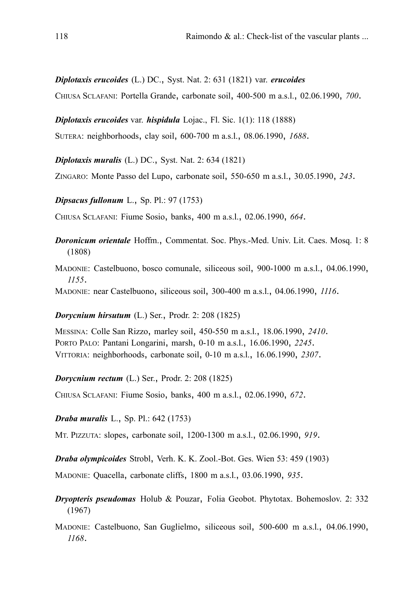*Diplotaxis erucoides* (L.) DC., Syst. Nat. 2: 631 (1821) var. *erucoides*

CHIUSA SCLAFANI: Portella Grande, carbonate soil, 400-500 m a.s.l., 02.06.1990, *700*.

*Diplotaxis erucoides* var. *hispidula* Lojac., Fl. Sic. 1(1): 118 (1888)

SUTERA: neighborhoods, clay soil, 600-700 m a.s.l., 08.06.1990, *1688*.

*Diplotaxis muralis* (L.) DC., Syst. Nat. 2: 634 (1821)

ZINGARO: Monte Passo del Lupo, carbonate soil, 550-650 m a.s.l., 30.05.1990, *243*.

*Dipsacus fullonum* L., Sp. Pl.: 97 (1753)

CHIUSA SCLAFANI: Fiume Sosio, banks, 400 m a.s.l., 02.06.1990, *664*.

- *Doronicum orientale* Hoffm., Commentat. Soc. Phys.-Med. Univ. Lit. Caes. Mosq. 1: 8 (1808)
- MADONIE: Castelbuono, bosco comunale, siliceous soil, 900-1000 m a.s.l., 04.06.1990, *1155*.

MADONIE: near Castelbuono, siliceous soil, 300-400 m a.s.l., 04.06.1990, *1116*.

#### *Dorycnium hirsutum* (L.) Ser., Prodr. 2: 208 (1825)

MESSINA: Colle San Rizzo, marley soil, 450-550 m a.s.l., 18.06.1990, *2410*. PORTO PALO: Pantani Longarini, marsh, 0-10 m a.s.l., 16.06.1990, *2245*. VITTORIA: neighborhoods, carbonate soil, 0-10 m a.s.l., 16.06.1990, *2307*.

*Dorycnium rectum* (L.) Ser., Prodr. 2: 208 (1825)

CHIUSA SCLAFANI: Fiume Sosio, banks, 400 m a.s.l., 02.06.1990, *672*.

*Draba muralis* L., Sp. Pl.: 642 (1753)

MT. PIZZUTA: slopes, carbonate soil, 1200-1300 m a.s.l., 02.06.1990, *919*.

*Draba olympicoides* Strobl, Verh. K. K. Zool.-Bot. Ges. Wien 53: 459 (1903)

MADONIE: Quacella, carbonate cliffs, 1800 m a.s.l., 03.06.1990, *935*.

- *Dryopteris pseudomas* Holub & Pouzar, Folia Geobot. Phytotax. Bohemoslov. 2: 332 (1967)
- MADONIE: Castelbuono, San Guglielmo, siliceous soil, 500-600 m a.s.l., 04.06.1990, *1168*.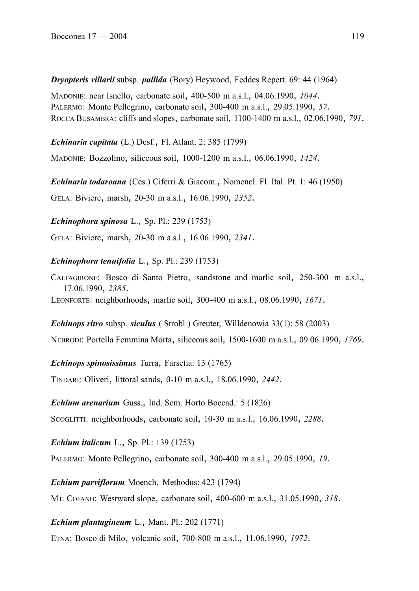*Dryopteris villarii* subsp. *pallida* (Bory) Heywood, Feddes Repert. 69: 44 (1964)

MADONIE: near Isnello, carbonate soil, 400-500 m a.s.l., 04.06.1990, *1044*. PALERMO: Monte Pellegrino, carbonate soil, 300-400 m a.s.l., 29.05.1990, *57*. ROCCA BUSAMBRA: cliffs and slopes, carbonate soil, 1100-1400 m a.s.l., 02.06.1990, *791*.

*Echinaria capitata* (L.) Desf., Fl. Atlant. 2: 385 (1799)

MADONIE: Bozzolino, siliceous soil, 1000-1200 m a.s.l., 06.06.1990, *1424*.

*Echinaria todaroana* (Ces.) Ciferri & Giacom., Nomencl. Fl. Ital. Pt. 1: 46 (1950) GELA: Biviere, marsh, 20-30 m a.s.l., 16.06.1990, *2352*.

*Echinophora spinosa* L., Sp. Pl.: 239 (1753)

GELA: Biviere, marsh, 20-30 m a.s.l., 16.06.1990, *2341*.

#### *Echinophora tenuifolia* L., Sp. Pl.: 239 (1753)

CALTAGIRONE: Bosco di Santo Pietro, sandstone and marlic soil, 250-300 m a.s.l., 17.06.1990, *2385*.

LEONFORTE: neighborhoods, marlic soil, 300-400 m a.s.l., 08.06.1990, *1671*.

*Echinops ritro* subsp. *siculus* ( Strobl ) Greuter, Willdenowia 33(1): 58 (2003)

NEBRODI: Portella Femmina Morta, siliceous soil, 1500-1600 m a.s.l., 09.06.1990, *1769*.

*Echinops spinosissimus* Turra, Farsetia: 13 (1765)

TINDARI: Oliveri, littoral sands, 0-10 m a.s.l., 18.06.1990, *2442*.

*Echium arenarium* Guss., Ind. Sem. Horto Boccad.: 5 (1826)

SCOGLITTI: neighborhoods, carbonate soil, 10-30 m a.s.l., 16.06.1990, *2288*.

*Echium italicum* L., Sp. Pl.: 139 (1753)

PALERMO: Monte Pellegrino, carbonate soil, 300-400 m a.s.l., 29.05.1990, *19*.

*Echium parviflorum* Moench, Methodus: 423 (1794)

MT. COFANO: Westward slope, carbonate soil, 400-600 m a.s.l., 31.05.1990, *318*.

*Echium plantagineum* L., Mant. Pl.: 202 (1771)

ETNA: Bosco di Milo, volcanic soil, 700-800 m a.s.l., 11.06.1990, *1972*.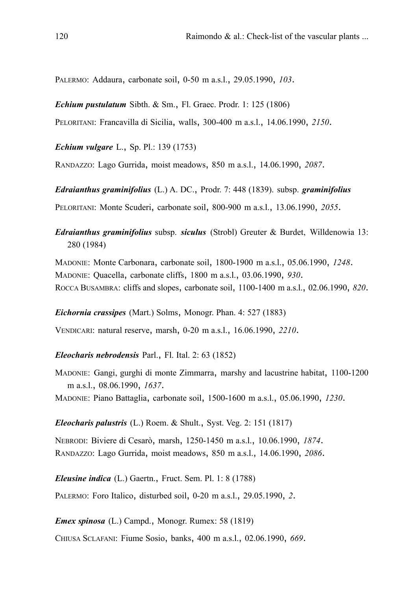PALERMO: Addaura, carbonate soil, 0-50 m a.s.l., 29.05.1990, *103*.

*Echium pustulatum* Sibth. & Sm., Fl. Graec. Prodr. 1: 125 (1806)

PELORITANI: Francavilla di Sicilia, walls, 300-400 m a.s.l., 14.06.1990, *2150*.

*Echium vulgare* L., Sp. Pl.: 139 (1753)

RANDAZZO: Lago Gurrida, moist meadows, 850 m a.s.l., 14.06.1990, *2087*.

*Edraianthus graminifolius* (L.) A. DC., Prodr. 7: 448 (1839). subsp. *graminifolius* PELORITANI: Monte Scuderi, carbonate soil, 800-900 m a.s.l., 13.06.1990, *2055*.

*Edraianthus graminifolius* subsp. *siculus* (Strobl) Greuter & Burdet, Willdenowia 13: 280 (1984)

MADONIE: Monte Carbonara, carbonate soil, 1800-1900 m a.s.l., 05.06.1990, *1248*. MADONIE: Quacella, carbonate cliffs, 1800 m a.s.l., 03.06.1990, *930*. ROCCA BUSAMBRA: cliffs and slopes, carbonate soil, 1100-1400 m a.s.l., 02.06.1990, *820*.

*Eichornia crassipes* (Mart.) Solms, Monogr. Phan. 4: 527 (1883)

VENDICARI: natural reserve, marsh, 0-20 m a.s.l., 16.06.1990, *2210*.

### *Eleocharis nebrodensis* Parl., Fl. Ital. 2: 63 (1852)

MADONIE: Gangi, gurghi di monte Zimmarra, marshy and lacustrine habitat, 1100-1200 m a.s.l., 08.06.1990, *1637*.

MADONIE: Piano Battaglia, carbonate soil, 1500-1600 m a.s.l., 05.06.1990, *1230*.

*Eleocharis palustris* (L.) Roem. & Shult., Syst. Veg. 2: 151 (1817)

NEBRODI: Biviere di Cesarò, marsh, 1250-1450 m a.s.l., 10.06.1990, *1874*. RANDAZZO: Lago Gurrida, moist meadows, 850 m a.s.l., 14.06.1990, *2086*.

*Eleusine indica* (L.) Gaertn., Fruct. Sem. Pl. 1: 8 (1788)

PALERMO: Foro Italico, disturbed soil, 0-20 m a.s.l., 29.05.1990, *2*.

*Emex spinosa* (L.) Campd., Monogr. Rumex: 58 (1819)

CHIUSA SCLAFANI: Fiume Sosio, banks, 400 m a.s.l., 02.06.1990, *669*.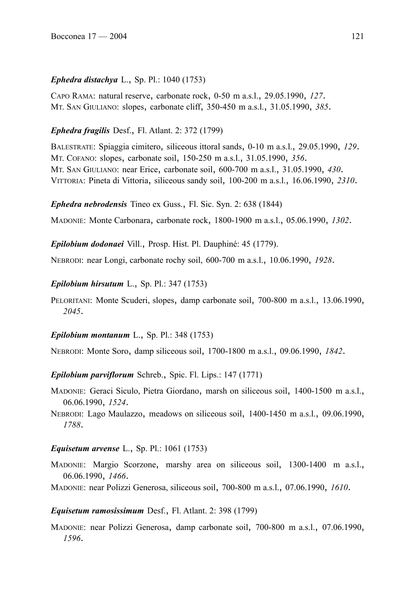# *Ephedra distachya* L., Sp. Pl.: 1040 (1753)

CAPO RAMA: natural reserve, carbonate rock, 0-50 m a.s.l., 29.05.1990, *127*. MT. SAN GIULIANO: slopes, carbonate cliff, 350-450 m a.s.l., 31.05.1990, *385*.

# *Ephedra fragilis* Desf., Fl. Atlant. 2: 372 (1799)

BALESTRATE: Spiaggia cimitero, siliceous ittoral sands, 0-10 m a.s.l., 29.05.1990, *129*. MT. COFANO: slopes, carbonate soil, 150-250 m a.s.l., 31.05.1990, *356*. MT. SAN GIULIANO: near Erice, carbonate soil, 600-700 m a.s.l., 31.05.1990, *430*. VITTORIA: Pineta di Vittoria, siliceous sandy soil, 100-200 m a.s.l., 16.06.1990, *2310*.

*Ephedra nebrodensis* Tineo ex Guss., Fl. Sic. Syn. 2: 638 (1844)

MADONIE: Monte Carbonara, carbonate rock, 1800-1900 m a.s.l., 05.06.1990, *1302*.

*Epilobium dodonaei* Vill., Prosp. Hist. Pl. Dauphiné: 45 (1779).

NEBRODI: near Longi, carbonate rochy soil, 600-700 m a.s.l., 10.06.1990, *1928*.

*Epilobium hirsutum* L., Sp. Pl.: 347 (1753)

PELORITANI: Monte Scuderi, slopes, damp carbonate soil, 700-800 m a.s.l., 13.06.1990, *2045*.

### *Epilobium montanum* L., Sp. Pl.: 348 (1753)

NEBRODI: Monte Soro, damp siliceous soil, 1700-1800 m a.s.l., 09.06.1990, *1842*.

*Epilobium parviflorum* Schreb., Spic. Fl. Lips.: 147 (1771)

MADONIE: Geraci Siculo, Pietra Giordano, marsh on siliceous soil, 1400-1500 m a.s.l., 06.06.1990, *1524*.

NEBRODI: Lago Maulazzo, meadows on siliceous soil, 1400-1450 m a.s.l., 09.06.1990, *1788*.

# *Equisetum arvense* L., Sp. Pl.: 1061 (1753)

MADONIE: Margio Scorzone, marshy area on siliceous soil, 1300-1400 m a.s.l., 06.06.1990, *1466*.

MADONIE: near Polizzi Generosa, siliceous soil, 700-800 m a.s.l., 07.06.1990, *1610*.

# *Equisetum ramosissimum* Desf., Fl. Atlant. 2: 398 (1799)

MADONIE: near Polizzi Generosa, damp carbonate soil, 700-800 m a.s.l., 07.06.1990, *1596*.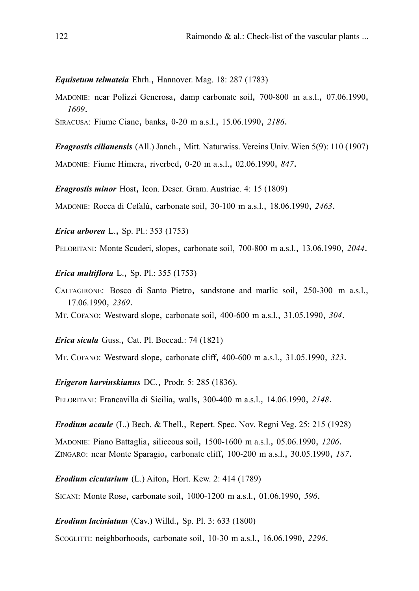*Equisetum telmateia* Ehrh., Hannover. Mag. 18: 287 (1783)

MADONIE: near Polizzi Generosa, damp carbonate soil, 700-800 m a.s.l., 07.06.1990, *1609*.

SIRACUSA: Fiume Ciane, banks, 0-20 m a.s.l., 15.06.1990, *2186*.

*Eragrostis cilianensis* (All.) Janch., Mitt. Naturwiss. Vereins Univ. Wien 5(9): 110 (1907) MADONIE: Fiume Himera, riverbed, 0-20 m a.s.l., 02.06.1990, *847*.

*Eragrostis minor* Host, Icon. Descr. Gram. Austriac. 4: 15 (1809)

MADONIE: Rocca di Cefalù, carbonate soil, 30-100 m a.s.l., 18.06.1990, *2463*.

*Erica arborea* L., Sp. Pl.: 353 (1753)

PELORITANI: Monte Scuderi, slopes, carbonate soil, 700-800 m a.s.l., 13.06.1990, *2044*.

*Erica multiflora* L., Sp. Pl.: 355 (1753)

CALTAGIRONE: Bosco di Santo Pietro, sandstone and marlic soil, 250-300 m a.s.l., 17.06.1990, *2369*.

MT. COFANO: Westward slope, carbonate soil, 400-600 m a.s.l., 31.05.1990, *304*.

*Erica sicula* Guss., Cat. Pl. Boccad.: 74 (1821)

MT. COFANO: Westward slope, carbonate cliff, 400-600 m a.s.l., 31.05.1990, *323*.

*Erigeron karvinskianus* DC., Prodr. 5: 285 (1836).

PELORITANI: Francavilla di Sicilia, walls, 300-400 m a.s.l., 14.06.1990, *2148*.

*Erodium acaule* (L.) Bech. & Thell., Repert. Spec. Nov. Regni Veg. 25: 215 (1928) MADONIE: Piano Battaglia, siliceous soil, 1500-1600 m a.s.l., 05.06.1990, *1206*. ZINGARO: near Monte Sparagio, carbonate cliff, 100-200 m a.s.l., 30.05.1990, *187*.

*Erodium cicutarium* (L.) Aiton, Hort. Kew. 2: 414 (1789)

SICANI: Monte Rose, carbonate soil, 1000-1200 m a.s.l., 01.06.1990, *596*.

*Erodium laciniatum* (Cav.) Willd., Sp. Pl. 3: 633 (1800)

SCOGLITTI: neighborhoods, carbonate soil, 10-30 m a.s.l., 16.06.1990, *2296*.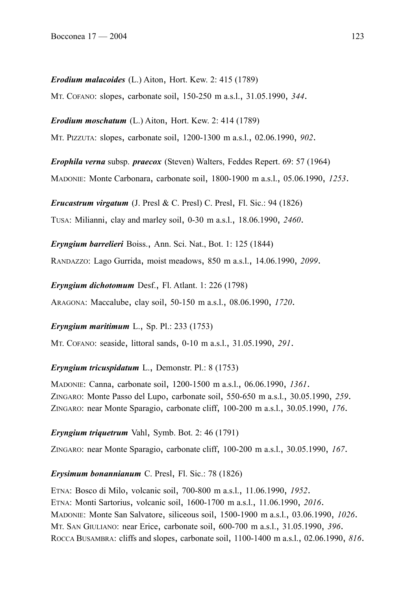*Erodium malacoides* (L.) Aiton, Hort. Kew. 2: 415 (1789)

MT. COFANO: slopes, carbonate soil, 150-250 m a.s.l., 31.05.1990, *344*.

*Erodium moschatum* (L.) Aiton, Hort. Kew. 2: 414 (1789) MT. PIZZUTA: slopes, carbonate soil, 1200-1300 m a.s.l., 02.06.1990, *902*.

*Erophila verna* subsp. *praecox* (Steven) Walters, Feddes Repert. 69: 57 (1964)

MADONIE: Monte Carbonara, carbonate soil, 1800-1900 m a.s.l., 05.06.1990, *1253*.

*Erucastrum virgatum* (J. Presl & C. Presl) C. Presl, Fl. Sic.: 94 (1826)

TUSA: Milianni, clay and marley soil, 0-30 m a.s.l., 18.06.1990, *2460*.

*Eryngium barrelieri* Boiss., Ann. Sci. Nat., Bot. 1: 125 (1844)

RANDAZZO: Lago Gurrida, moist meadows, 850 m a.s.l., 14.06.1990, *2099*.

*Eryngium dichotomum* Desf., Fl. Atlant. 1: 226 (1798)

ARAGONA: Maccalube, clay soil, 50-150 m a.s.l., 08.06.1990, *1720*.

*Eryngium maritimum* L., Sp. Pl.: 233 (1753)

MT. COFANO: seaside, littoral sands, 0-10 m a.s.l., 31.05.1990, *291*.

*Eryngium tricuspidatum* L., Demonstr. Pl.: 8 (1753)

MADONIE: Canna, carbonate soil, 1200-1500 m a.s.l., 06.06.1990, *1361*. ZINGARO: Monte Passo del Lupo, carbonate soil, 550-650 m a.s.l., 30.05.1990, *259*. ZINGARO: near Monte Sparagio, carbonate cliff, 100-200 m a.s.l., 30.05.1990, *176*.

#### *Eryngium triquetrum* Vahl, Symb. Bot. 2: 46 (1791)

ZINGARO: near Monte Sparagio, carbonate cliff, 100-200 m a.s.l., 30.05.1990, *167*.

#### *Erysimum bonannianum* C. Presl, Fl. Sic.: 78 (1826)

ETNA: Bosco di Milo, volcanic soil, 700-800 m a.s.l., 11.06.1990, *1952*. ETNA: Monti Sartorius, volcanic soil, 1600-1700 m a.s.l., 11.06.1990, *2016*. MADONIE: Monte San Salvatore, siliceous soil, 1500-1900 m a.s.l., 03.06.1990, *1026*. MT. SAN GIULIANO: near Erice, carbonate soil, 600-700 m a.s.l., 31.05.1990, *396*. ROCCA BUSAMBRA: cliffs and slopes, carbonate soil, 1100-1400 m a.s.l., 02.06.1990, *816*.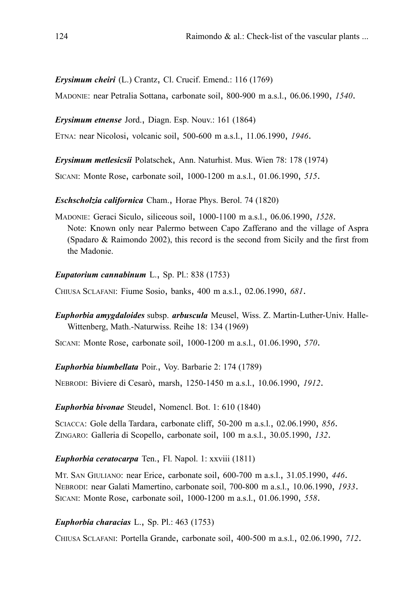### *Erysimum cheiri* (L.) Crantz, Cl. Crucif. Emend.: 116 (1769)

MADONIE: near Petralia Sottana, carbonate soil, 800-900 m a.s.l., 06.06.1990, *1540*.

*Erysimum etnense* Jord., Diagn. Esp. Nouv.: 161 (1864)

ETNA: near Nicolosi, volcanic soil, 500-600 m a.s.l., 11.06.1990, *1946*.

*Erysimum metlesicsii* Polatschek, Ann. Naturhist. Mus. Wien 78: 178 (1974)

SICANI: Monte Rose, carbonate soil, 1000-1200 m a.s.l., 01.06.1990, *515*.

*Eschscholzia californica* Cham., Horae Phys. Berol. 74 (1820)

MADONIE: Geraci Siculo, siliceous soil, 1000-1100 m a.s.l., 06.06.1990, *1528*. Note: Known only near Palermo between Capo Zafferano and the village of Aspra (Spadaro & Raimondo 2002), this record is the second from Sicily and the first from the Madonie.

### *Eupatorium cannabinum* L., Sp. Pl.: 838 (1753)

CHIUSA SCLAFANI: Fiume Sosio, banks, 400 m a.s.l., 02.06.1990, *681*.

*Euphorbia amygdaloides* subsp. *arbuscula* Meusel, Wiss. Z. Martin-Luther-Univ. Halle-Wittenberg, Math.-Naturwiss. Reihe 18: 134 (1969)

SICANI: Monte Rose, carbonate soil, 1000-1200 m a.s.l., 01.06.1990, *570*.

*Euphorbia biumbellata* Poir., Voy. Barbarie 2: 174 (1789)

NEBRODI: Biviere di Cesarò, marsh, 1250-1450 m a.s.l., 10.06.1990, *1912*.

# *Euphorbia bivonae* Steudel, Nomencl. Bot. 1: 610 (1840)

SCIACCA: Gole della Tardara, carbonate cliff, 50-200 m a.s.l., 02.06.1990, *856*. ZINGARO: Galleria di Scopello, carbonate soil, 100 m a.s.l., 30.05.1990, *132*.

# *Euphorbia ceratocarpa* Ten., Fl. Napol. 1: xxviii (1811)

MT. SAN GIULIANO: near Erice, carbonate soil, 600-700 m a.s.l., 31.05.1990, *446*. NEBRODI: near Galati Mamertino, carbonate soil, 700-800 m a.s.l., 10.06.1990, *1933*. SICANI: Monte Rose, carbonate soil, 1000-1200 m a.s.l., 01.06.1990, *558*.

# *Euphorbia characias* L., Sp. Pl.: 463 (1753)

CHIUSA SCLAFANI: Portella Grande, carbonate soil, 400-500 m a.s.l., 02.06.1990, *712*.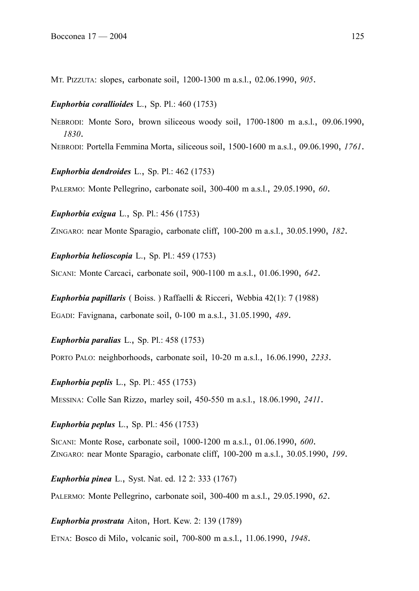MT. PIZZUTA: slopes, carbonate soil, 1200-1300 m a.s.l., 02.06.1990, *905*.

#### *Euphorbia corallioides* L., Sp. Pl.: 460 (1753)

NEBRODI: Monte Soro, brown siliceous woody soil, 1700-1800 m a.s.l., 09.06.1990, *1830*. NEBRODI: Portella Femmina Morta, siliceous soil, 1500-1600 m a.s.l., 09.06.1990, *1761*.

*Euphorbia dendroides* L., Sp. Pl.: 462 (1753)

PALERMO: Monte Pellegrino, carbonate soil, 300-400 m a.s.l., 29.05.1990, *60*.

*Euphorbia exigua* L., Sp. Pl.: 456 (1753)

ZINGARO: near Monte Sparagio, carbonate cliff, 100-200 m a.s.l., 30.05.1990, *182*.

*Euphorbia helioscopia* L., Sp. Pl.: 459 (1753)

SICANI: Monte Carcaci, carbonate soil, 900-1100 m a.s.l., 01.06.1990, *642*.

*Euphorbia papillaris* ( Boiss. ) Raffaelli & Ricceri, Webbia 42(1): 7 (1988) EGADI: Favignana, carbonate soil, 0-100 m a.s.l., 31.05.1990, *489*.

*Euphorbia paralias* L., Sp. Pl.: 458 (1753)

PORTO PALO: neighborhoods, carbonate soil, 10-20 m a.s.l., 16.06.1990, *2233*.

*Euphorbia peplis* L., Sp. Pl.: 455 (1753)

MESSINA: Colle San Rizzo, marley soil, 450-550 m a.s.l., 18.06.1990, *2411*.

*Euphorbia peplus* L., Sp. Pl.: 456 (1753)

SICANI: Monte Rose, carbonate soil, 1000-1200 m a.s.l., 01.06.1990, *600*. ZINGARO: near Monte Sparagio, carbonate cliff, 100-200 m a.s.l., 30.05.1990, *199*.

*Euphorbia pinea* L., Syst. Nat. ed. 12 2: 333 (1767) PALERMO: Monte Pellegrino, carbonate soil, 300-400 m a.s.l., 29.05.1990, *62*.

*Euphorbia prostrata* Aiton, Hort. Kew. 2: 139 (1789)

ETNA: Bosco di Milo, volcanic soil, 700-800 m a.s.l., 11.06.1990, *1948*.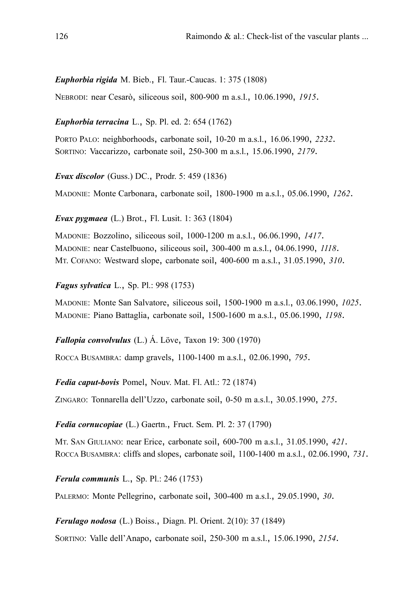*Euphorbia rigida* M. Bieb., Fl. Taur.-Caucas. 1: 375 (1808)

NEBRODI: near Cesarò, siliceous soil, 800-900 m a.s.l., 10.06.1990, *1915*.

*Euphorbia terracina* L., Sp. Pl. ed. 2: 654 (1762)

PORTO PALO: neighborhoods, carbonate soil, 10-20 m a.s.l., 16.06.1990, *2232*. SORTINO: Vaccarizzo, carbonate soil, 250-300 m a.s.l., 15.06.1990, *2179*.

*Evax discolor* (Guss.) DC., Prodr. 5: 459 (1836)

MADONIE: Monte Carbonara, carbonate soil, 1800-1900 m a.s.l., 05.06.1990, *1262*.

*Evax pygmaea* (L.) Brot., Fl. Lusit. 1: 363 (1804)

MADONIE: Bozzolino, siliceous soil, 1000-1200 m a.s.l., 06.06.1990, *1417*. MADONIE: near Castelbuono, siliceous soil, 300-400 m a.s.l., 04.06.1990, *1118*. MT. COFANO: Westward slope, carbonate soil, 400-600 m a.s.l., 31.05.1990, *310*.

*Fagus sylvatica* L., Sp. Pl.: 998 (1753)

MADONIE: Monte San Salvatore, siliceous soil, 1500-1900 m a.s.l., 03.06.1990, *1025*. MADONIE: Piano Battaglia, carbonate soil, 1500-1600 m a.s.l., 05.06.1990, *1198*.

*Fallopia convolvulus* (L.) Á. Löve, Taxon 19: 300 (1970)

ROCCA BUSAMBRA: damp gravels, 1100-1400 m a.s.l., 02.06.1990, *795*.

*Fedia caput-bovis* Pomel, Nouv. Mat. Fl. Atl.: 72 (1874)

ZINGARO: Tonnarella dell'Uzzo, carbonate soil, 0-50 m a.s.l., 30.05.1990, *275*.

*Fedia cornucopiae* (L.) Gaertn., Fruct. Sem. Pl. 2: 37 (1790)

MT. SAN GIULIANO: near Erice, carbonate soil, 600-700 m a.s.l., 31.05.1990, *421*. ROCCA BUSAMBRA: cliffs and slopes, carbonate soil, 1100-1400 m a.s.l., 02.06.1990, *731*.

*Ferula communis* L., Sp. Pl.: 246 (1753)

PALERMO: Monte Pellegrino, carbonate soil, 300-400 m a.s.l., 29.05.1990, *30*.

*Ferulago nodosa* (L.) Boiss., Diagn. Pl. Orient. 2(10): 37 (1849)

SORTINO: Valle dell'Anapo, carbonate soil, 250-300 m a.s.l., 15.06.1990, *2154*.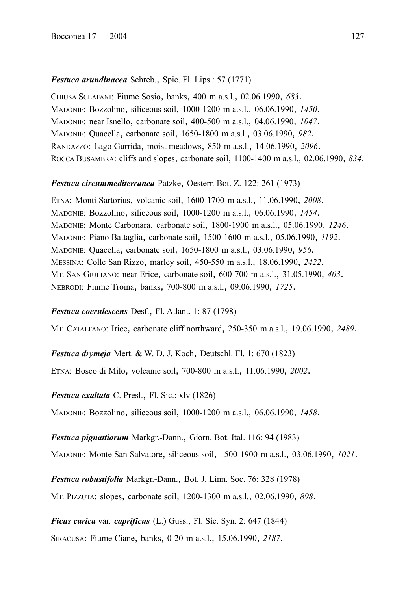# *Festuca arundinacea* Schreb., Spic. Fl. Lips.: 57 (1771)

CHIUSA SCLAFANI: Fiume Sosio, banks, 400 m a.s.l., 02.06.1990, *683*. MADONIE: Bozzolino, siliceous soil, 1000-1200 m a.s.l., 06.06.1990, *1450*. MADONIE: near Isnello, carbonate soil, 400-500 m a.s.l., 04.06.1990, *1047*. MADONIE: Quacella, carbonate soil, 1650-1800 m a.s.l., 03.06.1990, *982*. RANDAZZO: Lago Gurrida, moist meadows, 850 m a.s.l., 14.06.1990, *2096*. ROCCA BUSAMBRA: cliffs and slopes, carbonate soil, 1100-1400 m a.s.l., 02.06.1990, *834*.

# *Festuca circummediterranea* Patzke, Oesterr. Bot. Z. 122: 261 (1973)

ETNA: Monti Sartorius, volcanic soil, 1600-1700 m a.s.l., 11.06.1990, *2008*. MADONIE: Bozzolino, siliceous soil, 1000-1200 m a.s.l., 06.06.1990, *1454*. MADONIE: Monte Carbonara, carbonate soil, 1800-1900 m a.s.l., 05.06.1990, *1246*. MADONIE: Piano Battaglia, carbonate soil, 1500-1600 m a.s.l., 05.06.1990, *1192*. MADONIE: Quacella, carbonate soil, 1650-1800 m a.s.l., 03.06.1990, *956*. MESSINA: Colle San Rizzo, marley soil, 450-550 m a.s.l., 18.06.1990, *2422*. MT. SAN GIULIANO: near Erice, carbonate soil, 600-700 m a.s.l., 31.05.1990, *403*. NEBRODI: Fiume Troina, banks, 700-800 m a.s.l., 09.06.1990, *1725*.

# *Festuca coerulescens* Desf., Fl. Atlant. 1: 87 (1798)

MT. CATALFANO: Irice, carbonate cliff northward, 250-350 m a.s.l., 19.06.1990, *2489*.

*Festuca drymeja* Mert. & W. D. J. Koch, Deutschl. Fl. 1: 670 (1823)

ETNA: Bosco di Milo, volcanic soil, 700-800 m a.s.l., 11.06.1990, *2002*.

*Festuca exaltata* C. Presl., Fl. Sic.: xlv (1826)

MADONIE: Bozzolino, siliceous soil, 1000-1200 m a.s.l., 06.06.1990, *1458*.

*Festuca pignattiorum* Markgr.-Dann., Giorn. Bot. Ital. 116: 94 (1983)

MADONIE: Monte San Salvatore, siliceous soil, 1500-1900 m a.s.l., 03.06.1990, *1021*.

*Festuca robustifolia* Markgr.-Dann., Bot. J. Linn. Soc. 76: 328 (1978)

MT. PIZZUTA: slopes, carbonate soil, 1200-1300 m a.s.l., 02.06.1990, *898*.

*Ficus carica* var. *caprificus* (L.) Guss., Fl. Sic. Syn. 2: 647 (1844)

SIRACUSA: Fiume Ciane, banks, 0-20 m a.s.l., 15.06.1990, *2187*.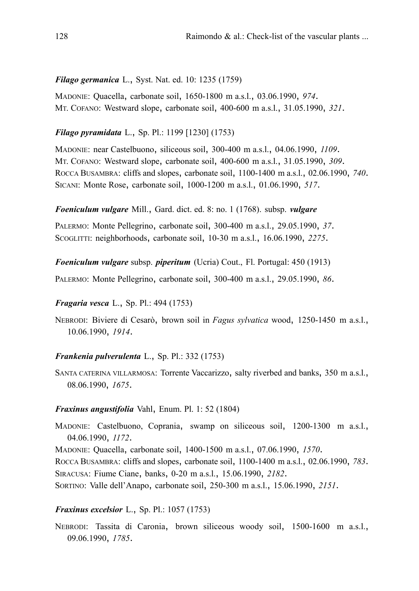### *Filago germanica* L., Syst. Nat. ed. 10: 1235 (1759)

MADONIE: Quacella, carbonate soil, 1650-1800 m a.s.l., 03.06.1990, *974*. MT. COFANO: Westward slope, carbonate soil, 400-600 m a.s.l., 31.05.1990, *321*.

### *Filago pyramidata* L., Sp. Pl.: 1199 [1230] (1753)

MADONIE: near Castelbuono, siliceous soil, 300-400 m a.s.l., 04.06.1990, *1109*. MT. COFANO: Westward slope, carbonate soil, 400-600 m a.s.l., 31.05.1990, *309*. ROCCA BUSAMBRA: cliffs and slopes, carbonate soil, 1100-1400 m a.s.l., 02.06.1990, *740*. SICANI: Monte Rose, carbonate soil, 1000-1200 m a.s.l., 01.06.1990, *517*.

### *Foeniculum vulgare* Mill., Gard. dict. ed. 8: no. 1 (1768). subsp. *vulgare*

PALERMO: Monte Pellegrino, carbonate soil, 300-400 m a.s.l., 29.05.1990, *37*. SCOGLITTI: neighborhoods, carbonate soil, 10-30 m a.s.l., 16.06.1990, *2275*.

*Foeniculum vulgare* subsp. *piperitum* (Ucria) Cout., Fl. Portugal: 450 (1913)

PALERMO: Monte Pellegrino, carbonate soil, 300-400 m a.s.l., 29.05.1990, *86*.

# *Fragaria vesca* L., Sp. Pl.: 494 (1753)

NEBRODI: Biviere di Cesarò, brown soil in *Fagus sylvatica* wood, 1250-1450 m a.s.l., 10.06.1990, *1914*.

### *Frankenia pulverulenta* L., Sp. Pl.: 332 (1753)

SANTA CATERINA VILLARMOSA: Torrente Vaccarizzo, salty riverbed and banks, 350 m a.s.l., 08.06.1990, *1675*.

### *Fraxinus angustifolia* Vahl, Enum. Pl. 1: 52 (1804)

MADONIE: Castelbuono, Coprania, swamp on siliceous soil, 1200-1300 m a.s.l., 04.06.1990, *1172*.

MADONIE: Quacella, carbonate soil, 1400-1500 m a.s.l., 07.06.1990, *1570*.

ROCCA BUSAMBRA: cliffs and slopes, carbonate soil, 1100-1400 m a.s.l., 02.06.1990, *783*. SIRACUSA: Fiume Ciane, banks, 0-20 m a.s.l., 15.06.1990, *2182*.

SORTINO: Valle dell'Anapo, carbonate soil, 250-300 m a.s.l., 15.06.1990, *2151*.

# *Fraxinus excelsior* L., Sp. Pl.: 1057 (1753)

NEBRODI: Tassita di Caronia, brown siliceous woody soil, 1500-1600 m a.s.l., 09.06.1990, *1785*.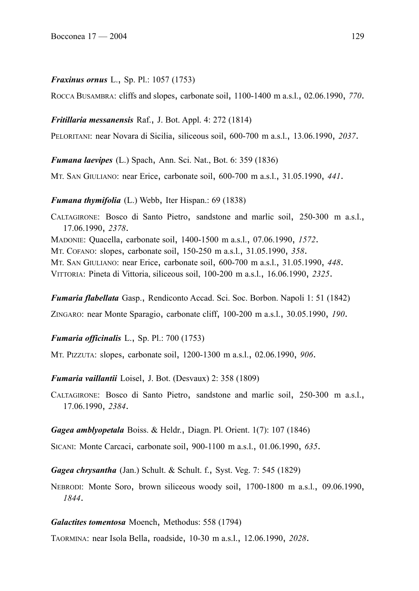#### *Fraxinus ornus* L., Sp. Pl.: 1057 (1753)

ROCCA BUSAMBRA: cliffs and slopes, carbonate soil, 1100-1400 m a.s.l., 02.06.1990, *770*.

#### *Fritillaria messanensis* Raf., J. Bot. Appl. 4: 272 (1814)

PELORITANI: near Novara di Sicilia, siliceous soil, 600-700 m a.s.l., 13.06.1990, *2037*.

*Fumana laevipes* (L.) Spach, Ann. Sci. Nat., Bot. 6: 359 (1836)

MT. SAN GIULIANO: near Erice, carbonate soil, 600-700 m a.s.l., 31.05.1990, *441*.

*Fumana thymifolia* (L.) Webb, Iter Hispan.: 69 (1838)

CALTAGIRONE: Bosco di Santo Pietro, sandstone and marlic soil, 250-300 m a.s.l., 17.06.1990, *2378*. MADONIE: Quacella, carbonate soil, 1400-1500 m a.s.l., 07.06.1990, *1572*. MT. COFANO: slopes, carbonate soil, 150-250 m a.s.l., 31.05.1990, *358*. MT. SAN GIULIANO: near Erice, carbonate soil, 600-700 m a.s.l., 31.05.1990, *448*. VITTORIA: Pineta di Vittoria, siliceous soil, 100-200 m a.s.l., 16.06.1990, *2325*.

*Fumaria flabellata* Gasp., Rendiconto Accad. Sci. Soc. Borbon. Napoli 1: 51 (1842)

ZINGARO: near Monte Sparagio, carbonate cliff, 100-200 m a.s.l., 30.05.1990, *190*.

*Fumaria officinalis* L., Sp. Pl.: 700 (1753)

MT. PIZZUTA: slopes, carbonate soil, 1200-1300 m a.s.l., 02.06.1990, *906*.

*Fumaria vaillantii* Loisel, J. Bot. (Desvaux) 2: 358 (1809)

CALTAGIRONE: Bosco di Santo Pietro, sandstone and marlic soil, 250-300 m a.s.l., 17.06.1990, *2384*.

*Gagea amblyopetala* Boiss. & Heldr., Diagn. Pl. Orient. 1(7): 107 (1846)

SICANI: Monte Carcaci, carbonate soil, 900-1100 m a.s.l., 01.06.1990, *635*.

*Gagea chrysantha* (Jan.) Schult. & Schult. f., Syst. Veg. 7: 545 (1829)

NEBRODI: Monte Soro, brown siliceous woody soil, 1700-1800 m a.s.l., 09.06.1990, *1844*.

### *Galactites tomentosa* Moench, Methodus: 558 (1794)

TAORMINA: near Isola Bella, roadside, 10-30 m a.s.l., 12.06.1990, *2028*.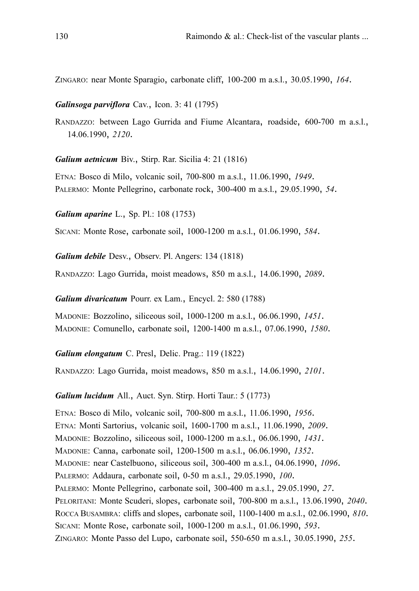ZINGARO: near Monte Sparagio, carbonate cliff, 100-200 m a.s.l., 30.05.1990, *164*.

*Galinsoga parviflora* Cav., Icon. 3: 41 (1795)

RANDAZZO: between Lago Gurrida and Fiume Alcantara, roadside, 600-700 m a.s.l., 14.06.1990, *2120*.

*Galium aetnicum* Biv., Stirp. Rar. Sicilia 4: 21 (1816)

ETNA: Bosco di Milo, volcanic soil, 700-800 m a.s.l., 11.06.1990, *1949*. PALERMO: Monte Pellegrino, carbonate rock, 300-400 m a.s.l., 29.05.1990, *54*.

*Galium aparine* L., Sp. Pl.: 108 (1753)

SICANI: Monte Rose, carbonate soil, 1000-1200 m a.s.l., 01.06.1990, *584*.

*Galium debile* Desv., Observ. Pl. Angers: 134 (1818)

RANDAZZO: Lago Gurrida, moist meadows, 850 m a.s.l., 14.06.1990, *2089*.

*Galium divaricatum* Pourr. ex Lam., Encycl. 2: 580 (1788)

MADONIE: Bozzolino, siliceous soil, 1000-1200 m a.s.l., 06.06.1990, *1451*. MADONIE: Comunello, carbonate soil, 1200-1400 m a.s.l., 07.06.1990, *1580*.

*Galium elongatum* C. Presl, Delic. Prag.: 119 (1822)

RANDAZZO: Lago Gurrida, moist meadows, 850 m a.s.l., 14.06.1990, *2101*.

*Galium lucidum* All., Auct. Syn. Stirp. Horti Taur.: 5 (1773)

ETNA: Bosco di Milo, volcanic soil, 700-800 m a.s.l., 11.06.1990, *1956*. ETNA: Monti Sartorius, volcanic soil, 1600-1700 m a.s.l., 11.06.1990, *2009*. MADONIE: Bozzolino, siliceous soil, 1000-1200 m a.s.l., 06.06.1990, *1431*. MADONIE: Canna, carbonate soil, 1200-1500 m a.s.l., 06.06.1990, *1352*. MADONIE: near Castelbuono, siliceous soil, 300-400 m a.s.l., 04.06.1990, *1096*. PALERMO: Addaura, carbonate soil, 0-50 m a.s.l., 29.05.1990, *100*. PALERMO: Monte Pellegrino, carbonate soil, 300-400 m a.s.l., 29.05.1990, *27*. PELORITANI: Monte Scuderi, slopes, carbonate soil, 700-800 m a.s.l., 13.06.1990, *2040*. ROCCA BUSAMBRA: cliffs and slopes, carbonate soil, 1100-1400 m a.s.l., 02.06.1990, *810*. SICANI: Monte Rose, carbonate soil, 1000-1200 m a.s.l., 01.06.1990, *593*. ZINGARO: Monte Passo del Lupo, carbonate soil, 550-650 m a.s.l., 30.05.1990, *255*.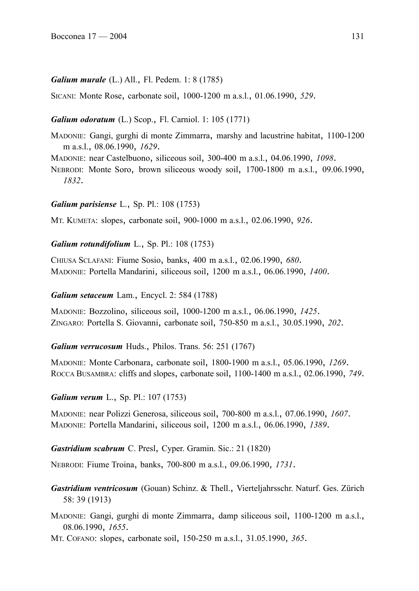### *Galium murale* (L.) All., Fl. Pedem. 1: 8 (1785)

SICANI: Monte Rose, carbonate soil, 1000-1200 m a.s.l., 01.06.1990, *529*.

## *Galium odoratum* (L.) Scop., Fl. Carniol. 1: 105 (1771)

- MADONIE: Gangi, gurghi di monte Zimmarra, marshy and lacustrine habitat, 1100-1200 m a.s.l., 08.06.1990, *1629*.
- MADONIE: near Castelbuono, siliceous soil, 300-400 m a.s.l., 04.06.1990, *1098*.

NEBRODI: Monte Soro, brown siliceous woody soil, 1700-1800 m a.s.l., 09.06.1990, *1832*.

### *Galium parisiense* L., Sp. Pl.: 108 (1753)

MT. KUMETA: slopes, carbonate soil, 900-1000 m a.s.l., 02.06.1990, *926*.

### *Galium rotundifolium* L., Sp. Pl.: 108 (1753)

CHIUSA SCLAFANI: Fiume Sosio, banks, 400 m a.s.l., 02.06.1990, *680*. MADONIE: Portella Mandarini, siliceous soil, 1200 m a.s.l., 06.06.1990, *1400*.

#### *Galium setaceum* Lam., Encycl. 2: 584 (1788)

MADONIE: Bozzolino, siliceous soil, 1000-1200 m a.s.l., 06.06.1990, *1425*. ZINGARO: Portella S. Giovanni, carbonate soil, 750-850 m a.s.l., 30.05.1990, *202*.

### *Galium verrucosum* Huds., Philos. Trans. 56: 251 (1767)

MADONIE: Monte Carbonara, carbonate soil, 1800-1900 m a.s.l., 05.06.1990, *1269*. ROCCA BUSAMBRA: cliffs and slopes, carbonate soil, 1100-1400 m a.s.l., 02.06.1990, *749*.

### *Galium verum* L., Sp. Pl.: 107 (1753)

MADONIE: near Polizzi Generosa, siliceous soil, 700-800 m a.s.l., 07.06.1990, *1607*. MADONIE: Portella Mandarini, siliceous soil, 1200 m a.s.l., 06.06.1990, *1389*.

### *Gastridium scabrum* C. Presl, Cyper. Gramin. Sic.: 21 (1820)

NEBRODI: Fiume Troina, banks, 700-800 m a.s.l., 09.06.1990, *1731*.

*Gastridium ventricosum* (Gouan) Schinz. & Thell., Vierteljahrsschr. Naturf. Ges. Zürich 58: 39 (1913)

MADONIE: Gangi, gurghi di monte Zimmarra, damp siliceous soil, 1100-1200 m a.s.l., 08.06.1990, *1655*.

MT. COFANO: slopes, carbonate soil, 150-250 m a.s.l., 31.05.1990, *365*.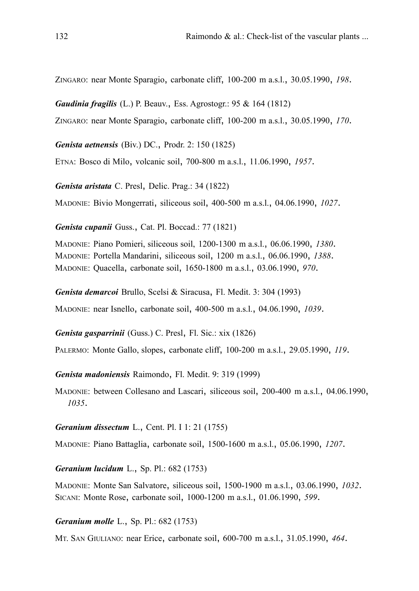ZINGARO: near Monte Sparagio, carbonate cliff, 100-200 m a.s.l., 30.05.1990, *198*.

*Gaudinia fragilis* (L.) P. Beauv., Ess. Agrostogr.: 95 & 164 (1812)

ZINGARO: near Monte Sparagio, carbonate cliff, 100-200 m a.s.l., 30.05.1990, *170*.

*Genista aetnensis* (Biv.) DC., Prodr. 2: 150 (1825)

ETNA: Bosco di Milo, volcanic soil, 700-800 m a.s.l., 11.06.1990, *1957*.

*Genista aristata* C. Presl, Delic. Prag.: 34 (1822)

MADONIE: Bivio Mongerrati, siliceous soil, 400-500 m a.s.l., 04.06.1990, *1027*.

*Genista cupanii* Guss., Cat. Pl. Boccad.: 77 (1821)

MADONIE: Piano Pomieri, siliceous soil, 1200-1300 m a.s.l., 06.06.1990, *1380*. MADONIE: Portella Mandarini, siliceous soil, 1200 m a.s.l., 06.06.1990, *1388*. MADONIE: Quacella, carbonate soil, 1650-1800 m a.s.l., 03.06.1990, *970*.

*Genista demarcoi* Brullo, Scelsi & Siracusa, Fl. Medit. 3: 304 (1993)

MADONIE: near Isnello, carbonate soil, 400-500 m a.s.l., 04.06.1990, *1039*.

*Genista gasparrinii* (Guss.) C. Presl, Fl. Sic.: xix (1826)

PALERMO: Monte Gallo, slopes, carbonate cliff, 100-200 m a.s.l., 29.05.1990, *119*.

*Genista madoniensis* Raimondo, Fl. Medit. 9: 319 (1999)

MADONIE: between Collesano and Lascari, siliceous soil, 200-400 m a.s.l., 04.06.1990, *1035*.

*Geranium dissectum* L., Cent. Pl. I 1: 21 (1755)

MADONIE: Piano Battaglia, carbonate soil, 1500-1600 m a.s.l., 05.06.1990, *1207*.

*Geranium lucidum* L., Sp. Pl.: 682 (1753)

MADONIE: Monte San Salvatore, siliceous soil, 1500-1900 m a.s.l., 03.06.1990, *1032*. SICANI: Monte Rose, carbonate soil, 1000-1200 m a.s.l., 01.06.1990, *599*.

*Geranium molle* L., Sp. Pl.: 682 (1753)

MT. SAN GIULIANO: near Erice, carbonate soil, 600-700 m a.s.l., 31.05.1990, *464*.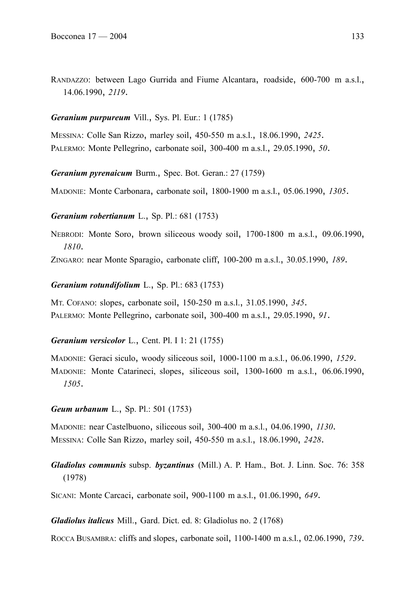RANDAZZO: between Lago Gurrida and Fiume Alcantara, roadside, 600-700 m a.s.l., 14.06.1990, *2119*.

## *Geranium purpureum* Vill., Sys. Pl. Eur.: 1 (1785)

MESSINA: Colle San Rizzo, marley soil, 450-550 m a.s.l., 18.06.1990, *2425*. PALERMO: Monte Pellegrino, carbonate soil, 300-400 m a.s.l., 29.05.1990, *50*.

*Geranium pyrenaicum* Burm., Spec. Bot. Geran.: 27 (1759)

MADONIE: Monte Carbonara, carbonate soil, 1800-1900 m a.s.l., 05.06.1990, *1305*.

### *Geranium robertianum* L., Sp. Pl.: 681 (1753)

NEBRODI: Monte Soro, brown siliceous woody soil, 1700-1800 m a.s.l., 09.06.1990, *1810*.

ZINGARO: near Monte Sparagio, carbonate cliff, 100-200 m a.s.l., 30.05.1990, *189*.

### *Geranium rotundifolium* L., Sp. Pl.: 683 (1753)

MT. COFANO: slopes, carbonate soil, 150-250 m a.s.l., 31.05.1990, *345*. PALERMO: Monte Pellegrino, carbonate soil, 300-400 m a.s.l., 29.05.1990, *91*.

### *Geranium versicolor* L., Cent. Pl. I 1: 21 (1755)

MADONIE: Geraci siculo, woody siliceous soil, 1000-1100 m a.s.l., 06.06.1990, *1529*. MADONIE: Monte Catarineci, slopes, siliceous soil, 1300-1600 m a.s.l., 06.06.1990, *1505*.

### *Geum urbanum* L., Sp. Pl.: 501 (1753)

MADONIE: near Castelbuono, siliceous soil, 300-400 m a.s.l., 04.06.1990, *1130*. MESSINA: Colle San Rizzo, marley soil, 450-550 m a.s.l., 18.06.1990, *2428*.

*Gladiolus communis* subsp. *byzantinus* (Mill.) A. P. Ham., Bot. J. Linn. Soc. 76: 358 (1978)

SICANI: Monte Carcaci, carbonate soil, 900-1100 m a.s.l., 01.06.1990, *649*.

*Gladiolus italicus* Mill., Gard. Dict. ed. 8: Gladiolus no. 2 (1768)

ROCCA BUSAMBRA: cliffs and slopes, carbonate soil, 1100-1400 m a.s.l., 02.06.1990, *739*.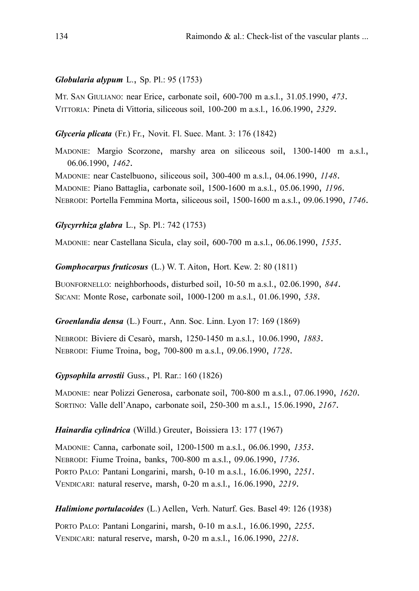### *Globularia alypum* L., Sp. Pl.: 95 (1753)

MT. SAN GIULIANO: near Erice, carbonate soil, 600-700 m a.s.l., 31.05.1990, *473*. VITTORIA: Pineta di Vittoria, siliceous soil, 100-200 m a.s.l., 16.06.1990, *2329*.

### *Glyceria plicata* (Fr.) Fr., Novit. Fl. Suec. Mant. 3: 176 (1842)

MADONIE: Margio Scorzone, marshy area on siliceous soil, 1300-1400 m a.s.l., 06.06.1990, *1462*.

MADONIE: near Castelbuono, siliceous soil, 300-400 m a.s.l., 04.06.1990, *1148*. MADONIE: Piano Battaglia, carbonate soil, 1500-1600 m a.s.l., 05.06.1990, *1196*.

NEBRODI: Portella Femmina Morta, siliceous soil, 1500-1600 m a.s.l., 09.06.1990, *1746*.

### *Glycyrrhiza glabra* L., Sp. Pl.: 742 (1753)

MADONIE: near Castellana Sicula, clay soil, 600-700 m a.s.l., 06.06.1990, *1535*.

*Gomphocarpus fruticosus* (L.) W. T. Aiton, Hort. Kew. 2: 80 (1811)

BUONFORNELLO: neighborhoods, disturbed soil, 10-50 m a.s.l., 02.06.1990, *844*. SICANI: Monte Rose, carbonate soil, 1000-1200 m a.s.l., 01.06.1990, *538*.

### *Groenlandia densa* (L.) Fourr., Ann. Soc. Linn. Lyon 17: 169 (1869)

NEBRODI: Biviere di Cesarò, marsh, 1250-1450 m a.s.l., 10.06.1990, *1883*. NEBRODI: Fiume Troina, bog, 700-800 m a.s.l., 09.06.1990, *1728*.

### *Gypsophila arrostii* Guss., Pl. Rar.: 160 (1826)

MADONIE: near Polizzi Generosa, carbonate soil, 700-800 m a.s.l., 07.06.1990, *1620*. SORTINO: Valle dell'Anapo, carbonate soil, 250-300 m a.s.l., 15.06.1990, *2167*.

# *Hainardia cylindrica* (Willd.) Greuter, Boissiera 13: 177 (1967)

MADONIE: Canna, carbonate soil, 1200-1500 m a.s.l., 06.06.1990, *1353*. NEBRODI: Fiume Troina, banks, 700-800 m a.s.l., 09.06.1990, *1736*. PORTO PALO: Pantani Longarini, marsh, 0-10 m a.s.l., 16.06.1990, *2251*. VENDICARI: natural reserve, marsh, 0-20 m a.s.l., 16.06.1990, *2219*.

# *Halimione portulacoides* (L.) Aellen, Verh. Naturf. Ges. Basel 49: 126 (1938)

PORTO PALO: Pantani Longarini, marsh, 0-10 m a.s.l., 16.06.1990, *2255*. VENDICARI: natural reserve, marsh, 0-20 m a.s.l., 16.06.1990, *2218*.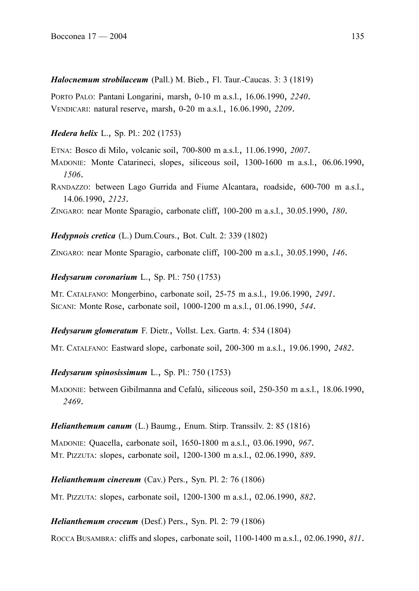*Halocnemum strobilaceum* (Pall.) M. Bieb., Fl. Taur.-Caucas. 3: 3 (1819)

PORTO PALO: Pantani Longarini, marsh, 0-10 m a.s.l., 16.06.1990, *2240*. VENDICARI: natural reserve, marsh, 0-20 m a.s.l., 16.06.1990, *2209*.

*Hedera helix* L., Sp. Pl.: 202 (1753)

ETNA: Bosco di Milo, volcanic soil, 700-800 m a.s.l., 11.06.1990, *2007*.

MADONIE: Monte Catarineci, slopes, siliceous soil, 1300-1600 m a.s.l., 06.06.1990, *1506*.

RANDAZZO: between Lago Gurrida and Fiume Alcantara, roadside, 600-700 m a.s.l., 14.06.1990, *2123*.

ZINGARO: near Monte Sparagio, carbonate cliff, 100-200 m a.s.l., 30.05.1990, *180*.

*Hedypnois cretica* (L.) Dum.Cours., Bot. Cult. 2: 339 (1802)

ZINGARO: near Monte Sparagio, carbonate cliff, 100-200 m a.s.l., 30.05.1990, *146*.

*Hedysarum coronarium* L., Sp. Pl.: 750 (1753)

MT. CATALFANO: Mongerbino, carbonate soil, 25-75 m a.s.l., 19.06.1990, *2491*. SICANI: Monte Rose, carbonate soil, 1000-1200 m a.s.l., 01.06.1990, *544*.

*Hedysarum glomeratum* F. Dietr., Vollst. Lex. Gartn. 4: 534 (1804)

MT. CATALFANO: Eastward slope, carbonate soil, 200-300 m a.s.l., 19.06.1990, *2482*.

*Hedysarum spinosissimum* L., Sp. Pl.: 750 (1753)

MADONIE: between Gibilmanna and Cefalù, siliceous soil, 250-350 m a.s.l., 18.06.1990, *2469*.

# *Helianthemum canum* (L.) Baumg., Enum. Stirp. Transsilv. 2: 85 (1816)

MADONIE: Quacella, carbonate soil, 1650-1800 m a.s.l., 03.06.1990, *967*. MT. PIZZUTA: slopes, carbonate soil, 1200-1300 m a.s.l., 02.06.1990, *889*.

*Helianthemum cinereum* (Cav.) Pers., Syn. Pl. 2: 76 (1806)

MT. PIZZUTA: slopes, carbonate soil, 1200-1300 m a.s.l., 02.06.1990, *882*.

*Helianthemum croceum* (Desf.) Pers., Syn. Pl. 2: 79 (1806)

ROCCA BUSAMBRA: cliffs and slopes, carbonate soil, 1100-1400 m a.s.l., 02.06.1990, *811*.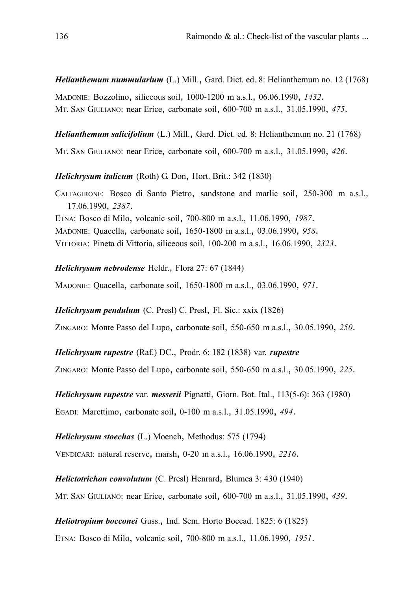*Helianthemum nummularium* (L.) Mill., Gard. Dict. ed. 8: Helianthemum no. 12 (1768) MADONIE: Bozzolino, siliceous soil, 1000-1200 m a.s.l., 06.06.1990, *1432*.

MT. SAN GIULIANO: near Erice, carbonate soil, 600-700 m a.s.l., 31.05.1990, *475*.

*Helianthemum salicifolium* (L.) Mill., Gard. Dict. ed. 8: Helianthemum no. 21 (1768)

MT. SAN GIULIANO: near Erice, carbonate soil, 600-700 m a.s.l., 31.05.1990, *426*.

*Helichrysum italicum* (Roth) G. Don, Hort. Brit.: 342 (1830)

CALTAGIRONE: Bosco di Santo Pietro, sandstone and marlic soil, 250-300 m a.s.l., 17.06.1990, *2387*. ETNA: Bosco di Milo, volcanic soil, 700-800 m a.s.l., 11.06.1990, *1987*. MADONIE: Quacella, carbonate soil, 1650-1800 m a.s.l., 03.06.1990, *958*. VITTORIA: Pineta di Vittoria, siliceous soil, 100-200 m a.s.l., 16.06.1990, *2323*.

*Helichrysum nebrodense* Heldr., Flora 27: 67 (1844)

MADONIE: Quacella, carbonate soil, 1650-1800 m a.s.l., 03.06.1990, *971*.

*Helichrysum pendulum* (C. Presl) C. Presl, Fl. Sic.: xxix (1826)

ZINGARO: Monte Passo del Lupo, carbonate soil, 550-650 m a.s.l., 30.05.1990, *250*.

*Helichrysum rupestre* (Raf.) DC., Prodr. 6: 182 (1838) var. *rupestre*

ZINGARO: Monte Passo del Lupo, carbonate soil, 550-650 m a.s.l., 30.05.1990, *225*.

*Helichrysum rupestre* var. *messerii* Pignatti, Giorn. Bot. Ital., 113(5-6): 363 (1980)

EGADI: Marettimo, carbonate soil, 0-100 m a.s.l., 31.05.1990, *494*.

*Helichrysum stoechas* (L.) Moench, Methodus: 575 (1794)

VENDICARI: natural reserve, marsh, 0-20 m a.s.l., 16.06.1990, *2216*.

*Helictotrichon convolutum* (C. Presl) Henrard, Blumea 3: 430 (1940)

MT. SAN GIULIANO: near Erice, carbonate soil, 600-700 m a.s.l., 31.05.1990, *439*.

*Heliotropium bocconei* Guss., Ind. Sem. Horto Boccad. 1825: 6 (1825)

ETNA: Bosco di Milo, volcanic soil, 700-800 m a.s.l., 11.06.1990, *1951*.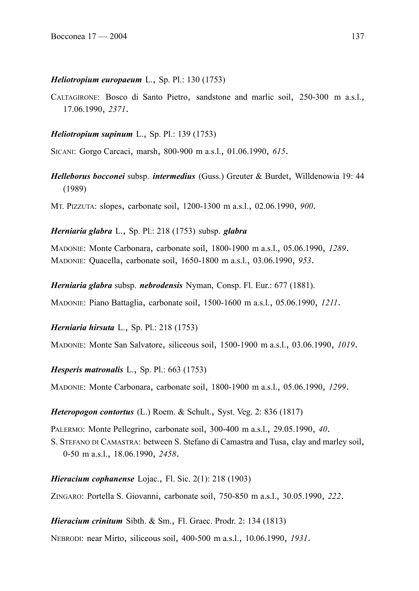#### *Heliotropium europaeum* L., Sp. Pl.: 130 (1753)

CALTAGIRONE: Bosco di Santo Pietro, sandstone and marlic soil, 250-300 m a.s.l., 17.06.1990, *2371*.

#### *Heliotropium supinum* L., Sp. Pl.: 139 (1753)

SICANI: Gorgo Carcaci, marsh, 800-900 m a.s.l., 01.06.1990, *615*.

*Helleborus bocconei* subsp. *intermedius* (Guss.) Greuter & Burdet, Willdenowia 19: 44 (1989)

MT. PIZZUTA: slopes, carbonate soil, 1200-1300 m a.s.l., 02.06.1990, *900*.

*Herniaria glabra* L., Sp. Pl.: 218 (1753) subsp. *glabra*

MADONIE: Monte Carbonara, carbonate soil, 1800-1900 m a.s.l., 05.06.1990, *1289*. MADONIE: Quacella, carbonate soil, 1650-1800 m a.s.l., 03.06.1990, *953*.

*Herniaria glabra* subsp. *nebrodensis* Nyman, Consp. Fl. Eur.: 677 (1881).

MADONIE: Piano Battaglia, carbonate soil, 1500-1600 m a.s.l., 05.06.1990, *1211*.

*Herniaria hirsuta* L., Sp. Pl.: 218 (1753)

MADONIE: Monte San Salvatore, siliceous soil, 1500-1900 m a.s.l., 03.06.1990, *1019*.

*Hesperis matronalis* L., Sp. Pl.: 663 (1753)

MADONIE: Monte Carbonara, carbonate soil, 1800-1900 m a.s.l., 05.06.1990, *1299*.

*Heteropogon contortus* (L.) Roem. & Schult., Syst. Veg. 2: 836 (1817)

PALERMO: Monte Pellegrino, carbonate soil, 300-400 m a.s.l., 29.05.1990, *40*. S. STEFANO DI CAMASTRA: between S. Stefano di Camastra and Tusa, clay and marley soil,

0-50 m a.s.l., 18.06.1990, *2458*.

*Hieracium cophanense* Lojac., Fl. Sic. 2(1): 218 (1903)

ZINGARO: Portella S. Giovanni, carbonate soil, 750-850 m a.s.l., 30.05.1990, *222*.

*Hieracium crinitum* Sibth. & Sm., Fl. Graec. Prodr. 2: 134 (1813)

NEBRODI: near Mirto, siliceous soil, 400-500 m a.s.l., 10.06.1990, *1931*.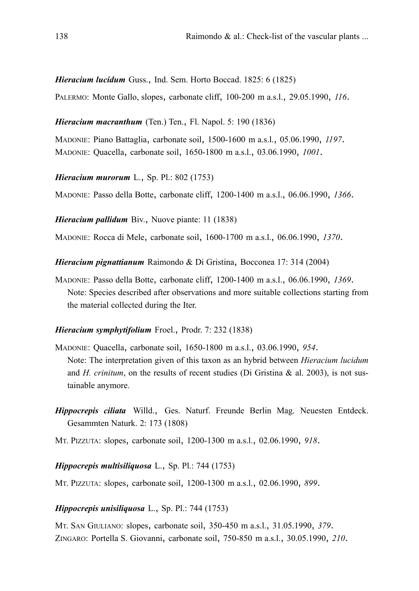*Hieracium lucidum* Guss., Ind. Sem. Horto Boccad. 1825: 6 (1825)

PALERMO: Monte Gallo, slopes, carbonate cliff, 100-200 m a.s.l., 29.05.1990, *116*.

### *Hieracium macranthum* (Ten.) Ten., Fl. Napol. 5: 190 (1836)

MADONIE: Piano Battaglia, carbonate soil, 1500-1600 m a.s.l., 05.06.1990, *1197*. MADONIE: Quacella, carbonate soil, 1650-1800 m a.s.l., 03.06.1990, *1001*.

*Hieracium murorum* L., Sp. Pl.: 802 (1753)

MADONIE: Passo della Botte, carbonate cliff, 1200-1400 m a.s.l., 06.06.1990, *1366*.

*Hieracium pallidum* Biv., Nuove piante: 11 (1838)

MADONIE: Rocca di Mele, carbonate soil, 1600-1700 m a.s.l., 06.06.1990, *1370*.

*Hieracium pignattianum* Raimondo & Di Gristina, Bocconea 17: 314 (2004)

MADONIE: Passo della Botte, carbonate cliff, 1200-1400 m a.s.l., 06.06.1990, *1369*. Note: Species described after observations and more suitable collections starting from the material collected during the Iter.

## *Hieracium symphytifolium* Froel., Prodr. 7: 232 (1838)

- MADONIE: Quacella, carbonate soil, 1650-1800 m a.s.l., 03.06.1990, *954*. Note: The interpretation given of this taxon as an hybrid between *Hieracium lucidum* and *H. crinitum*, on the results of recent studies (Di Gristina & al. 2003), is not sustainable anymore.
- *Hippocrepis ciliata* Willd., Ges. Naturf. Freunde Berlin Mag. Neuesten Entdeck. Gesammten Naturk. 2: 173 (1808)

MT. PIZZUTA: slopes, carbonate soil, 1200-1300 m a.s.l., 02.06.1990, *918*.

### *Hippocrepis multisiliquosa* L., Sp. Pl.: 744 (1753)

MT. PIZZUTA: slopes, carbonate soil, 1200-1300 m a.s.l., 02.06.1990, *899*.

### *Hippocrepis unisiliquosa* L., Sp. Pl.: 744 (1753)

MT. SAN GIULIANO: slopes, carbonate soil, 350-450 m a.s.l., 31.05.1990, *379*. ZINGARO: Portella S. Giovanni, carbonate soil, 750-850 m a.s.l., 30.05.1990, *210*.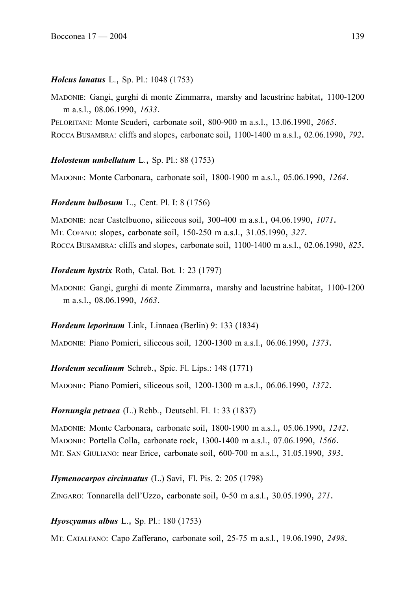## *Holcus lanatus* L., Sp. Pl.: 1048 (1753)

MADONIE: Gangi, gurghi di monte Zimmarra, marshy and lacustrine habitat, 1100-1200 m a.s.l., 08.06.1990, *1633*.

PELORITANI: Monte Scuderi, carbonate soil, 800-900 m a.s.l., 13.06.1990, *2065*. ROCCA BUSAMBRA: cliffs and slopes, carbonate soil, 1100-1400 m a.s.l., 02.06.1990, *792*.

### *Holosteum umbellatum* L., Sp. Pl.: 88 (1753)

MADONIE: Monte Carbonara, carbonate soil, 1800-1900 m a.s.l., 05.06.1990, *1264*.

### *Hordeum bulbosum* L., Cent. Pl. I: 8 (1756)

MADONIE: near Castelbuono, siliceous soil, 300-400 m a.s.l., 04.06.1990, *1071*. MT. COFANO: slopes, carbonate soil, 150-250 m a.s.l., 31.05.1990, *327*. ROCCA BUSAMBRA: cliffs and slopes, carbonate soil, 1100-1400 m a.s.l., 02.06.1990, *825*.

## *Hordeum hystrix* Roth, Catal. Bot. 1: 23 (1797)

MADONIE: Gangi, gurghi di monte Zimmarra, marshy and lacustrine habitat, 1100-1200 m a.s.l., 08.06.1990, *1663*.

### *Hordeum leporinum* Link, Linnaea (Berlin) 9: 133 (1834)

MADONIE: Piano Pomieri, siliceous soil, 1200-1300 m a.s.l., 06.06.1990, *1373*.

### *Hordeum secalinum* Schreb., Spic. Fl. Lips.: 148 (1771)

MADONIE: Piano Pomieri, siliceous soil, 1200-1300 m a.s.l., 06.06.1990, *1372*.

## *Hornungia petraea* (L.) Rchb., Deutschl. Fl. 1: 33 (1837)

MADONIE: Monte Carbonara, carbonate soil, 1800-1900 m a.s.l., 05.06.1990, *1242*. MADONIE: Portella Colla, carbonate rock, 1300-1400 m a.s.l., 07.06.1990, *1566*. MT. SAN GIULIANO: near Erice, carbonate soil, 600-700 m a.s.l., 31.05.1990, *393*.

*Hymenocarpos circinnatus* (L.) Savi, Fl. Pis. 2: 205 (1798)

ZINGARO: Tonnarella dell'Uzzo, carbonate soil, 0-50 m a.s.l., 30.05.1990, *271*.

## *Hyoscyamus albus* L., Sp. Pl.: 180 (1753)

MT. CATALFANO: Capo Zafferano, carbonate soil, 25-75 m a.s.l., 19.06.1990, *2498*.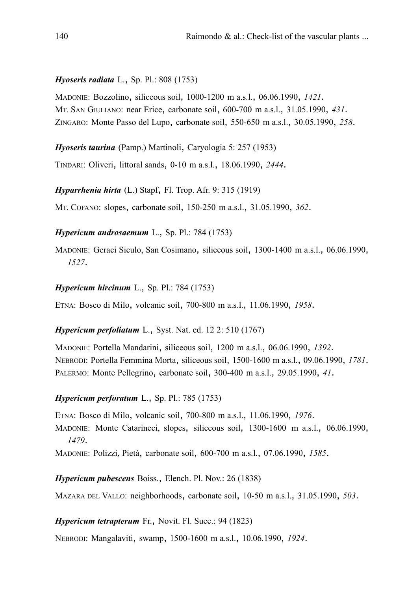### *Hyoseris radiata* L., Sp. Pl.: 808 (1753)

MADONIE: Bozzolino, siliceous soil, 1000-1200 m a.s.l., 06.06.1990, *1421*. MT. SAN GIULIANO: near Erice, carbonate soil, 600-700 m a.s.l., 31.05.1990, *431*. ZINGARO: Monte Passo del Lupo, carbonate soil, 550-650 m a.s.l., 30.05.1990, *258*.

*Hyoseris taurina* (Pamp.) Martinoli, Caryologia 5: 257 (1953)

TINDARI: Oliveri, littoral sands, 0-10 m a.s.l., 18.06.1990, *2444*.

*Hyparrhenia hirta* (L.) Stapf, Fl. Trop. Afr. 9: 315 (1919)

MT. COFANO: slopes, carbonate soil, 150-250 m a.s.l., 31.05.1990, *362*.

*Hypericum androsaemum* L., Sp. Pl.: 784 (1753)

MADONIE: Geraci Siculo, San Cosimano, siliceous soil, 1300-1400 m a.s.l., 06.06.1990, *1527*.

### *Hypericum hircinum* L., Sp. Pl.: 784 (1753)

ETNA: Bosco di Milo, volcanic soil, 700-800 m a.s.l., 11.06.1990, *1958*.

### *Hypericum perfoliatum* L., Syst. Nat. ed. 12 2: 510 (1767)

MADONIE: Portella Mandarini, siliceous soil, 1200 m a.s.l., 06.06.1990, *1392*. NEBRODI: Portella Femmina Morta, siliceous soil, 1500-1600 m a.s.l., 09.06.1990, *1781*. PALERMO: Monte Pellegrino, carbonate soil, 300-400 m a.s.l., 29.05.1990, *41*.

### *Hypericum perforatum* L., Sp. Pl.: 785 (1753)

ETNA: Bosco di Milo, volcanic soil, 700-800 m a.s.l., 11.06.1990, *1976*.

MADONIE: Monte Catarineci, slopes, siliceous soil, 1300-1600 m a.s.l., 06.06.1990, *1479*.

MADONIE: Polizzi, Pietà, carbonate soil, 600-700 m a.s.l., 07.06.1990, *1585*.

*Hypericum pubescens* Boiss., Elench. Pl. Nov.: 26 (1838)

MAZARA DEL VALLO: neighborhoods, carbonate soil, 10-50 m a.s.l., 31.05.1990, *503*.

### *Hypericum tetrapterum* Fr., Novit. Fl. Suec.: 94 (1823)

NEBRODI: Mangalaviti, swamp, 1500-1600 m a.s.l., 10.06.1990, *1924*.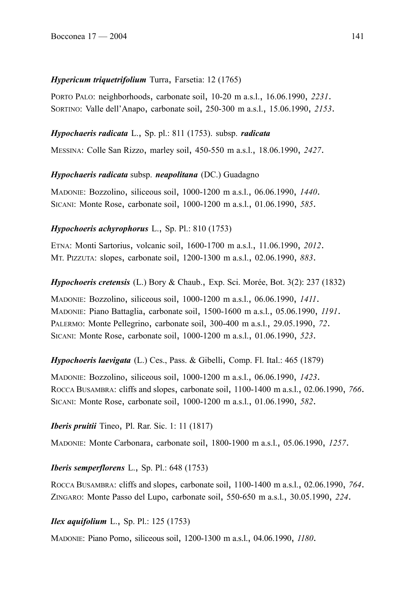# *Hypericum triquetrifolium* Turra, Farsetia: 12 (1765)

PORTO PALO: neighborhoods, carbonate soil, 10-20 m a.s.l., 16.06.1990, *2231*. SORTINO: Valle dell'Anapo, carbonate soil, 250-300 m a.s.l., 15.06.1990, *2153*.

# *Hypochaeris radicata* L., Sp. pl.: 811 (1753). subsp. *radicata*

MESSINA: Colle San Rizzo, marley soil, 450-550 m a.s.l., 18.06.1990, *2427*.

# *Hypochaeris radicata* subsp. *neapolitana* (DC.) Guadagno

MADONIE: Bozzolino, siliceous soil, 1000-1200 m a.s.l., 06.06.1990, *1440*. SICANI: Monte Rose, carbonate soil, 1000-1200 m a.s.l., 01.06.1990, *585*.

# *Hypochoeris achyrophorus* L., Sp. Pl.: 810 (1753)

ETNA: Monti Sartorius, volcanic soil, 1600-1700 m a.s.l., 11.06.1990, *2012*. MT. PIZZUTA: slopes, carbonate soil, 1200-1300 m a.s.l., 02.06.1990, *883*.

## *Hypochoeris cretensis* (L.) Bory & Chaub., Exp. Sci. Morée, Bot. 3(2): 237 (1832)

MADONIE: Bozzolino, siliceous soil, 1000-1200 m a.s.l., 06.06.1990, *1411*. MADONIE: Piano Battaglia, carbonate soil, 1500-1600 m a.s.l., 05.06.1990, *1191*. PALERMO: Monte Pellegrino, carbonate soil, 300-400 m a.s.l., 29.05.1990, *72*. SICANI: Monte Rose, carbonate soil, 1000-1200 m a.s.l., 01.06.1990, *523*.

## *Hypochoeris laevigata* (L.) Ces., Pass. & Gibelli, Comp. Fl. Ital.: 465 (1879)

MADONIE: Bozzolino, siliceous soil, 1000-1200 m a.s.l., 06.06.1990, *1423*. ROCCA BUSAMBRA: cliffs and slopes, carbonate soil, 1100-1400 m a.s.l., 02.06.1990, *766*. SICANI: Monte Rose, carbonate soil, 1000-1200 m a.s.l., 01.06.1990, *582*.

## *Iberis pruitii* Tineo, Pl. Rar. Sic. 1: 11 (1817)

MADONIE: Monte Carbonara, carbonate soil, 1800-1900 m a.s.l., 05.06.1990, *1257*.

## *Iberis semperflorens* L., Sp. Pl.: 648 (1753)

ROCCA BUSAMBRA: cliffs and slopes, carbonate soil, 1100-1400 m a.s.l., 02.06.1990, *764*. ZINGARO: Monte Passo del Lupo, carbonate soil, 550-650 m a.s.l., 30.05.1990, *224*.

## *Ilex aquifolium* L., Sp. Pl.: 125 (1753)

MADONIE: Piano Pomo, siliceous soil, 1200-1300 m a.s.l., 04.06.1990, *1180*.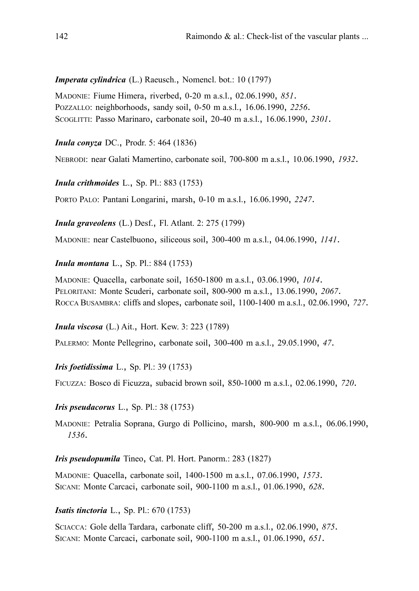*Imperata cylindrica* (L.) Raeusch., Nomencl. bot.: 10 (1797)

MADONIE: Fiume Himera, riverbed, 0-20 m a.s.l., 02.06.1990, *851*. POZZALLO: neighborhoods, sandy soil, 0-50 m a.s.l., 16.06.1990, *2256*. SCOGLITTI: Passo Marinaro, carbonate soil, 20-40 m a.s.l., 16.06.1990, *2301*.

*Inula conyza* DC., Prodr. 5: 464 (1836)

NEBRODI: near Galati Mamertino, carbonate soil, 700-800 m a.s.l., 10.06.1990, *1932*.

*Inula crithmoides* L., Sp. Pl.: 883 (1753)

PORTO PALO: Pantani Longarini, marsh, 0-10 m a.s.l., 16.06.1990, *2247*.

*Inula graveolens* (L.) Desf., Fl. Atlant. 2: 275 (1799)

MADONIE: near Castelbuono, siliceous soil, 300-400 m a.s.l., 04.06.1990, *1141*.

*Inula montana* L., Sp. Pl.: 884 (1753)

MADONIE: Quacella, carbonate soil, 1650-1800 m a.s.l., 03.06.1990, *1014*. PELORITANI: Monte Scuderi, carbonate soil, 800-900 m a.s.l., 13.06.1990, *2067*. ROCCA BUSAMBRA: cliffs and slopes, carbonate soil, 1100-1400 m a.s.l., 02.06.1990, *727*.

*Inula viscosa* (L.) Ait., Hort. Kew. 3: 223 (1789)

PALERMO: Monte Pellegrino, carbonate soil, 300-400 m a.s.l., 29.05.1990, *47*.

*Iris foetidissima* L., Sp. Pl.: 39 (1753)

FICUZZA: Bosco di Ficuzza, subacid brown soil, 850-1000 m a.s.l., 02.06.1990, *720*.

*Iris pseudacorus* L., Sp. Pl.: 38 (1753)

MADONIE: Petralia Soprana, Gurgo di Pollicino, marsh, 800-900 m a.s.l., 06.06.1990, *1536*.

*Iris pseudopumila* Tineo, Cat. Pl. Hort. Panorm.: 283 (1827)

MADONIE: Quacella, carbonate soil, 1400-1500 m a.s.l., 07.06.1990, *1573*. SICANI: Monte Carcaci, carbonate soil, 900-1100 m a.s.l., 01.06.1990, *628*.

*Isatis tinctoria* L., Sp. Pl.: 670 (1753)

SCIACCA: Gole della Tardara, carbonate cliff, 50-200 m a.s.l., 02.06.1990, *875*. SICANI: Monte Carcaci, carbonate soil, 900-1100 m a.s.l., 01.06.1990, *651*.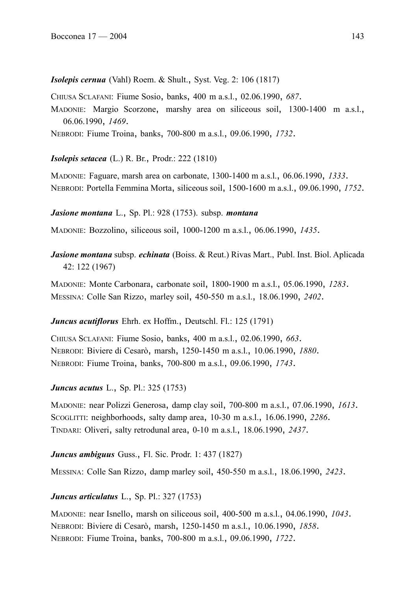*Isolepis cernua* (Vahl) Roem. & Shult., Syst. Veg. 2: 106 (1817)

CHIUSA SCLAFANI: Fiume Sosio, banks, 400 m a.s.l., 02.06.1990, *687*.

MADONIE: Margio Scorzone, marshy area on siliceous soil, 1300-1400 m a.s.l., 06.06.1990, *1469*.

NEBRODI: Fiume Troina, banks, 700-800 m a.s.l., 09.06.1990, *1732*.

*Isolepis setacea* (L.) R. Br., Prodr.: 222 (1810)

MADONIE: Faguare, marsh area on carbonate, 1300-1400 m a.s.l., 06.06.1990, *1333*. NEBRODI: Portella Femmina Morta, siliceous soil, 1500-1600 m a.s.l., 09.06.1990, *1752*.

*Jasione montana* L., Sp. Pl.: 928 (1753). subsp. *montana*

MADONIE: Bozzolino, siliceous soil, 1000-1200 m a.s.l., 06.06.1990, *1435*.

*Jasione montana* subsp. *echinata* (Boiss. & Reut.) Rivas Mart., Publ. Inst. Biol. Aplicada 42: 122 (1967)

MADONIE: Monte Carbonara, carbonate soil, 1800-1900 m a.s.l., 05.06.1990, *1283*. MESSINA: Colle San Rizzo, marley soil, 450-550 m a.s.l., 18.06.1990, *2402*.

## *Juncus acutiflorus* Ehrh. ex Hoffm., Deutschl. Fl.: 125 (1791)

CHIUSA SCLAFANI: Fiume Sosio, banks, 400 m a.s.l., 02.06.1990, *663*. NEBRODI: Biviere di Cesarò, marsh, 1250-1450 m a.s.l., 10.06.1990, *1880*. NEBRODI: Fiume Troina, banks, 700-800 m a.s.l., 09.06.1990, *1743*.

*Juncus acutus* L., Sp. Pl.: 325 (1753)

MADONIE: near Polizzi Generosa, damp clay soil, 700-800 m a.s.l., 07.06.1990, *1613*. SCOGLITTI: neighborhoods, salty damp area, 10-30 m a.s.l., 16.06.1990, *2286*. TINDARI: Oliveri, salty retrodunal area, 0-10 m a.s.l., 18.06.1990, *2437*.

*Juncus ambiguus* Guss., Fl. Sic. Prodr. 1: 437 (1827)

MESSINA: Colle San Rizzo, damp marley soil, 450-550 m a.s.l., 18.06.1990, *2423*.

# *Juncus articulatus* L., Sp. Pl.: 327 (1753)

MADONIE: near Isnello, marsh on siliceous soil, 400-500 m a.s.l., 04.06.1990, *1043*. NEBRODI: Biviere di Cesarò, marsh, 1250-1450 m a.s.l., 10.06.1990, *1858*. NEBRODI: Fiume Troina, banks, 700-800 m a.s.l., 09.06.1990, *1722*.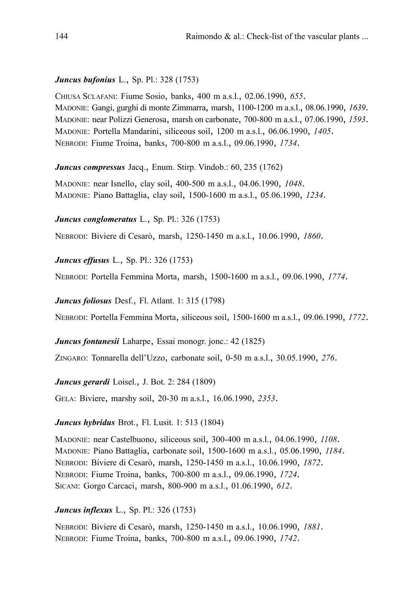## *Juncus bufonius* L., Sp. Pl.: 328 (1753)

CHIUSA SCLAFANI: Fiume Sosio, banks, 400 m a.s.l., 02.06.1990, *655*. MADONIE: Gangi, gurghi di monte Zimmarra, marsh, 1100-1200 m a.s.l., 08.06.1990, *1639*. MADONIE: near Polizzi Generosa, marsh on carbonate, 700-800 m a.s.l., 07.06.1990, *1593*. MADONIE: Portella Mandarini, siliceous soil, 1200 m a.s.l., 06.06.1990, *1405*. NEBRODI: Fiume Troina, banks, 700-800 m a.s.l., 09.06.1990, *1734*.

*Juncus compressus* Jacq., Enum. Stirp. Vindob.: 60, 235 (1762)

MADONIE: near Isnello, clay soil, 400-500 m a.s.l., 04.06.1990, *1048*. MADONIE: Piano Battaglia, clay soil, 1500-1600 m a.s.l., 05.06.1990, *1234*.

*Juncus conglomeratus* L., Sp. Pl.: 326 (1753)

NEBRODI: Biviere di Cesarò, marsh, 1250-1450 m a.s.l., 10.06.1990, *1860*.

*Juncus effusus* L., Sp. Pl.: 326 (1753)

NEBRODI: Portella Femmina Morta, marsh, 1500-1600 m a.s.l., 09.06.1990, *1774*.

*Juncus foliosus* Desf., Fl. Atlant. 1: 315 (1798)

NEBRODI: Portella Femmina Morta, siliceous soil, 1500-1600 m a.s.l., 09.06.1990, *1772*.

*Juncus fontanesii* Laharpe, Essai monogr. jonc.: 42 (1825)

ZINGARO: Tonnarella dell'Uzzo, carbonate soil, 0-50 m a.s.l., 30.05.1990, *276*.

*Juncus gerardi* Loisel., J. Bot. 2: 284 (1809)

GELA: Biviere, marshy soil, 20-30 m a.s.l., 16.06.1990, *2353*.

### *Juncus hybridus* Brot., Fl. Lusit. 1: 513 (1804)

MADONIE: near Castelbuono, siliceous soil, 300-400 m a.s.l., 04.06.1990, *1108*. MADONIE: Piano Battaglia, carbonate soil, 1500-1600 m a.s.l., 05.06.1990, *1184*. NEBRODI: Biviere di Cesarò, marsh, 1250-1450 m a.s.l., 10.06.1990, *1872*. NEBRODI: Fiume Troina, banks, 700-800 m a.s.l., 09.06.1990, *1724*. SICANI: Gorgo Carcaci, marsh, 800-900 m a.s.l., 01.06.1990, *612*.

### *Juncus inflexus* L., Sp. Pl.: 326 (1753)

NEBRODI: Biviere di Cesarò, marsh, 1250-1450 m a.s.l., 10.06.1990, *1881*. NEBRODI: Fiume Troina, banks, 700-800 m a.s.l., 09.06.1990, *1742*.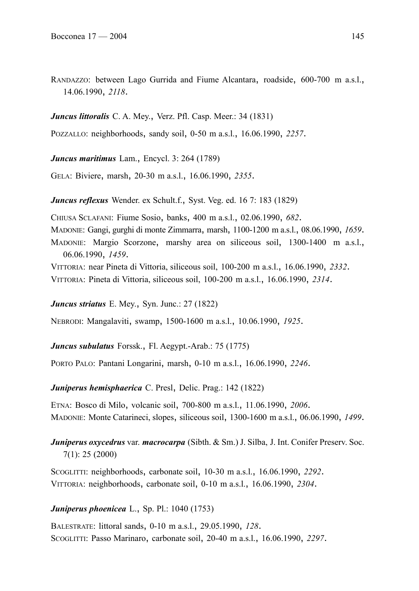RANDAZZO: between Lago Gurrida and Fiume Alcantara, roadside, 600-700 m a.s.l., 14.06.1990, *2118*.

## *Juncus littoralis* C. A. Mey., Verz. Pfl. Casp. Meer.: 34 (1831)

POZZALLO: neighborhoods, sandy soil, 0-50 m a.s.l., 16.06.1990, *2257*.

*Juncus maritimus* Lam., Encycl. 3: 264 (1789)

GELA: Biviere, marsh, 20-30 m a.s.l., 16.06.1990, *2355*.

*Juncus reflexus* Wender. ex Schult.f., Syst. Veg. ed. 16 7: 183 (1829)

CHIUSA SCLAFANI: Fiume Sosio, banks, 400 m a.s.l., 02.06.1990, *682*. MADONIE: Gangi, gurghi di monte Zimmarra, marsh, 1100-1200 m a.s.l., 08.06.1990, *1659*. MADONIE: Margio Scorzone, marshy area on siliceous soil, 1300-1400 m a.s.l., 06.06.1990, *1459*.

VITTORIA: near Pineta di Vittoria, siliceous soil, 100-200 m a.s.l., 16.06.1990, *2332*. VITTORIA: Pineta di Vittoria, siliceous soil, 100-200 m a.s.l., 16.06.1990, *2314*.

*Juncus striatus* E. Mey., Syn. Junc.: 27 (1822)

NEBRODI: Mangalaviti, swamp, 1500-1600 m a.s.l., 10.06.1990, *1925*.

*Juncus subulatus* Forssk., Fl. Aegypt.-Arab.: 75 (1775)

PORTO PALO: Pantani Longarini, marsh, 0-10 m a.s.l., 16.06.1990, *2246*.

*Juniperus hemisphaerica* C. Presl, Delic. Prag.: 142 (1822)

ETNA: Bosco di Milo, volcanic soil, 700-800 m a.s.l., 11.06.1990, *2006*. MADONIE: Monte Catarineci, slopes, siliceous soil, 1300-1600 m a.s.l., 06.06.1990, *1499*.

*Juniperus oxycedrus* var. *macrocarpa* (Sibth. & Sm.) J. Silba, J. Int. Conifer Preserv. Soc. 7(1): 25 (2000)

SCOGLITTI: neighborhoods, carbonate soil, 10-30 m a.s.l., 16.06.1990, *2292*. VITTORIA: neighborhoods, carbonate soil, 0-10 m a.s.l., 16.06.1990, *2304*.

## *Juniperus phoenicea* L., Sp. Pl.: 1040 (1753)

BALESTRATE: littoral sands, 0-10 m a.s.l., 29.05.1990, *128*. SCOGLITTI: Passo Marinaro, carbonate soil, 20-40 m a.s.l., 16.06.1990, *2297*.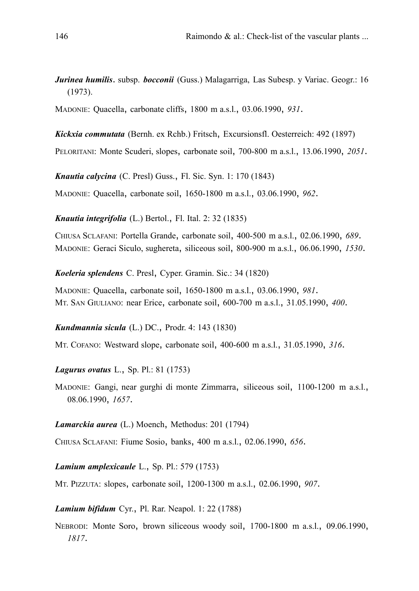*Jurinea humilis*. subsp. *bocconii* (Guss.) Malagarriga, Las Subesp. y Variac. Geogr.: 16 (1973).

MADONIE: Quacella, carbonate cliffs, 1800 m a.s.l., 03.06.1990, *931*.

*Kickxia commutata* (Bernh. ex Rchb.) Fritsch, Excursionsfl. Oesterreich: 492 (1897)

PELORITANI: Monte Scuderi, slopes, carbonate soil, 700-800 m a.s.l., 13.06.1990, *2051*.

*Knautia calycina* (C. Presl) Guss., Fl. Sic. Syn. 1: 170 (1843)

MADONIE: Quacella, carbonate soil, 1650-1800 m a.s.l., 03.06.1990, *962*.

*Knautia integrifolia* (L.) Bertol., Fl. Ital. 2: 32 (1835)

CHIUSA SCLAFANI: Portella Grande, carbonate soil, 400-500 m a.s.l., 02.06.1990, *689*. MADONIE: Geraci Siculo, sughereta, siliceous soil, 800-900 m a.s.l., 06.06.1990, *1530*.

*Koeleria splendens* C. Presl, Cyper. Gramin. Sic.: 34 (1820)

MADONIE: Quacella, carbonate soil, 1650-1800 m a.s.l., 03.06.1990, *981*. MT. SAN GIULIANO: near Erice, carbonate soil, 600-700 m a.s.l., 31.05.1990, *400*.

*Kundmannia sicula* (L.) DC., Prodr. 4: 143 (1830)

MT. COFANO: Westward slope, carbonate soil, 400-600 m a.s.l., 31.05.1990, *316*.

*Lagurus ovatus* L., Sp. Pl.: 81 (1753)

MADONIE: Gangi, near gurghi di monte Zimmarra, siliceous soil, 1100-1200 m a.s.l., 08.06.1990, *1657*.

*Lamarckia aurea* (L.) Moench, Methodus: 201 (1794)

CHIUSA SCLAFANI: Fiume Sosio, banks, 400 m a.s.l., 02.06.1990, *656*.

*Lamium amplexicaule* L., Sp. Pl.: 579 (1753)

MT. PIZZUTA: slopes, carbonate soil, 1200-1300 m a.s.l., 02.06.1990, *907*.

*Lamium bifidum* Cyr., Pl. Rar. Neapol. 1: 22 (1788)

NEBRODI: Monte Soro, brown siliceous woody soil, 1700-1800 m a.s.l., 09.06.1990, *1817*.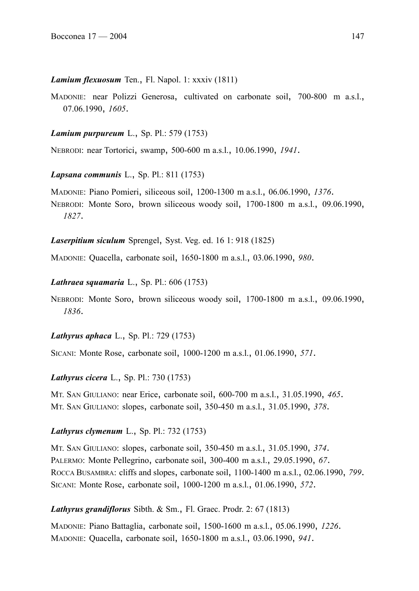#### *Lamium flexuosum* Ten., Fl. Napol. 1: xxxiv (1811)

MADONIE: near Polizzi Generosa, cultivated on carbonate soil, 700-800 m a.s.l., 07.06.1990, *1605*.

#### *Lamium purpureum* L., Sp. Pl.: 579 (1753)

NEBRODI: near Tortorici, swamp, 500-600 m a.s.l., 10.06.1990, *1941*.

*Lapsana communis* L., Sp. Pl.: 811 (1753)

MADONIE: Piano Pomieri, siliceous soil, 1200-1300 m a.s.l., 06.06.1990, *1376*. NEBRODI: Monte Soro, brown siliceous woody soil, 1700-1800 m a.s.l., 09.06.1990, *1827*.

*Laserpitium siculum* Sprengel, Syst. Veg. ed. 16 1: 918 (1825)

MADONIE: Quacella, carbonate soil, 1650-1800 m a.s.l., 03.06.1990, *980*.

### *Lathraea squamaria* L., Sp. Pl.: 606 (1753)

NEBRODI: Monte Soro, brown siliceous woody soil, 1700-1800 m a.s.l., 09.06.1990, *1836*.

### *Lathyrus aphaca* L., Sp. Pl.: 729 (1753)

SICANI: Monte Rose, carbonate soil, 1000-1200 m a.s.l., 01.06.1990, *571*.

### *Lathyrus cicera* L., Sp. Pl.: 730 (1753)

MT. SAN GIULIANO: near Erice, carbonate soil, 600-700 m a.s.l., 31.05.1990, *465*. MT. SAN GIULIANO: slopes, carbonate soil, 350-450 m a.s.l., 31.05.1990, *378*.

### *Lathyrus clymenum* L., Sp. Pl.: 732 (1753)

MT. SAN GIULIANO: slopes, carbonate soil, 350-450 m a.s.l., 31.05.1990, *374*. PALERMO: Monte Pellegrino, carbonate soil, 300-400 m a.s.l., 29.05.1990, *67*. ROCCA BUSAMBRA: cliffs and slopes, carbonate soil, 1100-1400 m a.s.l., 02.06.1990, *799*. SICANI: Monte Rose, carbonate soil, 1000-1200 m a.s.l., 01.06.1990, *572*.

### *Lathyrus grandiflorus* Sibth. & Sm., Fl. Graec. Prodr. 2: 67 (1813)

MADONIE: Piano Battaglia, carbonate soil, 1500-1600 m a.s.l., 05.06.1990, *1226*. MADONIE: Quacella, carbonate soil, 1650-1800 m a.s.l., 03.06.1990, *941*.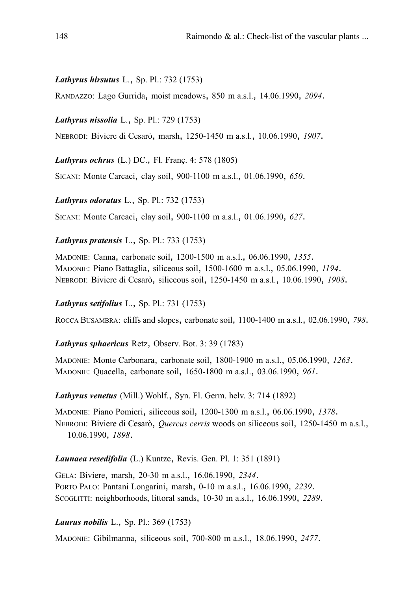### *Lathyrus hirsutus* L., Sp. Pl.: 732 (1753)

RANDAZZO: Lago Gurrida, moist meadows, 850 m a.s.l., 14.06.1990, *2094*.

*Lathyrus nissolia* L., Sp. Pl.: 729 (1753)

NEBRODI: Biviere di Cesarò, marsh, 1250-1450 m a.s.l., 10.06.1990, *1907*.

*Lathyrus ochrus* (L.) DC., Fl. Franç. 4: 578 (1805)

SICANI: Monte Carcaci, clay soil, 900-1100 m a.s.l., 01.06.1990, *650*.

*Lathyrus odoratus* L., Sp. Pl.: 732 (1753)

SICANI: Monte Carcaci, clay soil, 900-1100 m a.s.l., 01.06.1990, *627*.

*Lathyrus pratensis* L., Sp. Pl.: 733 (1753)

MADONIE: Canna, carbonate soil, 1200-1500 m a.s.l., 06.06.1990, *1355*. MADONIE: Piano Battaglia, siliceous soil, 1500-1600 m a.s.l., 05.06.1990, *1194*. NEBRODI: Biviere di Cesarò, siliceous soil, 1250-1450 m a.s.l., 10.06.1990, *1908*.

### *Lathyrus setifolius* L., Sp. Pl.: 731 (1753)

ROCCA BUSAMBRA: cliffs and slopes, carbonate soil, 1100-1400 m a.s.l., 02.06.1990, *798*.

*Lathyrus sphaericus* Retz, Observ. Bot. 3: 39 (1783)

MADONIE: Monte Carbonara, carbonate soil, 1800-1900 m a.s.l., 05.06.1990, *1263*. MADONIE: Quacella, carbonate soil, 1650-1800 m a.s.l., 03.06.1990, *961*.

*Lathyrus venetus* (Mill.) Wohlf., Syn. Fl. Germ. helv. 3: 714 (1892)

MADONIE: Piano Pomieri, siliceous soil, 1200-1300 m a.s.l., 06.06.1990, *1378*. NEBRODI: Biviere di Cesarò, *Quercus cerris* woods on siliceous soil, 1250-1450 m a.s.l., 10.06.1990, *1898*.

#### *Launaea resedifolia* (L.) Kuntze, Revis. Gen. Pl. 1: 351 (1891)

GELA: Biviere, marsh, 20-30 m a.s.l., 16.06.1990, *2344*. PORTO PALO: Pantani Longarini, marsh, 0-10 m a.s.l., 16.06.1990, *2239*. SCOGLITTI: neighborhoods, littoral sands, 10-30 m a.s.l., 16.06.1990, *2289*.

*Laurus nobilis* L., Sp. Pl.: 369 (1753)

MADONIE: Gibilmanna, siliceous soil, 700-800 m a.s.l., 18.06.1990, *2477*.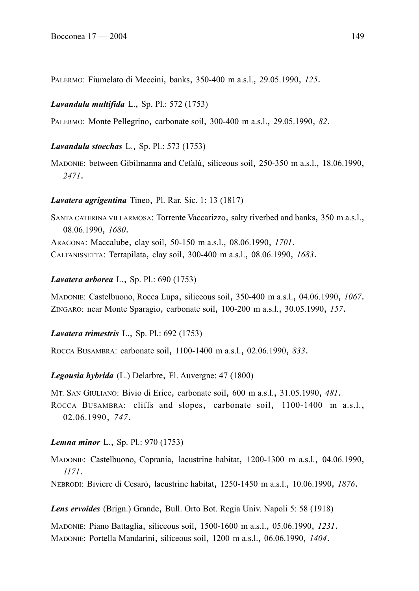PALERMO: Fiumelato di Meccini, banks, 350-400 m a.s.l., 29.05.1990, *125*.

## *Lavandula multifida* L., Sp. Pl.: 572 (1753)

PALERMO: Monte Pellegrino, carbonate soil, 300-400 m a.s.l., 29.05.1990, *82*.

## *Lavandula stoechas* L., Sp. Pl.: 573 (1753)

MADONIE: between Gibilmanna and Cefalù, siliceous soil, 250-350 m a.s.l., 18.06.1990, *2471*.

## *Lavatera agrigentina* Tineo, Pl. Rar. Sic. 1: 13 (1817)

SANTA CATERINA VILLARMOSA: Torrente Vaccarizzo, salty riverbed and banks, 350 m a.s.l., 08.06.1990, *1680*. ARAGONA: Maccalube, clay soil, 50-150 m a.s.l., 08.06.1990, *1701*. CALTANISSETTA: Terrapilata, clay soil, 300-400 m a.s.l., 08.06.1990, *1683*.

## *Lavatera arborea* L., Sp. Pl.: 690 (1753)

MADONIE: Castelbuono, Rocca Lupa, siliceous soil, 350-400 m a.s.l., 04.06.1990, *1067*. ZINGARO: near Monte Sparagio, carbonate soil, 100-200 m a.s.l., 30.05.1990, *157*.

# *Lavatera trimestris* L., Sp. Pl.: 692 (1753)

ROCCA BUSAMBRA: carbonate soil, 1100-1400 m a.s.l., 02.06.1990, *833*.

## *Legousia hybrida* (L.) Delarbre, Fl. Auvergne: 47 (1800)

MT. SAN GIULIANO: Bivio di Erice, carbonate soil, 600 m a.s.l., 31.05.1990, *481*. ROCCA BUSAMBRA: cliffs and slopes, carbonate soil, 1100-1400 m a.s.l., 02.06.1990, *747*.

## *Lemna minor* L., Sp. Pl.: 970 (1753)

MADONIE: Castelbuono, Coprania, lacustrine habitat, 1200-1300 m a.s.l., 04.06.1990, *1171*.

NEBRODI: Biviere di Cesarò, lacustrine habitat, 1250-1450 m a.s.l., 10.06.1990, *1876*.

*Lens ervoides* (Brign.) Grande, Bull. Orto Bot. Regia Univ. Napoli 5: 58 (1918)

MADONIE: Piano Battaglia, siliceous soil, 1500-1600 m a.s.l., 05.06.1990, *1231*. MADONIE: Portella Mandarini, siliceous soil, 1200 m a.s.l., 06.06.1990, *1404*.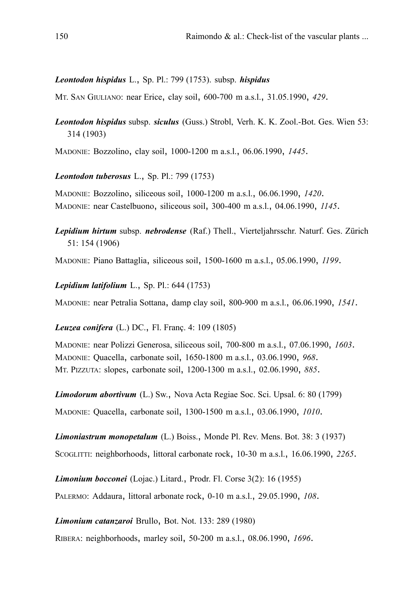### *Leontodon hispidus* L., Sp. Pl.: 799 (1753). subsp. *hispidus*

MT. SAN GIULIANO: near Erice, clay soil, 600-700 m a.s.l., 31.05.1990, *429*.

*Leontodon hispidus* subsp. *siculus* (Guss.) Strobl, Verh. K. K. Zool.-Bot. Ges. Wien 53: 314 (1903)

MADONIE: Bozzolino, clay soil, 1000-1200 m a.s.l., 06.06.1990, *1445*.

*Leontodon tuberosus* L., Sp. Pl.: 799 (1753)

MADONIE: Bozzolino, siliceous soil, 1000-1200 m a.s.l., 06.06.1990, *1420*. MADONIE: near Castelbuono, siliceous soil, 300-400 m a.s.l., 04.06.1990, *1145*.

*Lepidium hirtum* subsp. *nebrodense* (Raf.) Thell., Vierteljahrsschr. Naturf. Ges. Zürich 51: 154 (1906)

MADONIE: Piano Battaglia, siliceous soil, 1500-1600 m a.s.l., 05.06.1990, *1199*.

*Lepidium latifolium* L., Sp. Pl.: 644 (1753)

MADONIE: near Petralia Sottana, damp clay soil, 800-900 m a.s.l., 06.06.1990, *1541*.

*Leuzea conifera* (L.) DC., Fl. Franç. 4: 109 (1805)

MADONIE: near Polizzi Generosa, siliceous soil, 700-800 m a.s.l., 07.06.1990, *1603*. MADONIE: Quacella, carbonate soil, 1650-1800 m a.s.l., 03.06.1990, *968*. MT. PIZZUTA: slopes, carbonate soil, 1200-1300 m a.s.l., 02.06.1990, *885*.

*Limodorum abortivum* (L.) Sw., Nova Acta Regiae Soc. Sci. Upsal. 6: 80 (1799)

MADONIE: Quacella, carbonate soil, 1300-1500 m a.s.l., 03.06.1990, *1010*.

*Limoniastrum monopetalum* (L.) Boiss., Monde Pl. Rev. Mens. Bot. 38: 3 (1937) SCOGLITTI: neighborhoods, littoral carbonate rock, 10-30 m a.s.l., 16.06.1990, *2265*.

*Limonium bocconei* (Lojac.) Litard., Prodr. Fl. Corse 3(2): 16 (1955)

PALERMO: Addaura, littoral arbonate rock, 0-10 m a.s.l., 29.05.1990, *108*.

*Limonium catanzaroi* Brullo, Bot. Not. 133: 289 (1980)

RIBERA: neighborhoods, marley soil, 50-200 m a.s.l., 08.06.1990, *1696*.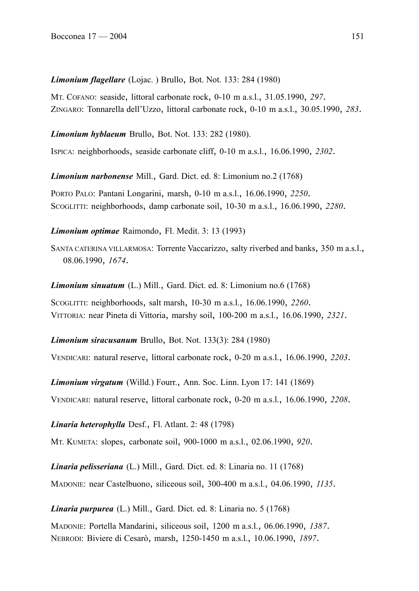*Limonium flagellare* (Lojac. ) Brullo, Bot. Not. 133: 284 (1980)

MT. COFANO: seaside, littoral carbonate rock, 0-10 m a.s.l., 31.05.1990, *297*. ZINGARO: Tonnarella dell'Uzzo, littoral carbonate rock, 0-10 m a.s.l., 30.05.1990, *283*.

*Limonium hyblaeum* Brullo, Bot. Not. 133: 282 (1980).

ISPICA: neighborhoods, seaside carbonate cliff, 0-10 m a.s.l., 16.06.1990, *2302*.

*Limonium narbonense* Mill., Gard. Dict. ed. 8: Limonium no.2 (1768)

PORTO PALO: Pantani Longarini, marsh, 0-10 m a.s.l., 16.06.1990, *2250*. SCOGLITTI: neighborhoods, damp carbonate soil, 10-30 m a.s.l., 16.06.1990, *2280*.

*Limonium optimae* Raimondo, Fl. Medit. 3: 13 (1993)

SANTA CATERINA VILLARMOSA: Torrente Vaccarizzo, salty riverbed and banks, 350 m a.s.l., 08.06.1990, *1674*.

*Limonium sinuatum* (L.) Mill., Gard. Dict. ed. 8: Limonium no.6 (1768)

SCOGLITTI: neighborhoods, salt marsh, 10-30 m a.s.l., 16.06.1990, *2260*. VITTORIA: near Pineta di Vittoria, marshy soil, 100-200 m a.s.l., 16.06.1990, *2321*.

*Limonium siracusanum* Brullo, Bot. Not. 133(3): 284 (1980)

VENDICARI: natural reserve, littoral carbonate rock, 0-20 m a.s.l., 16.06.1990, *2203*.

*Limonium virgatum* (Willd.) Fourr., Ann. Soc. Linn. Lyon 17: 141 (1869)

VENDICARI: natural reserve, littoral carbonate rock, 0-20 m a.s.l., 16.06.1990, *2208*.

*Linaria heterophylla* Desf., Fl. Atlant. 2: 48 (1798)

MT. KUMETA: slopes, carbonate soil, 900-1000 m a.s.l., 02.06.1990, *920*.

*Linaria pelisseriana* (L.) Mill., Gard. Dict. ed. 8: Linaria no. 11 (1768)

MADONIE: near Castelbuono, siliceous soil, 300-400 m a.s.l., 04.06.1990, *1135*.

*Linaria purpurea* (L.) Mill., Gard. Dict. ed. 8: Linaria no. 5 (1768)

MADONIE: Portella Mandarini, siliceous soil, 1200 m a.s.l., 06.06.1990, *1387*. NEBRODI: Biviere di Cesarò, marsh, 1250-1450 m a.s.l., 10.06.1990, *1897*.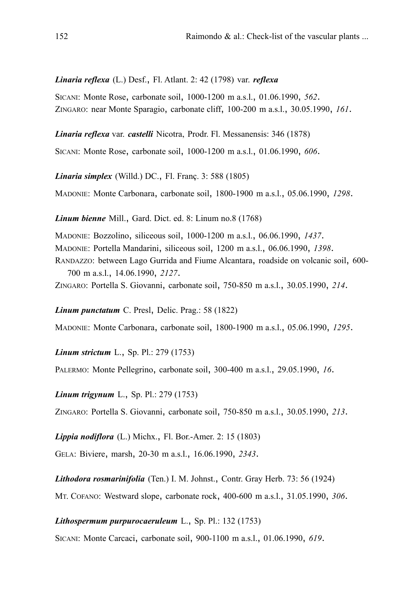*Linaria reflexa* (L.) Desf., Fl. Atlant. 2: 42 (1798) var. *reflexa*

SICANI: Monte Rose, carbonate soil, 1000-1200 m a.s.l., 01.06.1990, *562*. ZINGARO: near Monte Sparagio, carbonate cliff, 100-200 m a.s.l., 30.05.1990, *161*.

*Linaria reflexa* var. *castelli* Nicotra, Prodr. Fl. Messanensis: 346 (1878)

SICANI: Monte Rose, carbonate soil, 1000-1200 m a.s.l., 01.06.1990, *606*.

*Linaria simplex* (Willd.) DC., Fl. Franç. 3: 588 (1805)

MADONIE: Monte Carbonara, carbonate soil, 1800-1900 m a.s.l., 05.06.1990, *1298*.

*Linum bienne* Mill., Gard. Dict. ed. 8: Linum no.8 (1768)

MADONIE: Bozzolino, siliceous soil, 1000-1200 m a.s.l., 06.06.1990, *1437*.

MADONIE: Portella Mandarini, siliceous soil, 1200 m a.s.l., 06.06.1990, *1398*.

RANDAZZO: between Lago Gurrida and Fiume Alcantara, roadside on volcanic soil, 600- 700 m a.s.l., 14.06.1990, *2127*.

ZINGARO: Portella S. Giovanni, carbonate soil, 750-850 m a.s.l., 30.05.1990, *214*.

*Linum punctatum* C. Presl, Delic. Prag.: 58 (1822)

MADONIE: Monte Carbonara, carbonate soil, 1800-1900 m a.s.l., 05.06.1990, *1295*.

*Linum strictum* L., Sp. Pl.: 279 (1753)

PALERMO: Monte Pellegrino, carbonate soil, 300-400 m a.s.l., 29.05.1990, *16*.

*Linum trigynum* L., Sp. Pl.: 279 (1753)

ZINGARO: Portella S. Giovanni, carbonate soil, 750-850 m a.s.l., 30.05.1990, *213*.

*Lippia nodiflora* (L.) Michx., Fl. Bor.-Amer. 2: 15 (1803)

GELA: Biviere, marsh, 20-30 m a.s.l., 16.06.1990, *2343*.

*Lithodora rosmarinifolia* (Ten.) I. M. Johnst., Contr. Gray Herb. 73: 56 (1924)

MT. COFANO: Westward slope, carbonate rock, 400-600 m a.s.l., 31.05.1990, *306*.

*Lithospermum purpurocaeruleum* L., Sp. Pl.: 132 (1753)

SICANI: Monte Carcaci, carbonate soil, 900-1100 m a.s.l., 01.06.1990, *619*.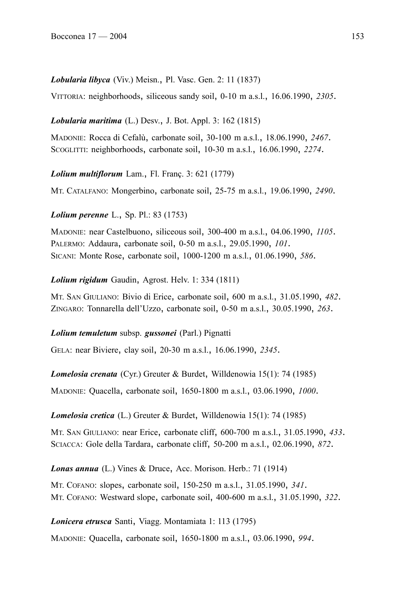### *Lobularia libyca* (Viv.) Meisn., Pl. Vasc. Gen. 2: 11 (1837)

VITTORIA: neighborhoods, siliceous sandy soil, 0-10 m a.s.l., 16.06.1990, *2305*.

### *Lobularia maritima* (L.) Desv., J. Bot. Appl. 3: 162 (1815)

MADONIE: Rocca di Cefalù, carbonate soil, 30-100 m a.s.l., 18.06.1990, *2467*. SCOGLITTI: neighborhoods, carbonate soil, 10-30 m a.s.l., 16.06.1990, *2274*.

### *Lolium multiflorum* Lam., Fl. Franç. 3: 621 (1779)

MT. CATALFANO: Mongerbino, carbonate soil, 25-75 m a.s.l., 19.06.1990, *2490*.

*Lolium perenne* L., Sp. Pl.: 83 (1753)

MADONIE: near Castelbuono, siliceous soil, 300-400 m a.s.l., 04.06.1990, *1105*. PALERMO: Addaura, carbonate soil, 0-50 m a.s.l., 29.05.1990, *101*. SICANI: Monte Rose, carbonate soil, 1000-1200 m a.s.l., 01.06.1990, *586*.

### *Lolium rigidum* Gaudin, Agrost. Helv. 1: 334 (1811)

MT. SAN GIULIANO: Bivio di Erice, carbonate soil, 600 m a.s.l., 31.05.1990, *482*. ZINGARO: Tonnarella dell'Uzzo, carbonate soil, 0-50 m a.s.l., 30.05.1990, *263*.

### *Lolium temuletum* subsp. *gussonei* (Parl.) Pignatti

GELA: near Biviere, clay soil, 20-30 m a.s.l., 16.06.1990, *2345*.

*Lomelosia crenata* (Cyr.) Greuter & Burdet, Willdenowia 15(1): 74 (1985)

MADONIE: Quacella, carbonate soil, 1650-1800 m a.s.l., 03.06.1990, *1000*.

*Lomelosia cretica* (L.) Greuter & Burdet, Willdenowia 15(1): 74 (1985)

MT. SAN GIULIANO: near Erice, carbonate cliff, 600-700 m a.s.l., 31.05.1990, *433*. SCIACCA: Gole della Tardara, carbonate cliff, 50-200 m a.s.l., 02.06.1990, *872*.

*Lonas annua* (L.) Vines & Druce, Acc. Morison. Herb.: 71 (1914)

MT. COFANO: slopes, carbonate soil, 150-250 m a.s.l., 31.05.1990, *341*. MT. COFANO: Westward slope, carbonate soil, 400-600 m a.s.l., 31.05.1990, *322*.

### *Lonicera etrusca* Santi, Viagg. Montamiata 1: 113 (1795)

MADONIE: Quacella, carbonate soil, 1650-1800 m a.s.l., 03.06.1990, *994*.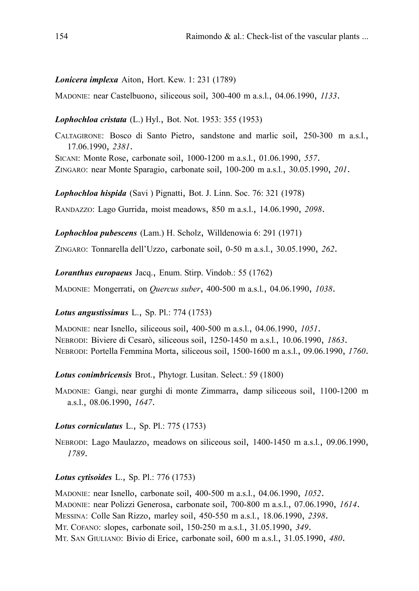### *Lonicera implexa* Aiton, Hort. Kew. 1: 231 (1789)

MADONIE: near Castelbuono, siliceous soil, 300-400 m a.s.l., 04.06.1990, *1133*.

### *Lophochloa cristata* (L.) Hyl., Bot. Not. 1953: 355 (1953)

CALTAGIRONE: Bosco di Santo Pietro, sandstone and marlic soil, 250-300 m a.s.l., 17.06.1990, *2381*.

SICANI: Monte Rose, carbonate soil, 1000-1200 m a.s.l., 01.06.1990, *557*. ZINGARO: near Monte Sparagio, carbonate soil, 100-200 m a.s.l., 30.05.1990, *201*.

*Lophochloa hispida* (Savi ) Pignatti, Bot. J. Linn. Soc. 76: 321 (1978)

RANDAZZO: Lago Gurrida, moist meadows, 850 m a.s.l., 14.06.1990, *2098*.

*Lophochloa pubescens* (Lam.) H. Scholz, Willdenowia 6: 291 (1971)

ZINGARO: Tonnarella dell'Uzzo, carbonate soil, 0-50 m a.s.l., 30.05.1990, *262*.

*Loranthus europaeus* Jacq., Enum. Stirp. Vindob.: 55 (1762)

MADONIE: Mongerrati, on *Quercus suber*, 400-500 m a.s.l., 04.06.1990, *1038*.

### *Lotus angustissimus* L., Sp. Pl.: 774 (1753)

MADONIE: near Isnello, siliceous soil, 400-500 m a.s.l., 04.06.1990, *1051*. NEBRODI: Biviere di Cesarò, siliceous soil, 1250-1450 m a.s.l., 10.06.1990, *1863*. NEBRODI: Portella Femmina Morta, siliceous soil, 1500-1600 m a.s.l., 09.06.1990, *1760*.

*Lotus conimbricensis* Brot., Phytogr. Lusitan. Select.: 59 (1800)

MADONIE: Gangi, near gurghi di monte Zimmarra, damp siliceous soil, 1100-1200 m a.s.l., 08.06.1990, *1647*.

### *Lotus corniculatus* L., Sp. Pl.: 775 (1753)

NEBRODI: Lago Maulazzo, meadows on siliceous soil, 1400-1450 m a.s.l., 09.06.1990, *1789*.

## *Lotus cytisoides* L., Sp. Pl.: 776 (1753)

MADONIE: near Isnello, carbonate soil, 400-500 m a.s.l., 04.06.1990, *1052*. MADONIE: near Polizzi Generosa, carbonate soil, 700-800 m a.s.l., 07.06.1990, *1614*. MESSINA: Colle San Rizzo, marley soil, 450-550 m a.s.l., 18.06.1990, *2398*. MT. COFANO: slopes, carbonate soil, 150-250 m a.s.l., 31.05.1990, *349*. MT. SAN GIULIANO: Bivio di Erice, carbonate soil, 600 m a.s.l., 31.05.1990, *480*.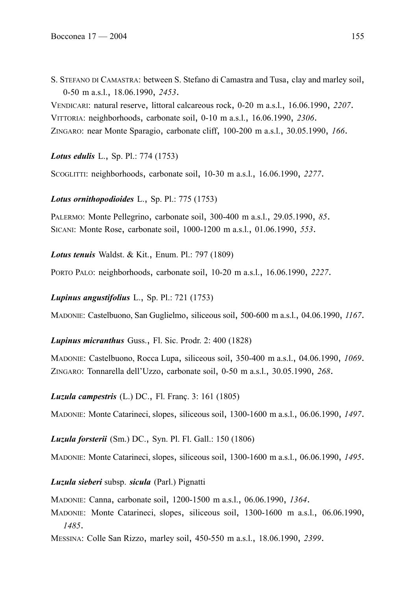S. STEFANO DI CAMASTRA: between S. Stefano di Camastra and Tusa, clay and marley soil, 0-50 m a.s.l., 18.06.1990, *2453*.

VENDICARI: natural reserve, littoral calcareous rock, 0-20 m a.s.l., 16.06.1990, *2207*. VITTORIA: neighborhoods, carbonate soil, 0-10 m a.s.l., 16.06.1990, *2306*. ZINGARO: near Monte Sparagio, carbonate cliff, 100-200 m a.s.l., 30.05.1990, *166*.

*Lotus edulis* L., Sp. Pl.: 774 (1753)

SCOGLITTI: neighborhoods, carbonate soil, 10-30 m a.s.l., 16.06.1990, *2277*.

*Lotus ornithopodioides* L., Sp. Pl.: 775 (1753)

PALERMO: Monte Pellegrino, carbonate soil, 300-400 m a.s.l., 29.05.1990, *85*. SICANI: Monte Rose, carbonate soil, 1000-1200 m a.s.l., 01.06.1990, *553*.

*Lotus tenuis* Waldst. & Kit., Enum. Pl.: 797 (1809)

PORTO PALO: neighborhoods, carbonate soil, 10-20 m a.s.l., 16.06.1990, *2227*.

*Lupinus angustifolius* L., Sp. Pl.: 721 (1753)

MADONIE: Castelbuono, San Guglielmo, siliceous soil, 500-600 m a.s.l., 04.06.1990, *1167*.

*Lupinus micranthus* Guss., Fl. Sic. Prodr. 2: 400 (1828)

MADONIE: Castelbuono, Rocca Lupa, siliceous soil, 350-400 m a.s.l., 04.06.1990, *1069*. ZINGARO: Tonnarella dell'Uzzo, carbonate soil, 0-50 m a.s.l., 30.05.1990, *268*.

*Luzula campestris* (L.) DC., Fl. Franç. 3: 161 (1805)

MADONIE: Monte Catarineci, slopes, siliceous soil, 1300-1600 m a.s.l., 06.06.1990, *1497*.

*Luzula forsterii* (Sm.) DC., Syn. Pl. Fl. Gall.: 150 (1806)

MADONIE: Monte Catarineci, slopes, siliceous soil, 1300-1600 m a.s.l., 06.06.1990, *1495*.

*Luzula sieberi* subsp. *sicula* (Parl.) Pignatti

MADONIE: Canna, carbonate soil, 1200-1500 m a.s.l., 06.06.1990, *1364*.

MADONIE: Monte Catarineci, slopes, siliceous soil, 1300-1600 m a.s.l., 06.06.1990, *1485*.

MESSINA: Colle San Rizzo, marley soil, 450-550 m a.s.l., 18.06.1990, *2399*.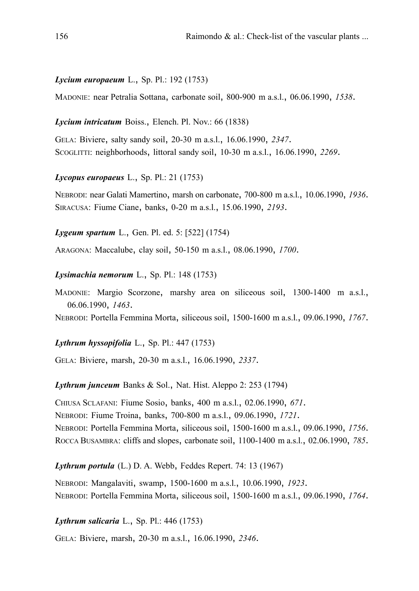#### *Lycium europaeum* L., Sp. Pl.: 192 (1753)

MADONIE: near Petralia Sottana, carbonate soil, 800-900 m a.s.l., 06.06.1990, *1538*.

### *Lycium intricatum* Boiss., Elench. Pl. Nov.: 66 (1838)

GELA: Biviere, salty sandy soil, 20-30 m a.s.l., 16.06.1990, *2347*. SCOGLITTI: neighborhoods, littoral sandy soil, 10-30 m a.s.l., 16.06.1990, *2269*.

*Lycopus europaeus* L., Sp. Pl.: 21 (1753)

NEBRODI: near Galati Mamertino, marsh on carbonate, 700-800 m a.s.l., 10.06.1990, *1936*. SIRACUSA: Fiume Ciane, banks, 0-20 m a.s.l., 15.06.1990, *2193*.

*Lygeum spartum* L., Gen. Pl. ed. 5: [522] (1754)

ARAGONA: Maccalube, clay soil, 50-150 m a.s.l., 08.06.1990, *1700*.

#### *Lysimachia nemorum* L., Sp. Pl.: 148 (1753)

MADONIE: Margio Scorzone, marshy area on siliceous soil, 1300-1400 m a.s.l., 06.06.1990, *1463*.

NEBRODI: Portella Femmina Morta, siliceous soil, 1500-1600 m a.s.l., 09.06.1990, *1767*.

### *Lythrum hyssopifolia* L., Sp. Pl.: 447 (1753)

GELA: Biviere, marsh, 20-30 m a.s.l., 16.06.1990, *2337*.

*Lythrum junceum* Banks & Sol., Nat. Hist. Aleppo 2: 253 (1794)

CHIUSA SCLAFANI: Fiume Sosio, banks, 400 m a.s.l., 02.06.1990, *671*. NEBRODI: Fiume Troina, banks, 700-800 m a.s.l., 09.06.1990, *1721*. NEBRODI: Portella Femmina Morta, siliceous soil, 1500-1600 m a.s.l., 09.06.1990, *1756*. ROCCA BUSAMBRA: cliffs and slopes, carbonate soil, 1100-1400 m a.s.l., 02.06.1990, *785*.

### *Lythrum portula* (L.) D. A. Webb, Feddes Repert. 74: 13 (1967)

NEBRODI: Mangalaviti, swamp, 1500-1600 m a.s.l., 10.06.1990, *1923*. NEBRODI: Portella Femmina Morta, siliceous soil, 1500-1600 m a.s.l., 09.06.1990, *1764*.

### *Lythrum salicaria* L., Sp. Pl.: 446 (1753)

GELA: Biviere, marsh, 20-30 m a.s.l., 16.06.1990, *2346*.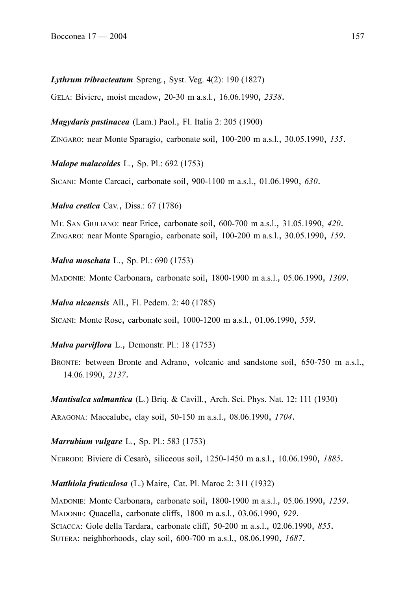*Lythrum tribracteatum* Spreng., Syst. Veg. 4(2): 190 (1827)

GELA: Biviere, moist meadow, 20-30 m a.s.l., 16.06.1990, *2338*.

*Magydaris pastinacea* (Lam.) Paol., Fl. Italia 2: 205 (1900)

ZINGARO: near Monte Sparagio, carbonate soil, 100-200 m a.s.l., 30.05.1990, *135*.

*Malope malacoides* L., Sp. Pl.: 692 (1753)

SICANI: Monte Carcaci, carbonate soil, 900-1100 m a.s.l., 01.06.1990, *630*.

*Malva cretica* Cav., Diss.: 67 (1786)

MT. SAN GIULIANO: near Erice, carbonate soil, 600-700 m a.s.l., 31.05.1990, *420*. ZINGARO: near Monte Sparagio, carbonate soil, 100-200 m a.s.l., 30.05.1990, *159*.

*Malva moschata* L., Sp. Pl.: 690 (1753)

MADONIE: Monte Carbonara, carbonate soil, 1800-1900 m a.s.l., 05.06.1990, *1309*.

*Malva nicaensis* All., Fl. Pedem. 2: 40 (1785)

SICANI: Monte Rose, carbonate soil, 1000-1200 m a.s.l., 01.06.1990, *559*.

*Malva parviflora* L., Demonstr. Pl.: 18 (1753)

BRONTE: between Bronte and Adrano, volcanic and sandstone soil, 650-750 m a.s.l., 14.06.1990, *2137*.

*Mantisalca salmantica* (L.) Briq. & Cavill., Arch. Sci. Phys. Nat. 12: 111 (1930)

ARAGONA: Maccalube, clay soil, 50-150 m a.s.l., 08.06.1990, *1704*.

*Marrubium vulgare* L., Sp. Pl.: 583 (1753)

NEBRODI: Biviere di Cesarò, siliceous soil, 1250-1450 m a.s.l., 10.06.1990, *1885*.

*Matthiola fruticulosa* (L.) Maire, Cat. Pl. Maroc 2: 311 (1932)

MADONIE: Monte Carbonara, carbonate soil, 1800-1900 m a.s.l., 05.06.1990, *1259*. MADONIE: Quacella, carbonate cliffs, 1800 m a.s.l., 03.06.1990, *929*. SCIACCA: Gole della Tardara, carbonate cliff, 50-200 m a.s.l., 02.06.1990, *855*. SUTERA: neighborhoods, clay soil, 600-700 m a.s.l., 08.06.1990, *1687*.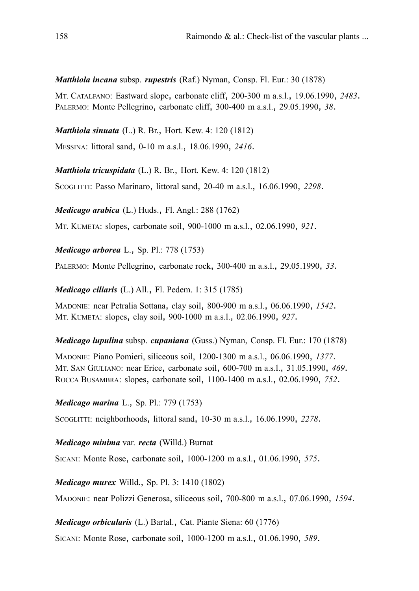*Matthiola incana* subsp. *rupestris* (Raf.) Nyman, Consp. Fl. Eur.: 30 (1878)

MT. CATALFANO: Eastward slope, carbonate cliff, 200-300 m a.s.l., 19.06.1990, *2483*. PALERMO: Monte Pellegrino, carbonate cliff, 300-400 m a.s.l., 29.05.1990, *38*.

*Matthiola sinuata* (L.) R. Br., Hort. Kew. 4: 120 (1812)

MESSINA: littoral sand, 0-10 m a.s.l., 18.06.1990, *2416*.

*Matthiola tricuspidata* (L.) R. Br., Hort. Kew. 4: 120 (1812)

SCOGLITTI: Passo Marinaro, littoral sand, 20-40 m a.s.l., 16.06.1990, *2298*.

*Medicago arabica* (L.) Huds., Fl. Angl.: 288 (1762)

MT. KUMETA: slopes, carbonate soil, 900-1000 m a.s.l., 02.06.1990, *921*.

*Medicago arborea* L., Sp. Pl.: 778 (1753)

PALERMO: Monte Pellegrino, carbonate rock, 300-400 m a.s.l., 29.05.1990, *33*.

*Medicago ciliaris* (L.) All., Fl. Pedem. 1: 315 (1785)

MADONIE: near Petralia Sottana, clay soil, 800-900 m a.s.l., 06.06.1990, *1542*. MT. KUMETA: slopes, clay soil, 900-1000 m a.s.l., 02.06.1990, *927*.

*Medicago lupulina* subsp. *cupaniana* (Guss.) Nyman, Consp. Fl. Eur.: 170 (1878)

MADONIE: Piano Pomieri, siliceous soil, 1200-1300 m a.s.l., 06.06.1990, *1377*. MT. SAN GIULIANO: near Erice, carbonate soil, 600-700 m a.s.l., 31.05.1990, *469*. ROCCA BUSAMBRA: slopes, carbonate soil, 1100-1400 m a.s.l., 02.06.1990, *752*.

*Medicago marina* L., Sp. Pl.: 779 (1753)

SCOGLITTI: neighborhoods, littoral sand, 10-30 m a.s.l., 16.06.1990, *2278*.

*Medicago minima* var. *recta* (Willd.) Burnat

SICANI: Monte Rose, carbonate soil, 1000-1200 m a.s.l., 01.06.1990, *575*.

*Medicago murex* Willd., Sp. Pl. 3: 1410 (1802)

MADONIE: near Polizzi Generosa, siliceous soil, 700-800 m a.s.l., 07.06.1990, *1594*.

*Medicago orbicularis* (L.) Bartal., Cat. Piante Siena: 60 (1776)

SICANI: Monte Rose, carbonate soil, 1000-1200 m a.s.l., 01.06.1990, *589*.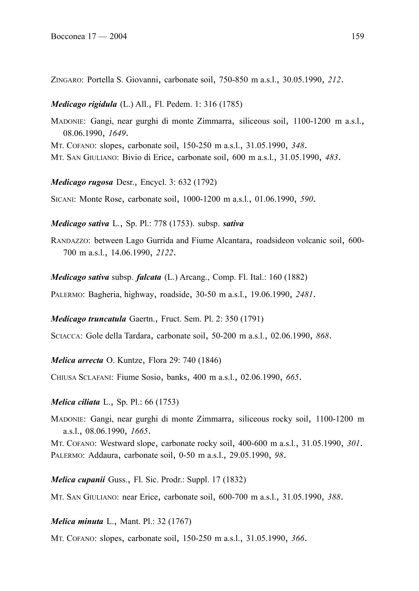ZINGARO: Portella S. Giovanni, carbonate soil, 750-850 m a.s.l., 30.05.1990, *212*.

*Medicago rigidula* (L.) All., Fl. Pedem. 1: 316 (1785)

MADONIE: Gangi, near gurghi di monte Zimmarra, siliceous soil, 1100-1200 m a.s.l., 08.06.1990, *1649*.

MT. COFANO: slopes, carbonate soil, 150-250 m a.s.l., 31.05.1990, *348*.

MT. SAN GIULIANO: Bivio di Erice, carbonate soil, 600 m a.s.l., 31.05.1990, *483*.

*Medicago rugosa* Desr., Encycl. 3: 632 (1792)

SICANI: Monte Rose, carbonate soil, 1000-1200 m a.s.l., 01.06.1990, *590*.

*Medicago sativa* L., Sp. Pl.: 778 (1753). subsp. *sativa*

RANDAZZO: between Lago Gurrida and Fiume Alcantara, roadsideon volcanic soil, 600- 700 m a.s.l., 14.06.1990, *2122*.

*Medicago sativa* subsp. *falcata* (L.) Arcang., Comp. Fl. Ital.: 160 (1882)

PALERMO: Bagheria, highway, roadside, 30-50 m a.s.l., 19.06.1990, *2481*.

*Medicago truncatula* Gaertn., Fruct. Sem. Pl. 2: 350 (1791)

SCIACCA: Gole della Tardara, carbonate soil, 50-200 m a.s.l., 02.06.1990, *868*.

*Melica arrecta* O. Kuntze, Flora 29: 740 (1846)

CHIUSA SCLAFANI: Fiume Sosio, banks, 400 m a.s.l., 02.06.1990, *665*.

#### *Melica ciliata* L., Sp. Pl.: 66 (1753)

MADONIE: Gangi, near gurghi di monte Zimmarra, siliceous rocky soil, 1100-1200 m a.s.l., 08.06.1990, *1665*.

MT. COFANO: Westward slope, carbonate rocky soil, 400-600 m a.s.l., 31.05.1990, *301*. PALERMO: Addaura, carbonate soil, 0-50 m a.s.l., 29.05.1990, *98*.

*Melica cupanii* Guss., Fl. Sic. Prodr.: Suppl. 17 (1832)

MT. SAN GIULIANO: near Erice, carbonate soil, 600-700 m a.s.l., 31.05.1990, *388*.

*Melica minuta* L., Mant. Pl.: 32 (1767)

MT. COFANO: slopes, carbonate soil, 150-250 m a.s.l., 31.05.1990, *366*.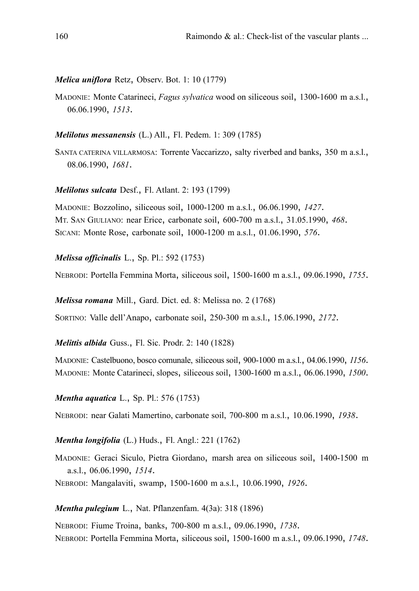### *Melica uniflora* Retz, Observ. Bot. 1: 10 (1779)

MADONIE: Monte Catarineci, *Fagus sylvatica* wood on siliceous soil, 1300-1600 m a.s.l., 06.06.1990, *1513*.

### *Melilotus messanensis* (L.) All., Fl. Pedem. 1: 309 (1785)

SANTA CATERINA VILLARMOSA: Torrente Vaccarizzo, salty riverbed and banks, 350 m a.s.l., 08.06.1990, *1681*.

### *Melilotus sulcata* Desf., Fl. Atlant. 2: 193 (1799)

MADONIE: Bozzolino, siliceous soil, 1000-1200 m a.s.l., 06.06.1990, *1427*. MT. SAN GIULIANO: near Erice, carbonate soil, 600-700 m a.s.l., 31.05.1990, *468*. SICANI: Monte Rose, carbonate soil, 1000-1200 m a.s.l., 01.06.1990, *576*.

### *Melissa officinalis* L., Sp. Pl.: 592 (1753)

NEBRODI: Portella Femmina Morta, siliceous soil, 1500-1600 m a.s.l., 09.06.1990, *1755*.

*Melissa romana* Mill., Gard. Dict. ed. 8: Melissa no. 2 (1768)

SORTINO: Valle dell'Anapo, carbonate soil, 250-300 m a.s.l., 15.06.1990, *2172*.

*Melittis albida* Guss., Fl. Sic. Prodr. 2: 140 (1828)

MADONIE: Castelbuono, bosco comunale, siliceous soil, 900-1000 m a.s.l., 04.06.1990, *1156*. MADONIE: Monte Catarineci, slopes, siliceous soil, 1300-1600 m a.s.l., 06.06.1990, *1500*.

## *Mentha aquatica* L., Sp. Pl.: 576 (1753)

NEBRODI: near Galati Mamertino, carbonate soil, 700-800 m a.s.l., 10.06.1990, *1938*.

### *Mentha longifolia* (L.) Huds., Fl. Angl.: 221 (1762)

MADONIE: Geraci Siculo, Pietra Giordano, marsh area on siliceous soil, 1400-1500 m a.s.l., 06.06.1990, *1514*.

NEBRODI: Mangalaviti, swamp, 1500-1600 m a.s.l., 10.06.1990, *1926*.

### *Mentha pulegium* L., Nat. Pflanzenfam. 4(3a): 318 (1896)

NEBRODI: Fiume Troina, banks, 700-800 m a.s.l., 09.06.1990, *1738*. NEBRODI: Portella Femmina Morta, siliceous soil, 1500-1600 m a.s.l., 09.06.1990, *1748*.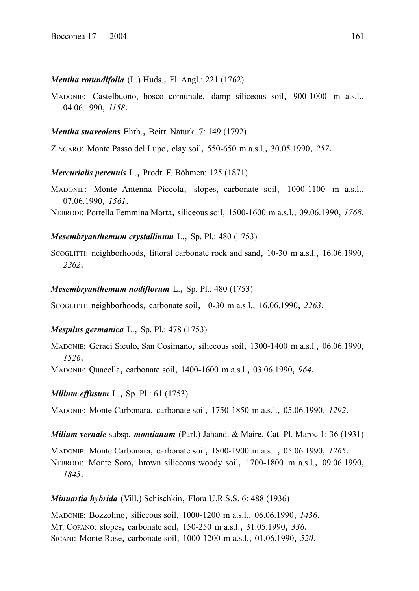### *Mentha rotundifolia* (L.) Huds., Fl. Angl.: 221 (1762)

MADONIE: Castelbuono, bosco comunale, damp siliceous soil, 900-1000 m a.s.l., 04.06.1990, *1158*.

### *Mentha suaveolens* Ehrh., Beitr. Naturk. 7: 149 (1792)

ZINGARO: Monte Passo del Lupo, clay soil, 550-650 m a.s.l., 30.05.1990, *257*.

*Mercurialis perennis* L., Prodr. F. Böhmen: 125 (1871)

MADONIE: Monte Antenna Piccola, slopes, carbonate soil, 1000-1100 m a.s.l., 07.06.1990, *1561*.

NEBRODI: Portella Femmina Morta, siliceous soil, 1500-1600 m a.s.l., 09.06.1990, *1768*.

### *Mesembryanthemum crystallinum* L., Sp. Pl.: 480 (1753)

SCOGLITTI: neighborhoods, littoral carbonate rock and sand, 10-30 m a.s.l., 16.06.1990, *2262*.

### *Mesembryanthemum nodiflorum* L., Sp. Pl.: 480 (1753)

SCOGLITTI: neighborhoods, carbonate soil, 10-30 m a.s.l., 16.06.1990, *2263*.

### *Mespilus germanica* L., Sp. Pl.: 478 (1753)

MADONIE: Geraci Siculo, San Cosimano, siliceous soil, 1300-1400 m a.s.l., 06.06.1990, *1526*.

MADONIE: Quacella, carbonate soil, 1400-1600 m a.s.l., 03.06.1990, *964*.

*Milium effusum* L., Sp. Pl.: 61 (1753)

MADONIE: Monte Carbonara, carbonate soil, 1750-1850 m a.s.l., 05.06.1990, *1292*.

*Milium vernale* subsp. *montianum* (Parl.) Jahand. & Maire, Cat. Pl. Maroc 1: 36 (1931)

MADONIE: Monte Carbonara, carbonate soil, 1800-1900 m a.s.l., 05.06.1990, *1265*. NEBRODI: Monte Soro, brown siliceous woody soil, 1700-1800 m a.s.l., 09.06.1990, *1845*.

*Minuartia hybrida* (Vill.) Schischkin, Flora U.R.S.S. 6: 488 (1936)

MADONIE: Bozzolino, siliceous soil, 1000-1200 m a.s.l., 06.06.1990, *1436*. MT. COFANO: slopes, carbonate soil, 150-250 m a.s.l., 31.05.1990, *336*. SICANI: Monte Rose, carbonate soil, 1000-1200 m a.s.l., 01.06.1990, *520*.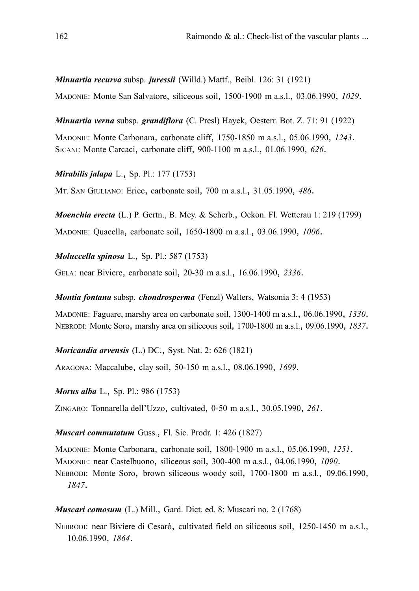*Minuartia recurva* subsp. *juressii* (Willd.) Mattf., Beibl. 126: 31 (1921) MADONIE: Monte San Salvatore, siliceous soil, 1500-1900 m a.s.l., 03.06.1990, *1029*.

*Minuartia verna* subsp. *grandiflora* (C. Presl) Hayek, Oesterr. Bot. Z. 71: 91 (1922) MADONIE: Monte Carbonara, carbonate cliff, 1750-1850 m a.s.l., 05.06.1990, *1243*. SICANI: Monte Carcaci, carbonate cliff, 900-1100 m a.s.l., 01.06.1990, *626*.

*Mirabilis jalapa* L., Sp. Pl.: 177 (1753)

MT. SAN GIULIANO: Erice, carbonate soil, 700 m a.s.l., 31.05.1990, *486*.

*Moenchia erecta* (L.) P. Gertn., B. Mey. & Scherb., Oekon. Fl. Wetterau 1: 219 (1799) MADONIE: Quacella, carbonate soil, 1650-1800 m a.s.l., 03.06.1990, *1006*.

*Moluccella spinosa* L., Sp. Pl.: 587 (1753)

GELA: near Biviere, carbonate soil, 20-30 m a.s.l., 16.06.1990, *2336*.

*Montia fontana* subsp. *chondrosperma* (Fenzl) Walters, Watsonia 3: 4 (1953)

MADONIE: Faguare, marshy area on carbonate soil, 1300-1400 m a.s.l., 06.06.1990, *1330*. NEBRODI: Monte Soro, marshy area on siliceous soil, 1700-1800 m a.s.l., 09.06.1990, *1837*.

*Moricandia arvensis* (L.) DC., Syst. Nat. 2: 626 (1821)

ARAGONA: Maccalube, clay soil, 50-150 m a.s.l., 08.06.1990, *1699*.

*Morus alba* L., Sp. Pl.: 986 (1753)

ZINGARO: Tonnarella dell'Uzzo, cultivated, 0-50 m a.s.l., 30.05.1990, *261*.

*Muscari commutatum* Guss., Fl. Sic. Prodr. 1: 426 (1827)

MADONIE: Monte Carbonara, carbonate soil, 1800-1900 m a.s.l., 05.06.1990, *1251*.

MADONIE: near Castelbuono, siliceous soil, 300-400 m a.s.l., 04.06.1990, *1090*.

NEBRODI: Monte Soro, brown siliceous woody soil, 1700-1800 m a.s.l., 09.06.1990, *1847*.

*Muscari comosum* (L.) Mill., Gard. Dict. ed. 8: Muscari no. 2 (1768)

NEBRODI: near Biviere di Cesarò, cultivated field on siliceous soil, 1250-1450 m a.s.l., 10.06.1990, *1864*.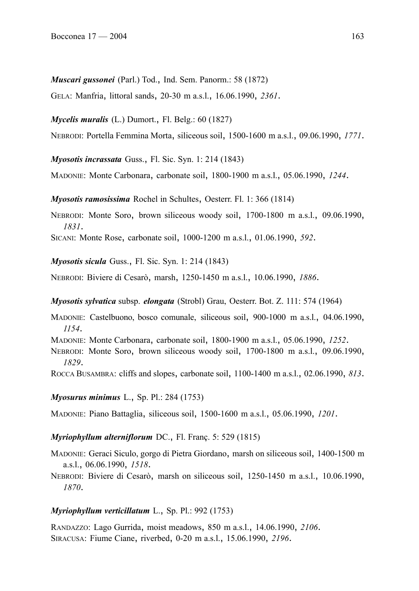*Muscari gussonei* (Parl.) Tod., Ind. Sem. Panorm.: 58 (1872)

GELA: Manfria, littoral sands, 20-30 m a.s.l., 16.06.1990, *2361*.

*Mycelis muralis* (L.) Dumort., Fl. Belg.: 60 (1827)

NEBRODI: Portella Femmina Morta, siliceous soil, 1500-1600 m a.s.l., 09.06.1990, *1771*.

*Myosotis incrassata* Guss., Fl. Sic. Syn. 1: 214 (1843)

MADONIE: Monte Carbonara, carbonate soil, 1800-1900 m a.s.l., 05.06.1990, *1244*.

*Myosotis ramosissima* Rochel in Schultes, Oesterr. Fl. 1: 366 (1814)

NEBRODI: Monte Soro, brown siliceous woody soil, 1700-1800 m a.s.l., 09.06.1990, *1831*.

SICANI: Monte Rose, carbonate soil, 1000-1200 m a.s.l., 01.06.1990, *592*.

*Myosotis sicula* Guss., Fl. Sic. Syn. 1: 214 (1843)

NEBRODI: Biviere di Cesarò, marsh, 1250-1450 m a.s.l., 10.06.1990, *1886*.

*Myosotis sylvatica* subsp. *elongata* (Strobl) Grau, Oesterr. Bot. Z. 111: 574 (1964)

MADONIE: Castelbuono, bosco comunale, siliceous soil, 900-1000 m a.s.l., 04.06.1990, *1154*.

MADONIE: Monte Carbonara, carbonate soil, 1800-1900 m a.s.l., 05.06.1990, *1252*.

NEBRODI: Monte Soro, brown siliceous woody soil, 1700-1800 m a.s.l., 09.06.1990, *1829*.

ROCCA BUSAMBRA: cliffs and slopes, carbonate soil, 1100-1400 m a.s.l., 02.06.1990, *813*.

*Myosurus minimus* L., Sp. Pl.: 284 (1753)

MADONIE: Piano Battaglia, siliceous soil, 1500-1600 m a.s.l., 05.06.1990, *1201*.

*Myriophyllum alterniflorum* DC., Fl. Franç. 5: 529 (1815)

MADONIE: Geraci Siculo, gorgo di Pietra Giordano, marsh on siliceous soil, 1400-1500 m a.s.l., 06.06.1990, *1518*.

NEBRODI: Biviere di Cesarò, marsh on siliceous soil, 1250-1450 m a.s.l., 10.06.1990, *1870*.

#### *Myriophyllum verticillatum* L., Sp. Pl.: 992 (1753)

RANDAZZO: Lago Gurrida, moist meadows, 850 m a.s.l., 14.06.1990, *2106*. SIRACUSA: Fiume Ciane, riverbed, 0-20 m a.s.l., 15.06.1990, *2196*.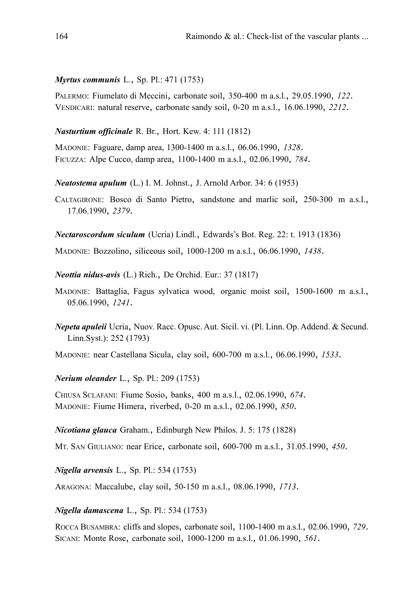## *Myrtus communis* L., Sp. Pl.: 471 (1753)

PALERMO: Fiumelato di Meccini, carbonate soil, 350-400 m a.s.l., 29.05.1990, *122*. VENDICARI: natural reserve, carbonate sandy soil, 0-20 m a.s.l., 16.06.1990, *2212*.

## *Nasturtium officinale* R. Br., Hort. Kew. 4: 111 (1812)

MADONIE: Faguare, damp area, 1300-1400 m a.s.l., 06.06.1990, *1328*. FICUZZA: Alpe Cucco, damp area, 1100-1400 m a.s.l., 02.06.1990, *784*.

*Neatostema apulum* (L.) I. M. Johnst., J. Arnold Arbor. 34: 6 (1953)

CALTAGIRONE: Bosco di Santo Pietro, sandstone and marlic soil, 250-300 m a.s.l., 17.06.1990, *2379*.

*Nectaroscordum siculum* (Ucria) Lindl., Edwards's Bot. Reg. 22: t. 1913 (1836)

MADONIE: Bozzolino, siliceous soil, 1000-1200 m a.s.l., 06.06.1990, *1438*.

*Neottia nidus-avis* (L.) Rich., De Orchid. Eur.: 37 (1817)

- MADONIE: Battaglia, Fagus sylvatica wood, organic moist soil, 1500-1600 m a.s.l., 05.06.1990, *1241*.
- *Nepeta apuleii* Ucria, Nuov. Racc. Opusc. Aut. Sicil. vi. (Pl. Linn. Op. Addend. & Secund. Linn.Syst.): 252 (1793)

MADONIE: near Castellana Sicula, clay soil, 600-700 m a.s.l., 06.06.1990, *1533*.

*Nerium oleander* L., Sp. Pl.: 209 (1753)

CHIUSA SCLAFANI: Fiume Sosio, banks, 400 m a.s.l., 02.06.1990, *674*. MADONIE: Fiume Himera, riverbed, 0-20 m a.s.l., 02.06.1990, *850*.

*Nicotiana glauca* Graham., Edinburgh New Philos. J. 5: 175 (1828)

MT. SAN GIULIANO: near Erice, carbonate soil, 600-700 m a.s.l., 31.05.1990, *450*.

*Nigella arvensis* L., Sp. Pl.: 534 (1753)

ARAGONA: Maccalube, clay soil, 50-150 m a.s.l., 08.06.1990, *1713*.

*Nigella damascena* L., Sp. Pl.: 534 (1753)

ROCCA BUSAMBRA: cliffs and slopes, carbonate soil, 1100-1400 m a.s.l., 02.06.1990, *729*. SICANI: Monte Rose, carbonate soil, 1000-1200 m a.s.l., 01.06.1990, *561*.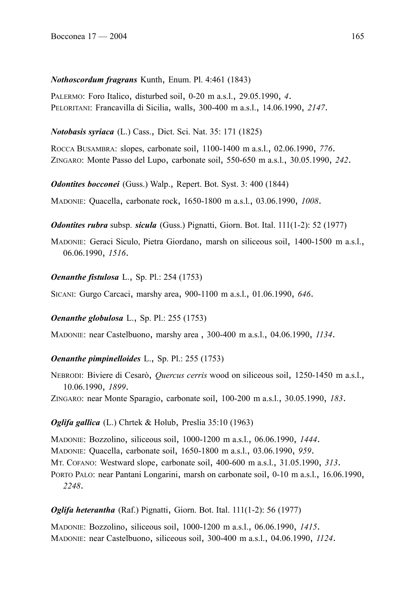## *Nothoscordum fragrans* Kunth, Enum. Pl. 4:461 (1843)

PALERMO: Foro Italico, disturbed soil, 0-20 m a.s.l., 29.05.1990, *4*. PELORITANI: Francavilla di Sicilia, walls, 300-400 m a.s.l., 14.06.1990, *2147*.

*Notobasis syriaca* (L.) Cass., Dict. Sci. Nat. 35: 171 (1825)

ROCCA BUSAMBRA: slopes, carbonate soil, 1100-1400 m a.s.l., 02.06.1990, *776*. ZINGARO: Monte Passo del Lupo, carbonate soil, 550-650 m a.s.l., 30.05.1990, *242*.

*Odontites bocconei* (Guss.) Walp., Repert. Bot. Syst. 3: 400 (1844)

MADONIE: Quacella, carbonate rock, 1650-1800 m a.s.l., 03.06.1990, *1008*.

*Odontites rubra* subsp. *sicula* (Guss.) Pignatti, Giorn. Bot. Ital. 111(1-2): 52 (1977)

MADONIE: Geraci Siculo, Pietra Giordano, marsh on siliceous soil, 1400-1500 m a.s.l., 06.06.1990, *1516*.

## *Oenanthe fistulosa* L., Sp. Pl.: 254 (1753)

SICANI: Gurgo Carcaci, marshy area, 900-1100 m a.s.l., 01.06.1990, *646*.

### *Oenanthe globulosa* L., Sp. Pl.: 255 (1753)

MADONIE: near Castelbuono, marshy area , 300-400 m a.s.l., 04.06.1990, *1134*.

## *Oenanthe pimpinelloides* L., Sp. Pl.: 255 (1753)

NEBRODI: Biviere di Cesarò, *Quercus cerris* wood on siliceous soil, 1250-1450 m a.s.l., 10.06.1990, *1899*.

ZINGARO: near Monte Sparagio, carbonate soil, 100-200 m a.s.l., 30.05.1990, *183*.

## *Oglifa gallica* (L.) Chrtek & Holub, Preslia 35:10 (1963)

MADONIE: Bozzolino, siliceous soil, 1000-1200 m a.s.l., 06.06.1990, *1444*. MADONIE: Quacella, carbonate soil, 1650-1800 m a.s.l., 03.06.1990, *959*. MT. COFANO: Westward slope, carbonate soil, 400-600 m a.s.l., 31.05.1990, *313*. PORTO PALO: near Pantani Longarini, marsh on carbonate soil, 0-10 m a.s.l., 16.06.1990, *2248*.

## *Oglifa heterantha* (Raf.) Pignatti, Giorn. Bot. Ital. 111(1-2): 56 (1977)

MADONIE: Bozzolino, siliceous soil, 1000-1200 m a.s.l., 06.06.1990, *1415*. MADONIE: near Castelbuono, siliceous soil, 300-400 m a.s.l., 04.06.1990, *1124*.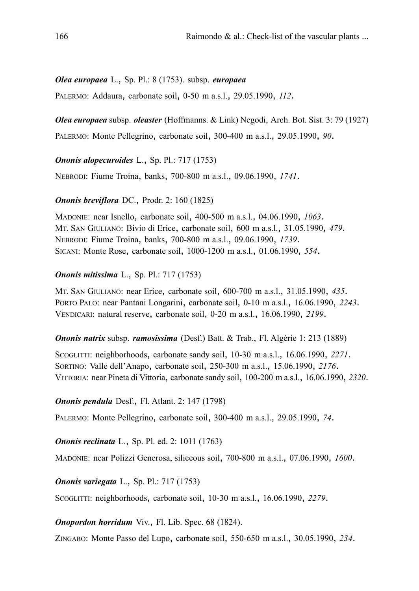## *Olea europaea* L., Sp. Pl.: 8 (1753). subsp. *europaea*

PALERMO: Addaura, carbonate soil, 0-50 m a.s.l., 29.05.1990, *112*.

*Olea europaea* subsp. *oleaster* (Hoffmanns. & Link) Negodi, Arch. Bot. Sist. 3: 79 (1927)

PALERMO: Monte Pellegrino, carbonate soil, 300-400 m a.s.l., 29.05.1990, *90*.

*Ononis alopecuroides* L., Sp. Pl.: 717 (1753)

NEBRODI: Fiume Troina, banks, 700-800 m a.s.l., 09.06.1990, *1741*.

## *Ononis breviflora* DC., Prodr. 2: 160 (1825)

MADONIE: near Isnello, carbonate soil, 400-500 m a.s.l., 04.06.1990, *1063*. MT. SAN GIULIANO: Bivio di Erice, carbonate soil, 600 m a.s.l., 31.05.1990, *479*. NEBRODI: Fiume Troina, banks, 700-800 m a.s.l., 09.06.1990, *1739*. SICANI: Monte Rose, carbonate soil, 1000-1200 m a.s.l., 01.06.1990, *554*.

## *Ononis mitissima* L., Sp. Pl.: 717 (1753)

MT. SAN GIULIANO: near Erice, carbonate soil, 600-700 m a.s.l., 31.05.1990, *435*. PORTO PALO: near Pantani Longarini, carbonate soil, 0-10 m a.s.l., 16.06.1990, *2243*. VENDICARI: natural reserve, carbonate soil, 0-20 m a.s.l., 16.06.1990, *2199*.

### *Ononis natrix* subsp. *ramosissima* (Desf.) Batt. & Trab., Fl. Algérie 1: 213 (1889)

SCOGLITTI: neighborhoods, carbonate sandy soil, 10-30 m a.s.l., 16.06.1990, *2271*. SORTINO: Valle dell'Anapo, carbonate soil, 250-300 m a.s.l., 15.06.1990, *2176*. VITTORIA: near Pineta di Vittoria, carbonate sandy soil, 100-200 m a.s.l., 16.06.1990, *2320*.

*Ononis pendula* Desf., Fl. Atlant. 2: 147 (1798)

PALERMO: Monte Pellegrino, carbonate soil, 300-400 m a.s.l., 29.05.1990, *74*.

*Ononis reclinata* L., Sp. Pl. ed. 2: 1011 (1763)

MADONIE: near Polizzi Generosa, siliceous soil, 700-800 m a.s.l., 07.06.1990, *1600*.

*Ononis variegata* L., Sp. Pl.: 717 (1753)

SCOGLITTI: neighborhoods, carbonate soil, 10-30 m a.s.l., 16.06.1990, *2279*.

## *Onopordon horridum* Viv., Fl. Lib. Spec. 68 (1824).

ZINGARO: Monte Passo del Lupo, carbonate soil, 550-650 m a.s.l., 30.05.1990, *234*.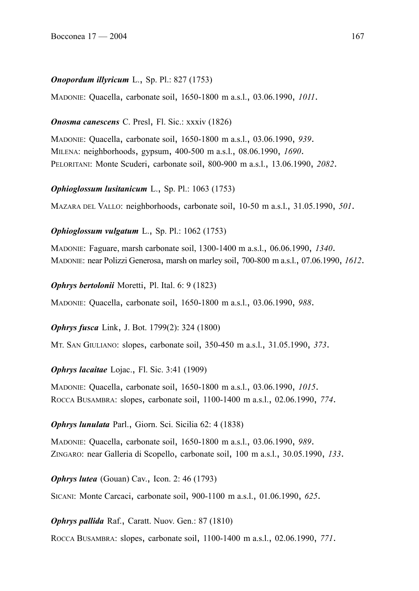## *Onopordum illyricum* L., Sp. Pl.: 827 (1753)

MADONIE: Quacella, carbonate soil, 1650-1800 m a.s.l., 03.06.1990, *1011*.

## *Onosma canescens* C. Presl, Fl. Sic.: xxxiv (1826)

MADONIE: Quacella, carbonate soil, 1650-1800 m a.s.l., 03.06.1990, *939*. MILENA: neighborhoods, gypsum, 400-500 m a.s.l., 08.06.1990, *1690*. PELORITANI: Monte Scuderi, carbonate soil, 800-900 m a.s.l., 13.06.1990, *2082*.

*Ophioglossum lusitanicum* L., Sp. Pl.: 1063 (1753)

MAZARA DEL VALLO: neighborhoods, carbonate soil, 10-50 m a.s.l., 31.05.1990, *501*.

## *Ophioglossum vulgatum* L., Sp. Pl.: 1062 (1753)

MADONIE: Faguare, marsh carbonate soil, 1300-1400 m a.s.l., 06.06.1990, *1340*. MADONIE: near Polizzi Generosa, marsh on marley soil, 700-800 m a.s.l., 07.06.1990, *1612*.

*Ophrys bertolonii* Moretti, Pl. Ital. 6: 9 (1823)

MADONIE: Quacella, carbonate soil, 1650-1800 m a.s.l., 03.06.1990, *988*.

*Ophrys fusca* Link, J. Bot. 1799(2): 324 (1800)

MT. SAN GIULIANO: slopes, carbonate soil, 350-450 m a.s.l., 31.05.1990, *373*.

*Ophrys lacaitae* Lojac., Fl. Sic. 3:41 (1909)

MADONIE: Quacella, carbonate soil, 1650-1800 m a.s.l., 03.06.1990, *1015*. ROCCA BUSAMBRA: slopes, carbonate soil, 1100-1400 m a.s.l., 02.06.1990, *774*.

## *Ophrys lunulata* Parl., Giorn. Sci. Sicilia 62: 4 (1838)

MADONIE: Quacella, carbonate soil, 1650-1800 m a.s.l., 03.06.1990, *989*. ZINGARO: near Galleria di Scopello, carbonate soil, 100 m a.s.l., 30.05.1990, *133*.

*Ophrys lutea* (Gouan) Cav., Icon. 2: 46 (1793)

SICANI: Monte Carcaci, carbonate soil, 900-1100 m a.s.l., 01.06.1990, *625*.

*Ophrys pallida* Raf., Caratt. Nuov. Gen.: 87 (1810)

ROCCA BUSAMBRA: slopes, carbonate soil, 1100-1400 m a.s.l., 02.06.1990, *771*.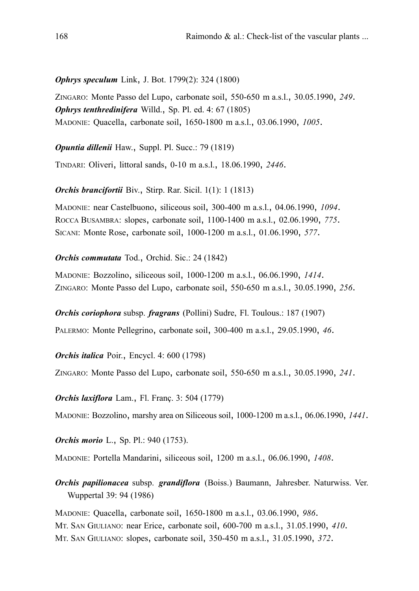*Ophrys speculum* Link, J. Bot. 1799(2): 324 (1800)

ZINGARO: Monte Passo del Lupo, carbonate soil, 550-650 m a.s.l., 30.05.1990, *249*. *Ophrys tenthredinifera* Willd., Sp. Pl. ed. 4: 67 (1805) MADONIE: Quacella, carbonate soil, 1650-1800 m a.s.l., 03.06.1990, *1005*.

*Opuntia dillenii* Haw., Suppl. Pl. Succ.: 79 (1819)

TINDARI: Oliveri, littoral sands, 0-10 m a.s.l., 18.06.1990, *2446*.

*Orchis brancifortii* Biv., Stirp. Rar. Sicil. 1(1): 1 (1813)

MADONIE: near Castelbuono, siliceous soil, 300-400 m a.s.l., 04.06.1990, *1094*. ROCCA BUSAMBRA: slopes, carbonate soil, 1100-1400 m a.s.l., 02.06.1990, *775*. SICANI: Monte Rose, carbonate soil, 1000-1200 m a.s.l., 01.06.1990, *577*.

### *Orchis commutata* Tod., Orchid. Sic.: 24 (1842)

MADONIE: Bozzolino, siliceous soil, 1000-1200 m a.s.l., 06.06.1990, *1414*. ZINGARO: Monte Passo del Lupo, carbonate soil, 550-650 m a.s.l., 30.05.1990, *256*.

*Orchis coriophora* subsp. *fragrans* (Pollini) Sudre, Fl. Toulous.: 187 (1907)

PALERMO: Monte Pellegrino, carbonate soil, 300-400 m a.s.l., 29.05.1990, *46*.

*Orchis italica* Poir., Encycl. 4: 600 (1798)

ZINGARO: Monte Passo del Lupo, carbonate soil, 550-650 m a.s.l., 30.05.1990, *241*.

*Orchis laxiflora* Lam., Fl. Franç. 3: 504 (1779)

MADONIE: Bozzolino, marshy area on Siliceous soil, 1000-1200 m a.s.l., 06.06.1990, *1441*.

*Orchis morio* L., Sp. Pl.: 940 (1753).

MADONIE: Portella Mandarini, siliceous soil, 1200 m a.s.l., 06.06.1990, *1408*.

*Orchis papilionacea* subsp. *grandiflora* (Boiss.) Baumann, Jahresber. Naturwiss. Ver. Wuppertal 39: 94 (1986)

MADONIE: Quacella, carbonate soil, 1650-1800 m a.s.l., 03.06.1990, *986*. MT. SAN GIULIANO: near Erice, carbonate soil, 600-700 m a.s.l., 31.05.1990, *410*. MT. SAN GIULIANO: slopes, carbonate soil, 350-450 m a.s.l., 31.05.1990, *372*.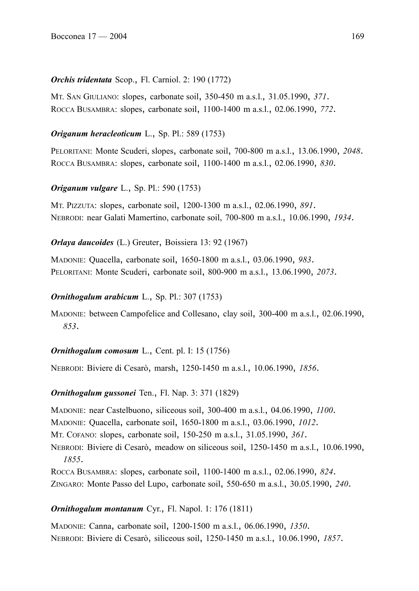# *Orchis tridentata* Scop., Fl. Carniol. 2: 190 (1772)

MT. SAN GIULIANO: slopes, carbonate soil, 350-450 m a.s.l., 31.05.1990, *371*. ROCCA BUSAMBRA: slopes, carbonate soil, 1100-1400 m a.s.l., 02.06.1990, *772*.

# *Origanum heracleoticum* L., Sp. Pl.: 589 (1753)

PELORITANI: Monte Scuderi, slopes, carbonate soil, 700-800 m a.s.l., 13.06.1990, *2048*. ROCCA BUSAMBRA: slopes, carbonate soil, 1100-1400 m a.s.l., 02.06.1990, *830*.

# *Origanum vulgare* L., Sp. Pl.: 590 (1753)

MT. PIZZUTA: slopes, carbonate soil, 1200-1300 m a.s.l., 02.06.1990, *891*. NEBRODI: near Galati Mamertino, carbonate soil, 700-800 m a.s.l., 10.06.1990, *1934*.

# *Orlaya daucoides* (L.) Greuter, Boissiera 13: 92 (1967)

MADONIE: Quacella, carbonate soil, 1650-1800 m a.s.l., 03.06.1990, *983*. PELORITANI: Monte Scuderi, carbonate soil, 800-900 m a.s.l., 13.06.1990, *2073*.

## *Ornithogalum arabicum* L., Sp. Pl.: 307 (1753)

MADONIE: between Campofelice and Collesano, clay soil, 300-400 m a.s.l., 02.06.1990, *853*.

# *Ornithogalum comosum* L., Cent. pl. I: 15 (1756)

NEBRODI: Biviere di Cesarò, marsh, 1250-1450 m a.s.l., 10.06.1990, *1856*.

# *Ornithogalum gussonei* Ten., Fl. Nap. 3: 371 (1829)

MADONIE: near Castelbuono, siliceous soil, 300-400 m a.s.l., 04.06.1990, *1100*.

MADONIE: Quacella, carbonate soil, 1650-1800 m a.s.l., 03.06.1990, *1012*.

MT. COFANO: slopes, carbonate soil, 150-250 m a.s.l., 31.05.1990, *361*.

NEBRODI: Biviere di Cesarò, meadow on siliceous soil, 1250-1450 m a.s.l., 10.06.1990, *1855*.

ROCCA BUSAMBRA: slopes, carbonate soil, 1100-1400 m a.s.l., 02.06.1990, *824*.

ZINGARO: Monte Passo del Lupo, carbonate soil, 550-650 m a.s.l., 30.05.1990, *240*.

# *Ornithogalum montanum* Cyr., Fl. Napol. 1: 176 (1811)

MADONIE: Canna, carbonate soil, 1200-1500 m a.s.l., 06.06.1990, *1350*. NEBRODI: Biviere di Cesarò, siliceous soil, 1250-1450 m a.s.l., 10.06.1990, *1857*.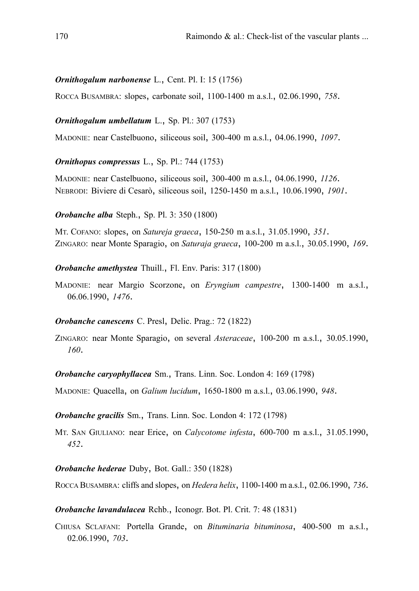### *Ornithogalum narbonense* L., Cent. Pl. I: 15 (1756)

ROCCA BUSAMBRA: slopes, carbonate soil, 1100-1400 m a.s.l., 02.06.1990, *758*.

## *Ornithogalum umbellatum* L., Sp. Pl.: 307 (1753)

MADONIE: near Castelbuono, siliceous soil, 300-400 m a.s.l., 04.06.1990, *1097*.

## *Ornithopus compressus* L., Sp. Pl.: 744 (1753)

MADONIE: near Castelbuono, siliceous soil, 300-400 m a.s.l., 04.06.1990, *1126*. NEBRODI: Biviere di Cesarò, siliceous soil, 1250-1450 m a.s.l., 10.06.1990, *1901*.

## *Orobanche alba* Steph., Sp. Pl. 3: 350 (1800)

MT. COFANO: slopes, on *Satureja graeca*, 150-250 m a.s.l., 31.05.1990, *351*. ZINGARO: near Monte Sparagio, on *Saturaja graeca*, 100-200 m a.s.l., 30.05.1990, *169*.

### *Orobanche amethystea* Thuill., Fl. Env. Paris: 317 (1800)

MADONIE: near Margio Scorzone, on *Eryngium campestre*, 1300-1400 m a.s.l., 06.06.1990, *1476*.

### *Orobanche canescens* C. Presl, Delic. Prag.: 72 (1822)

ZINGARO: near Monte Sparagio, on several *Asteraceae*, 100-200 m a.s.l., 30.05.1990, *160*.

*Orobanche caryophyllacea* Sm., Trans. Linn. Soc. London 4: 169 (1798)

MADONIE: Quacella, on *Galium lucidum*, 1650-1800 m a.s.l., 03.06.1990, *948*.

### *Orobanche gracilis* Sm., Trans. Linn. Soc. London 4: 172 (1798)

MT. SAN GIULIANO: near Erice, on *Calycotome infesta*, 600-700 m a.s.l., 31.05.1990, *452*.

### *Orobanche hederae* Duby, Bot. Gall.: 350 (1828)

ROCCA BUSAMBRA: cliffs and slopes, on *Hedera helix*, 1100-1400 m a.s.l., 02.06.1990, *736*.

## *Orobanche lavandulacea* Rchb., Iconogr. Bot. Pl. Crit. 7: 48 (1831)

CHIUSA SCLAFANI: Portella Grande, on *Bituminaria bituminosa*, 400-500 m a.s.l., 02.06.1990, *703*.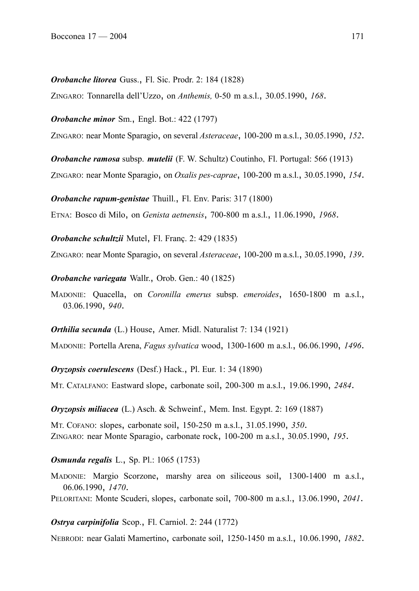### *Orobanche litorea* Guss., Fl. Sic. Prodr. 2: 184 (1828)

ZINGARO: Tonnarella dell'Uzzo, on *Anthemis,* 0-50 m a.s.l., 30.05.1990, *168*.

*Orobanche minor* Sm., Engl. Bot.: 422 (1797)

ZINGARO: near Monte Sparagio, on several *Asteraceae*, 100-200 m a.s.l., 30.05.1990, *152*.

*Orobanche ramosa* subsp. *mutelii* (F. W. Schultz) Coutinho, Fl. Portugal: 566 (1913) ZINGARO: near Monte Sparagio, on *Oxalis pes-caprae*, 100-200 m a.s.l., 30.05.1990, *154*.

*Orobanche rapum-genistae* Thuill., Fl. Env. Paris: 317 (1800)

ETNA: Bosco di Milo, on *Genista aetnensis*, 700-800 m a.s.l., 11.06.1990, *1968*.

*Orobanche schultzii* Mutel, Fl. Franç. 2: 429 (1835)

ZINGARO: near Monte Sparagio, on several *Asteraceae*, 100-200 m a.s.l., 30.05.1990, *139*.

*Orobanche variegata* Wallr., Orob. Gen.: 40 (1825)

MADONIE: Quacella, on *Coronilla emerus* subsp. *emeroides*, 1650-1800 m a.s.l., 03.06.1990, *940*.

*Orthilia secunda* (L.) House, Amer. Midl. Naturalist 7: 134 (1921)

MADONIE: Portella Arena, *Fagus sylvatica* wood, 1300-1600 m a.s.l., 06.06.1990, *1496*.

*Oryzopsis coerulescens* (Desf.) Hack., Pl. Eur. 1: 34 (1890)

MT. CATALFANO: Eastward slope, carbonate soil, 200-300 m a.s.l., 19.06.1990, *2484*.

*Oryzopsis miliacea* (L.) Asch. & Schweinf., Mem. Inst. Egypt. 2: 169 (1887)

MT. COFANO: slopes, carbonate soil, 150-250 m a.s.l., 31.05.1990, *350*. ZINGARO: near Monte Sparagio, carbonate rock, 100-200 m a.s.l., 30.05.1990, *195*.

*Osmunda regalis* L., Sp. Pl.: 1065 (1753)

MADONIE: Margio Scorzone, marshy area on siliceous soil, 1300-1400 m a.s.l., 06.06.1990, *1470*.

PELORITANI: Monte Scuderi, slopes, carbonate soil, 700-800 m a.s.l., 13.06.1990, *2041*.

### *Ostrya carpinifolia* Scop., Fl. Carniol. 2: 244 (1772)

NEBRODI: near Galati Mamertino, carbonate soil, 1250-1450 m a.s.l., 10.06.1990, *1882*.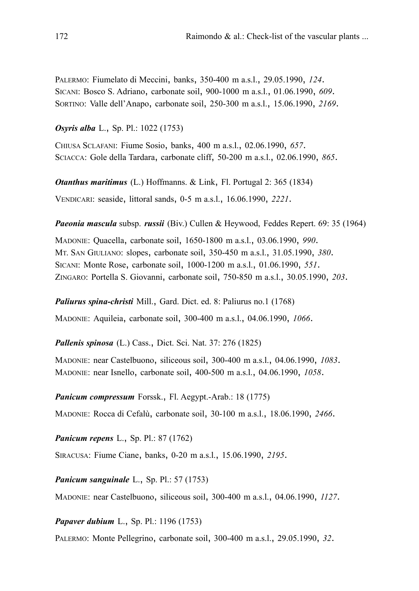PALERMO: Fiumelato di Meccini, banks, 350-400 m a.s.l., 29.05.1990, *124*. SICANI: Bosco S. Adriano, carbonate soil, 900-1000 m a.s.l., 01.06.1990, *609*. SORTINO: Valle dell'Anapo, carbonate soil, 250-300 m a.s.l., 15.06.1990, *2169*.

*Osyris alba* L., Sp. Pl.: 1022 (1753)

CHIUSA SCLAFANI: Fiume Sosio, banks, 400 m a.s.l., 02.06.1990, *657*. SCIACCA: Gole della Tardara, carbonate cliff, 50-200 m a.s.l., 02.06.1990, *865*.

*Otanthus maritimus* (L.) Hoffmanns. & Link, Fl. Portugal 2: 365 (1834) VENDICARI: seaside, littoral sands, 0-5 m a.s.l., 16.06.1990, *2221*.

*Paeonia mascula* subsp. *russii* (Biv.) Cullen & Heywood, Feddes Repert. 69: 35 (1964)

MADONIE: Quacella, carbonate soil, 1650-1800 m a.s.l., 03.06.1990, *990*. MT. SAN GIULIANO: slopes, carbonate soil, 350-450 m a.s.l., 31.05.1990, *380*. SICANI: Monte Rose, carbonate soil, 1000-1200 m a.s.l., 01.06.1990, *551*. ZINGARO: Portella S. Giovanni, carbonate soil, 750-850 m a.s.l., 30.05.1990, *203*.

*Paliurus spina-christi* Mill., Gard. Dict. ed. 8: Paliurus no.1 (1768)

MADONIE: Aquileia, carbonate soil, 300-400 m a.s.l., 04.06.1990, *1066*.

*Pallenis spinosa* (L.) Cass., Dict. Sci. Nat. 37: 276 (1825)

MADONIE: near Castelbuono, siliceous soil, 300-400 m a.s.l., 04.06.1990, *1083*. MADONIE: near Isnello, carbonate soil, 400-500 m a.s.l., 04.06.1990, *1058*.

*Panicum compressum* Forssk., Fl. Aegypt.-Arab.: 18 (1775)

MADONIE: Rocca di Cefalù, carbonate soil, 30-100 m a.s.l., 18.06.1990, *2466*.

*Panicum repens* L., Sp. Pl.: 87 (1762)

SIRACUSA: Fiume Ciane, banks, 0-20 m a.s.l., 15.06.1990, *2195*.

*Panicum sanguinale* L., Sp. Pl.: 57 (1753)

MADONIE: near Castelbuono, siliceous soil, 300-400 m a.s.l., 04.06.1990, *1127*.

*Papaver dubium* L., Sp. Pl.: 1196 (1753)

PALERMO: Monte Pellegrino, carbonate soil, 300-400 m a.s.l., 29.05.1990, *32*.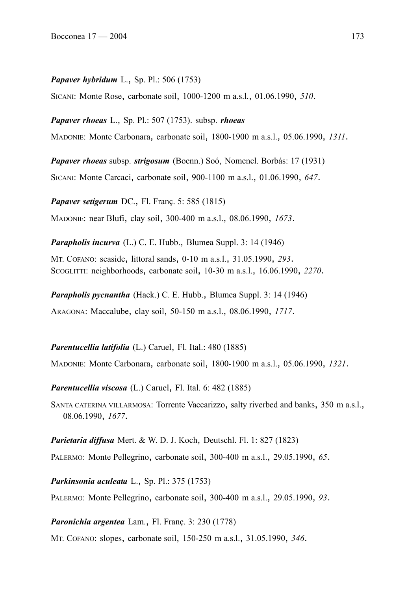#### *Papaver hybridum* L., Sp. Pl.: 506 (1753)

SICANI: Monte Rose, carbonate soil, 1000-1200 m a.s.l., 01.06.1990, *510*.

*Papaver rhoeas* L., Sp. Pl.: 507 (1753). subsp. *rhoeas*

MADONIE: Monte Carbonara, carbonate soil, 1800-1900 m a.s.l., 05.06.1990, *1311*.

*Papaver rhoeas* subsp. *strigosum* (Boenn.) Soó, Nomencl. Borbás: 17 (1931)

SICANI: Monte Carcaci, carbonate soil, 900-1100 m a.s.l., 01.06.1990, *647*.

*Papaver setigerum* DC., Fl. Franç. 5: 585 (1815) MADONIE: near Blufi, clay soil, 300-400 m a.s.l., 08.06.1990, *1673*.

*Parapholis incurva* (L.) C. E. Hubb., Blumea Suppl. 3: 14 (1946)

MT. COFANO: seaside, littoral sands, 0-10 m a.s.l., 31.05.1990, *293*. SCOGLITTI: neighborhoods, carbonate soil, 10-30 m a.s.l., 16.06.1990, *2270*.

*Parapholis pycnantha* (Hack.) C. E. Hubb., Blumea Suppl. 3: 14 (1946)

ARAGONA: Maccalube, clay soil, 50-150 m a.s.l., 08.06.1990, *1717*.

*Parentucellia latifolia* (L.) Caruel, Fl. Ital.: 480 (1885)

MADONIE: Monte Carbonara, carbonate soil, 1800-1900 m a.s.l., 05.06.1990, *1321*.

*Parentucellia viscosa* (L.) Caruel, Fl. Ital. 6: 482 (1885)

SANTA CATERINA VILLARMOSA: Torrente Vaccarizzo, salty riverbed and banks, 350 m a.s.l., 08.06.1990, *1677*.

*Parietaria diffusa* Mert. & W. D. J. Koch, Deutschl. Fl. 1: 827 (1823)

PALERMO: Monte Pellegrino, carbonate soil, 300-400 m a.s.l., 29.05.1990, *65*.

*Parkinsonia aculeata* L., Sp. Pl.: 375 (1753)

PALERMO: Monte Pellegrino, carbonate soil, 300-400 m a.s.l., 29.05.1990, *93*.

*Paronichia argentea* Lam., Fl. Franç. 3: 230 (1778)

MT. COFANO: slopes, carbonate soil, 150-250 m a.s.l., 31.05.1990, *346*.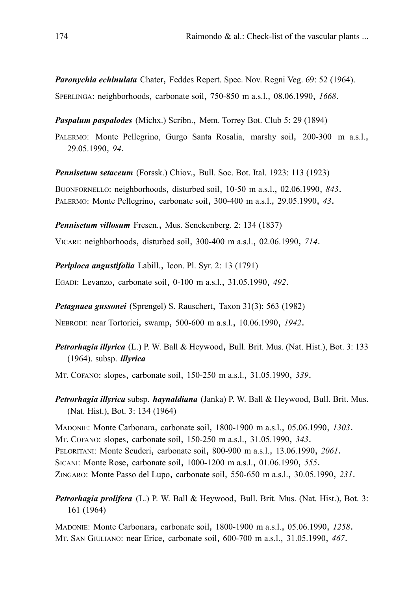*Paronychia echinulata* Chater, Feddes Repert. Spec. Nov. Regni Veg. 69: 52 (1964). SPERLINGA: neighborhoods, carbonate soil, 750-850 m a.s.l., 08.06.1990, *1668*.

*Paspalum paspalodes* (Michx.) Scribn., Mem. Torrey Bot. Club 5: 29 (1894)

PALERMO: Monte Pellegrino, Gurgo Santa Rosalia, marshy soil, 200-300 m a.s.l., 29.05.1990, *94*.

*Pennisetum setaceum* (Forssk.) Chiov., Bull. Soc. Bot. Ital. 1923: 113 (1923)

BUONFORNELLO: neighborhoods, disturbed soil, 10-50 m a.s.l., 02.06.1990, *843*. PALERMO: Monte Pellegrino, carbonate soil, 300-400 m a.s.l., 29.05.1990, *43*.

*Pennisetum villosum* Fresen., Mus. Senckenberg. 2: 134 (1837)

VICARI: neighborhoods, disturbed soil, 300-400 m a.s.l., 02.06.1990, *714*.

*Periploca angustifolia* Labill., Icon. Pl. Syr. 2: 13 (1791)

EGADI: Levanzo, carbonate soil, 0-100 m a.s.l., 31.05.1990, *492*.

*Petagnaea gussonei* (Sprengel) S. Rauschert, Taxon 31(3): 563 (1982)

NEBRODI: near Tortorici, swamp, 500-600 m a.s.l., 10.06.1990, *1942*.

*Petrorhagia illyrica* (L.) P. W. Ball & Heywood, Bull. Brit. Mus. (Nat. Hist.), Bot. 3: 133 (1964). subsp. *illyrica*

MT. COFANO: slopes, carbonate soil, 150-250 m a.s.l., 31.05.1990, *339*.

*Petrorhagia illyrica* subsp. *haynaldiana* (Janka) P. W. Ball & Heywood, Bull. Brit. Mus. (Nat. Hist.), Bot. 3: 134 (1964)

MADONIE: Monte Carbonara, carbonate soil, 1800-1900 m a.s.l., 05.06.1990, *1303*. MT. COFANO: slopes, carbonate soil, 150-250 m a.s.l., 31.05.1990, *343*. PELORITANI: Monte Scuderi, carbonate soil, 800-900 m a.s.l., 13.06.1990, *2061*. SICANI: Monte Rose, carbonate soil, 1000-1200 m a.s.l., 01.06.1990, *555*. ZINGARO: Monte Passo del Lupo, carbonate soil, 550-650 m a.s.l., 30.05.1990, *231*.

*Petrorhagia prolifera* (L.) P. W. Ball & Heywood, Bull. Brit. Mus. (Nat. Hist.), Bot. 3: 161 (1964)

MADONIE: Monte Carbonara, carbonate soil, 1800-1900 m a.s.l., 05.06.1990, *1258*. MT. SAN GIULIANO: near Erice, carbonate soil, 600-700 m a.s.l., 31.05.1990, *467*.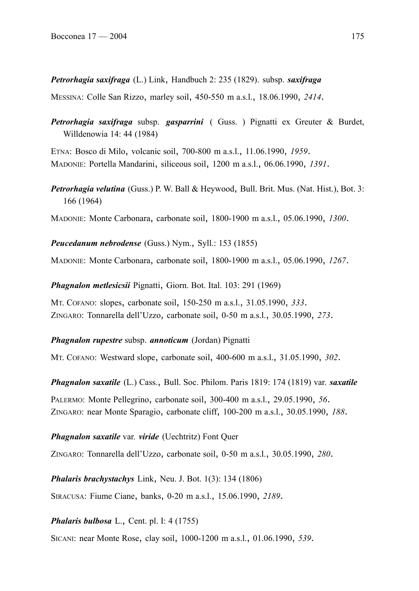*Petrorhagia saxifraga* (L.) Link, Handbuch 2: 235 (1829). subsp. *saxifraga*

MESSINA: Colle San Rizzo, marley soil, 450-550 m a.s.l., 18.06.1990, *2414*.

*Petrorhagia saxifraga* subsp. *gasparrini* ( Guss. ) Pignatti ex Greuter & Burdet, Willdenowia 14: 44 (1984)

ETNA: Bosco di Milo, volcanic soil, 700-800 m a.s.l., 11.06.1990, *1959*. MADONIE: Portella Mandarini, siliceous soil, 1200 m a.s.l., 06.06.1990, *1391*.

*Petrorhagia velutina* (Guss.) P. W. Ball & Heywood, Bull. Brit. Mus. (Nat. Hist.), Bot. 3: 166 (1964)

MADONIE: Monte Carbonara, carbonate soil, 1800-1900 m a.s.l., 05.06.1990, *1300*.

*Peucedanum nebrodense* (Guss.) Nym., Syll.: 153 (1855)

MADONIE: Monte Carbonara, carbonate soil, 1800-1900 m a.s.l., 05.06.1990, *1267*.

*Phagnalon metlesicsii* Pignatti, Giorn. Bot. Ital. 103: 291 (1969)

MT. COFANO: slopes, carbonate soil, 150-250 m a.s.l., 31.05.1990, *333*. ZINGARO: Tonnarella dell'Uzzo, carbonate soil, 0-50 m a.s.l., 30.05.1990, *273*.

# *Phagnalon rupestre* subsp. *annoticum* (Jordan) Pignatti

MT. COFANO: Westward slope, carbonate soil, 400-600 m a.s.l., 31.05.1990, *302*.

*Phagnalon saxatile* (L.) Cass., Bull. Soc. Philom. Paris 1819: 174 (1819) var. *saxatile*

PALERMO: Monte Pellegrino, carbonate soil, 300-400 m a.s.l., 29.05.1990, *56*. ZINGARO: near Monte Sparagio, carbonate cliff, 100-200 m a.s.l., 30.05.1990, *188*.

# *Phagnalon saxatile* var. *viride* (Uechtritz) Font Quer

ZINGARO: Tonnarella dell'Uzzo, carbonate soil, 0-50 m a.s.l., 30.05.1990, *280*.

*Phalaris brachystachys* Link, Neu. J. Bot. 1(3): 134 (1806)

SIRACUSA: Fiume Ciane, banks, 0-20 m a.s.l., 15.06.1990, *2189*.

*Phalaris bulbosa* L., Cent. pl. I: 4 (1755)

SICANI: near Monte Rose, clay soil, 1000-1200 m a.s.l., 01.06.1990, *539*.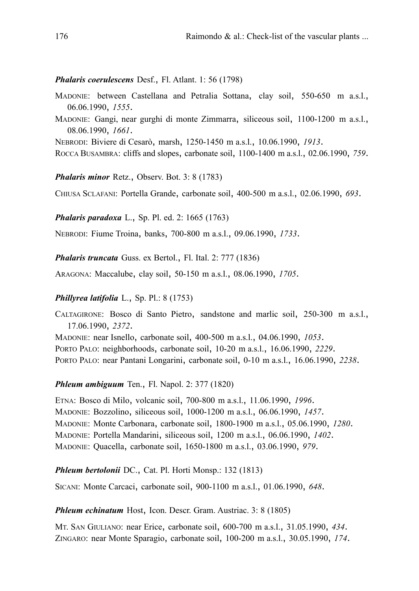### *Phalaris coerulescens* Desf., Fl. Atlant. 1: 56 (1798)

- MADONIE: between Castellana and Petralia Sottana, clay soil, 550-650 m a.s.l., 06.06.1990, *1555*.
- MADONIE: Gangi, near gurghi di monte Zimmarra, siliceous soil, 1100-1200 m a.s.l., 08.06.1990, *1661*.

NEBRODI: Biviere di Cesarò, marsh, 1250-1450 m a.s.l., 10.06.1990, *1913*.

ROCCA BUSAMBRA: cliffs and slopes, carbonate soil, 1100-1400 m a.s.l., 02.06.1990, *759*.

*Phalaris minor* Retz., Observ. Bot. 3: 8 (1783)

CHIUSA SCLAFANI: Portella Grande, carbonate soil, 400-500 m a.s.l., 02.06.1990, *693*.

#### *Phalaris paradoxa* L., Sp. Pl. ed. 2: 1665 (1763)

NEBRODI: Fiume Troina, banks, 700-800 m a.s.l., 09.06.1990, *1733*.

*Phalaris truncata* Guss. ex Bertol., Fl. Ital. 2: 777 (1836)

ARAGONA: Maccalube, clay soil, 50-150 m a.s.l., 08.06.1990, *1705*.

#### *Phillyrea latifolia* L., Sp. Pl.: 8 (1753)

CALTAGIRONE: Bosco di Santo Pietro, sandstone and marlic soil, 250-300 m a.s.l., 17.06.1990, *2372*.

MADONIE: near Isnello, carbonate soil, 400-500 m a.s.l., 04.06.1990, *1053*. PORTO PALO: neighborhoods, carbonate soil, 10-20 m a.s.l., 16.06.1990, *2229*.

PORTO PALO: near Pantani Longarini, carbonate soil, 0-10 m a.s.l., 16.06.1990, *2238*.

#### *Phleum ambiguum* Ten., Fl. Napol. 2: 377 (1820)

ETNA: Bosco di Milo, volcanic soil, 700-800 m a.s.l., 11.06.1990, *1996*. MADONIE: Bozzolino, siliceous soil, 1000-1200 m a.s.l., 06.06.1990, *1457*. MADONIE: Monte Carbonara, carbonate soil, 1800-1900 m a.s.l., 05.06.1990, *1280*. MADONIE: Portella Mandarini, siliceous soil, 1200 m a.s.l., 06.06.1990, *1402*. MADONIE: Quacella, carbonate soil, 1650-1800 m a.s.l., 03.06.1990, *979*.

#### *Phleum bertolonii* DC., Cat. Pl. Horti Monsp.: 132 (1813)

SICANI: Monte Carcaci, carbonate soil, 900-1100 m a.s.l., 01.06.1990, *648*.

*Phleum echinatum* Host, Icon. Descr. Gram. Austriac. 3: 8 (1805)

MT. SAN GIULIANO: near Erice, carbonate soil, 600-700 m a.s.l., 31.05.1990, *434*. ZINGARO: near Monte Sparagio, carbonate soil, 100-200 m a.s.l., 30.05.1990, *174*.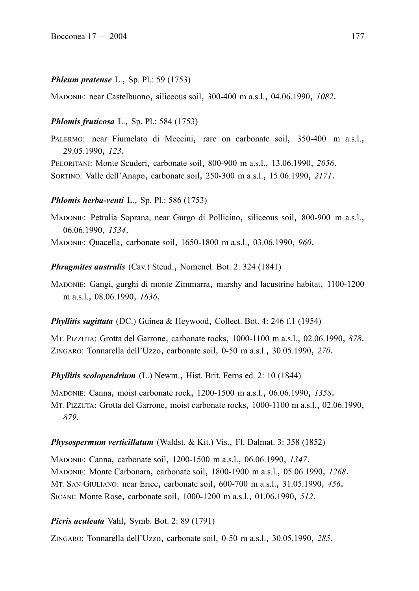#### *Phleum pratense* L., Sp. Pl.: 59 (1753)

MADONIE: near Castelbuono, siliceous soil, 300-400 m a.s.l., 04.06.1990, *1082*.

#### *Phlomis fruticosa* L., Sp. Pl.: 584 (1753)

PALERMO: near Fiumelato di Meccini, rare on carbonate soil, 350-400 m a.s.l., 29.05.1990, *123*.

PELORITANI: Monte Scuderi, carbonate soil, 800-900 m a.s.l., 13.06.1990, *2056*.

SORTINO: Valle dell'Anapo, carbonate soil, 250-300 m a.s.l., 15.06.1990, *2171*.

#### *Phlomis herba-venti* L., Sp. Pl.: 586 (1753)

MADONIE: Petralia Soprana, near Gurgo di Pollicino, siliceous soil, 800-900 m a.s.l., 06.06.1990, *1534*.

MADONIE: Quacella, carbonate soil, 1650-1800 m a.s.l., 03.06.1990, *960*.

*Phragmites australis* (Cav.) Steud., Nomencl. Bot. 2: 324 (1841)

MADONIE: Gangi, gurghi di monte Zimmarra, marshy and lacustrine habitat, 1100-1200 m a.s.l., 08.06.1990, *1636*.

*Phyllitis sagittata* (DC.) Guinea & Heywood, Collect. Bot. 4: 246 f.1 (1954)

MT. PIZZUTA: Grotta del Garrone, carbonate rocks, 1000-1100 m a.s.l., 02.06.1990, *878*. ZINGARO: Tonnarella dell'Uzzo, carbonate soil, 0-50 m a.s.l., 30.05.1990, *270*.

*Phyllitis scolopendrium* (L.) Newm., Hist. Brit. Ferns ed. 2: 10 (1844)

MADONIE: Canna, moist carbonate rock, 1200-1500 m a.s.l., 06.06.1990, *1358*. MT. PIZZUTA: Grotta del Garrone, moist carbonate rocks, 1000-1100 m a.s.l., 02.06.1990, *879*.

#### *Physospermum verticillatum* (Waldst. & Kit.) Vis., Fl. Dalmat. 3: 358 (1852)

MADONIE: Canna, carbonate soil, 1200-1500 m a.s.l., 06.06.1990, *1347*. MADONIE: Monte Carbonara, carbonate soil, 1800-1900 m a.s.l., 05.06.1990, *1268*. MT. SAN GIULIANO: near Erice, carbonate soil, 600-700 m a.s.l., 31.05.1990, *456*. SICANI: Monte Rose, carbonate soil, 1000-1200 m a.s.l., 01.06.1990, *512*.

*Picris aculeata* Vahl, Symb. Bot. 2: 89 (1791)

ZINGARO: Tonnarella dell'Uzzo, carbonate soil, 0-50 m a.s.l., 30.05.1990, *285*.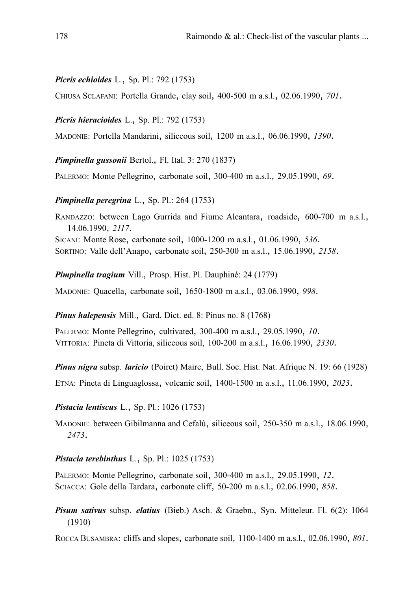#### *Picris echioides* L., Sp. Pl.: 792 (1753)

CHIUSA SCLAFANI: Portella Grande, clay soil, 400-500 m a.s.l., 02.06.1990, *701*.

*Picris hieracioides* L., Sp. Pl.: 792 (1753)

MADONIE: Portella Mandarini, siliceous soil, 1200 m a.s.l., 06.06.1990, *1390*.

*Pimpinella gussonii* Bertol., Fl. Ital. 3: 270 (1837)

PALERMO: Monte Pellegrino, carbonate soil, 300-400 m a.s.l., 29.05.1990, *69*.

#### *Pimpinella peregrina* L., Sp. Pl.: 264 (1753)

RANDAZZO: between Lago Gurrida and Fiume Alcantara, roadside, 600-700 m a.s.l., 14.06.1990, *2117*. SICANI: Monte Rose, carbonate soil, 1000-1200 m a.s.l., 01.06.1990, *536*. SORTINO: Valle dell'Anapo, carbonate soil, 250-300 m a.s.l., 15.06.1990, *2158*.

*Pimpinella tragium* Vill., Prosp. Hist. Pl. Dauphiné: 24 (1779)

MADONIE: Quacella, carbonate soil, 1650-1800 m a.s.l., 03.06.1990, *998*.

*Pinus halepensis* Mill., Gard. Dict. ed. 8: Pinus no. 8 (1768)

PALERMO: Monte Pellegrino, cultivated, 300-400 m a.s.l., 29.05.1990, *10*. VITTORIA: Pineta di Vittoria, siliceous soil, 100-200 m a.s.l., 16.06.1990, *2330*.

*Pinus nigra* subsp. *laricio* (Poiret) Maire, Bull. Soc. Hist. Nat. Afrique N. 19: 66 (1928)

ETNA: Pineta di Linguaglossa, volcanic soil, 1400-1500 m a.s.l., 11.06.1990, *2023*.

#### *Pistacia lentiscus* L., Sp. Pl.: 1026 (1753)

MADONIE: between Gibilmanna and Cefalù, siliceous soil, 250-350 m a.s.l., 18.06.1990, *2473*.

#### *Pistacia terebinthus* L., Sp. Pl.: 1025 (1753)

PALERMO: Monte Pellegrino, carbonate soil, 300-400 m a.s.l., 29.05.1990, *12*. SCIACCA: Gole della Tardara, carbonate cliff, 50-200 m a.s.l., 02.06.1990, *858*.

*Pisum sativus* subsp. *elatius* (Bieb.) Asch. & Graebn., Syn. Mitteleur. Fl. 6(2): 1064 (1910)

ROCCA BUSAMBRA: cliffs and slopes, carbonate soil, 1100-1400 m a.s.l., 02.06.1990, *801*.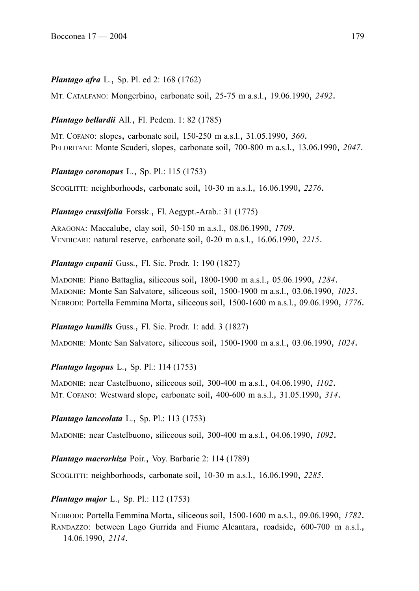## *Plantago afra* L., Sp. Pl. ed 2: 168 (1762)

MT. CATALFANO: Mongerbino, carbonate soil, 25-75 m a.s.l., 19.06.1990, *2492*.

### *Plantago bellardii* All., Fl. Pedem. 1: 82 (1785)

MT. COFANO: slopes, carbonate soil, 150-250 m a.s.l., 31.05.1990, *360*. PELORITANI: Monte Scuderi, slopes, carbonate soil, 700-800 m a.s.l., 13.06.1990, *2047*.

*Plantago coronopus* L., Sp. Pl.: 115 (1753)

SCOGLITTI: neighborhoods, carbonate soil, 10-30 m a.s.l., 16.06.1990, *2276*.

*Plantago crassifolia* Forssk., Fl. Aegypt.-Arab.: 31 (1775)

ARAGONA: Maccalube, clay soil, 50-150 m a.s.l., 08.06.1990, *1709*. VENDICARI: natural reserve, carbonate soil, 0-20 m a.s.l., 16.06.1990, *2215*.

*Plantago cupanii* Guss., Fl. Sic. Prodr. 1: 190 (1827)

MADONIE: Piano Battaglia, siliceous soil, 1800-1900 m a.s.l., 05.06.1990, *1284*. MADONIE: Monte San Salvatore, siliceous soil, 1500-1900 m a.s.l., 03.06.1990, *1023*. NEBRODI: Portella Femmina Morta, siliceous soil, 1500-1600 m a.s.l., 09.06.1990, *1776*.

*Plantago humilis* Guss., Fl. Sic. Prodr. 1: add. 3 (1827)

MADONIE: Monte San Salvatore, siliceous soil, 1500-1900 m a.s.l., 03.06.1990, *1024*.

*Plantago lagopus* L., Sp. Pl.: 114 (1753)

MADONIE: near Castelbuono, siliceous soil, 300-400 m a.s.l., 04.06.1990, *1102*. MT. COFANO: Westward slope, carbonate soil, 400-600 m a.s.l., 31.05.1990, *314*.

*Plantago lanceolata* L., Sp. Pl.: 113 (1753)

MADONIE: near Castelbuono, siliceous soil, 300-400 m a.s.l., 04.06.1990, *1092*.

*Plantago macrorhiza* Poir., Voy. Barbarie 2: 114 (1789)

SCOGLITTI: neighborhoods, carbonate soil, 10-30 m a.s.l., 16.06.1990, *2285*.

## *Plantago major* L., Sp. Pl.: 112 (1753)

NEBRODI: Portella Femmina Morta, siliceous soil, 1500-1600 m a.s.l., 09.06.1990, *1782*. RANDAZZO: between Lago Gurrida and Fiume Alcantara, roadside, 600-700 m a.s.l., 14.06.1990, *2114*.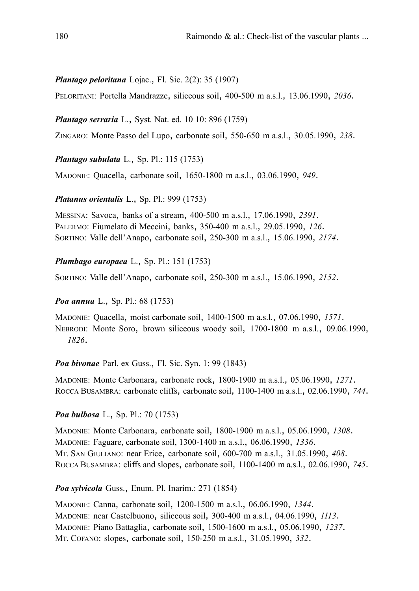## *Plantago peloritana* Lojac., Fl. Sic. 2(2): 35 (1907)

PELORITANI: Portella Mandrazze, siliceous soil, 400-500 m a.s.l., 13.06.1990, *2036*.

### *Plantago serraria* L., Syst. Nat. ed. 10 10: 896 (1759)

ZINGARO: Monte Passo del Lupo, carbonate soil, 550-650 m a.s.l., 30.05.1990, *238*.

*Plantago subulata* L., Sp. Pl.: 115 (1753)

MADONIE: Quacella, carbonate soil, 1650-1800 m a.s.l., 03.06.1990, *949*.

### *Platanus orientalis* L., Sp. Pl.: 999 (1753)

MESSINA: Savoca, banks of a stream, 400-500 m a.s.l., 17.06.1990, *2391*. PALERMO: Fiumelato di Meccini, banks, 350-400 m a.s.l., 29.05.1990, *126*. SORTINO: Valle dell'Anapo, carbonate soil, 250-300 m a.s.l., 15.06.1990, *2174*.

## *Plumbago europaea* L., Sp. Pl.: 151 (1753)

SORTINO: Valle dell'Anapo, carbonate soil, 250-300 m a.s.l., 15.06.1990, *2152*.

## *Poa annua* L., Sp. Pl.: 68 (1753)

MADONIE: Quacella, moist carbonate soil, 1400-1500 m a.s.l., 07.06.1990, *1571*. NEBRODI: Monte Soro, brown siliceous woody soil, 1700-1800 m a.s.l., 09.06.1990, *1826*.

## *Poa bivonae* Parl. ex Guss., Fl. Sic. Syn. 1: 99 (1843)

MADONIE: Monte Carbonara, carbonate rock, 1800-1900 m a.s.l., 05.06.1990, *1271*. ROCCA BUSAMBRA: carbonate cliffs, carbonate soil, 1100-1400 m a.s.l., 02.06.1990, *744*.

## *Poa bulbosa* L., Sp. Pl.: 70 (1753)

MADONIE: Monte Carbonara, carbonate soil, 1800-1900 m a.s.l., 05.06.1990, *1308*. MADONIE: Faguare, carbonate soil, 1300-1400 m a.s.l., 06.06.1990, *1336*. MT. SAN GIULIANO: near Erice, carbonate soil, 600-700 m a.s.l., 31.05.1990, *408*. ROCCA BUSAMBRA: cliffs and slopes, carbonate soil, 1100-1400 m a.s.l., 02.06.1990, *745*.

## *Poa sylvicola* Guss., Enum. Pl. Inarim.: 271 (1854)

MADONIE: Canna, carbonate soil, 1200-1500 m a.s.l., 06.06.1990, *1344*. MADONIE: near Castelbuono, siliceous soil, 300-400 m a.s.l., 04.06.1990, *1113*. MADONIE: Piano Battaglia, carbonate soil, 1500-1600 m a.s.l., 05.06.1990, *1237*. MT. COFANO: slopes, carbonate soil, 150-250 m a.s.l., 31.05.1990, *332*.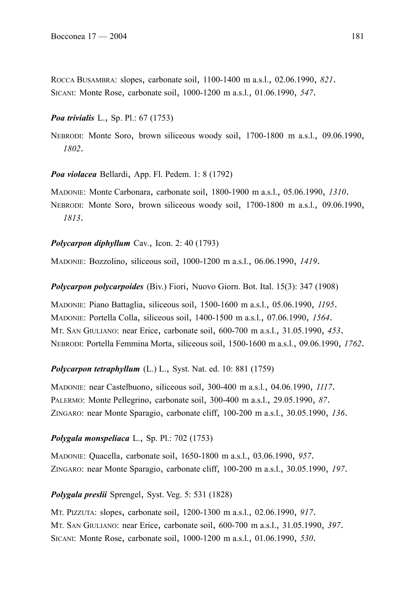ROCCA BUSAMBRA: slopes, carbonate soil, 1100-1400 m a.s.l., 02.06.1990, *821*. SICANI: Monte Rose, carbonate soil, 1000-1200 m a.s.l., 01.06.1990, *547*.

## *Poa trivialis* L., Sp. Pl.: 67 (1753)

NEBRODI: Monte Soro, brown siliceous woody soil, 1700-1800 m a.s.l., 09.06.1990, *1802*.

*Poa violacea* Bellardi, App. Fl. Pedem. 1: 8 (1792)

MADONIE: Monte Carbonara, carbonate soil, 1800-1900 m a.s.l., 05.06.1990, *1310*. NEBRODI: Monte Soro, brown siliceous woody soil, 1700-1800 m a.s.l., 09.06.1990, *1813*.

### *Polycarpon diphyllum* Cav., Icon. 2: 40 (1793)

MADONIE: Bozzolino, siliceous soil, 1000-1200 m a.s.l., 06.06.1990, *1419*.

### *Polycarpon polycarpoides* (Biv.) Fiori, Nuovo Giorn. Bot. Ital. 15(3): 347 (1908)

MADONIE: Piano Battaglia, siliceous soil, 1500-1600 m a.s.l., 05.06.1990, *1195*. MADONIE: Portella Colla, siliceous soil, 1400-1500 m a.s.l., 07.06.1990, *1564*. MT. SAN GIULIANO: near Erice, carbonate soil, 600-700 m a.s.l., 31.05.1990, *453*. NEBRODI: Portella Femmina Morta, siliceous soil, 1500-1600 m a.s.l., 09.06.1990, *1762*.

## *Polycarpon tetraphyllum* (L.) L., Syst. Nat. ed. 10: 881 (1759)

MADONIE: near Castelbuono, siliceous soil, 300-400 m a.s.l., 04.06.1990, *1117*. PALERMO: Monte Pellegrino, carbonate soil, 300-400 m a.s.l., 29.05.1990, *87*. ZINGARO: near Monte Sparagio, carbonate cliff, 100-200 m a.s.l., 30.05.1990, *136*.

## *Polygala monspeliaca* L., Sp. Pl.: 702 (1753)

MADONIE: Quacella, carbonate soil, 1650-1800 m a.s.l., 03.06.1990, *957*. ZINGARO: near Monte Sparagio, carbonate cliff, 100-200 m a.s.l., 30.05.1990, *197*.

## *Polygala preslii* Sprengel, Syst. Veg. 5: 531 (1828)

MT. PIZZUTA: slopes, carbonate soil, 1200-1300 m a.s.l., 02.06.1990, *917*. MT. SAN GIULIANO: near Erice, carbonate soil, 600-700 m a.s.l., 31.05.1990, *397*. SICANI: Monte Rose, carbonate soil, 1000-1200 m a.s.l., 01.06.1990, *530*.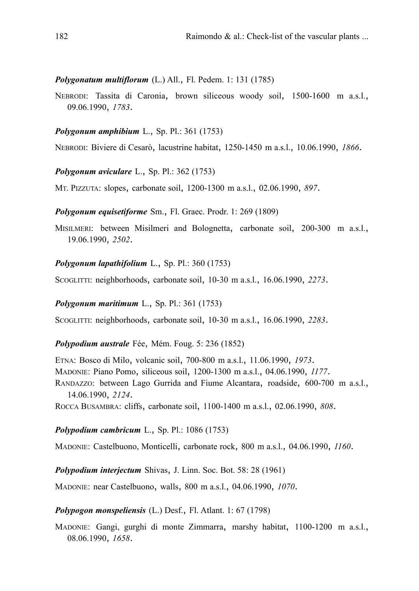### *Polygonatum multiflorum* (L.) All., Fl. Pedem. 1: 131 (1785)

NEBRODI: Tassita di Caronia, brown siliceous woody soil, 1500-1600 m a.s.l., 09.06.1990, *1783*.

### *Polygonum amphibium* L., Sp. Pl.: 361 (1753)

NEBRODI: Biviere di Cesarò, lacustrine habitat, 1250-1450 m a.s.l., 10.06.1990, *1866*.

#### *Polygonum aviculare* L., Sp. Pl.: 362 (1753)

MT. PIZZUTA: slopes, carbonate soil, 1200-1300 m a.s.l., 02.06.1990, *897*.

#### *Polygonum equisetiforme* Sm., Fl. Graec. Prodr. 1: 269 (1809)

MISILMERI: between Misilmeri and Bolognetta, carbonate soil, 200-300 m a.s.l., 19.06.1990, *2502*.

### *Polygonum lapathifolium* L., Sp. Pl.: 360 (1753)

SCOGLITTI: neighborhoods, carbonate soil, 10-30 m a.s.l., 16.06.1990, *2273*.

### *Polygonum maritimum* L., Sp. Pl.: 361 (1753)

SCOGLITTI: neighborhoods, carbonate soil, 10-30 m a.s.l., 16.06.1990, *2283*.

### *Polypodium australe* Fée, Mém. Foug. 5: 236 (1852)

ETNA: Bosco di Milo, volcanic soil, 700-800 m a.s.l., 11.06.1990, *1973*. MADONIE: Piano Pomo, siliceous soil, 1200-1300 m a.s.l., 04.06.1990, *1177*. RANDAZZO: between Lago Gurrida and Fiume Alcantara, roadside, 600-700 m a.s.l., 14.06.1990, *2124*.

ROCCA BUSAMBRA: cliffs, carbonate soil, 1100-1400 m a.s.l., 02.06.1990, *808*.

#### *Polypodium cambricum* L., Sp. Pl.: 1086 (1753)

MADONIE: Castelbuono, Monticelli, carbonate rock, 800 m a.s.l., 04.06.1990, *1160*.

*Polypodium interjectum* Shivas, J. Linn. Soc. Bot. 58: 28 (1961)

MADONIE: near Castelbuono, walls, 800 m a.s.l., 04.06.1990, *1070*.

#### *Polypogon monspeliensis* (L.) Desf., Fl. Atlant. 1: 67 (1798)

MADONIE: Gangi, gurghi di monte Zimmarra, marshy habitat, 1100-1200 m a.s.l., 08.06.1990, *1658*.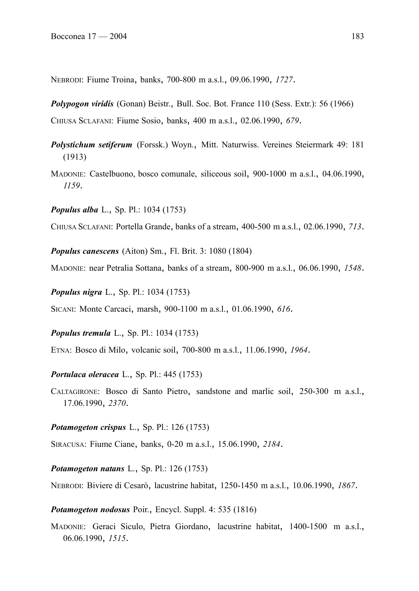NEBRODI: Fiume Troina, banks, 700-800 m a.s.l., 09.06.1990, *1727*.

*Polypogon viridis* (Gonan) Beistr., Bull. Soc. Bot. France 110 (Sess. Extr.): 56 (1966)

CHIUSA SCLAFANI: Fiume Sosio, banks, 400 m a.s.l., 02.06.1990, *679*.

- *Polystichum setiferum* (Forssk.) Woyn., Mitt. Naturwiss. Vereines Steiermark 49: 181 (1913)
- MADONIE: Castelbuono, bosco comunale, siliceous soil, 900-1000 m a.s.l., 04.06.1990, *1159*.

*Populus alba* L., Sp. Pl.: 1034 (1753)

CHIUSA SCLAFANI: Portella Grande, banks of a stream, 400-500 m a.s.l., 02.06.1990, *713*.

*Populus canescens* (Aiton) Sm., Fl. Brit. 3: 1080 (1804)

MADONIE: near Petralia Sottana, banks of a stream, 800-900 m a.s.l., 06.06.1990, *1548*.

*Populus nigra* L., Sp. Pl.: 1034 (1753)

SICANI: Monte Carcaci, marsh, 900-1100 m a.s.l., 01.06.1990, *616*.

*Populus tremula* L., Sp. Pl.: 1034 (1753)

ETNA: Bosco di Milo, volcanic soil, 700-800 m a.s.l., 11.06.1990, *1964*.

*Portulaca oleracea* L., Sp. Pl.: 445 (1753)

CALTAGIRONE: Bosco di Santo Pietro, sandstone and marlic soil, 250-300 m a.s.l., 17.06.1990, *2370*.

*Potamogeton crispus* L., Sp. Pl.: 126 (1753)

SIRACUSA: Fiume Ciane, banks, 0-20 m a.s.l., 15.06.1990, *2184*.

*Potamogeton natans* L., Sp. Pl.: 126 (1753)

NEBRODI: Biviere di Cesarò, lacustrine habitat, 1250-1450 m a.s.l., 10.06.1990, *1867*.

*Potamogeton nodosus* Poir., Encycl. Suppl. 4: 535 (1816)

MADONIE: Geraci Siculo, Pietra Giordano, lacustrine habitat, 1400-1500 m a.s.l., 06.06.1990, *1515*.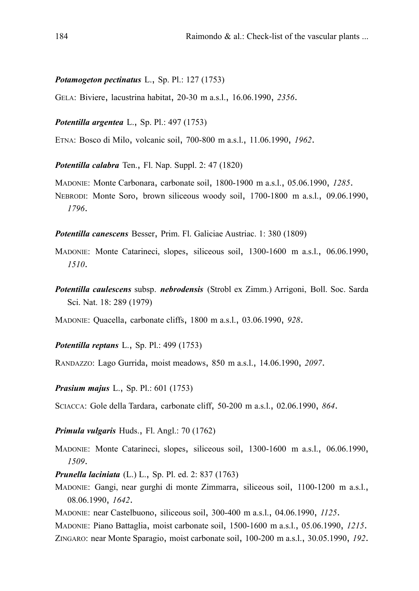#### *Potamogeton pectinatus* L., Sp. Pl.: 127 (1753)

GELA: Biviere, lacustrina habitat, 20-30 m a.s.l., 16.06.1990, *2356*.

*Potentilla argentea* L., Sp. Pl.: 497 (1753)

ETNA: Bosco di Milo, volcanic soil, 700-800 m a.s.l., 11.06.1990, *1962*.

*Potentilla calabra* Ten., Fl. Nap. Suppl. 2: 47 (1820)

MADONIE: Monte Carbonara, carbonate soil, 1800-1900 m a.s.l., 05.06.1990, *1285*. NEBRODI: Monte Soro, brown siliceous woody soil, 1700-1800 m a.s.l., 09.06.1990, *1796*.

*Potentilla canescens* Besser, Prim. Fl. Galiciae Austriac. 1: 380 (1809)

- MADONIE: Monte Catarineci, slopes, siliceous soil, 1300-1600 m a.s.l., 06.06.1990, *1510*.
- *Potentilla caulescens* subsp. *nebrodensis* (Strobl ex Zimm.) Arrigoni, Boll. Soc. Sarda Sci. Nat. 18: 289 (1979)

MADONIE: Quacella, carbonate cliffs, 1800 m a.s.l., 03.06.1990, *928*.

*Potentilla reptans* L., Sp. Pl.: 499 (1753)

RANDAZZO: Lago Gurrida, moist meadows, 850 m a.s.l., 14.06.1990, *2097*.

*Prasium majus* L., Sp. Pl.: 601 (1753)

SCIACCA: Gole della Tardara, carbonate cliff, 50-200 m a.s.l., 02.06.1990, *864*.

*Primula vulgaris* Huds., Fl. Angl.: 70 (1762)

MADONIE: Monte Catarineci, slopes, siliceous soil, 1300-1600 m a.s.l., 06.06.1990, *1509*.

*Prunella laciniata* (L.) L., Sp. Pl. ed. 2: 837 (1763)

MADONIE: Gangi, near gurghi di monte Zimmarra, siliceous soil, 1100-1200 m a.s.l., 08.06.1990, *1642*.

MADONIE: near Castelbuono, siliceous soil, 300-400 m a.s.l., 04.06.1990, *1125*.

MADONIE: Piano Battaglia, moist carbonate soil, 1500-1600 m a.s.l., 05.06.1990, *1215*.

ZINGARO: near Monte Sparagio, moist carbonate soil, 100-200 m a.s.l., 30.05.1990, *192*.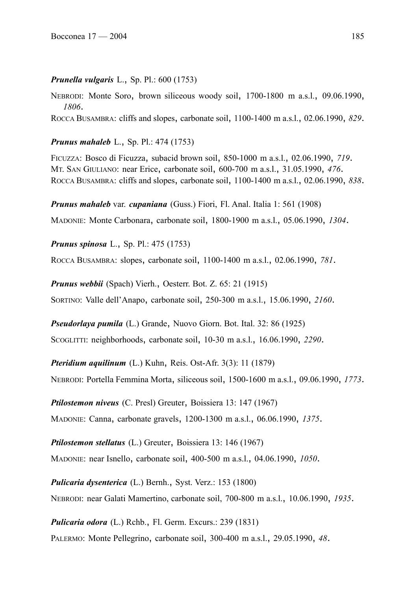### *Prunella vulgaris* L., Sp. Pl.: 600 (1753)

NEBRODI: Monte Soro, brown siliceous woody soil, 1700-1800 m a.s.l., 09.06.1990, *1806*.

ROCCA BUSAMBRA: cliffs and slopes, carbonate soil, 1100-1400 m a.s.l., 02.06.1990, *829*.

*Prunus mahaleb* L., Sp. Pl.: 474 (1753)

FICUZZA: Bosco di Ficuzza, subacid brown soil, 850-1000 m a.s.l., 02.06.1990, *719*. MT. SAN GIULIANO: near Erice, carbonate soil, 600-700 m a.s.l., 31.05.1990, *476*. ROCCA BUSAMBRA: cliffs and slopes, carbonate soil, 1100-1400 m a.s.l., 02.06.1990, *838*.

*Prunus mahaleb* var. *cupaniana* (Guss.) Fiori, Fl. Anal. Italia 1: 561 (1908)

MADONIE: Monte Carbonara, carbonate soil, 1800-1900 m a.s.l., 05.06.1990, *1304*.

*Prunus spinosa* L., Sp. Pl.: 475 (1753)

ROCCA BUSAMBRA: slopes, carbonate soil, 1100-1400 m a.s.l., 02.06.1990, *781*.

*Prunus webbii* (Spach) Vierh., Oesterr. Bot. Z. 65: 21 (1915)

SORTINO: Valle dell'Anapo, carbonate soil, 250-300 m a.s.l., 15.06.1990, *2160*.

*Pseudorlaya pumila* (L.) Grande, Nuovo Giorn. Bot. Ital. 32: 86 (1925)

SCOGLITTI: neighborhoods, carbonate soil, 10-30 m a.s.l., 16.06.1990, *2290*.

*Pteridium aquilinum* (L.) Kuhn, Reis. Ost-Afr. 3(3): 11 (1879) NEBRODI: Portella Femmina Morta, siliceous soil, 1500-1600 m a.s.l., 09.06.1990, *1773*.

*Ptilostemon niveus* (C. Presl) Greuter, Boissiera 13: 147 (1967)

MADONIE: Canna, carbonate gravels, 1200-1300 m a.s.l., 06.06.1990, *1375*.

*Ptilostemon stellatus* (L.) Greuter, Boissiera 13: 146 (1967)

MADONIE: near Isnello, carbonate soil, 400-500 m a.s.l., 04.06.1990, *1050*.

*Pulicaria dysenterica* (L.) Bernh., Syst. Verz.: 153 (1800) NEBRODI: near Galati Mamertino, carbonate soil, 700-800 m a.s.l., 10.06.1990, *1935*.

*Pulicaria odora* (L.) Rchb., Fl. Germ. Excurs.: 239 (1831) PALERMO: Monte Pellegrino, carbonate soil, 300-400 m a.s.l., 29.05.1990, *48*.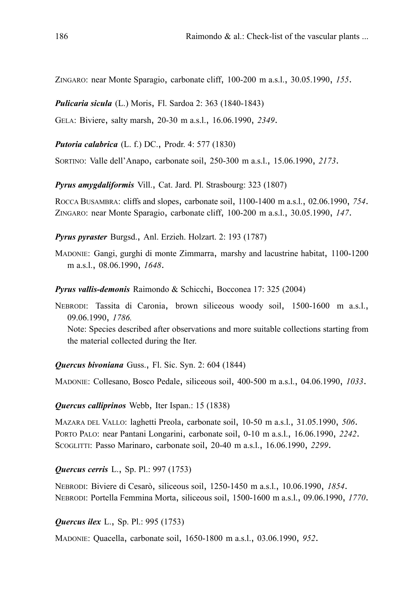ZINGARO: near Monte Sparagio, carbonate cliff, 100-200 m a.s.l., 30.05.1990, *155*.

*Pulicaria sicula* (L.) Moris, Fl. Sardoa 2: 363 (1840-1843)

GELA: Biviere, salty marsh, 20-30 m a.s.l., 16.06.1990, *2349*.

*Putoria calabrica* (L. f.) DC., Prodr. 4: 577 (1830)

SORTINO: Valle dell'Anapo, carbonate soil, 250-300 m a.s.l., 15.06.1990, *2173*.

*Pyrus amygdaliformis* Vill., Cat. Jard. Pl. Strasbourg: 323 (1807)

ROCCA BUSAMBRA: cliffs and slopes, carbonate soil, 1100-1400 m a.s.l., 02.06.1990, *754*. ZINGARO: near Monte Sparagio, carbonate cliff, 100-200 m a.s.l., 30.05.1990, *147*.

*Pyrus pyraster* Burgsd., Anl. Erzieh. Holzart. 2: 193 (1787)

MADONIE: Gangi, gurghi di monte Zimmarra, marshy and lacustrine habitat, 1100-1200 m a.s.l., 08.06.1990, *1648*.

*Pyrus vallis-demonis* Raimondo & Schicchi, Bocconea 17: 325 (2004)

NEBRODI: Tassita di Caronia, brown siliceous woody soil, 1500-1600 m a.s.l., 09.06.1990, *1786.* Note: Species described after observations and more suitable collections starting from the material collected during the Iter.

### *Quercus bivoniana* Guss., Fl. Sic. Syn. 2: 604 (1844)

MADONIE: Collesano, Bosco Pedale, siliceous soil, 400-500 m a.s.l., 04.06.1990, *1033*.

#### *Quercus calliprinos* Webb, Iter Ispan.: 15 (1838)

MAZARA DEL VALLO: laghetti Preola, carbonate soil, 10-50 m a.s.l., 31.05.1990, *506*. PORTO PALO: near Pantani Longarini, carbonate soil, 0-10 m a.s.l., 16.06.1990, *2242*. SCOGLITTI: Passo Marinaro, carbonate soil, 20-40 m a.s.l., 16.06.1990, *2299*.

*Quercus cerris* L., Sp. Pl.: 997 (1753)

NEBRODI: Biviere di Cesarò, siliceous soil, 1250-1450 m a.s.l., 10.06.1990, *1854*. NEBRODI: Portella Femmina Morta, siliceous soil, 1500-1600 m a.s.l., 09.06.1990, *1770*.

*Quercus ilex* L., Sp. Pl.: 995 (1753)

MADONIE: Quacella, carbonate soil, 1650-1800 m a.s.l., 03.06.1990, *952*.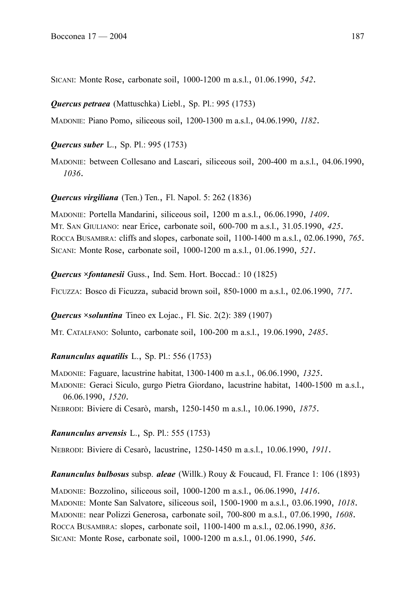SICANI: Monte Rose, carbonate soil, 1000-1200 m a.s.l., 01.06.1990, *542*.

*Quercus petraea* (Mattuschka) Liebl., Sp. Pl.: 995 (1753)

MADONIE: Piano Pomo, siliceous soil, 1200-1300 m a.s.l., 04.06.1990, *1182*.

## *Quercus suber* L., Sp. Pl.: 995 (1753)

MADONIE: between Collesano and Lascari, siliceous soil, 200-400 m a.s.l., 04.06.1990, *1036*.

## *Quercus virgiliana* (Ten.) Ten., Fl. Napol. 5: 262 (1836)

MADONIE: Portella Mandarini, siliceous soil, 1200 m a.s.l., 06.06.1990, *1409*. MT. SAN GIULIANO: near Erice, carbonate soil, 600-700 m a.s.l., 31.05.1990, *425*. ROCCA BUSAMBRA: cliffs and slopes, carbonate soil, 1100-1400 m a.s.l., 02.06.1990, *765*. SICANI: Monte Rose, carbonate soil, 1000-1200 m a.s.l., 01.06.1990, *521*.

*Quercus ×fontanesii* Guss., Ind. Sem. Hort. Boccad.: 10 (1825)

FICUZZA: Bosco di Ficuzza, subacid brown soil, 850-1000 m a.s.l., 02.06.1990, *717*.

*Quercus ×soluntina* Tineo ex Lojac., Fl. Sic. 2(2): 389 (1907)

MT. CATALFANO: Solunto, carbonate soil, 100-200 m a.s.l., 19.06.1990, *2485*.

## *Ranunculus aquatilis* L., Sp. Pl.: 556 (1753)

MADONIE: Faguare, lacustrine habitat, 1300-1400 m a.s.l., 06.06.1990, *1325*. MADONIE: Geraci Siculo, gurgo Pietra Giordano, lacustrine habitat, 1400-1500 m a.s.l., 06.06.1990, *1520*.

NEBRODI: Biviere di Cesarò, marsh, 1250-1450 m a.s.l., 10.06.1990, *1875*.

## *Ranunculus arvensis* L., Sp. Pl.: 555 (1753)

NEBRODI: Biviere di Cesarò, lacustrine, 1250-1450 m a.s.l., 10.06.1990, *1911*.

*Ranunculus bulbosus* subsp. *aleae* (Willk.) Rouy & Foucaud, Fl. France 1: 106 (1893)

MADONIE: Bozzolino, siliceous soil, 1000-1200 m a.s.l., 06.06.1990, *1416*. MADONIE: Monte San Salvatore, siliceous soil, 1500-1900 m a.s.l., 03.06.1990, *1018*. MADONIE: near Polizzi Generosa, carbonate soil, 700-800 m a.s.l., 07.06.1990, *1608*. ROCCA BUSAMBRA: slopes, carbonate soil, 1100-1400 m a.s.l., 02.06.1990, *836*. SICANI: Monte Rose, carbonate soil, 1000-1200 m a.s.l., 01.06.1990, *546*.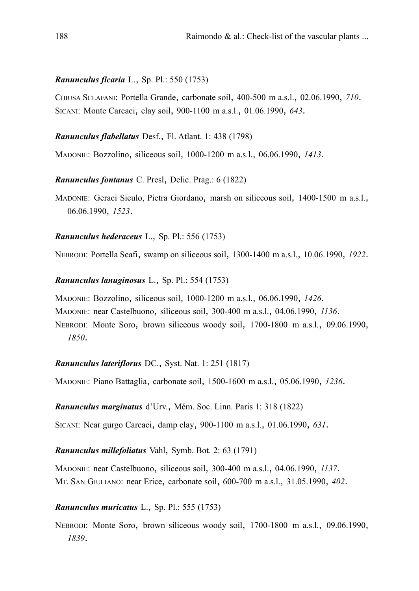### *Ranunculus ficaria* L., Sp. Pl.: 550 (1753)

CHIUSA SCLAFANI: Portella Grande, carbonate soil, 400-500 m a.s.l., 02.06.1990, *710*. SICANI: Monte Carcaci, clay soil, 900-1100 m a.s.l., 01.06.1990, *643*.

*Ranunculus flabellatus* Desf., Fl. Atlant. 1: 438 (1798)

MADONIE: Bozzolino, siliceous soil, 1000-1200 m a.s.l., 06.06.1990, *1413*.

*Ranunculus fontanus* C. Presl, Delic. Prag.: 6 (1822)

MADONIE: Geraci Siculo, Pietra Giordano, marsh on siliceous soil, 1400-1500 m a.s.l., 06.06.1990, *1523*.

*Ranunculus hederaceus* L., Sp. Pl.: 556 (1753)

NEBRODI: Portella Scafi, swamp on siliceous soil, 1300-1400 m a.s.l., 10.06.1990, *1922*.

### *Ranunculus lanuginosus* L., Sp. Pl.: 554 (1753)

MADONIE: Bozzolino, siliceous soil, 1000-1200 m a.s.l., 06.06.1990, *1426*.

MADONIE: near Castelbuono, siliceous soil, 300-400 m a.s.l., 04.06.1990, *1136*.

NEBRODI: Monte Soro, brown siliceous woody soil, 1700-1800 m a.s.l., 09.06.1990, *1850*.

## *Ranunculus lateriflorus* DC., Syst. Nat. 1: 251 (1817)

MADONIE: Piano Battaglia, carbonate soil, 1500-1600 m a.s.l., 05.06.1990, *1236*.

*Ranunculus marginatus* d'Urv., Mém. Soc. Linn. Paris 1: 318 (1822)

SICANI: Near gurgo Carcaci, damp clay, 900-1100 m a.s.l., 01.06.1990, *631*.

## *Ranunculus millefoliatus* Vahl, Symb. Bot. 2: 63 (1791)

MADONIE: near Castelbuono, siliceous soil, 300-400 m a.s.l., 04.06.1990, *1137*. MT. SAN GIULIANO: near Erice, carbonate soil, 600-700 m a.s.l., 31.05.1990, *402*.

## *Ranunculus muricatus* L., Sp. Pl.: 555 (1753)

NEBRODI: Monte Soro, brown siliceous woody soil, 1700-1800 m a.s.l., 09.06.1990, *1839*.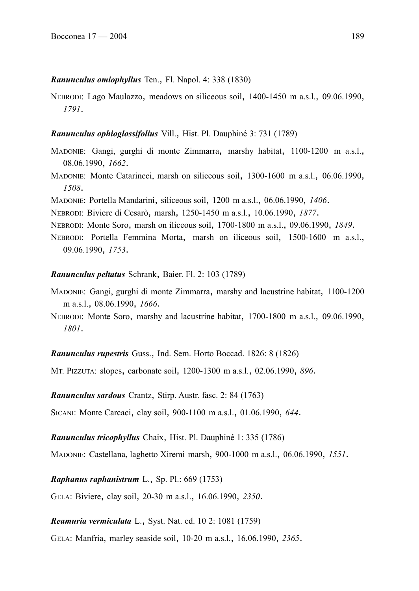#### *Ranunculus omiophyllus* Ten., Fl. Napol. 4: 338 (1830)

NEBRODI: Lago Maulazzo, meadows on siliceous soil, 1400-1450 m a.s.l., 09.06.1990, *1791*.

#### *Ranunculus ophioglossifolius* Vill., Hist. Pl. Dauphiné 3: 731 (1789)

- MADONIE: Gangi, gurghi di monte Zimmarra, marshy habitat, 1100-1200 m a.s.l., 08.06.1990, *1662*.
- MADONIE: Monte Catarineci, marsh on siliceous soil, 1300-1600 m a.s.l., 06.06.1990, *1508*.
- MADONIE: Portella Mandarini, siliceous soil, 1200 m a.s.l., 06.06.1990, *1406*.
- NEBRODI: Biviere di Cesarò, marsh, 1250-1450 m a.s.l., 10.06.1990, *1877*.
- NEBRODI: Monte Soro, marsh on iliceous soil, 1700-1800 m a.s.l., 09.06.1990, *1849*.
- NEBRODI: Portella Femmina Morta, marsh on iliceous soil, 1500-1600 m a.s.l., 09.06.1990, *1753*.

#### *Ranunculus peltatus* Schrank, Baier. Fl. 2: 103 (1789)

- MADONIE: Gangi, gurghi di monte Zimmarra, marshy and lacustrine habitat, 1100-1200 m a.s.l., 08.06.1990, *1666*.
- NEBRODI: Monte Soro, marshy and lacustrine habitat, 1700-1800 m a.s.l., 09.06.1990, *1801*.

#### *Ranunculus rupestris* Guss., Ind. Sem. Horto Boccad. 1826: 8 (1826)

MT. PIZZUTA: slopes, carbonate soil, 1200-1300 m a.s.l., 02.06.1990, *896*.

*Ranunculus sardous* Crantz, Stirp. Austr. fasc. 2: 84 (1763)

SICANI: Monte Carcaci, clay soil, 900-1100 m a.s.l., 01.06.1990, *644*.

*Ranunculus tricophyllus* Chaix, Hist. Pl. Dauphiné 1: 335 (1786)

MADONIE: Castellana, laghetto Xiremi marsh, 900-1000 m a.s.l., 06.06.1990, *1551*.

*Raphanus raphanistrum* L., Sp. Pl.: 669 (1753)

GELA: Biviere, clay soil, 20-30 m a.s.l., 16.06.1990, *2350*.

### *Reamuria vermiculata* L., Syst. Nat. ed. 10 2: 1081 (1759)

GELA: Manfria, marley seaside soil, 10-20 m a.s.l., 16.06.1990, *2365*.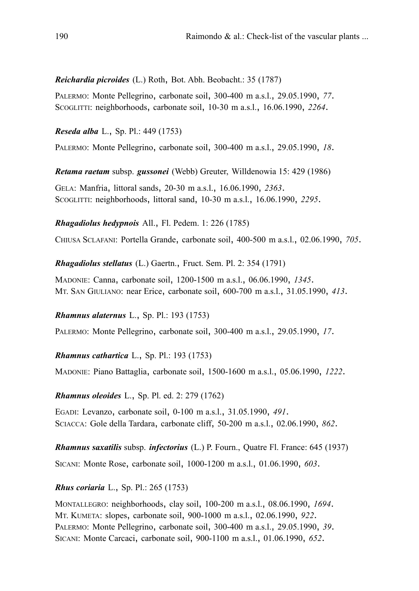### *Reichardia picroides* (L.) Roth, Bot. Abh. Beobacht.: 35 (1787)

PALERMO: Monte Pellegrino, carbonate soil, 300-400 m a.s.l., 29.05.1990, *77*. SCOGLITTI: neighborhoods, carbonate soil, 10-30 m a.s.l., 16.06.1990, *2264*.

*Reseda alba* L., Sp. Pl.: 449 (1753)

PALERMO: Monte Pellegrino, carbonate soil, 300-400 m a.s.l., 29.05.1990, *18*.

*Retama raetam* subsp. *gussonei* (Webb) Greuter, Willdenowia 15: 429 (1986)

GELA: Manfria, littoral sands, 20-30 m a.s.l., 16.06.1990, *2363*. SCOGLITTI: neighborhoods, littoral sand, 10-30 m a.s.l., 16.06.1990, *2295*.

*Rhagadiolus hedypnois* All., Fl. Pedem. 1: 226 (1785)

CHIUSA SCLAFANI: Portella Grande, carbonate soil, 400-500 m a.s.l., 02.06.1990, *705*.

*Rhagadiolus stellatus* (L.) Gaertn., Fruct. Sem. Pl. 2: 354 (1791)

MADONIE: Canna, carbonate soil, 1200-1500 m a.s.l., 06.06.1990, *1345*. MT. SAN GIULIANO: near Erice, carbonate soil, 600-700 m a.s.l., 31.05.1990, *413*.

## *Rhamnus alaternus* L., Sp. Pl.: 193 (1753)

PALERMO: Monte Pellegrino, carbonate soil, 300-400 m a.s.l., 29.05.1990, *17*.

## *Rhamnus cathartica* L., Sp. Pl.: 193 (1753)

MADONIE: Piano Battaglia, carbonate soil, 1500-1600 m a.s.l., 05.06.1990, *1222*.

### *Rhamnus oleoides* L., Sp. Pl. ed. 2: 279 (1762)

EGADI: Levanzo, carbonate soil, 0-100 m a.s.l., 31.05.1990, *491*. SCIACCA: Gole della Tardara, carbonate cliff, 50-200 m a.s.l., 02.06.1990, *862*.

*Rhamnus saxatilis* subsp. *infectorius* (L.) P. Fourn., Quatre Fl. France: 645 (1937)

SICANI: Monte Rose, carbonate soil, 1000-1200 m a.s.l., 01.06.1990, *603*.

*Rhus coriaria* L., Sp. Pl.: 265 (1753)

MONTALLEGRO: neighborhoods, clay soil, 100-200 m a.s.l., 08.06.1990, *1694*. MT. KUMETA: slopes, carbonate soil, 900-1000 m a.s.l., 02.06.1990, *922*. PALERMO: Monte Pellegrino, carbonate soil, 300-400 m a.s.l., 29.05.1990, *39*. SICANI: Monte Carcaci, carbonate soil, 900-1100 m a.s.l., 01.06.1990, *652*.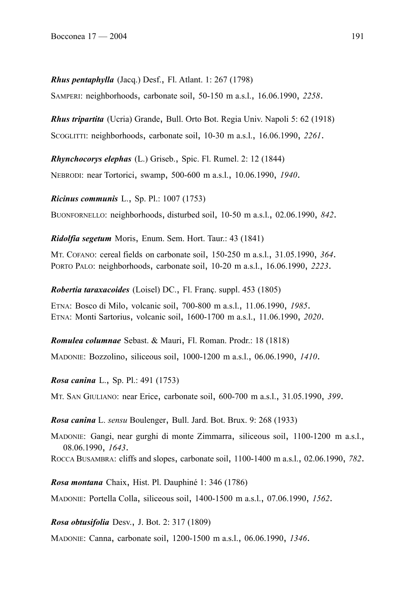*Rhus pentaphylla* (Jacq.) Desf., Fl. Atlant. 1: 267 (1798) SAMPERI: neighborhoods, carbonate soil, 50-150 m a.s.l., 16.06.1990, *2258*.

*Rhus tripartita* (Ucria) Grande, Bull. Orto Bot. Regia Univ. Napoli 5: 62 (1918) SCOGLITTI: neighborhoods, carbonate soil, 10-30 m a.s.l., 16.06.1990, *2261*.

*Rhynchocorys elephas* (L.) Griseb., Spic. Fl. Rumel. 2: 12 (1844) NEBRODI: near Tortorici, swamp, 500-600 m a.s.l., 10.06.1990, *1940*.

*Ricinus communis* L., Sp. Pl.: 1007 (1753)

BUONFORNELLO: neighborhoods, disturbed soil, 10-50 m a.s.l., 02.06.1990, *842*.

*Ridolfia segetum* Moris, Enum. Sem. Hort. Taur.: 43 (1841)

MT. COFANO: cereal fields on carbonate soil, 150-250 m a.s.l., 31.05.1990, *364*. PORTO PALO: neighborhoods, carbonate soil, 10-20 m a.s.l., 16.06.1990, *2223*.

*Robertia taraxacoides* (Loisel) DC., Fl. Franç. suppl. 453 (1805)

ETNA: Bosco di Milo, volcanic soil, 700-800 m a.s.l., 11.06.1990, *1985*. ETNA: Monti Sartorius, volcanic soil, 1600-1700 m a.s.l., 11.06.1990, *2020*.

*Romulea columnae* Sebast. & Mauri, Fl. Roman. Prodr.: 18 (1818)

MADONIE: Bozzolino, siliceous soil, 1000-1200 m a.s.l., 06.06.1990, *1410*.

*Rosa canina* L., Sp. Pl.: 491 (1753)

MT. SAN GIULIANO: near Erice, carbonate soil, 600-700 m a.s.l., 31.05.1990, *399*.

*Rosa canina* L. *sensu* Boulenger, Bull. Jard. Bot. Brux. 9: 268 (1933)

MADONIE: Gangi, near gurghi di monte Zimmarra, siliceous soil, 1100-1200 m a.s.l., 08.06.1990, *1643*.

ROCCA BUSAMBRA: cliffs and slopes, carbonate soil, 1100-1400 m a.s.l., 02.06.1990, *782*.

*Rosa montana* Chaix, Hist. Pl. Dauphiné 1: 346 (1786)

MADONIE: Portella Colla, siliceous soil, 1400-1500 m a.s.l., 07.06.1990, *1562*.

*Rosa obtusifolia* Desv., J. Bot. 2: 317 (1809)

MADONIE: Canna, carbonate soil, 1200-1500 m a.s.l., 06.06.1990, *1346*.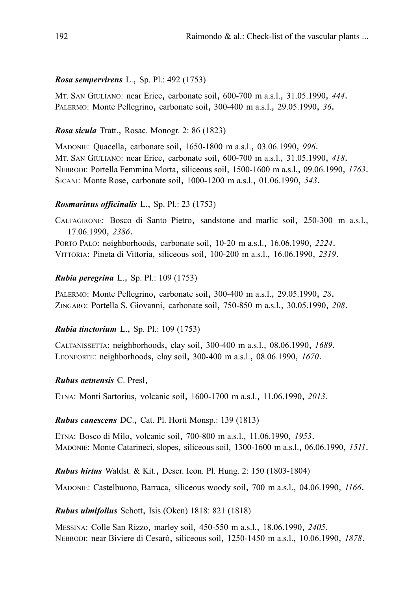## *Rosa sempervirens* L., Sp. Pl.: 492 (1753)

MT. SAN GIULIANO: near Erice, carbonate soil, 600-700 m a.s.l., 31.05.1990, *444*. PALERMO: Monte Pellegrino, carbonate soil, 300-400 m a.s.l., 29.05.1990, *36*.

### *Rosa sicula* Tratt., Rosac. Monogr. 2: 86 (1823)

MADONIE: Quacella, carbonate soil, 1650-1800 m a.s.l., 03.06.1990, *996*. MT. SAN GIULIANO: near Erice, carbonate soil, 600-700 m a.s.l., 31.05.1990, *418*. NEBRODI: Portella Femmina Morta, siliceous soil, 1500-1600 m a.s.l., 09.06.1990, *1763*. SICANI: Monte Rose, carbonate soil, 1000-1200 m a.s.l., 01.06.1990, *543*.

### *Rosmarinus officinalis* L., Sp. Pl.: 23 (1753)

CALTAGIRONE: Bosco di Santo Pietro, sandstone and marlic soil, 250-300 m a.s.l., 17.06.1990, *2386*. PORTO PALO: neighborhoods, carbonate soil, 10-20 m a.s.l., 16.06.1990, *2224*. VITTORIA: Pineta di Vittoria, siliceous soil, 100-200 m a.s.l., 16.06.1990, *2319*.

### *Rubia peregrina* L., Sp. Pl.: 109 (1753)

PALERMO: Monte Pellegrino, carbonate soil, 300-400 m a.s.l., 29.05.1990, *28*. ZINGARO: Portella S. Giovanni, carbonate soil, 750-850 m a.s.l., 30.05.1990, *208*.

### *Rubia tinctorium* L., Sp. Pl.: 109 (1753)

CALTANISSETTA: neighborhoods, clay soil, 300-400 m a.s.l., 08.06.1990, *1689*. LEONFORTE: neighborhoods, clay soil, 300-400 m a.s.l., 08.06.1990, *1670*.

### *Rubus aetnensis* C. Presl,

ETNA: Monti Sartorius, volcanic soil, 1600-1700 m a.s.l., 11.06.1990, *2013*.

### *Rubus canescens* DC., Cat. Pl. Horti Monsp.: 139 (1813)

ETNA: Bosco di Milo, volcanic soil, 700-800 m a.s.l., 11.06.1990, *1953*. MADONIE: Monte Catarineci, slopes, siliceous soil, 1300-1600 m a.s.l., 06.06.1990, *1511*.

*Rubus hirtus* Waldst. & Kit., Descr. Icon. Pl. Hung. 2: 150 (1803-1804)

MADONIE: Castelbuono, Barraca, siliceous woody soil, 700 m a.s.l., 04.06.1990, *1166*.

### *Rubus ulmifolius* Schott, Isis (Oken) 1818: 821 (1818)

MESSINA: Colle San Rizzo, marley soil, 450-550 m a.s.l., 18.06.1990, *2405*. NEBRODI: near Biviere di Cesarò, siliceous soil, 1250-1450 m a.s.l., 10.06.1990, *1878*.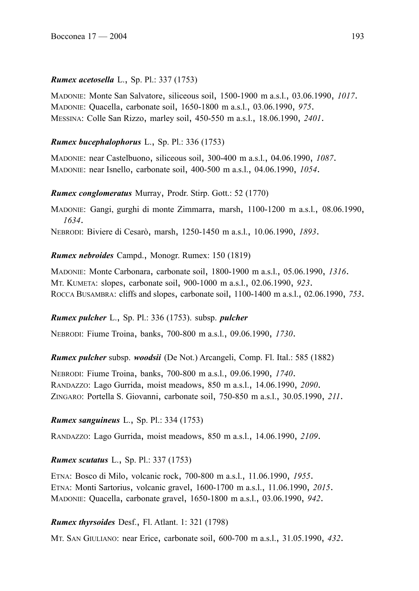## *Rumex acetosella* L., Sp. Pl.: 337 (1753)

MADONIE: Monte San Salvatore, siliceous soil, 1500-1900 m a.s.l., 03.06.1990, *1017*. MADONIE: Quacella, carbonate soil, 1650-1800 m a.s.l., 03.06.1990, *975*. MESSINA: Colle San Rizzo, marley soil, 450-550 m a.s.l., 18.06.1990, *2401*.

## *Rumex bucephalophorus* L., Sp. Pl.: 336 (1753)

MADONIE: near Castelbuono, siliceous soil, 300-400 m a.s.l., 04.06.1990, *1087*. MADONIE: near Isnello, carbonate soil, 400-500 m a.s.l., 04.06.1990, *1054*.

## *Rumex conglomeratus* Murray, Prodr. Stirp. Gott.: 52 (1770)

MADONIE: Gangi, gurghi di monte Zimmarra, marsh, 1100-1200 m a.s.l., 08.06.1990, *1634*.

NEBRODI: Biviere di Cesarò, marsh, 1250-1450 m a.s.l., 10.06.1990, *1893*.

## *Rumex nebroides* Campd., Monogr. Rumex: 150 (1819)

MADONIE: Monte Carbonara, carbonate soil, 1800-1900 m a.s.l., 05.06.1990, *1316*. MT. KUMETA: slopes, carbonate soil, 900-1000 m a.s.l., 02.06.1990, *923*. ROCCA BUSAMBRA: cliffs and slopes, carbonate soil, 1100-1400 m a.s.l., 02.06.1990, *753*.

## *Rumex pulcher* L., Sp. Pl.: 336 (1753). subsp. *pulcher*

NEBRODI: Fiume Troina, banks, 700-800 m a.s.l., 09.06.1990, *1730*.

*Rumex pulcher* subsp. *woodsii* (De Not.) Arcangeli, Comp. Fl. Ital.: 585 (1882)

NEBRODI: Fiume Troina, banks, 700-800 m a.s.l., 09.06.1990, *1740*. RANDAZZO: Lago Gurrida, moist meadows, 850 m a.s.l., 14.06.1990, *2090*. ZINGARO: Portella S. Giovanni, carbonate soil, 750-850 m a.s.l., 30.05.1990, *211*.

## *Rumex sanguineus* L., Sp. Pl.: 334 (1753)

RANDAZZO: Lago Gurrida, moist meadows, 850 m a.s.l., 14.06.1990, *2109*.

*Rumex scutatus* L., Sp. Pl.: 337 (1753)

ETNA: Bosco di Milo, volcanic rock, 700-800 m a.s.l., 11.06.1990, *1955*. ETNA: Monti Sartorius, volcanic gravel, 1600-1700 m a.s.l., 11.06.1990, *2015*. MADONIE: Quacella, carbonate gravel, 1650-1800 m a.s.l., 03.06.1990, *942*.

# *Rumex thyrsoides* Desf., Fl. Atlant. 1: 321 (1798)

MT. SAN GIULIANO: near Erice, carbonate soil, 600-700 m a.s.l., 31.05.1990, *432*.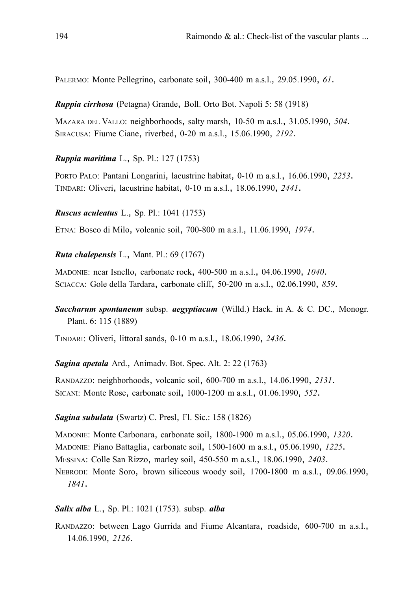PALERMO: Monte Pellegrino, carbonate soil, 300-400 m a.s.l., 29.05.1990, *61*.

*Ruppia cirrhosa* (Petagna) Grande, Boll. Orto Bot. Napoli 5: 58 (1918)

MAZARA DEL VALLO: neighborhoods, salty marsh, 10-50 m a.s.l., 31.05.1990, *504*. SIRACUSA: Fiume Ciane, riverbed, 0-20 m a.s.l., 15.06.1990, *2192*.

*Ruppia maritima* L., Sp. Pl.: 127 (1753)

PORTO PALO: Pantani Longarini, lacustrine habitat, 0-10 m a.s.l., 16.06.1990, *2253*. TINDARI: Oliveri, lacustrine habitat, 0-10 m a.s.l., 18.06.1990, *2441*.

*Ruscus aculeatus* L., Sp. Pl.: 1041 (1753)

ETNA: Bosco di Milo, volcanic soil, 700-800 m a.s.l., 11.06.1990, *1974*.

*Ruta chalepensis* L., Mant. Pl.: 69 (1767)

MADONIE: near Isnello, carbonate rock, 400-500 m a.s.l., 04.06.1990, *1040*. SCIACCA: Gole della Tardara, carbonate cliff, 50-200 m a.s.l., 02.06.1990, *859*.

*Saccharum spontaneum* subsp. *aegyptiacum* (Willd.) Hack. in A. & C. DC., Monogr. Plant. 6: 115 (1889)

TINDARI: Oliveri, littoral sands, 0-10 m a.s.l., 18.06.1990, *2436*.

*Sagina apetala* Ard., Animadv. Bot. Spec. Alt. 2: 22 (1763)

RANDAZZO: neighborhoods, volcanic soil, 600-700 m a.s.l., 14.06.1990, *2131*. SICANI: Monte Rose, carbonate soil, 1000-1200 m a.s.l., 01.06.1990, *552*.

### *Sagina subulata* (Swartz) C. Presl, Fl. Sic.: 158 (1826)

MADONIE: Monte Carbonara, carbonate soil, 1800-1900 m a.s.l., 05.06.1990, *1320*. MADONIE: Piano Battaglia, carbonate soil, 1500-1600 m a.s.l., 05.06.1990, *1225*. MESSINA: Colle San Rizzo, marley soil, 450-550 m a.s.l., 18.06.1990, *2403*. NEBRODI: Monte Soro, brown siliceous woody soil, 1700-1800 m a.s.l., 09.06.1990, *1841*.

#### *Salix alba* L., Sp. Pl.: 1021 (1753). subsp. *alba*

RANDAZZO: between Lago Gurrida and Fiume Alcantara, roadside, 600-700 m a.s.l., 14.06.1990, *2126*.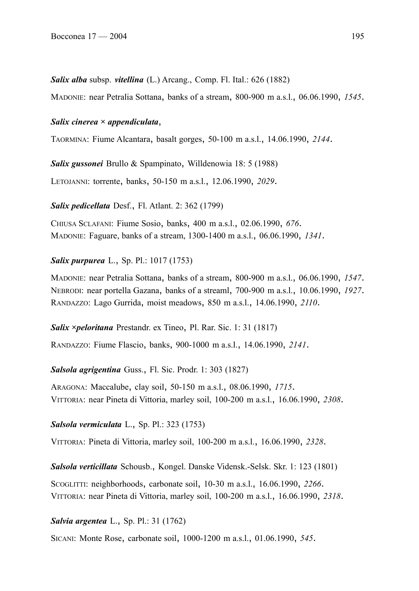*Salix alba* subsp. *vitellina* (L.) Arcang., Comp. Fl. Ital.: 626 (1882)

MADONIE: near Petralia Sottana, banks of a stream, 800-900 m a.s.l., 06.06.1990, *1545*.

#### *Salix cinerea × appendiculata*,

TAORMINA: Fiume Alcantara, basalt gorges, 50-100 m a.s.l., 14.06.1990, *2144*.

*Salix gussonei* Brullo & Spampinato, Willdenowia 18: 5 (1988) LETOJANNI: torrente, banks, 50-150 m a.s.l., 12.06.1990, *2029*.

*Salix pedicellata* Desf., Fl. Atlant. 2: 362 (1799)

CHIUSA SCLAFANI: Fiume Sosio, banks, 400 m a.s.l., 02.06.1990, *676*. MADONIE: Faguare, banks of a stream, 1300-1400 m a.s.l., 06.06.1990, *1341*.

### *Salix purpurea* L., Sp. Pl.: 1017 (1753)

MADONIE: near Petralia Sottana, banks of a stream, 800-900 m a.s.l., 06.06.1990, *1547*. NEBRODI: near portella Gazana, banks of a streaml, 700-900 m a.s.l., 10.06.1990, *1927*. RANDAZZO: Lago Gurrida, moist meadows, 850 m a.s.l., 14.06.1990, *2110*.

*Salix ×peloritana* Prestandr. ex Tineo, Pl. Rar. Sic. 1: 31 (1817) RANDAZZO: Fiume Flascio, banks, 900-1000 m a.s.l., 14.06.1990, *2141*.

*Salsola agrigentina* Guss., Fl. Sic. Prodr. 1: 303 (1827)

ARAGONA: Maccalube, clay soil, 50-150 m a.s.l., 08.06.1990, *1715*. VITTORIA: near Pineta di Vittoria, marley soil, 100-200 m a.s.l., 16.06.1990, *2308*.

### *Salsola vermiculata* L., Sp. Pl.: 323 (1753)

VITTORIA: Pineta di Vittoria, marley soil, 100-200 m a.s.l., 16.06.1990, *2328*.

*Salsola verticillata* Schousb., Kongel. Danske Vidensk.-Selsk. Skr. 1: 123 (1801)

SCOGLITTI: neighborhoods, carbonate soil, 10-30 m a.s.l., 16.06.1990, *2266*. VITTORIA: near Pineta di Vittoria, marley soil, 100-200 m a.s.l., 16.06.1990, *2318*.

#### *Salvia argentea* L., Sp. Pl.: 31 (1762)

SICANI: Monte Rose, carbonate soil, 1000-1200 m a.s.l., 01.06.1990, *545*.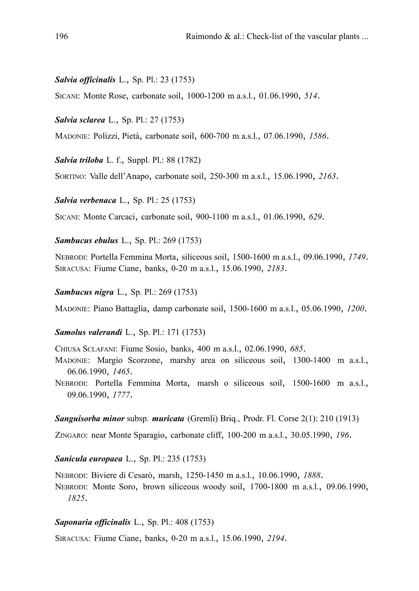#### *Salvia officinalis* L., Sp. Pl.: 23 (1753)

SICANI: Monte Rose, carbonate soil, 1000-1200 m a.s.l., 01.06.1990, *514*.

*Salvia sclarea* L., Sp. Pl.: 27 (1753)

MADONIE: Polizzi, Pietà, carbonate soil, 600-700 m a.s.l., 07.06.1990, *1586*.

*Salvia triloba* L. f., Suppl. Pl.: 88 (1782)

SORTINO: Valle dell'Anapo, carbonate soil, 250-300 m a.s.l., 15.06.1990, *2163*.

*Salvia verbenaca* L., Sp. Pl.: 25 (1753)

SICANI: Monte Carcaci, carbonate soil, 900-1100 m a.s.l., 01.06.1990, *629*.

*Sambucus ebulus* L., Sp. Pl.: 269 (1753)

NEBRODI: Portella Femmina Morta, siliceous soil, 1500-1600 m a.s.l., 09.06.1990, *1749*. SIRACUSA: Fiume Ciane, banks, 0-20 m a.s.l., 15.06.1990, *2183*.

*Sambucus nigra* L., Sp. Pl.: 269 (1753)

MADONIE: Piano Battaglia, damp carbonate soil, 1500-1600 m a.s.l., 05.06.1990, *1200*.

#### *Samolus valerandi* L., Sp. Pl.: 171 (1753)

CHIUSA SCLAFANI: Fiume Sosio, banks, 400 m a.s.l., 02.06.1990, *685*.

MADONIE: Margio Scorzone, marshy area on siliceous soil, 1300-1400 m a.s.l., 06.06.1990, *1465*.

NEBRODI: Portella Femmina Morta, marsh o siliceous soil, 1500-1600 m a.s.l., 09.06.1990, *1777*.

#### *Sanguisorba minor* subsp. *muricata* (Gremli) Briq., Prodr. Fl. Corse 2(1): 210 (1913)

ZINGARO: near Monte Sparagio, carbonate cliff, 100-200 m a.s.l., 30.05.1990, *196*.

#### *Sanicula europaea* L., Sp. Pl.: 235 (1753)

NEBRODI: Biviere di Cesarò, marsh, 1250-1450 m a.s.l., 10.06.1990, *1888*. NEBRODI: Monte Soro, brown siliceous woody soil, 1700-1800 m a.s.l., 09.06.1990, *1825*.

### *Saponaria officinalis* L., Sp. Pl.: 408 (1753)

SIRACUSA: Fiume Ciane, banks, 0-20 m a.s.l., 15.06.1990, *2194*.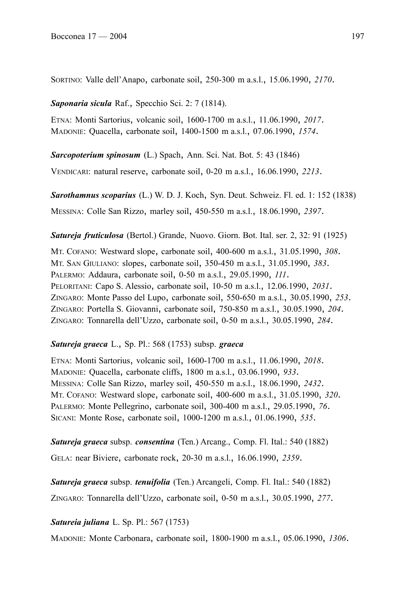SORTINO: Valle dell'Anapo, carbonate soil, 250-300 m a.s.l., 15.06.1990, *2170*.

*Saponaria sicula* Raf., Specchio Sci. 2: 7 (1814).

ETNA: Monti Sartorius, volcanic soil, 1600-1700 m a.s.l., 11.06.1990, *2017*. MADONIE: Quacella, carbonate soil, 1400-1500 m a.s.l., 07.06.1990, *1574*.

*Sarcopoterium spinosum* (L.) Spach, Ann. Sci. Nat. Bot. 5: 43 (1846)

VENDICARI: natural reserve, carbonate soil, 0-20 m a.s.l., 16.06.1990, *2213*.

*Sarothamnus scoparius* (L.) W. D. J. Koch, Syn. Deut. Schweiz. Fl. ed. 1: 152 (1838) MESSINA: Colle San Rizzo, marley soil, 450-550 m a.s.l., 18.06.1990, *2397*.

*Satureja fruticulosa* (Bertol.) Grande, Nuovo. Giorn. Bot. Ital. ser. 2, 32: 91 (1925)

MT. COFANO: Westward slope, carbonate soil, 400-600 m a.s.l., 31.05.1990, *308*. MT. SAN GIULIANO: slopes, carbonate soil, 350-450 m a.s.l., 31.05.1990, *383*. PALERMO: Addaura, carbonate soil, 0-50 m a.s.l., 29.05.1990, *111*. PELORITANI: Capo S. Alessio, carbonate soil, 10-50 m a.s.l., 12.06.1990, *2031*. ZINGARO: Monte Passo del Lupo, carbonate soil, 550-650 m a.s.l., 30.05.1990, *253*. ZINGARO: Portella S. Giovanni, carbonate soil, 750-850 m a.s.l., 30.05.1990, *204*. ZINGARO: Tonnarella dell'Uzzo, carbonate soil, 0-50 m a.s.l., 30.05.1990, *284*.

# *Satureja graeca* L., Sp. Pl.: 568 (1753) subsp. *graeca*

ETNA: Monti Sartorius, volcanic soil, 1600-1700 m a.s.l., 11.06.1990, *2018*. MADONIE: Quacella, carbonate cliffs, 1800 m a.s.l., 03.06.1990, *933*. MESSINA: Colle San Rizzo, marley soil, 450-550 m a.s.l., 18.06.1990, *2432*. MT. COFANO: Westward slope, carbonate soil, 400-600 m a.s.l., 31.05.1990, *320*. PALERMO: Monte Pellegrino, carbonate soil, 300-400 m a.s.l., 29.05.1990, *76*. SICANI: Monte Rose, carbonate soil, 1000-1200 m a.s.l., 01.06.1990, *535*.

*Satureja graeca* subsp. *consentina* (Ten.) Arcang., Comp. Fl. Ital.: 540 (1882) GELA: near Biviere, carbonate rock, 20-30 m a.s.l., 16.06.1990, *2359*.

*Satureja graeca* subsp. *tenuifolia* (Ten.) Arcangeli, Comp. Fl. Ital.: 540 (1882)

ZINGARO: Tonnarella dell'Uzzo, carbonate soil, 0-50 m a.s.l., 30.05.1990, *277*.

*Satureia juliana* L. Sp. Pl.: 567 (1753)

MADONIE: Monte Carbonara, carbonate soil, 1800-1900 m a.s.l., 05.06.1990, *1306*.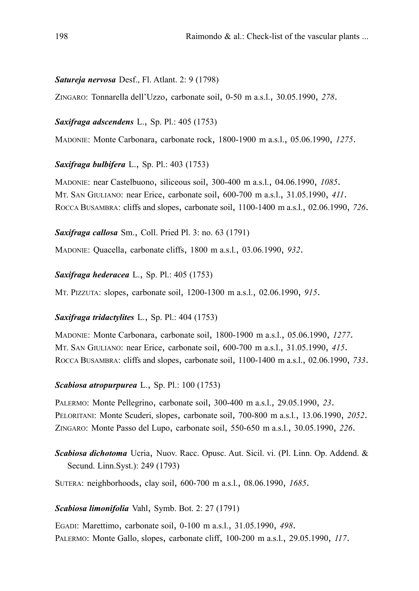### *Satureja nervosa* Desf., Fl. Atlant. 2: 9 (1798)

ZINGARO: Tonnarella dell'Uzzo, carbonate soil, 0-50 m a.s.l., 30.05.1990, *278*.

### *Saxifraga adscendens* L., Sp. Pl.: 405 (1753)

MADONIE: Monte Carbonara, carbonate rock, 1800-1900 m a.s.l., 05.06.1990, *1275*.

## *Saxifraga bulbifera* L., Sp. Pl.: 403 (1753)

MADONIE: near Castelbuono, siliceous soil, 300-400 m a.s.l., 04.06.1990, *1085*. MT. SAN GIULIANO: near Erice, carbonate soil, 600-700 m a.s.l., 31.05.1990, *411*. ROCCA BUSAMBRA: cliffs and slopes, carbonate soil, 1100-1400 m a.s.l., 02.06.1990, *726*.

*Saxifraga callosa* Sm., Coll. Pried Pl. 3: no. 63 (1791)

MADONIE: Quacella, carbonate cliffs, 1800 m a.s.l., 03.06.1990, *932*.

### *Saxifraga hederacea* L., Sp. Pl.: 405 (1753)

MT. PIZZUTA: slopes, carbonate soil, 1200-1300 m a.s.l., 02.06.1990, *915*.

## *Saxifraga tridactylites* L., Sp. Pl.: 404 (1753)

MADONIE: Monte Carbonara, carbonate soil, 1800-1900 m a.s.l., 05.06.1990, *1277*. MT. SAN GIULIANO: near Erice, carbonate soil, 600-700 m a.s.l., 31.05.1990, *415*. ROCCA BUSAMBRA: cliffs and slopes, carbonate soil, 1100-1400 m a.s.l., 02.06.1990, *733*.

## *Scabiosa atropurpurea* L., Sp. Pl.: 100 (1753)

PALERMO: Monte Pellegrino, carbonate soil, 300-400 m a.s.l., 29.05.1990, *23*. PELORITANI: Monte Scuderi, slopes, carbonate soil, 700-800 m a.s.l., 13.06.1990, *2052*. ZINGARO: Monte Passo del Lupo, carbonate soil, 550-650 m a.s.l., 30.05.1990, *226*.

*Scabiosa dichotoma* Ucria, Nuov. Racc. Opusc. Aut. Sicil. vi. (Pl. Linn. Op. Addend. & Secund. Linn.Syst.): 249 (1793)

SUTERA: neighborhoods, clay soil, 600-700 m a.s.l., 08.06.1990, *1685*.

## *Scabiosa limonifolia* Vahl, Symb. Bot. 2: 27 (1791)

EGADI: Marettimo, carbonate soil, 0-100 m a.s.l., 31.05.1990, *498*. PALERMO: Monte Gallo, slopes, carbonate cliff, 100-200 m a.s.l., 29.05.1990, *117*.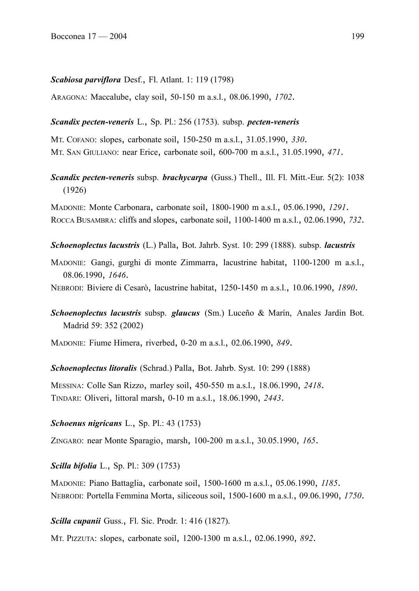#### *Scabiosa parviflora* Desf., Fl. Atlant. 1: 119 (1798)

ARAGONA: Maccalube, clay soil, 50-150 m a.s.l., 08.06.1990, *1702*.

#### *Scandix pecten-veneris* L., Sp. Pl.: 256 (1753). subsp. *pecten-veneris*

MT. COFANO: slopes, carbonate soil, 150-250 m a.s.l., 31.05.1990, *330*. MT. SAN GIULIANO: near Erice, carbonate soil, 600-700 m a.s.l., 31.05.1990, *471*.

*Scandix pecten-veneris* subsp. *brachycarpa* (Guss.) Thell., Ill. Fl. Mitt.-Eur. 5(2): 1038 (1926)

MADONIE: Monte Carbonara, carbonate soil, 1800-1900 m a.s.l., 05.06.1990, *1291*. ROCCA BUSAMBRA: cliffs and slopes, carbonate soil, 1100-1400 m a.s.l., 02.06.1990, *732*.

*Schoenoplectus lacustris* (L.) Palla, Bot. Jahrb. Syst. 10: 299 (1888). subsp. *lacustris*

MADONIE: Gangi, gurghi di monte Zimmarra, lacustrine habitat, 1100-1200 m a.s.l., 08.06.1990, *1646*.

NEBRODI: Biviere di Cesarò, lacustrine habitat, 1250-1450 m a.s.l., 10.06.1990, *1890*.

*Schoenoplectus lacustris* subsp. *glaucus* (Sm.) Luceño & Marín, Anales Jardin Bot. Madrid 59: 352 (2002)

MADONIE: Fiume Himera, riverbed, 0-20 m a.s.l., 02.06.1990, *849*.

*Schoenoplectus litoralis* (Schrad.) Palla, Bot. Jahrb. Syst. 10: 299 (1888)

MESSINA: Colle San Rizzo, marley soil, 450-550 m a.s.l., 18.06.1990, *2418*. TINDARI: Oliveri, littoral marsh, 0-10 m a.s.l., 18.06.1990, *2443*.

#### *Schoenus nigricans* L., Sp. Pl.: 43 (1753)

ZINGARO: near Monte Sparagio, marsh, 100-200 m a.s.l., 30.05.1990, *165*.

*Scilla bifolia* L., Sp. Pl.: 309 (1753)

MADONIE: Piano Battaglia, carbonate soil, 1500-1600 m a.s.l., 05.06.1990, *1185*. NEBRODI: Portella Femmina Morta, siliceous soil, 1500-1600 m a.s.l., 09.06.1990, *1750*.

*Scilla cupanii* Guss., Fl. Sic. Prodr. 1: 416 (1827).

MT. PIZZUTA: slopes, carbonate soil, 1200-1300 m a.s.l., 02.06.1990, *892*.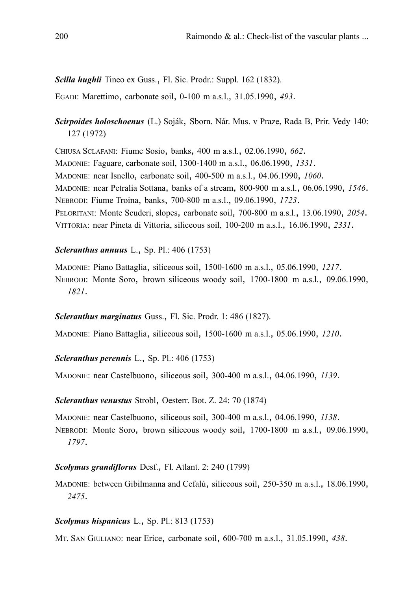## *Scilla hughii* Tineo ex Guss., Fl. Sic. Prodr.: Suppl. 162 (1832).

EGADI: Marettimo, carbonate soil, 0-100 m a.s.l., 31.05.1990, *493*.

# *Scirpoides holoschoenus* (L.) Soják, Sborn. Nár. Mus. v Praze, Rada B, Prir. Vedy 140: 127 (1972)

CHIUSA SCLAFANI: Fiume Sosio, banks, 400 m a.s.l., 02.06.1990, *662*. MADONIE: Faguare, carbonate soil, 1300-1400 m a.s.l., 06.06.1990, *1331*. MADONIE: near Isnello, carbonate soil, 400-500 m a.s.l., 04.06.1990, *1060*. MADONIE: near Petralia Sottana, banks of a stream, 800-900 m a.s.l., 06.06.1990, *1546*. NEBRODI: Fiume Troina, banks, 700-800 m a.s.l., 09.06.1990, *1723*. PELORITANI: Monte Scuderi, slopes, carbonate soil, 700-800 m a.s.l., 13.06.1990, *2054*. VITTORIA: near Pineta di Vittoria, siliceous soil, 100-200 m a.s.l., 16.06.1990, *2331*.

## *Scleranthus annuus* L., Sp. Pl.: 406 (1753)

MADONIE: Piano Battaglia, siliceous soil, 1500-1600 m a.s.l., 05.06.1990, *1217*. NEBRODI: Monte Soro, brown siliceous woody soil, 1700-1800 m a.s.l., 09.06.1990, *1821*.

## *Scleranthus marginatus* Guss., Fl. Sic. Prodr. 1: 486 (1827).

MADONIE: Piano Battaglia, siliceous soil, 1500-1600 m a.s.l., 05.06.1990, *1210*.

## *Scleranthus perennis* L., Sp. Pl.: 406 (1753)

MADONIE: near Castelbuono, siliceous soil, 300-400 m a.s.l., 04.06.1990, *1139*.

### *Scleranthus venustus* Strobl, Oesterr. Bot. Z. 24: 70 (1874)

MADONIE: near Castelbuono, siliceous soil, 300-400 m a.s.l., 04.06.1990, *1138*. NEBRODI: Monte Soro, brown siliceous woody soil, 1700-1800 m a.s.l., 09.06.1990, *1797*.

## *Scolymus grandiflorus* Desf., Fl. Atlant. 2: 240 (1799)

MADONIE: between Gibilmanna and Cefalù, siliceous soil, 250-350 m a.s.l., 18.06.1990, *2475*.

## *Scolymus hispanicus* L., Sp. Pl.: 813 (1753)

MT. SAN GIULIANO: near Erice, carbonate soil, 600-700 m a.s.l., 31.05.1990, *438*.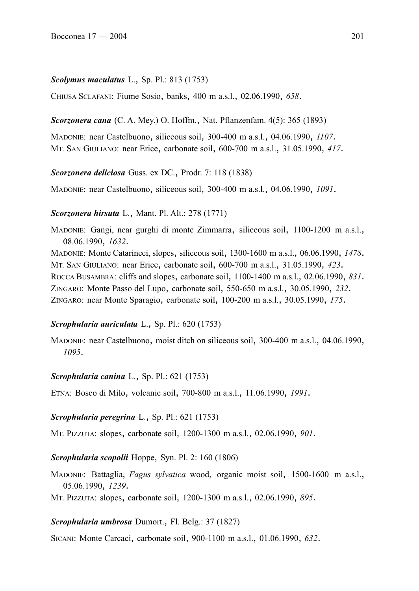## *Scolymus maculatus* L., Sp. Pl.: 813 (1753)

CHIUSA SCLAFANI: Fiume Sosio, banks, 400 m a.s.l., 02.06.1990, *658*.

## *Scorzonera cana* (C. A. Mey.) O. Hoffm., Nat. Pflanzenfam. 4(5): 365 (1893)

MADONIE: near Castelbuono, siliceous soil, 300-400 m a.s.l., 04.06.1990, *1107*. MT. SAN GIULIANO: near Erice, carbonate soil, 600-700 m a.s.l., 31.05.1990, *417*.

### *Scorzonera deliciosa* Guss. ex DC., Prodr. 7: 118 (1838)

MADONIE: near Castelbuono, siliceous soil, 300-400 m a.s.l., 04.06.1990, *1091*.

### *Scorzonera hirsuta* L., Mant. Pl. Alt.: 278 (1771)

MADONIE: Gangi, near gurghi di monte Zimmarra, siliceous soil, 1100-1200 m a.s.l., 08.06.1990, *1632*.

MADONIE: Monte Catarineci, slopes, siliceous soil, 1300-1600 m a.s.l., 06.06.1990, *1478*. MT. SAN GIULIANO: near Erice, carbonate soil, 600-700 m a.s.l., 31.05.1990, *423*. ROCCA BUSAMBRA: cliffs and slopes, carbonate soil, 1100-1400 m a.s.l., 02.06.1990, *831*. ZINGARO: Monte Passo del Lupo, carbonate soil, 550-650 m a.s.l., 30.05.1990, *232*. ZINGARO: near Monte Sparagio, carbonate soil, 100-200 m a.s.l., 30.05.1990, *175*.

### *Scrophularia auriculata* L., Sp. Pl.: 620 (1753)

MADONIE: near Castelbuono, moist ditch on siliceous soil, 300-400 m a.s.l., 04.06.1990, *1095*.

## *Scrophularia canina* L., Sp. Pl.: 621 (1753)

ETNA: Bosco di Milo, volcanic soil, 700-800 m a.s.l., 11.06.1990, *1991*.

### *Scrophularia peregrina* L., Sp. Pl.: 621 (1753)

MT. PIZZUTA: slopes, carbonate soil, 1200-1300 m a.s.l., 02.06.1990, *901*.

### *Scrophularia scopolii* Hoppe, Syn. Pl. 2: 160 (1806)

MADONIE: Battaglia, *Fagus sylvatica* wood, organic moist soil, 1500-1600 m a.s.l., 05.06.1990, *1239*.

MT. PIZZUTA: slopes, carbonate soil, 1200-1300 m a.s.l., 02.06.1990, *895*.

### *Scrophularia umbrosa* Dumort., Fl. Belg.: 37 (1827)

SICANI: Monte Carcaci, carbonate soil, 900-1100 m a.s.l., 01.06.1990, *632*.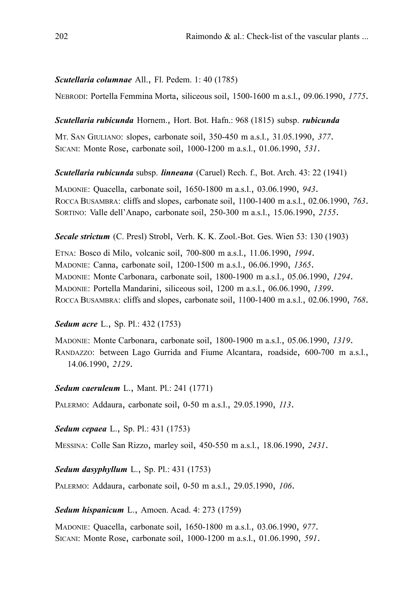### *Scutellaria columnae* All., Fl. Pedem. 1: 40 (1785)

NEBRODI: Portella Femmina Morta, siliceous soil, 1500-1600 m a.s.l., 09.06.1990, *1775*.

*Scutellaria rubicunda* Hornem., Hort. Bot. Hafn.: 968 (1815) subsp. *rubicunda*

MT. SAN GIULIANO: slopes, carbonate soil, 350-450 m a.s.l., 31.05.1990, *377*. SICANI: Monte Rose, carbonate soil, 1000-1200 m a.s.l., 01.06.1990, *531*.

### *Scutellaria rubicunda* subsp. *linneana* (Caruel) Rech. f., Bot. Arch. 43: 22 (1941)

MADONIE: Quacella, carbonate soil, 1650-1800 m a.s.l., 03.06.1990, *943*. ROCCA BUSAMBRA: cliffs and slopes, carbonate soil, 1100-1400 m a.s.l., 02.06.1990, *763*. SORTINO: Valle dell'Anapo, carbonate soil, 250-300 m a.s.l., 15.06.1990, *2155*.

*Secale strictum* (C. Presl) Strobl, Verh. K. K. Zool.-Bot. Ges. Wien 53: 130 (1903)

ETNA: Bosco di Milo, volcanic soil, 700-800 m a.s.l., 11.06.1990, *1994*. MADONIE: Canna, carbonate soil, 1200-1500 m a.s.l., 06.06.1990, *1365*. MADONIE: Monte Carbonara, carbonate soil, 1800-1900 m a.s.l., 05.06.1990, *1294*. MADONIE: Portella Mandarini, siliceous soil, 1200 m a.s.l., 06.06.1990, *1399*. ROCCA BUSAMBRA: cliffs and slopes, carbonate soil, 1100-1400 m a.s.l., 02.06.1990, *768*.

## *Sedum acre* L., Sp. Pl.: 432 (1753)

MADONIE: Monte Carbonara, carbonate soil, 1800-1900 m a.s.l., 05.06.1990, *1319*. RANDAZZO: between Lago Gurrida and Fiume Alcantara, roadside, 600-700 m a.s.l., 14.06.1990, *2129*.

*Sedum caeruleum* L., Mant. Pl.: 241 (1771)

PALERMO: Addaura, carbonate soil, 0-50 m a.s.l., 29.05.1990, *113*.

*Sedum cepaea* L., Sp. Pl.: 431 (1753)

MESSINA: Colle San Rizzo, marley soil, 450-550 m a.s.l., 18.06.1990, *2431*.

*Sedum dasyphyllum* L., Sp. Pl.: 431 (1753)

PALERMO: Addaura, carbonate soil, 0-50 m a.s.l., 29.05.1990, *106*.

*Sedum hispanicum* L., Amoen. Acad. 4: 273 (1759)

MADONIE: Quacella, carbonate soil, 1650-1800 m a.s.l., 03.06.1990, *977*. SICANI: Monte Rose, carbonate soil, 1000-1200 m a.s.l., 01.06.1990, *591*.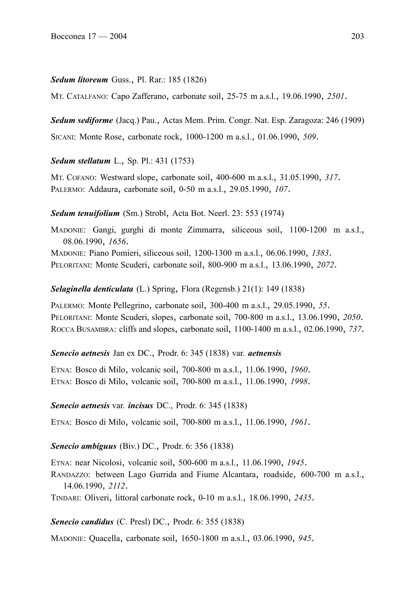### *Sedum litoreum* Guss., Pl. Rar.: 185 (1826)

MT. CATALFANO: Capo Zafferano, carbonate soil, 25-75 m a.s.l., 19.06.1990, *2501*.

*Sedum sediforme* (Jacq.) Pau., Actas Mem. Prim. Congr. Nat. Esp. Zaragoza: 246 (1909) SICANI: Monte Rose, carbonate rock, 1000-1200 m a.s.l., 01.06.1990, *509*.

## *Sedum stellatum* L., Sp. Pl.: 431 (1753)

MT. COFANO: Westward slope, carbonate soil, 400-600 m a.s.l., 31.05.1990, *317*. PALERMO: Addaura, carbonate soil, 0-50 m a.s.l., 29.05.1990, *107*.

### *Sedum tenuifolium* (Sm.) Strobl, Acta Bot. Neerl. 23: 553 (1974)

MADONIE: Gangi, gurghi di monte Zimmarra, siliceous soil, 1100-1200 m a.s.l., 08.06.1990, *1656*.

MADONIE: Piano Pomieri, siliceous soil, 1200-1300 m a.s.l., 06.06.1990, *1383*. PELORITANI: Monte Scuderi, carbonate soil, 800-900 m a.s.l., 13.06.1990, *2072*.

### *Selaginella denticulata* (L.) Spring, Flora (Regensb.) 21(1): 149 (1838)

PALERMO: Monte Pellegrino, carbonate soil, 300-400 m a.s.l., 29.05.1990, *55*. PELORITANI: Monte Scuderi, slopes, carbonate soil, 700-800 m a.s.l., 13.06.1990, *2050*. ROCCA BUSAMBRA: cliffs and slopes, carbonate soil, 1100-1400 m a.s.l., 02.06.1990, *737*.

## *Senecio aetnesis* Jan ex DC., Prodr. 6: 345 (1838) var. *aetnensis*

ETNA: Bosco di Milo, volcanic soil, 700-800 m a.s.l., 11.06.1990, *1960*. ETNA: Bosco di Milo, volcanic soil, 700-800 m a.s.l., 11.06.1990, *1998*.

### *Senecio aetnesis* var. *incisus* DC., Prodr. 6: 345 (1838)

ETNA: Bosco di Milo, volcanic soil, 700-800 m a.s.l., 11.06.1990, *1961*.

## *Senecio ambiguus* (Biv.) DC., Prodr. 6: 356 (1838)

ETNA: near Nicolosi, volcanic soil, 500-600 m a.s.l., 11.06.1990, *1945*.

RANDAZZO: between Lago Gurrida and Fiume Alcantara, roadside, 600-700 m a.s.l., 14.06.1990, *2112*.

TINDARI: Oliveri, littoral carbonate rock, 0-10 m a.s.l., 18.06.1990, *2435*.

### *Senecio candidus* (C. Presl) DC., Prodr. 6: 355 (1838)

MADONIE: Quacella, carbonate soil, 1650-1800 m a.s.l., 03.06.1990, *945*.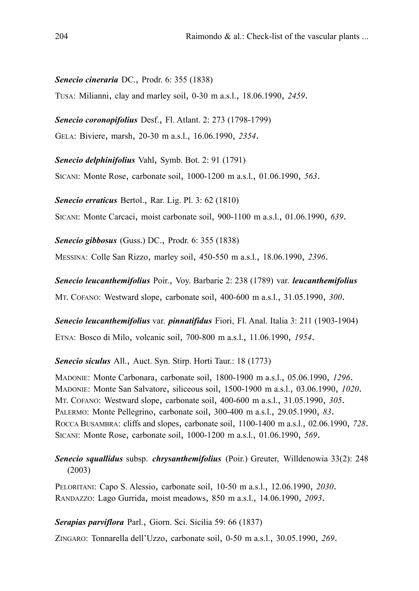### *Senecio cineraria* DC., Prodr. 6: 355 (1838)

TUSA: Milianni, clay and marley soil, 0-30 m a.s.l., 18.06.1990, *2459*.

*Senecio coronopifolius* Desf., Fl. Atlant. 2: 273 (1798-1799)

GELA: Biviere, marsh, 20-30 m a.s.l., 16.06.1990, *2354*.

*Senecio delphinifolius* Vahl, Symb. Bot. 2: 91 (1791)

SICANI: Monte Rose, carbonate soil, 1000-1200 m a.s.l., 01.06.1990, *563*.

*Senecio erraticus* Bertol., Rar. Lig. Pl. 3: 62 (1810)

SICANI: Monte Carcaci, moist carbonate soil, 900-1100 m a.s.l., 01.06.1990, *639*.

*Senecio gibbosus* (Guss.) DC., Prodr. 6: 355 (1838)

MESSINA: Colle San Rizzo, marley soil, 450-550 m a.s.l., 18.06.1990, *2396*.

*Senecio leucanthemifolius* Poir., Voy. Barbarie 2: 238 (1789) var. *leucanthemifolius* MT. COFANO: Westward slope, carbonate soil, 400-600 m a.s.l., 31.05.1990, *300*.

*Senecio leucanthemifolius* var. *pinnatifidus* Fiori, Fl. Anal. Italia 3: 211 (1903-1904) ETNA: Bosco di Milo, volcanic soil, 700-800 m a.s.l., 11.06.1990, *1954*.

*Senecio siculus* All., Auct. Syn. Stirp. Horti Taur.: 18 (1773)

MADONIE: Monte Carbonara, carbonate soil, 1800-1900 m a.s.l., 05.06.1990, *1296*. MADONIE: Monte San Salvatore, siliceous soil, 1500-1900 m a.s.l., 03.06.1990, *1020*. MT. COFANO: Westward slope, carbonate soil, 400-600 m a.s.l., 31.05.1990, *305*. PALERMO: Monte Pellegrino, carbonate soil, 300-400 m a.s.l., 29.05.1990, *83*. ROCCA BUSAMBRA: cliffs and slopes, carbonate soil, 1100-1400 m a.s.l., 02.06.1990, *728*. SICANI: Monte Rose, carbonate soil, 1000-1200 m a.s.l., 01.06.1990, *569*.

# *Senecio squallidus* subsp. *chrysanthemifolius* (Poir.) Greuter, Willdenowia 33(2): 248 (2003)

PELORITANI: Capo S. Alessio, carbonate soil, 10-50 m a.s.l., 12.06.1990, *2030*. RANDAZZO: Lago Gurrida, moist meadows, 850 m a.s.l., 14.06.1990, *2093*.

### *Serapias parviflora* Parl., Giorn. Sci. Sicilia 59: 66 (1837)

ZINGARO: Tonnarella dell'Uzzo, carbonate soil, 0-50 m a.s.l., 30.05.1990, *269*.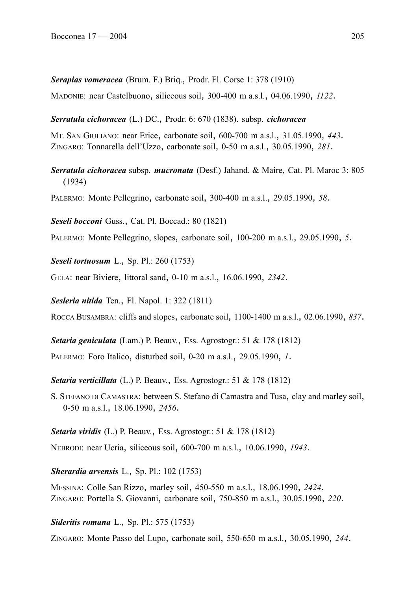*Serapias vomeracea* (Brum. F.) Briq., Prodr. Fl. Corse 1: 378 (1910)

MADONIE: near Castelbuono, siliceous soil, 300-400 m a.s.l., 04.06.1990, *1122*.

#### *Serratula cichoracea* (L.) DC., Prodr. 6: 670 (1838). subsp. *cichoracea*

MT. SAN GIULIANO: near Erice, carbonate soil, 600-700 m a.s.l., 31.05.1990, *443*. ZINGARO: Tonnarella dell'Uzzo, carbonate soil, 0-50 m a.s.l., 30.05.1990, *281*.

*Serratula cichoracea* subsp. *mucronata* (Desf.) Jahand. & Maire, Cat. Pl. Maroc 3: 805 (1934)

PALERMO: Monte Pellegrino, carbonate soil, 300-400 m a.s.l., 29.05.1990, *58*.

*Seseli bocconi* Guss., Cat. Pl. Boccad.: 80 (1821)

PALERMO: Monte Pellegrino, slopes, carbonate soil, 100-200 m a.s.l., 29.05.1990, *5*.

*Seseli tortuosum* L., Sp. Pl.: 260 (1753)

GELA: near Biviere, littoral sand, 0-10 m a.s.l., 16.06.1990, *2342*.

*Sesleria nitida* Ten., Fl. Napol. 1: 322 (1811)

ROCCA BUSAMBRA: cliffs and slopes, carbonate soil, 1100-1400 m a.s.l., 02.06.1990, *837*.

*Setaria geniculata* (Lam.) P. Beauv., Ess. Agrostogr.: 51 & 178 (1812) PALERMO: Foro Italico, disturbed soil, 0-20 m a.s.l., 29.05.1990, *1*.

*Setaria verticillata* (L.) P. Beauv., Ess. Agrostogr.: 51 & 178 (1812)

S. STEFANO DI CAMASTRA: between S. Stefano di Camastra and Tusa, clay and marley soil, 0-50 m a.s.l., 18.06.1990, *2456*.

*Setaria viridis* (L.) P. Beauv., Ess. Agrostogr.: 51 & 178 (1812)

NEBRODI: near Ucria, siliceous soil, 600-700 m a.s.l., 10.06.1990, *1943*.

*Sherardia arvensis* L., Sp. Pl.: 102 (1753)

MESSINA: Colle San Rizzo, marley soil, 450-550 m a.s.l., 18.06.1990, *2424*. ZINGARO: Portella S. Giovanni, carbonate soil, 750-850 m a.s.l., 30.05.1990, *220*.

*Sideritis romana* L., Sp. Pl.: 575 (1753)

ZINGARO: Monte Passo del Lupo, carbonate soil, 550-650 m a.s.l., 30.05.1990, *244*.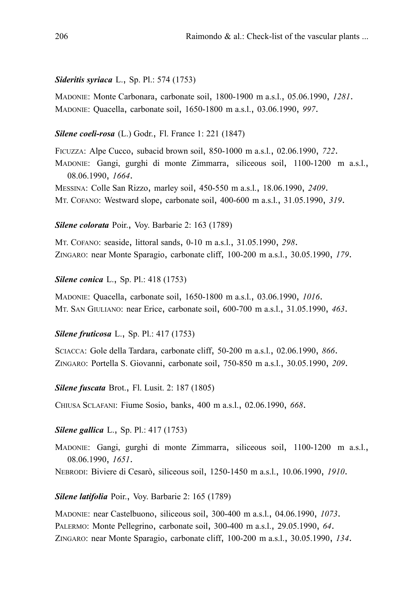#### *Sideritis syriaca* L., Sp. Pl.: 574 (1753)

MADONIE: Monte Carbonara, carbonate soil, 1800-1900 m a.s.l., 05.06.1990, *1281*. MADONIE: Quacella, carbonate soil, 1650-1800 m a.s.l., 03.06.1990, *997*.

#### *Silene coeli-rosa* (L.) Godr., Fl. France 1: 221 (1847)

FICUZZA: Alpe Cucco, subacid brown soil, 850-1000 m a.s.l., 02.06.1990, *722*. MADONIE: Gangi, gurghi di monte Zimmarra, siliceous soil, 1100-1200 m a.s.l., 08.06.1990, *1664*. MESSINA: Colle San Rizzo, marley soil, 450-550 m a.s.l., 18.06.1990, *2409*. MT. COFANO: Westward slope, carbonate soil, 400-600 m a.s.l., 31.05.1990, *319*.

#### *Silene colorata* Poir., Voy. Barbarie 2: 163 (1789)

MT. COFANO: seaside, littoral sands, 0-10 m a.s.l., 31.05.1990, *298*. ZINGARO: near Monte Sparagio, carbonate cliff, 100-200 m a.s.l., 30.05.1990, *179*.

#### *Silene conica* L., Sp. Pl.: 418 (1753)

MADONIE: Quacella, carbonate soil, 1650-1800 m a.s.l., 03.06.1990, *1016*. MT. SAN GIULIANO: near Erice, carbonate soil, 600-700 m a.s.l., 31.05.1990, *463*.

#### *Silene fruticosa* L., Sp. Pl.: 417 (1753)

SCIACCA: Gole della Tardara, carbonate cliff, 50-200 m a.s.l., 02.06.1990, *866*. ZINGARO: Portella S. Giovanni, carbonate soil, 750-850 m a.s.l., 30.05.1990, *209*.

*Silene fuscata* Brot., Fl. Lusit. 2: 187 (1805)

CHIUSA SCLAFANI: Fiume Sosio, banks, 400 m a.s.l., 02.06.1990, *668*.

### *Silene gallica* L., Sp. Pl.: 417 (1753)

MADONIE: Gangi, gurghi di monte Zimmarra, siliceous soil, 1100-1200 m a.s.l., 08.06.1990, *1651*.

NEBRODI: Biviere di Cesarò, siliceous soil, 1250-1450 m a.s.l., 10.06.1990, *1910*.

#### *Silene latifolia* Poir., Voy. Barbarie 2: 165 (1789)

MADONIE: near Castelbuono, siliceous soil, 300-400 m a.s.l., 04.06.1990, *1073*. PALERMO: Monte Pellegrino, carbonate soil, 300-400 m a.s.l., 29.05.1990, *64*. ZINGARO: near Monte Sparagio, carbonate cliff, 100-200 m a.s.l., 30.05.1990, *134*.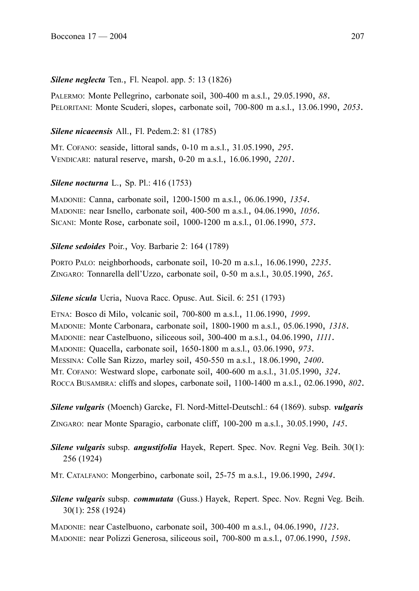## *Silene neglecta* Ten., Fl. Neapol. app. 5: 13 (1826)

PALERMO: Monte Pellegrino, carbonate soil, 300-400 m a.s.l., 29.05.1990, *88*. PELORITANI: Monte Scuderi, slopes, carbonate soil, 700-800 m a.s.l., 13.06.1990, *2053*.

## *Silene nicaeensis* All., Fl. Pedem.2: 81 (1785)

MT. COFANO: seaside, littoral sands, 0-10 m a.s.l., 31.05.1990, *295*. VENDICARI: natural reserve, marsh, 0-20 m a.s.l., 16.06.1990, *2201*.

# *Silene nocturna* L., Sp. Pl.: 416 (1753)

MADONIE: Canna, carbonate soil, 1200-1500 m a.s.l., 06.06.1990, *1354*. MADONIE: near Isnello, carbonate soil, 400-500 m a.s.l., 04.06.1990, *1056*. SICANI: Monte Rose, carbonate soil, 1000-1200 m a.s.l., 01.06.1990, *573*.

## *Silene sedoides* Poir., Voy. Barbarie 2: 164 (1789)

PORTO PALO: neighborhoods, carbonate soil, 10-20 m a.s.l., 16.06.1990, *2235*. ZINGARO: Tonnarella dell'Uzzo, carbonate soil, 0-50 m a.s.l., 30.05.1990, *265*.

## *Silene sicula* Ucria, Nuova Racc. Opusc. Aut. Sicil. 6: 251 (1793)

ETNA: Bosco di Milo, volcanic soil, 700-800 m a.s.l., 11.06.1990, *1999*. MADONIE: Monte Carbonara, carbonate soil, 1800-1900 m a.s.l., 05.06.1990, *1318*. MADONIE: near Castelbuono, siliceous soil, 300-400 m a.s.l., 04.06.1990, *1111*. MADONIE: Quacella, carbonate soil, 1650-1800 m a.s.l., 03.06.1990, *973*. MESSINA: Colle San Rizzo, marley soil, 450-550 m a.s.l., 18.06.1990, *2400*. MT. COFANO: Westward slope, carbonate soil, 400-600 m a.s.l., 31.05.1990, *324*. ROCCA BUSAMBRA: cliffs and slopes, carbonate soil, 1100-1400 m a.s.l., 02.06.1990, *802*.

*Silene vulgaris* (Moench) Garcke, Fl. Nord-Mittel-Deutschl.: 64 (1869). subsp. *vulgaris*

ZINGARO: near Monte Sparagio, carbonate cliff, 100-200 m a.s.l., 30.05.1990, *145*.

*Silene vulgaris* subsp. *angustifolia* Hayek, Repert. Spec. Nov. Regni Veg. Beih. 30(1): 256 (1924)

MT. CATALFANO: Mongerbino, carbonate soil, 25-75 m a.s.l., 19.06.1990, *2494*.

*Silene vulgaris* subsp. *commutata* (Guss.) Hayek, Repert. Spec. Nov. Regni Veg. Beih. 30(1): 258 (1924)

MADONIE: near Castelbuono, carbonate soil, 300-400 m a.s.l., 04.06.1990, *1123*. MADONIE: near Polizzi Generosa, siliceous soil, 700-800 m a.s.l., 07.06.1990, *1598*.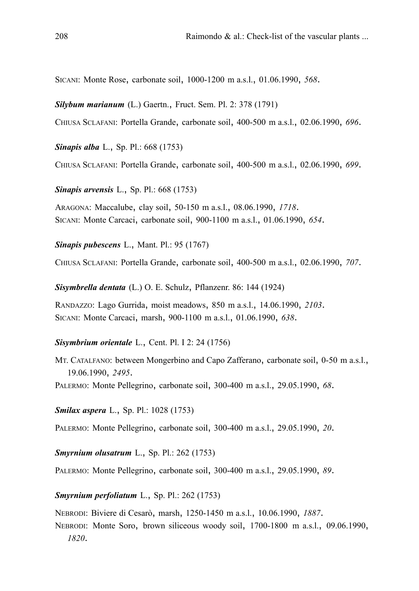SICANI: Monte Rose, carbonate soil, 1000-1200 m a.s.l., 01.06.1990, *568*.

*Silybum marianum* (L.) Gaertn., Fruct. Sem. Pl. 2: 378 (1791)

CHIUSA SCLAFANI: Portella Grande, carbonate soil, 400-500 m a.s.l., 02.06.1990, *696*.

*Sinapis alba* L., Sp. Pl.: 668 (1753)

CHIUSA SCLAFANI: Portella Grande, carbonate soil, 400-500 m a.s.l., 02.06.1990, *699*.

*Sinapis arvensis* L., Sp. Pl.: 668 (1753)

ARAGONA: Maccalube, clay soil, 50-150 m a.s.l., 08.06.1990, *1718*. SICANI: Monte Carcaci, carbonate soil, 900-1100 m a.s.l., 01.06.1990, *654*.

*Sinapis pubescens* L., Mant. Pl.: 95 (1767)

CHIUSA SCLAFANI: Portella Grande, carbonate soil, 400-500 m a.s.l., 02.06.1990, *707*.

*Sisymbrella dentata* (L.) O. E. Schulz, Pflanzenr. 86: 144 (1924)

RANDAZZO: Lago Gurrida, moist meadows, 850 m a.s.l., 14.06.1990, *2103*. SICANI: Monte Carcaci, marsh, 900-1100 m a.s.l., 01.06.1990, *638*.

#### *Sisymbrium orientale* L., Cent. Pl. I 2: 24 (1756)

MT. CATALFANO: between Mongerbino and Capo Zafferano, carbonate soil, 0-50 m a.s.l., 19.06.1990, *2495*.

PALERMO: Monte Pellegrino, carbonate soil, 300-400 m a.s.l., 29.05.1990, *68*.

*Smilax aspera* L., Sp. Pl.: 1028 (1753)

PALERMO: Monte Pellegrino, carbonate soil, 300-400 m a.s.l., 29.05.1990, *20*.

*Smyrnium olusatrum* L., Sp. Pl.: 262 (1753)

PALERMO: Monte Pellegrino, carbonate soil, 300-400 m a.s.l., 29.05.1990, *89*.

### *Smyrnium perfoliatum* L., Sp. Pl.: 262 (1753)

NEBRODI: Biviere di Cesarò, marsh, 1250-1450 m a.s.l., 10.06.1990, *1887*.

NEBRODI: Monte Soro, brown siliceous woody soil, 1700-1800 m a.s.l., 09.06.1990, *1820*.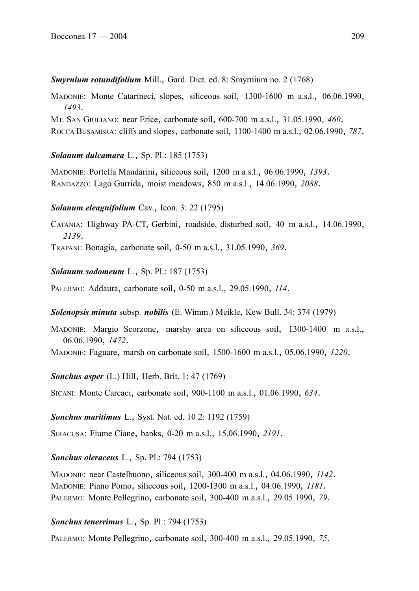### *Smyrnium rotundifolium* Mill., Gard. Dict. ed. 8: Smyrnium no. 2 (1768)

- MADONIE: Monte Catarineci, slopes, siliceous soil, 1300-1600 m a.s.l., 06.06.1990, *1493*.
- MT. SAN GIULIANO: near Erice, carbonate soil, 600-700 m a.s.l., 31.05.1990, *460*. ROCCA BUSAMBRA: cliffs and slopes, carbonate soil, 1100-1400 m a.s.l., 02.06.1990, *787*.

# *Solanum dulcamara* L., Sp. Pl.: 185 (1753)

MADONIE: Portella Mandarini, siliceous soil, 1200 m a.s.l., 06.06.1990, *1393*. RANDAZZO: Lago Gurrida, moist meadows, 850 m a.s.l., 14.06.1990, *2088*.

### *Solanum eleagnifolium* Cav., Icon. 3: 22 (1795)

CATANIA: Highway PA-CT, Gerbini, roadside, disturbed soil, 40 m a.s.l., 14.06.1990, *2139*.

TRAPANI: Bonagia, carbonate soil, 0-50 m a.s.l., 31.05.1990, *369*.

#### *Solanum sodomeum* L., Sp. Pl.: 187 (1753)

PALERMO: Addaura, carbonate soil, 0-50 m a.s.l., 29.05.1990, *114*.

#### *Solenopsis minuta* subsp. *nobilis* (E. Wimm.) Meikle, Kew Bull. 34: 374 (1979)

MADONIE: Margio Scorzone, marshy area on siliceous soil, 1300-1400 m a.s.l., 06.06.1990, *1472*.

MADONIE: Faguare, marsh on carbonate soil, 1500-1600 m a.s.l., 05.06.1990, *1220*.

### *Sonchus asper* (L.) Hill, Herb. Brit. 1: 47 (1769)

SICANI: Monte Carcaci, carbonate soil, 900-1100 m a.s.l., 01.06.1990, *634*.

#### *Sonchus maritimus* L., Syst. Nat. ed. 10 2: 1192 (1759)

SIRACUSA: Fiume Ciane, banks, 0-20 m a.s.l., 15.06.1990, *2191*.

# *Sonchus oleraceus* L., Sp. Pl.: 794 (1753)

MADONIE: near Castelbuono, siliceous soil, 300-400 m a.s.l., 04.06.1990, *1142*. MADONIE: Piano Pomo, siliceous soil, 1200-1300 m a.s.l., 04.06.1990, *1181*. PALERMO: Monte Pellegrino, carbonate soil, 300-400 m a.s.l., 29.05.1990, *79*.

#### *Sonchus tenerrimus* L., Sp. Pl.: 794 (1753)

PALERMO: Monte Pellegrino, carbonate soil, 300-400 m a.s.l., 29.05.1990, *75*.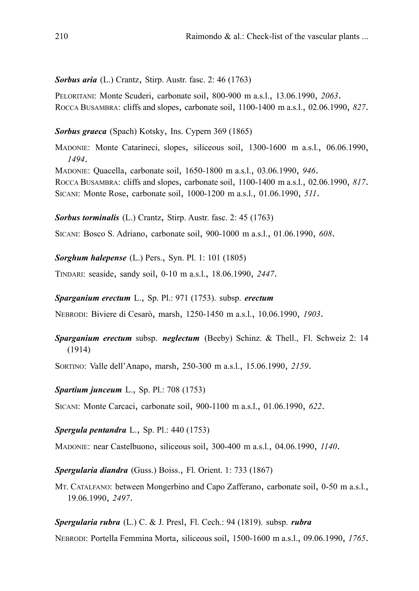# *Sorbus aria* (L.) Crantz, Stirp. Austr. fasc. 2: 46 (1763)

PELORITANI: Monte Scuderi, carbonate soil, 800-900 m a.s.l., 13.06.1990, *2063*. ROCCA BUSAMBRA: cliffs and slopes, carbonate soil, 1100-1400 m a.s.l., 02.06.1990, *827*.

# *Sorbus graeca* (Spach) Kotsky, Ins. Cypern 369 (1865)

MADONIE: Monte Catarineci, slopes, siliceous soil, 1300-1600 m a.s.l., 06.06.1990, *1494*. MADONIE: Quacella, carbonate soil, 1650-1800 m a.s.l., 03.06.1990, *946*. ROCCA BUSAMBRA: cliffs and slopes, carbonate soil, 1100-1400 m a.s.l., 02.06.1990, *817*. SICANI: Monte Rose, carbonate soil, 1000-1200 m a.s.l., 01.06.1990, *511*.

*Sorbus torminalis* (L.) Crantz, Stirp. Austr. fasc. 2: 45 (1763)

SICANI: Bosco S. Adriano, carbonate soil, 900-1000 m a.s.l., 01.06.1990, *608*.

*Sorghum halepense* (L.) Pers., Syn. Pl. 1: 101 (1805)

TINDARI: seaside, sandy soil, 0-10 m a.s.l., 18.06.1990, *2447*.

# *Sparganium erectum* L., Sp. Pl.: 971 (1753). subsp. *erectum*

NEBRODI: Biviere di Cesarò, marsh, 1250-1450 m a.s.l., 10.06.1990, *1903*.

# *Sparganium erectum* subsp. *neglectum* (Beeby) Schinz. & Thell., Fl. Schweiz 2: 14 (1914)

SORTINO: Valle dell'Anapo, marsh, 250-300 m a.s.l., 15.06.1990, *2159*.

*Spartium junceum* L., Sp. Pl.: 708 (1753)

SICANI: Monte Carcaci, carbonate soil, 900-1100 m a.s.l., 01.06.1990, *622*.

*Spergula pentandra* L., Sp. Pl.: 440 (1753)

MADONIE: near Castelbuono, siliceous soil, 300-400 m a.s.l., 04.06.1990, *1140*.

*Spergularia diandra* (Guss.) Boiss., Fl. Orient. 1: 733 (1867)

MT. CATALFANO: between Mongerbino and Capo Zafferano, carbonate soil, 0-50 m a.s.l., 19.06.1990, *2497*.

*Spergularia rubra* (L.) C. & J. Presl, Fl. Cech.: 94 (1819). subsp. *rubra*

NEBRODI: Portella Femmina Morta, siliceous soil, 1500-1600 m a.s.l., 09.06.1990, *1765*.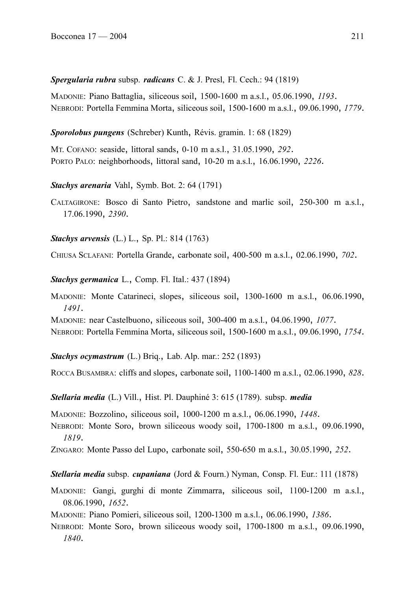# *Spergularia rubra* subsp. *radicans* C. & J. Presl, Fl. Cech.: 94 (1819)

MADONIE: Piano Battaglia, siliceous soil, 1500-1600 m a.s.l., 05.06.1990, *1193*. NEBRODI: Portella Femmina Morta, siliceous soil, 1500-1600 m a.s.l., 09.06.1990, *1779*.

*Sporolobus pungens* (Schreber) Kunth, Révis. gramin. 1: 68 (1829)

MT. COFANO: seaside, littoral sands, 0-10 m a.s.l., 31.05.1990, *292*. PORTO PALO: neighborhoods, littoral sand, 10-20 m a.s.l., 16.06.1990, *2226*.

# *Stachys arenaria* Vahl, Symb. Bot. 2: 64 (1791)

CALTAGIRONE: Bosco di Santo Pietro, sandstone and marlic soil, 250-300 m a.s.l., 17.06.1990, *2390*.

*Stachys arvensis* (L.) L., Sp. Pl.: 814 (1763)

CHIUSA SCLAFANI: Portella Grande, carbonate soil, 400-500 m a.s.l., 02.06.1990, *702*.

*Stachys germanica* L., Comp. Fl. Ital.: 437 (1894)

MADONIE: Monte Catarineci, slopes, siliceous soil, 1300-1600 m a.s.l., 06.06.1990, *1491*.

MADONIE: near Castelbuono, siliceous soil, 300-400 m a.s.l., 04.06.1990, *1077*. NEBRODI: Portella Femmina Morta, siliceous soil, 1500-1600 m a.s.l., 09.06.1990, *1754*.

*Stachys ocymastrum* (L.) Briq., Lab. Alp. mar.: 252 (1893)

ROCCA BUSAMBRA: cliffs and slopes, carbonate soil, 1100-1400 m a.s.l., 02.06.1990, *828*.

*Stellaria media* (L.) Vill., Hist. Pl. Dauphiné 3: 615 (1789). subsp. *media*

MADONIE: Bozzolino, siliceous soil, 1000-1200 m a.s.l., 06.06.1990, *1448*.

NEBRODI: Monte Soro, brown siliceous woody soil, 1700-1800 m a.s.l., 09.06.1990, *1819*.

ZINGARO: Monte Passo del Lupo, carbonate soil, 550-650 m a.s.l., 30.05.1990, *252*.

*Stellaria media* subsp. *cupaniana* (Jord & Fourn.) Nyman, Consp. Fl. Eur.: 111 (1878)

MADONIE: Gangi, gurghi di monte Zimmarra, siliceous soil, 1100-1200 m a.s.l., 08.06.1990, *1652*.

MADONIE: Piano Pomieri, siliceous soil, 1200-1300 m a.s.l., 06.06.1990, *1386*.

NEBRODI: Monte Soro, brown siliceous woody soil, 1700-1800 m a.s.l., 09.06.1990, *1840*.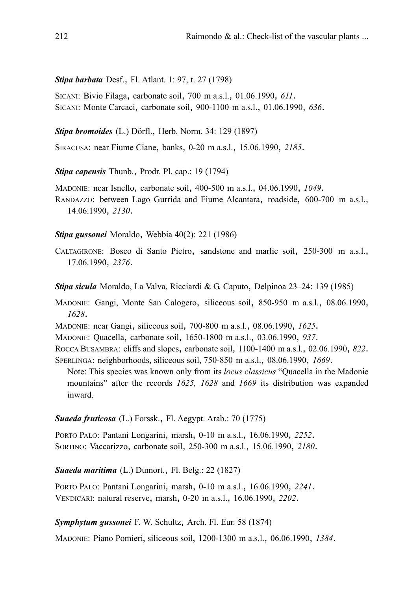*Stipa barbata* Desf., Fl. Atlant. 1: 97, t. 27 (1798)

SICANI: Bivio Filaga, carbonate soil, 700 m a.s.l., 01.06.1990, *611*. SICANI: Monte Carcaci, carbonate soil, 900-1100 m a.s.l., 01.06.1990, *636*.

*Stipa bromoides* (L.) Dörfl., Herb. Norm. 34: 129 (1897)

SIRACUSA: near Fiume Ciane, banks, 0-20 m a.s.l., 15.06.1990, *2185*.

*Stipa capensis* Thunb., Prodr. Pl. cap.: 19 (1794)

MADONIE: near Isnello, carbonate soil, 400-500 m a.s.l., 04.06.1990, *1049*. RANDAZZO: between Lago Gurrida and Fiume Alcantara, roadside, 600-700 m a.s.l., 14.06.1990, *2130*.

*Stipa gussonei* Moraldo, Webbia 40(2): 221 (1986)

CALTAGIRONE: Bosco di Santo Pietro, sandstone and marlic soil, 250-300 m a.s.l., 17.06.1990, *2376*.

*Stipa sicula* Moraldo, La Valva, Ricciardi & G. Caputo, Delpinoa 23–24: 139 (1985)

MADONIE: Gangi, Monte San Calogero, siliceous soil, 850-950 m a.s.l., 08.06.1990, *1628*.

MADONIE: near Gangi, siliceous soil, 700-800 m a.s.l., 08.06.1990, *1625*.

MADONIE: Quacella, carbonate soil, 1650-1800 m a.s.l., 03.06.1990, *937*.

ROCCA BUSAMBRA: cliffs and slopes, carbonate soil, 1100-1400 m a.s.l., 02.06.1990, *822*. SPERLINGA: neighborhoods, siliceous soil, 750-850 m a.s.l., 08.06.1990, *1669*.

Note: This species was known only from its *locus classicus* "Quacella in the Madonie mountains" after the records *1625, 1628* and *1669* its distribution was expanded inward.

*Suaeda fruticosa* (L.) Forssk., Fl. Aegypt. Arab.: 70 (1775)

PORTO PALO: Pantani Longarini, marsh, 0-10 m a.s.l., 16.06.1990, *2252*. SORTINO: Vaccarizzo, carbonate soil, 250-300 m a.s.l., 15.06.1990, *2180*.

# *Suaeda maritima* (L.) Dumort., Fl. Belg.: 22 (1827)

PORTO PALO: Pantani Longarini, marsh, 0-10 m a.s.l., 16.06.1990, *2241*. VENDICARI: natural reserve, marsh, 0-20 m a.s.l., 16.06.1990, *2202*.

# *Symphytum gussonei* F. W. Schultz, Arch. Fl. Eur. 58 (1874)

MADONIE: Piano Pomieri, siliceous soil, 1200-1300 m a.s.l., 06.06.1990, *1384*.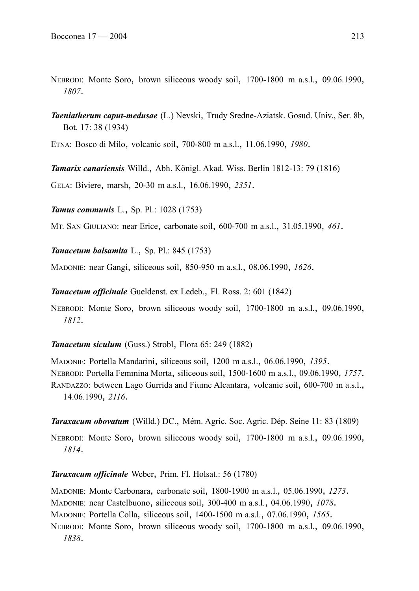- NEBRODI: Monte Soro, brown siliceous woody soil, 1700-1800 m a.s.l., 09.06.1990, *1807*.
- *Taeniatherum caput-medusae* (L.) Nevski, Trudy Sredne-Aziatsk. Gosud. Univ., Ser. 8b, Bot. 17: 38 (1934)

ETNA: Bosco di Milo, volcanic soil, 700-800 m a.s.l., 11.06.1990, *1980*.

*Tamarix canariensis* Willd., Abh. Königl. Akad. Wiss. Berlin 1812-13: 79 (1816)

GELA: Biviere, marsh, 20-30 m a.s.l., 16.06.1990, *2351*.

*Tamus communis* L., Sp. Pl.: 1028 (1753)

MT. SAN GIULIANO: near Erice, carbonate soil, 600-700 m a.s.l., 31.05.1990, *461*.

*Tanacetum balsamita* L., Sp. Pl.: 845 (1753)

MADONIE: near Gangi, siliceous soil, 850-950 m a.s.l., 08.06.1990, *1626*.

*Tanacetum officinale* Gueldenst. ex Ledeb., Fl. Ross. 2: 601 (1842)

NEBRODI: Monte Soro, brown siliceous woody soil, 1700-1800 m a.s.l., 09.06.1990, *1812*.

*Tanacetum siculum* (Guss.) Strobl, Flora 65: 249 (1882)

MADONIE: Portella Mandarini, siliceous soil, 1200 m a.s.l., 06.06.1990, *1395*. NEBRODI: Portella Femmina Morta, siliceous soil, 1500-1600 m a.s.l., 09.06.1990, *1757*. RANDAZZO: between Lago Gurrida and Fiume Alcantara, volcanic soil, 600-700 m a.s.l., 14.06.1990, *2116*.

*Taraxacum obovatum* (Willd.) DC., Mém. Agric. Soc. Agric. Dép. Seine 11: 83 (1809)

NEBRODI: Monte Soro, brown siliceous woody soil, 1700-1800 m a.s.l., 09.06.1990, *1814*.

*Taraxacum officinale* Weber, Prim. Fl. Holsat.: 56 (1780)

MADONIE: Monte Carbonara, carbonate soil, 1800-1900 m a.s.l., 05.06.1990, *1273*. MADONIE: near Castelbuono, siliceous soil, 300-400 m a.s.l., 04.06.1990, *1078*.

MADONIE: Portella Colla, siliceous soil, 1400-1500 m a.s.l., 07.06.1990, *1565*.

NEBRODI: Monte Soro, brown siliceous woody soil, 1700-1800 m a.s.l., 09.06.1990, *1838*.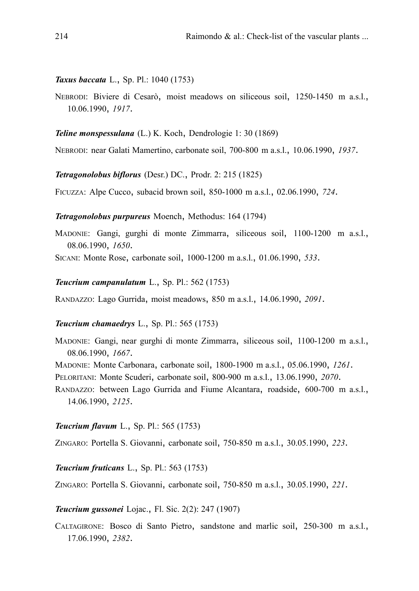*Taxus baccata* L., Sp. Pl.: 1040 (1753)

NEBRODI: Biviere di Cesarò, moist meadows on siliceous soil, 1250-1450 m a.s.l., 10.06.1990, *1917*.

*Teline monspessulana* (L.) K. Koch, Dendrologie 1: 30 (1869)

NEBRODI: near Galati Mamertino, carbonate soil, 700-800 m a.s.l., 10.06.1990, *1937*.

*Tetragonolobus biflorus* (Desr.) DC., Prodr. 2: 215 (1825)

FICUZZA: Alpe Cucco, subacid brown soil, 850-1000 m a.s.l., 02.06.1990, *724*.

*Tetragonolobus purpureus* Moench, Methodus: 164 (1794)

MADONIE: Gangi, gurghi di monte Zimmarra, siliceous soil, 1100-1200 m a.s.l., 08.06.1990, *1650*.

SICANI: Monte Rose, carbonate soil, 1000-1200 m a.s.l., 01.06.1990, *533*.

*Teucrium campanulatum* L., Sp. Pl.: 562 (1753)

RANDAZZO: Lago Gurrida, moist meadows, 850 m a.s.l., 14.06.1990, *2091*.

### *Teucrium chamaedrys* L., Sp. Pl.: 565 (1753)

MADONIE: Gangi, near gurghi di monte Zimmarra, siliceous soil, 1100-1200 m a.s.l., 08.06.1990, *1667*.

MADONIE: Monte Carbonara, carbonate soil, 1800-1900 m a.s.l., 05.06.1990, *1261*.

PELORITANI: Monte Scuderi, carbonate soil, 800-900 m a.s.l., 13.06.1990, *2070*.

RANDAZZO: between Lago Gurrida and Fiume Alcantara, roadside, 600-700 m a.s.l., 14.06.1990, *2125*.

### *Teucrium flavum* L., Sp. Pl.: 565 (1753)

ZINGARO: Portella S. Giovanni, carbonate soil, 750-850 m a.s.l., 30.05.1990, *223*.

*Teucrium fruticans* L., Sp. Pl.: 563 (1753)

ZINGARO: Portella S. Giovanni, carbonate soil, 750-850 m a.s.l., 30.05.1990, *221*.

*Teucrium gussonei* Lojac., Fl. Sic. 2(2): 247 (1907)

CALTAGIRONE: Bosco di Santo Pietro, sandstone and marlic soil, 250-300 m a.s.l., 17.06.1990, *2382*.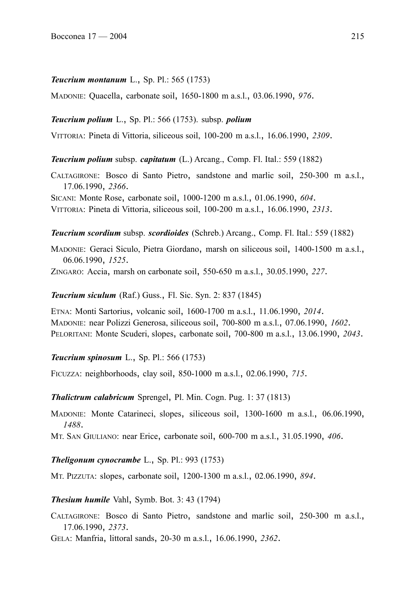#### *Teucrium montanum* L., Sp. Pl.: 565 (1753)

MADONIE: Quacella, carbonate soil, 1650-1800 m a.s.l., 03.06.1990, *976*.

#### *Teucrium polium* L., Sp. Pl.: 566 (1753). subsp. *polium*

VITTORIA: Pineta di Vittoria, siliceous soil, 100-200 m a.s.l., 16.06.1990, *2309*.

*Teucrium polium* subsp. *capitatum* (L.) Arcang., Comp. Fl. Ital.: 559 (1882)

CALTAGIRONE: Bosco di Santo Pietro, sandstone and marlic soil, 250-300 m a.s.l., 17.06.1990, *2366*.

SICANI: Monte Rose, carbonate soil, 1000-1200 m a.s.l., 01.06.1990, *604*. VITTORIA: Pineta di Vittoria, siliceous soil, 100-200 m a.s.l., 16.06.1990, *2313*.

*Teucrium scordium* subsp. *scordioides* (Schreb.) Arcang., Comp. Fl. Ital.: 559 (1882)

MADONIE: Geraci Siculo, Pietra Giordano, marsh on siliceous soil, 1400-1500 m a.s.l., 06.06.1990, *1525*.

ZINGARO: Accia, marsh on carbonate soil, 550-650 m a.s.l., 30.05.1990, *227*.

#### *Teucrium siculum* (Raf.) Guss., Fl. Sic. Syn. 2: 837 (1845)

ETNA: Monti Sartorius, volcanic soil, 1600-1700 m a.s.l., 11.06.1990, *2014*. MADONIE: near Polizzi Generosa, siliceous soil, 700-800 m a.s.l., 07.06.1990, *1602*. PELORITANI: Monte Scuderi, slopes, carbonate soil, 700-800 m a.s.l., 13.06.1990, *2043*.

*Teucrium spinosum* L., Sp. Pl.: 566 (1753)

FICUZZA: neighborhoods, clay soil, 850-1000 m a.s.l., 02.06.1990, *715*.

*Thalictrum calabricum* Sprengel, Pl. Min. Cogn. Pug. 1: 37 (1813)

MADONIE: Monte Catarineci, slopes, siliceous soil, 1300-1600 m a.s.l., 06.06.1990, *1488*.

MT. SAN GIULIANO: near Erice, carbonate soil, 600-700 m a.s.l., 31.05.1990, *406*.

*Theligonum cynocrambe* L., Sp. Pl.: 993 (1753)

MT. PIZZUTA: slopes, carbonate soil, 1200-1300 m a.s.l., 02.06.1990, *894*.

*Thesium humile* Vahl, Symb. Bot. 3: 43 (1794)

CALTAGIRONE: Bosco di Santo Pietro, sandstone and marlic soil, 250-300 m a.s.l., 17.06.1990, *2373*.

GELA: Manfria, littoral sands, 20-30 m a.s.l., 16.06.1990, *2362*.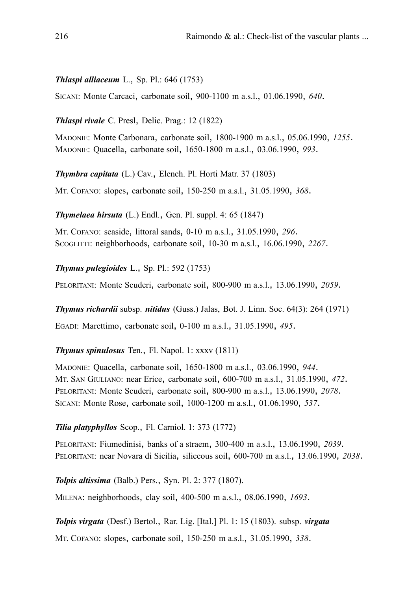# *Thlaspi alliaceum* L., Sp. Pl.: 646 (1753)

SICANI: Monte Carcaci, carbonate soil, 900-1100 m a.s.l., 01.06.1990, *640*.

*Thlaspi rivale* C. Presl, Delic. Prag.: 12 (1822)

MADONIE: Monte Carbonara, carbonate soil, 1800-1900 m a.s.l., 05.06.1990, *1255*. MADONIE: Quacella, carbonate soil, 1650-1800 m a.s.l., 03.06.1990, *993*.

*Thymbra capitata* (L.) Cav., Elench. Pl. Horti Matr. 37 (1803)

MT. COFANO: slopes, carbonate soil, 150-250 m a.s.l., 31.05.1990, *368*.

*Thymelaea hirsuta* (L.) Endl., Gen. Pl. suppl. 4: 65 (1847)

MT. COFANO: seaside, littoral sands, 0-10 m a.s.l., 31.05.1990, *296*. SCOGLITTI: neighborhoods, carbonate soil, 10-30 m a.s.l., 16.06.1990, *2267*.

*Thymus pulegioides* L., Sp. Pl.: 592 (1753)

PELORITANI: Monte Scuderi, carbonate soil, 800-900 m a.s.l., 13.06.1990, *2059*.

*Thymus richardii* subsp. *nitidus* (Guss.) Jalas, Bot. J. Linn. Soc. 64(3): 264 (1971)

EGADI: Marettimo, carbonate soil, 0-100 m a.s.l., 31.05.1990, *495*.

# *Thymus spinulosus* Ten., Fl. Napol. 1: xxxv (1811)

MADONIE: Quacella, carbonate soil, 1650-1800 m a.s.l., 03.06.1990, *944*. MT. SAN GIULIANO: near Erice, carbonate soil, 600-700 m a.s.l., 31.05.1990, *472*. PELORITANI: Monte Scuderi, carbonate soil, 800-900 m a.s.l., 13.06.1990, *2078*. SICANI: Monte Rose, carbonate soil, 1000-1200 m a.s.l., 01.06.1990, *537*.

# *Tilia platyphyllos* Scop., Fl. Carniol. 1: 373 (1772)

PELORITANI: Fiumedinisi, banks of a straem, 300-400 m a.s.l., 13.06.1990, *2039*. PELORITANI: near Novara di Sicilia, siliceous soil, 600-700 m a.s.l., 13.06.1990, *2038*.

*Tolpis altissima* (Balb.) Pers., Syn. Pl. 2: 377 (1807). MILENA: neighborhoods, clay soil, 400-500 m a.s.l., 08.06.1990, *1693*.

*Tolpis virgata* (Desf.) Bertol., Rar. Lig. [Ital.] Pl. 1: 15 (1803). subsp. *virgata* MT. COFANO: slopes, carbonate soil, 150-250 m a.s.l., 31.05.1990, *338*.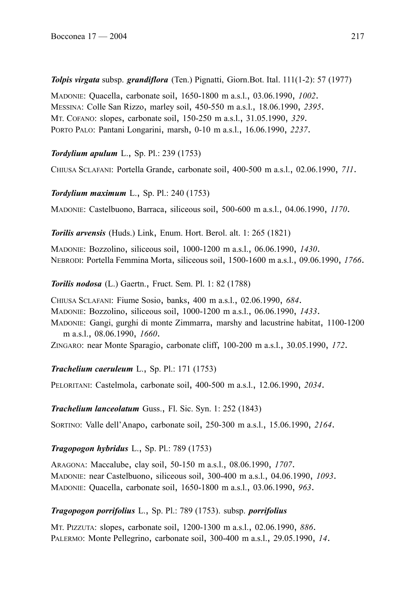*Tolpis virgata* subsp. *grandiflora* (Ten.) Pignatti, Giorn.Bot. Ital. 111(1-2): 57 (1977)

MADONIE: Quacella, carbonate soil, 1650-1800 m a.s.l., 03.06.1990, *1002*. MESSINA: Colle San Rizzo, marley soil, 450-550 m a.s.l., 18.06.1990, *2395*. MT. COFANO: slopes, carbonate soil, 150-250 m a.s.l., 31.05.1990, *329*. PORTO PALO: Pantani Longarini, marsh, 0-10 m a.s.l., 16.06.1990, *2237*.

*Tordylium apulum* L., Sp. Pl.: 239 (1753)

CHIUSA SCLAFANI: Portella Grande, carbonate soil, 400-500 m a.s.l., 02.06.1990, *711*.

*Tordylium maximum* L., Sp. Pl.: 240 (1753)

MADONIE: Castelbuono, Barraca, siliceous soil, 500-600 m a.s.l., 04.06.1990, *1170*.

*Torilis arvensis* (Huds.) Link, Enum. Hort. Berol. alt. 1: 265 (1821)

MADONIE: Bozzolino, siliceous soil, 1000-1200 m a.s.l., 06.06.1990, *1430*. NEBRODI: Portella Femmina Morta, siliceous soil, 1500-1600 m a.s.l., 09.06.1990, *1766*.

*Torilis nodosa* (L.) Gaertn., Fruct. Sem. Pl. 1: 82 (1788)

CHIUSA SCLAFANI: Fiume Sosio, banks, 400 m a.s.l., 02.06.1990, *684*. MADONIE: Bozzolino, siliceous soil, 1000-1200 m a.s.l., 06.06.1990, *1433*. MADONIE: Gangi, gurghi di monte Zimmarra, marshy and lacustrine habitat, 1100-1200 m a.s.l., 08.06.1990, *1660*. ZINGARO: near Monte Sparagio, carbonate cliff, 100-200 m a.s.l., 30.05.1990, *172*.

*Trachelium caeruleum* L., Sp. Pl.: 171 (1753)

PELORITANI: Castelmola, carbonate soil, 400-500 m a.s.l., 12.06.1990, *2034*.

*Trachelium lanceolatum* Guss., Fl. Sic. Syn. 1: 252 (1843)

SORTINO: Valle dell'Anapo, carbonate soil, 250-300 m a.s.l., 15.06.1990, *2164*.

# *Tragopogon hybridus* L., Sp. Pl.: 789 (1753)

ARAGONA: Maccalube, clay soil, 50-150 m a.s.l., 08.06.1990, *1707*. MADONIE: near Castelbuono, siliceous soil, 300-400 m a.s.l., 04.06.1990, *1093*. MADONIE: Quacella, carbonate soil, 1650-1800 m a.s.l., 03.06.1990, *963*.

# *Tragopogon porrifolius* L., Sp. Pl.: 789 (1753). subsp. *porrifolius*

MT. PIZZUTA: slopes, carbonate soil, 1200-1300 m a.s.l., 02.06.1990, *886*. PALERMO: Monte Pellegrino, carbonate soil, 300-400 m a.s.l., 29.05.1990, *14*.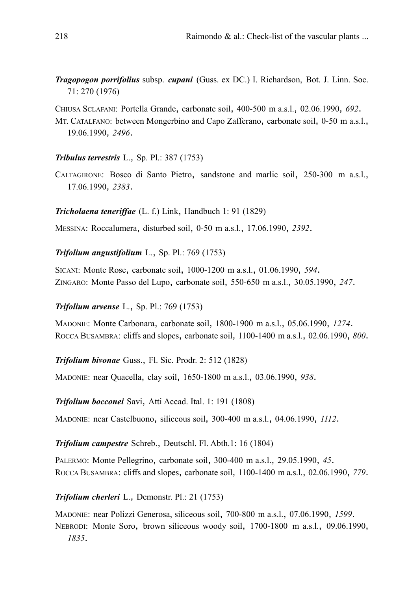*Tragopogon porrifolius* subsp. *cupani* (Guss. ex DC.) I. Richardson, Bot. J. Linn. Soc. 71: 270 (1976)

CHIUSA SCLAFANI: Portella Grande, carbonate soil, 400-500 m a.s.l., 02.06.1990, *692*.

MT. CATALFANO: between Mongerbino and Capo Zafferano, carbonate soil, 0-50 m a.s.l., 19.06.1990, *2496*.

### *Tribulus terrestris* L., Sp. Pl.: 387 (1753)

CALTAGIRONE: Bosco di Santo Pietro, sandstone and marlic soil, 250-300 m a.s.l., 17.06.1990, *2383*.

### *Tricholaena teneriffae* (L. f.) Link, Handbuch 1: 91 (1829)

MESSINA: Roccalumera, disturbed soil, 0-50 m a.s.l., 17.06.1990, *2392*.

### *Trifolium angustifolium* L., Sp. Pl.: 769 (1753)

SICANI: Monte Rose, carbonate soil, 1000-1200 m a.s.l., 01.06.1990, *594*. ZINGARO: Monte Passo del Lupo, carbonate soil, 550-650 m a.s.l., 30.05.1990, *247*.

### *Trifolium arvense* L., Sp. Pl.: 769 (1753)

MADONIE: Monte Carbonara, carbonate soil, 1800-1900 m a.s.l., 05.06.1990, *1274*. ROCCA BUSAMBRA: cliffs and slopes, carbonate soil, 1100-1400 m a.s.l., 02.06.1990, *800*.

*Trifolium bivonae* Guss., Fl. Sic. Prodr. 2: 512 (1828)

MADONIE: near Quacella, clay soil, 1650-1800 m a.s.l., 03.06.1990, *938*.

### *Trifolium bocconei* Savi, Atti Accad. Ital. 1: 191 (1808)

MADONIE: near Castelbuono, siliceous soil, 300-400 m a.s.l., 04.06.1990, *1112*.

#### *Trifolium campestre* Schreb., Deutschl. Fl. Abth.1: 16 (1804)

PALERMO: Monte Pellegrino, carbonate soil, 300-400 m a.s.l., 29.05.1990, *45*. ROCCA BUSAMBRA: cliffs and slopes, carbonate soil, 1100-1400 m a.s.l., 02.06.1990, *779*.

# *Trifolium cherleri* L., Demonstr. Pl.: 21 (1753)

MADONIE: near Polizzi Generosa, siliceous soil, 700-800 m a.s.l., 07.06.1990, *1599*. NEBRODI: Monte Soro, brown siliceous woody soil, 1700-1800 m a.s.l., 09.06.1990, *1835*.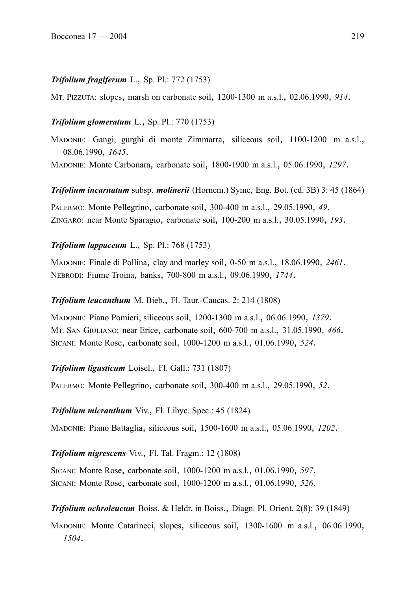# *Trifolium fragiferum* L., Sp. Pl.: 772 (1753)

MT. PIZZUTA: slopes, marsh on carbonate soil, 1200-1300 m a.s.l., 02.06.1990, *914*.

# *Trifolium glomeratum* L., Sp. Pl.: 770 (1753)

MADONIE: Gangi, gurghi di monte Zimmarra, siliceous soil, 1100-1200 m a.s.l., 08.06.1990, *1645*.

MADONIE: Monte Carbonara, carbonate soil, 1800-1900 m a.s.l., 05.06.1990, *1297*.

*Trifolium incarnatum* subsp. *molinerii* (Hornem.) Syme, Eng. Bot. (ed. 3B) 3: 45 (1864)

PALERMO: Monte Pellegrino, carbonate soil, 300-400 m a.s.l., 29.05.1990, *49*. ZINGARO: near Monte Sparagio, carbonate soil, 100-200 m a.s.l., 30.05.1990, *193*.

# *Trifolium lappaceum* L., Sp. Pl.: 768 (1753)

MADONIE: Finale di Pollina, clay and marley soil, 0-50 m a.s.l., 18.06.1990, *2461*. NEBRODI: Fiume Troina, banks, 700-800 m a.s.l., 09.06.1990, *1744*.

# *Trifolium leucanthum* M. Bieb., Fl. Taur.-Caucas. 2: 214 (1808)

MADONIE: Piano Pomieri, siliceous soil, 1200-1300 m a.s.l., 06.06.1990, *1379*. MT. SAN GIULIANO: near Erice, carbonate soil, 600-700 m a.s.l., 31.05.1990, *466*. SICANI: Monte Rose, carbonate soil, 1000-1200 m a.s.l., 01.06.1990, *524*.

# *Trifolium ligusticum* Loisel., Fl. Gall.: 731 (1807)

PALERMO: Monte Pellegrino, carbonate soil, 300-400 m a.s.l., 29.05.1990, *52*.

*Trifolium micranthum* Viv., Fl. Libyc. Spec.: 45 (1824)

MADONIE: Piano Battaglia, siliceous soil, 1500-1600 m a.s.l., 05.06.1990, *1202*.

# *Trifolium nigrescens* Viv., Fl. Tal. Fragm.: 12 (1808)

SICANI: Monte Rose, carbonate soil, 1000-1200 m a.s.l., 01.06.1990, *597*. SICANI: Monte Rose, carbonate soil, 1000-1200 m a.s.l., 01.06.1990, *526*.

*Trifolium ochroleucum* Boiss. & Heldr. in Boiss., Diagn. Pl. Orient. 2(8): 39 (1849)

MADONIE: Monte Catarineci, slopes, siliceous soil, 1300-1600 m a.s.l., 06.06.1990, *1504*.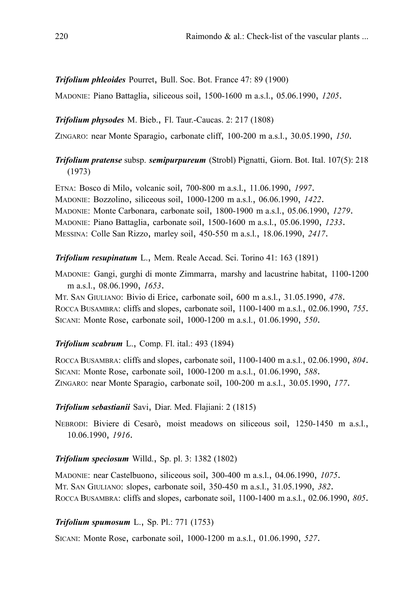# *Trifolium phleoides* Pourret, Bull. Soc. Bot. France 47: 89 (1900)

MADONIE: Piano Battaglia, siliceous soil, 1500-1600 m a.s.l., 05.06.1990, *1205*.

### *Trifolium physodes* M. Bieb., Fl. Taur.-Caucas. 2: 217 (1808)

ZINGARO: near Monte Sparagio, carbonate cliff, 100-200 m a.s.l., 30.05.1990, *150*.

# *Trifolium pratense* subsp. *semipurpureum* (Strobl) Pignatti, Giorn. Bot. Ital. 107(5): 218 (1973)

ETNA: Bosco di Milo, volcanic soil, 700-800 m a.s.l., 11.06.1990, *1997*. MADONIE: Bozzolino, siliceous soil, 1000-1200 m a.s.l., 06.06.1990, *1422*. MADONIE: Monte Carbonara, carbonate soil, 1800-1900 m a.s.l., 05.06.1990, *1279*. MADONIE: Piano Battaglia, carbonate soil, 1500-1600 m a.s.l., 05.06.1990, *1233*. MESSINA: Colle San Rizzo, marley soil, 450-550 m a.s.l., 18.06.1990, *2417*.

### *Trifolium resupinatum* L., Mem. Reale Accad. Sci. Torino 41: 163 (1891)

MADONIE: Gangi, gurghi di monte Zimmarra, marshy and lacustrine habitat, 1100-1200 m a.s.l., 08.06.1990, *1653*.

MT. SAN GIULIANO: Bivio di Erice, carbonate soil, 600 m a.s.l., 31.05.1990, *478*. ROCCA BUSAMBRA: cliffs and slopes, carbonate soil, 1100-1400 m a.s.l., 02.06.1990, *755*. SICANI: Monte Rose, carbonate soil, 1000-1200 m a.s.l., 01.06.1990, *550*.

### *Trifolium scabrum* L., Comp. Fl. ital.: 493 (1894)

ROCCA BUSAMBRA: cliffs and slopes, carbonate soil, 1100-1400 m a.s.l., 02.06.1990, *804*. SICANI: Monte Rose, carbonate soil, 1000-1200 m a.s.l., 01.06.1990, *588*. ZINGARO: near Monte Sparagio, carbonate soil, 100-200 m a.s.l., 30.05.1990, *177*.

### *Trifolium sebastianii* Savi, Diar. Med. Flajiani: 2 (1815)

NEBRODI: Biviere di Cesarò, moist meadows on siliceous soil, 1250-1450 m a.s.l., 10.06.1990, *1916*.

#### *Trifolium speciosum* Willd., Sp. pl. 3: 1382 (1802)

MADONIE: near Castelbuono, siliceous soil, 300-400 m a.s.l., 04.06.1990, *1075*. MT. SAN GIULIANO: slopes, carbonate soil, 350-450 m a.s.l., 31.05.1990, *382*. ROCCA BUSAMBRA: cliffs and slopes, carbonate soil, 1100-1400 m a.s.l., 02.06.1990, *805*.

### *Trifolium spumosum* L., Sp. Pl.: 771 (1753)

SICANI: Monte Rose, carbonate soil, 1000-1200 m a.s.l., 01.06.1990, *527*.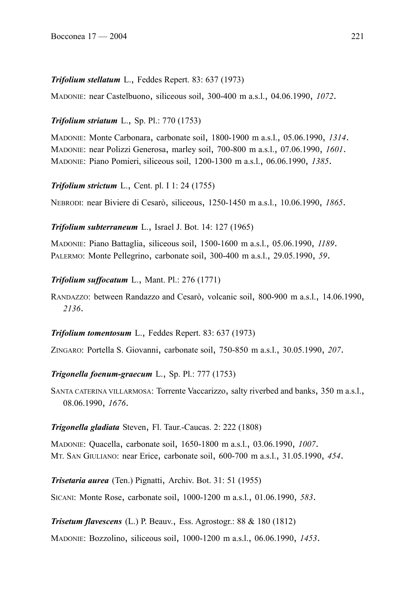# *Trifolium stellatum* L., Feddes Repert. 83: 637 (1973)

MADONIE: near Castelbuono, siliceous soil, 300-400 m a.s.l., 04.06.1990, *1072*.

# *Trifolium striatum* L., Sp. Pl.: 770 (1753)

MADONIE: Monte Carbonara, carbonate soil, 1800-1900 m a.s.l., 05.06.1990, *1314*. MADONIE: near Polizzi Generosa, marley soil, 700-800 m a.s.l., 07.06.1990, *1601*. MADONIE: Piano Pomieri, siliceous soil, 1200-1300 m a.s.l., 06.06.1990, *1385*.

*Trifolium strictum* L., Cent. pl. I 1: 24 (1755)

NEBRODI: near Biviere di Cesarò, siliceous, 1250-1450 m a.s.l., 10.06.1990, *1865*.

# *Trifolium subterraneum* L., Israel J. Bot. 14: 127 (1965)

MADONIE: Piano Battaglia, siliceous soil, 1500-1600 m a.s.l., 05.06.1990, *1189*. PALERMO: Monte Pellegrino, carbonate soil, 300-400 m a.s.l., 29.05.1990, *59*.

# *Trifolium suffocatum* L., Mant. Pl.: 276 (1771)

RANDAZZO: between Randazzo and Cesarò, volcanic soil, 800-900 m a.s.l., 14.06.1990, *2136*.

# *Trifolium tomentosum* L., Feddes Repert. 83: 637 (1973)

ZINGARO: Portella S. Giovanni, carbonate soil, 750-850 m a.s.l., 30.05.1990, *207*.

# *Trigonella foenum-graecum* L., Sp. Pl.: 777 (1753)

SANTA CATERINA VILLARMOSA: Torrente Vaccarizzo, salty riverbed and banks, 350 m a.s.l., 08.06.1990, *1676*.

# *Trigonella gladiata* Steven, Fl. Taur.-Caucas. 2: 222 (1808)

MADONIE: Quacella, carbonate soil, 1650-1800 m a.s.l., 03.06.1990, *1007*. MT. SAN GIULIANO: near Erice, carbonate soil, 600-700 m a.s.l., 31.05.1990, *454*.

*Trisetaria aurea* (Ten.) Pignatti, Archiv. Bot. 31: 51 (1955)

SICANI: Monte Rose, carbonate soil, 1000-1200 m a.s.l., 01.06.1990, *583*.

*Trisetum flavescens* (L.) P. Beauv., Ess. Agrostogr.: 88 & 180 (1812)

MADONIE: Bozzolino, siliceous soil, 1000-1200 m a.s.l., 06.06.1990, *1453*.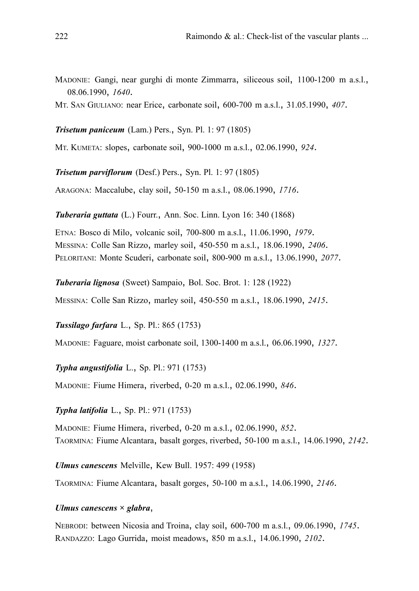- MADONIE: Gangi, near gurghi di monte Zimmarra, siliceous soil, 1100-1200 m a.s.l., 08.06.1990, *1640*.
- MT. SAN GIULIANO: near Erice, carbonate soil, 600-700 m a.s.l., 31.05.1990, *407*.

#### *Trisetum paniceum* (Lam.) Pers., Syn. Pl. 1: 97 (1805)

MT. KUMETA: slopes, carbonate soil, 900-1000 m a.s.l., 02.06.1990, *924*.

*Trisetum parviflorum* (Desf.) Pers., Syn. Pl. 1: 97 (1805)

ARAGONA: Maccalube, clay soil, 50-150 m a.s.l., 08.06.1990, *1716*.

*Tuberaria guttata* (L.) Fourr., Ann. Soc. Linn. Lyon 16: 340 (1868)

ETNA: Bosco di Milo, volcanic soil, 700-800 m a.s.l., 11.06.1990, *1979*. MESSINA: Colle San Rizzo, marley soil, 450-550 m a.s.l., 18.06.1990, *2406*. PELORITANI: Monte Scuderi, carbonate soil, 800-900 m a.s.l., 13.06.1990, *2077*.

*Tuberaria lignosa* (Sweet) Sampaio, Bol. Soc. Brot. 1: 128 (1922) MESSINA: Colle San Rizzo, marley soil, 450-550 m a.s.l., 18.06.1990, *2415*.

*Tussilago farfara* L., Sp. Pl.: 865 (1753)

MADONIE: Faguare, moist carbonate soil, 1300-1400 m a.s.l., 06.06.1990, *1327*.

*Typha angustifolia* L., Sp. Pl.: 971 (1753)

MADONIE: Fiume Himera, riverbed, 0-20 m a.s.l., 02.06.1990, *846*.

*Typha latifolia* L., Sp. Pl.: 971 (1753)

MADONIE: Fiume Himera, riverbed, 0-20 m a.s.l., 02.06.1990, *852*. TAORMINA: Fiume Alcantara, basalt gorges, riverbed, 50-100 m a.s.l., 14.06.1990, *2142*.

*Ulmus canescens* Melville, Kew Bull. 1957: 499 (1958)

TAORMINA: Fiume Alcantara, basalt gorges, 50-100 m a.s.l., 14.06.1990, *2146*.

#### *Ulmus canescens × glabra*,

NEBRODI: between Nicosia and Troina, clay soil, 600-700 m a.s.l., 09.06.1990, *1745*. RANDAZZO: Lago Gurrida, moist meadows, 850 m a.s.l., 14.06.1990, *2102*.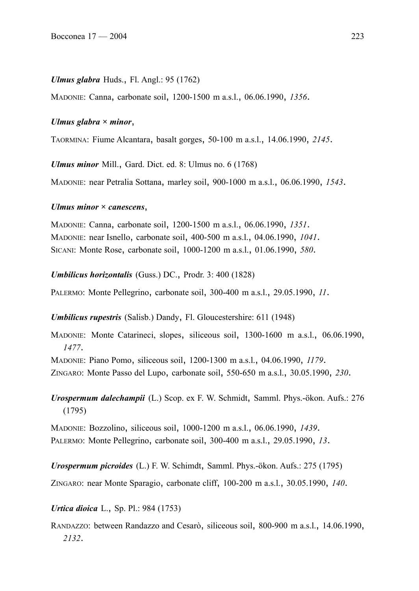#### *Ulmus glabra* Huds., Fl. Angl.: 95 (1762)

MADONIE: Canna, carbonate soil, 1200-1500 m a.s.l., 06.06.1990, *1356*.

#### *Ulmus glabra × minor*,

TAORMINA: Fiume Alcantara, basalt gorges, 50-100 m a.s.l., 14.06.1990, *2145*.

*Ulmus minor* Mill., Gard. Dict. ed. 8: Ulmus no. 6 (1768)

MADONIE: near Petralia Sottana, marley soil, 900-1000 m a.s.l., 06.06.1990, *1543*.

### *Ulmus minor × canescens*,

MADONIE: Canna, carbonate soil, 1200-1500 m a.s.l., 06.06.1990, *1351*. MADONIE: near Isnello, carbonate soil, 400-500 m a.s.l., 04.06.1990, *1041*. SICANI: Monte Rose, carbonate soil, 1000-1200 m a.s.l., 01.06.1990, *580*.

#### *Umbilicus horizontalis* (Guss.) DC., Prodr. 3: 400 (1828)

PALERMO: Monte Pellegrino, carbonate soil, 300-400 m a.s.l., 29.05.1990, *11*.

*Umbilicus rupestris* (Salisb.) Dandy, Fl. Gloucestershire: 611 (1948)

MADONIE: Monte Catarineci, slopes, siliceous soil, 1300-1600 m a.s.l., 06.06.1990, *1477*.

MADONIE: Piano Pomo, siliceous soil, 1200-1300 m a.s.l., 04.06.1990, *1179*.

ZINGARO: Monte Passo del Lupo, carbonate soil, 550-650 m a.s.l., 30.05.1990, *230*.

*Urospermum dalechampii* (L.) Scop. ex F. W. Schmidt, Samml. Phys.-ökon. Aufs.: 276 (1795)

MADONIE: Bozzolino, siliceous soil, 1000-1200 m a.s.l., 06.06.1990, *1439*. PALERMO: Monte Pellegrino, carbonate soil, 300-400 m a.s.l., 29.05.1990, *13*.

*Urospermum picroides* (L.) F. W. Schimdt, Samml. Phys.-ökon. Aufs.: 275 (1795)

ZINGARO: near Monte Sparagio, carbonate cliff, 100-200 m a.s.l., 30.05.1990, *140*.

*Urtica dioica* L., Sp. Pl.: 984 (1753)

RANDAZZO: between Randazzo and Cesarò, siliceous soil, 800-900 m a.s.l., 14.06.1990, *2132*.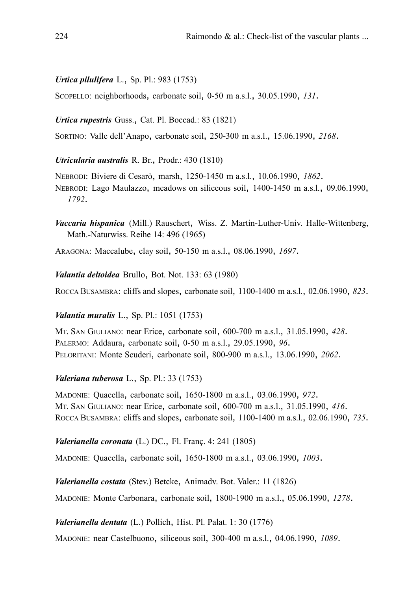# *Urtica pilulifera* L., Sp. Pl.: 983 (1753)

SCOPELLO: neighborhoods, carbonate soil, 0-50 m a.s.l., 30.05.1990, *131*.

### *Urtica rupestris* Guss., Cat. Pl. Boccad.: 83 (1821)

SORTINO: Valle dell'Anapo, carbonate soil, 250-300 m a.s.l., 15.06.1990, *2168*.

### *Utricularia australis* R. Br., Prodr.: 430 (1810)

NEBRODI: Biviere di Cesarò, marsh, 1250-1450 m a.s.l., 10.06.1990, *1862*. NEBRODI: Lago Maulazzo, meadows on siliceous soil, 1400-1450 m a.s.l., 09.06.1990, *1792*.

- *Vaccaria hispanica* (Mill.) Rauschert, Wiss. Z. Martin-Luther-Univ. Halle-Wittenberg, Math.-Naturwiss. Reihe 14: 496 (1965)
- ARAGONA: Maccalube, clay soil, 50-150 m a.s.l., 08.06.1990, *1697*.

*Valantia deltoidea* Brullo, Bot. Not. 133: 63 (1980)

ROCCA BUSAMBRA: cliffs and slopes, carbonate soil, 1100-1400 m a.s.l., 02.06.1990, *823*.

#### *Valantia muralis* L., Sp. Pl.: 1051 (1753)

MT. SAN GIULIANO: near Erice, carbonate soil, 600-700 m a.s.l., 31.05.1990, *428*. PALERMO: Addaura, carbonate soil, 0-50 m a.s.l., 29.05.1990, *96*. PELORITANI: Monte Scuderi, carbonate soil, 800-900 m a.s.l., 13.06.1990, *2062*.

### *Valeriana tuberosa* L., Sp. Pl.: 33 (1753)

MADONIE: Quacella, carbonate soil, 1650-1800 m a.s.l., 03.06.1990, *972*. MT. SAN GIULIANO: near Erice, carbonate soil, 600-700 m a.s.l., 31.05.1990, *416*. ROCCA BUSAMBRA: cliffs and slopes, carbonate soil, 1100-1400 m a.s.l., 02.06.1990, *735*.

### *Valerianella coronata* (L.) DC., Fl. Franç. 4: 241 (1805)

MADONIE: Quacella, carbonate soil, 1650-1800 m a.s.l., 03.06.1990, *1003*.

*Valerianella costata* (Stev.) Betcke, Animadv. Bot. Valer.: 11 (1826) MADONIE: Monte Carbonara, carbonate soil, 1800-1900 m a.s.l., 05.06.1990, *1278*.

*Valerianella dentata* (L.) Pollich, Hist. Pl. Palat. 1: 30 (1776)

MADONIE: near Castelbuono, siliceous soil, 300-400 m a.s.l., 04.06.1990, *1089*.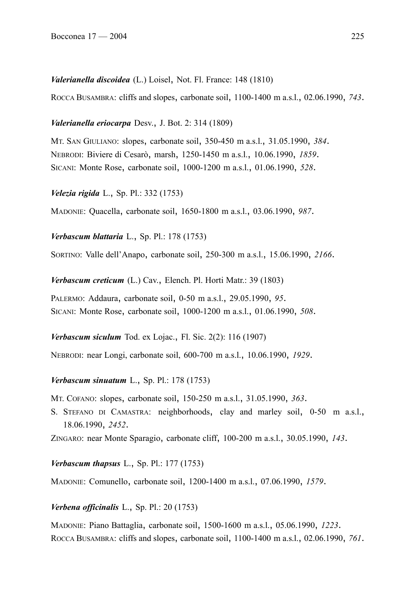#### *Valerianella discoidea* (L.) Loisel, Not. Fl. France: 148 (1810)

ROCCA BUSAMBRA: cliffs and slopes, carbonate soil, 1100-1400 m a.s.l., 02.06.1990, *743*.

### *Valerianella eriocarpa* Desv., J. Bot. 2: 314 (1809)

MT. SAN GIULIANO: slopes, carbonate soil, 350-450 m a.s.l., 31.05.1990, *384*. NEBRODI: Biviere di Cesarò, marsh, 1250-1450 m a.s.l., 10.06.1990, *1859*. SICANI: Monte Rose, carbonate soil, 1000-1200 m a.s.l., 01.06.1990, *528*.

*Velezia rigida* L., Sp. Pl.: 332 (1753)

MADONIE: Quacella, carbonate soil, 1650-1800 m a.s.l., 03.06.1990, *987*.

*Verbascum blattaria* L., Sp. Pl.: 178 (1753)

SORTINO: Valle dell'Anapo, carbonate soil, 250-300 m a.s.l., 15.06.1990, *2166*.

*Verbascum creticum* (L.) Cav., Elench. Pl. Horti Matr.: 39 (1803)

PALERMO: Addaura, carbonate soil, 0-50 m a.s.l., 29.05.1990, *95*. SICANI: Monte Rose, carbonate soil, 1000-1200 m a.s.l., 01.06.1990, *508*.

*Verbascum siculum* Tod. ex Lojac., Fl. Sic. 2(2): 116 (1907)

NEBRODI: near Longi, carbonate soil, 600-700 m a.s.l., 10.06.1990, *1929*.

#### *Verbascum sinuatum* L., Sp. Pl.: 178 (1753)

MT. COFANO: slopes, carbonate soil, 150-250 m a.s.l., 31.05.1990, *363*.

S. STEFANO DI CAMASTRA: neighborhoods, clay and marley soil, 0-50 m a.s.l., 18.06.1990, *2452*.

ZINGARO: near Monte Sparagio, carbonate cliff, 100-200 m a.s.l., 30.05.1990, *143*.

### *Verbascum thapsus* L., Sp. Pl.: 177 (1753)

MADONIE: Comunello, carbonate soil, 1200-1400 m a.s.l., 07.06.1990, *1579*.

### *Verbena officinalis* L., Sp. Pl.: 20 (1753)

MADONIE: Piano Battaglia, carbonate soil, 1500-1600 m a.s.l., 05.06.1990, *1223*. ROCCA BUSAMBRA: cliffs and slopes, carbonate soil, 1100-1400 m a.s.l., 02.06.1990, *761*.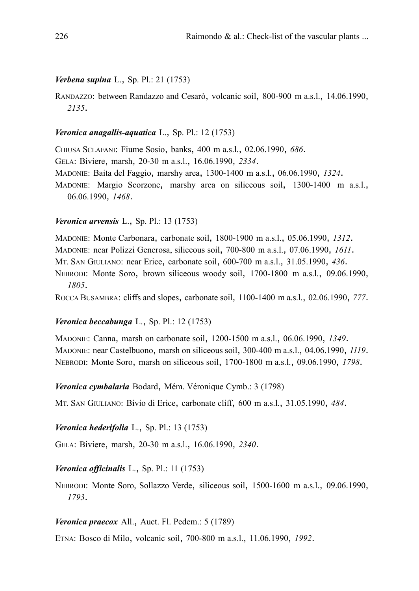### *Verbena supina* L., Sp. Pl.: 21 (1753)

RANDAZZO: between Randazzo and Cesarò, volcanic soil, 800-900 m a.s.l., 14.06.1990, *2135*.

## *Veronica anagallis-aquatica* L., Sp. Pl.: 12 (1753)

CHIUSA SCLAFANI: Fiume Sosio, banks, 400 m a.s.l., 02.06.1990, *686*. GELA: Biviere, marsh, 20-30 m a.s.l., 16.06.1990, *2334*. MADONIE: Baita del Faggio, marshy area, 1300-1400 m a.s.l., 06.06.1990, *1324*. MADONIE: Margio Scorzone, marshy area on siliceous soil, 1300-1400 m a.s.l., 06.06.1990, *1468*.

### *Veronica arvensis* L., Sp. Pl.: 13 (1753)

MADONIE: Monte Carbonara, carbonate soil, 1800-1900 m a.s.l., 05.06.1990, *1312*. MADONIE: near Polizzi Generosa, siliceous soil, 700-800 m a.s.l., 07.06.1990, *1611*. MT. SAN GIULIANO: near Erice, carbonate soil, 600-700 m a.s.l., 31.05.1990, *436*.

NEBRODI: Monte Soro, brown siliceous woody soil, 1700-1800 m a.s.l., 09.06.1990, *1805*.

ROCCA BUSAMBRA: cliffs and slopes, carbonate soil, 1100-1400 m a.s.l., 02.06.1990, *777*.

#### *Veronica beccabunga* L., Sp. Pl.: 12 (1753)

MADONIE: Canna, marsh on carbonate soil, 1200-1500 m a.s.l., 06.06.1990, *1349*. MADONIE: near Castelbuono, marsh on siliceous soil, 300-400 m a.s.l., 04.06.1990, *1119*. NEBRODI: Monte Soro, marsh on siliceous soil, 1700-1800 m a.s.l., 09.06.1990, *1798*.

#### *Veronica cymbalaria* Bodard, Mém. Véronique Cymb.: 3 (1798)

MT. SAN GIULIANO: Bivio di Erice, carbonate cliff, 600 m a.s.l., 31.05.1990, *484*.

#### *Veronica hederifolia* L., Sp. Pl.: 13 (1753)

GELA: Biviere, marsh, 20-30 m a.s.l., 16.06.1990, *2340*.

#### *Veronica officinalis* L., Sp. Pl.: 11 (1753)

NEBRODI: Monte Soro, Sollazzo Verde, siliceous soil, 1500-1600 m a.s.l., 09.06.1990, *1793*.

#### *Veronica praecox* All., Auct. Fl. Pedem.: 5 (1789)

ETNA: Bosco di Milo, volcanic soil, 700-800 m a.s.l., 11.06.1990, *1992*.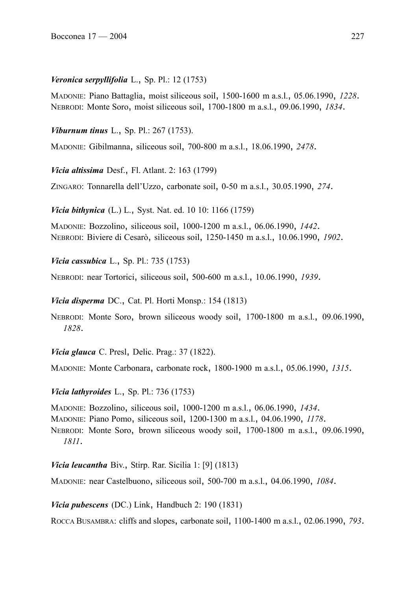# *Veronica serpyllifolia* L., Sp. Pl.: 12 (1753)

MADONIE: Piano Battaglia, moist siliceous soil, 1500-1600 m a.s.l., 05.06.1990, *1228*. NEBRODI: Monte Soro, moist siliceous soil, 1700-1800 m a.s.l., 09.06.1990, *1834*.

*Viburnum tinus* L., Sp. Pl.: 267 (1753).

MADONIE: Gibilmanna, siliceous soil, 700-800 m a.s.l., 18.06.1990, *2478*.

*Vicia altissima* Desf., Fl. Atlant. 2: 163 (1799)

ZINGARO: Tonnarella dell'Uzzo, carbonate soil, 0-50 m a.s.l., 30.05.1990, *274*.

*Vicia bithynica* (L.) L., Syst. Nat. ed. 10 10: 1166 (1759)

MADONIE: Bozzolino, siliceous soil, 1000-1200 m a.s.l., 06.06.1990, *1442*. NEBRODI: Biviere di Cesarò, siliceous soil, 1250-1450 m a.s.l., 10.06.1990, *1902*.

*Vicia cassubica* L., Sp. Pl.: 735 (1753)

NEBRODI: near Tortorici, siliceous soil, 500-600 m a.s.l., 10.06.1990, *1939*.

*Vicia disperma* DC., Cat. Pl. Horti Monsp.: 154 (1813)

NEBRODI: Monte Soro, brown siliceous woody soil, 1700-1800 m a.s.l., 09.06.1990, *1828*.

*Vicia glauca* C. Presl, Delic. Prag.: 37 (1822).

MADONIE: Monte Carbonara, carbonate rock, 1800-1900 m a.s.l., 05.06.1990, *1315*.

*Vicia lathyroides* L., Sp. Pl.: 736 (1753)

MADONIE: Bozzolino, siliceous soil, 1000-1200 m a.s.l., 06.06.1990, *1434*. MADONIE: Piano Pomo, siliceous soil, 1200-1300 m a.s.l., 04.06.1990, *1178*. NEBRODI: Monte Soro, brown siliceous woody soil, 1700-1800 m a.s.l., 09.06.1990, *1811*.

*Vicia leucantha* Biv., Stirp. Rar. Sicilia 1: [9] (1813)

MADONIE: near Castelbuono, siliceous soil, 500-700 m a.s.l., 04.06.1990, *1084*.

*Vicia pubescens* (DC.) Link, Handbuch 2: 190 (1831)

ROCCA BUSAMBRA: cliffs and slopes, carbonate soil, 1100-1400 m a.s.l., 02.06.1990, *793*.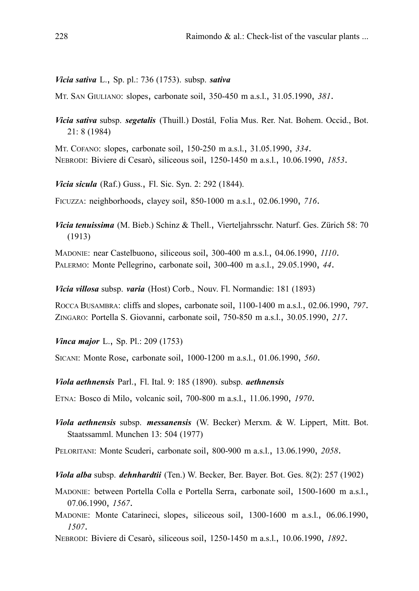#### *Vicia sativa* L., Sp. pl.: 736 (1753). subsp. *sativa*

MT. SAN GIULIANO: slopes, carbonate soil, 350-450 m a.s.l., 31.05.1990, *381*.

*Vicia sativa* subsp. *segetalis* (Thuill.) Dostál, Folia Mus. Rer. Nat. Bohem. Occid., Bot. 21: 8 (1984)

MT. COFANO: slopes, carbonate soil, 150-250 m a.s.l., 31.05.1990, *334*. NEBRODI: Biviere di Cesarò, siliceous soil, 1250-1450 m a.s.l., 10.06.1990, *1853*.

*Vicia sicula* (Raf.) Guss., Fl. Sic. Syn. 2: 292 (1844).

FICUZZA: neighborhoods, clayey soil, 850-1000 m a.s.l., 02.06.1990, *716*.

*Vicia tenuissima* (M. Bieb.) Schinz & Thell., Vierteljahrsschr. Naturf. Ges. Zürich 58: 70 (1913)

MADONIE: near Castelbuono, siliceous soil, 300-400 m a.s.l., 04.06.1990, *1110*. PALERMO: Monte Pellegrino, carbonate soil, 300-400 m a.s.l., 29.05.1990, *44*.

*Vicia villosa* subsp. *varia* (Host) Corb., Nouv. Fl. Normandie: 181 (1893)

ROCCA BUSAMBRA: cliffs and slopes, carbonate soil, 1100-1400 m a.s.l., 02.06.1990, *797*. ZINGARO: Portella S. Giovanni, carbonate soil, 750-850 m a.s.l., 30.05.1990, *217*.

*Vinca major* L., Sp. Pl.: 209 (1753)

SICANI: Monte Rose, carbonate soil, 1000-1200 m a.s.l., 01.06.1990, *560*.

*Viola aethnensis* Parl., Fl. Ital. 9: 185 (1890). subsp. *aethnensis*

ETNA: Bosco di Milo, volcanic soil, 700-800 m a.s.l., 11.06.1990, *1970*.

*Viola aethnensis* subsp. *messanensis* (W. Becker) Merxm. & W. Lippert, Mitt. Bot. Staatssamml. Munchen 13: 504 (1977)

PELORITANI: Monte Scuderi, carbonate soil, 800-900 m a.s.l., 13.06.1990, *2058*.

*Viola alba* subsp. *dehnhardtii* (Ten.) W. Becker, Ber. Bayer. Bot. Ges. 8(2): 257 (1902)

- MADONIE: between Portella Colla e Portella Serra, carbonate soil, 1500-1600 m a.s.l., 07.06.1990, *1567*.
- MADONIE: Monte Catarineci, slopes, siliceous soil, 1300-1600 m a.s.l., 06.06.1990, *1507*.
- NEBRODI: Biviere di Cesarò, siliceous soil, 1250-1450 m a.s.l., 10.06.1990, *1892*.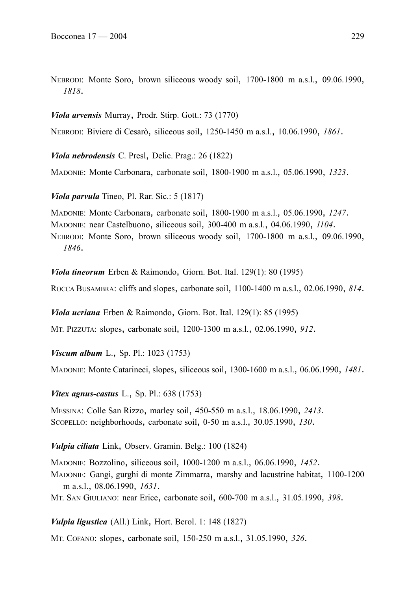NEBRODI: Monte Soro, brown siliceous woody soil, 1700-1800 m a.s.l., 09.06.1990, *1818*.

*Viola arvensis* Murray, Prodr. Stirp. Gott.: 73 (1770)

NEBRODI: Biviere di Cesarò, siliceous soil, 1250-1450 m a.s.l., 10.06.1990, *1861*.

*Viola nebrodensis* C. Presl, Delic. Prag.: 26 (1822)

MADONIE: Monte Carbonara, carbonate soil, 1800-1900 m a.s.l., 05.06.1990, *1323*.

*Viola parvula* Tineo, Pl. Rar. Sic.: 5 (1817)

MADONIE: Monte Carbonara, carbonate soil, 1800-1900 m a.s.l., 05.06.1990, *1247*. MADONIE: near Castelbuono, siliceous soil, 300-400 m a.s.l., 04.06.1990, *1104*. NEBRODI: Monte Soro, brown siliceous woody soil, 1700-1800 m a.s.l., 09.06.1990, *1846*.

*Viola tineorum* Erben & Raimondo, Giorn. Bot. Ital. 129(1): 80 (1995)

ROCCA BUSAMBRA: cliffs and slopes, carbonate soil, 1100-1400 m a.s.l., 02.06.1990, *814*.

*Viola ucriana* Erben & Raimondo, Giorn. Bot. Ital. 129(1): 85 (1995)

MT. PIZZUTA: slopes, carbonate soil, 1200-1300 m a.s.l., 02.06.1990, *912*.

*Viscum album* L., Sp. Pl.: 1023 (1753)

MADONIE: Monte Catarineci, slopes, siliceous soil, 1300-1600 m a.s.l., 06.06.1990, *1481*.

#### *Vitex agnus-castus* L., Sp. Pl.: 638 (1753)

MESSINA: Colle San Rizzo, marley soil, 450-550 m a.s.l., 18.06.1990, *2413*. SCOPELLO: neighborhoods, carbonate soil, 0-50 m a.s.l., 30.05.1990, *130*.

*Vulpia ciliata* Link, Observ. Gramin. Belg.: 100 (1824)

MADONIE: Bozzolino, siliceous soil, 1000-1200 m a.s.l., 06.06.1990, *1452*. MADONIE: Gangi, gurghi di monte Zimmarra, marshy and lacustrine habitat, 1100-1200 m a.s.l., 08.06.1990, *1631*.

MT. SAN GIULIANO: near Erice, carbonate soil, 600-700 m a.s.l., 31.05.1990, *398*.

*Vulpia ligustica* (All.) Link, Hort. Berol. 1: 148 (1827)

MT. COFANO: slopes, carbonate soil, 150-250 m a.s.l., 31.05.1990, *326*.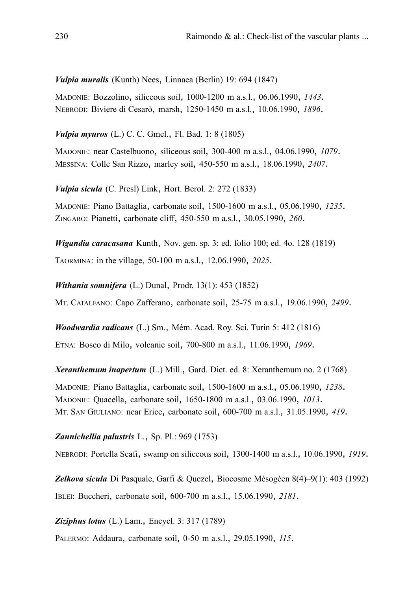*Vulpia muralis* (Kunth) Nees, Linnaea (Berlin) 19: 694 (1847)

MADONIE: Bozzolino, siliceous soil, 1000-1200 m a.s.l., 06.06.1990, *1443*. NEBRODI: Biviere di Cesarò, marsh, 1250-1450 m a.s.l., 10.06.1990, *1896*.

*Vulpia myuros* (L.) C. C. Gmel., Fl. Bad. 1: 8 (1805)

MADONIE: near Castelbuono, siliceous soil, 300-400 m a.s.l., 04.06.1990, *1079*. MESSINA: Colle San Rizzo, marley soil, 450-550 m a.s.l., 18.06.1990, *2407*.

*Vulpia sicula* (C. Presl) Link, Hort. Berol. 2: 272 (1833)

MADONIE: Piano Battaglia, carbonate soil, 1500-1600 m a.s.l., 05.06.1990, *1235*. ZINGARO: Pianetti, carbonate cliff, 450-550 m a.s.l., 30.05.1990, *260*.

*Wigandia caracasana* Kunth, Nov. gen. sp. 3: ed. folio 100; ed. 4o. 128 (1819) TAORMINA: in the village, 50-100 m a.s.l., 12.06.1990, *2025*.

*Withania somnifera* (L.) Dunal, Prodr. 13(1): 453 (1852)

MT. CATALFANO: Capo Zafferano, carbonate soil, 25-75 m a.s.l., 19.06.1990, *2499*.

*Woodwardia radicans* (L.) Sm., Mém. Acad. Roy. Sci. Turin 5: 412 (1816) ETNA: Bosco di Milo, volcanic soil, 700-800 m a.s.l., 11.06.1990, *1969*.

*Xeranthemum inapertum* (L.) Mill., Gard. Dict. ed. 8: Xeranthemum no. 2 (1768) MADONIE: Piano Battaglia, carbonate soil, 1500-1600 m a.s.l., 05.06.1990, *1238*. MADONIE: Quacella, carbonate soil, 1650-1800 m a.s.l., 03.06.1990, *1013*. MT. SAN GIULIANO: near Erice, carbonate soil, 600-700 m a.s.l., 31.05.1990, *419*.

# *Zannichellia palustris* L., Sp. Pl.: 969 (1753)

NEBRODI: Portella Scafi, swamp on siliceous soil, 1300-1400 m a.s.l., 10.06.1990, *1919*.

*Zelkova sicula* Di Pasquale, Garfi & Quezel, Biocosme Mésogéen 8(4)–9(1): 403 (1992) IBLEI: Buccheri, carbonate soil, 600-700 m a.s.l., 15.06.1990, *2181*.

*Ziziphus lotus* (L.) Lam., Encycl. 3: 317 (1789)

PALERMO: Addaura, carbonate soil, 0-50 m a.s.l., 29.05.1990, *115*.